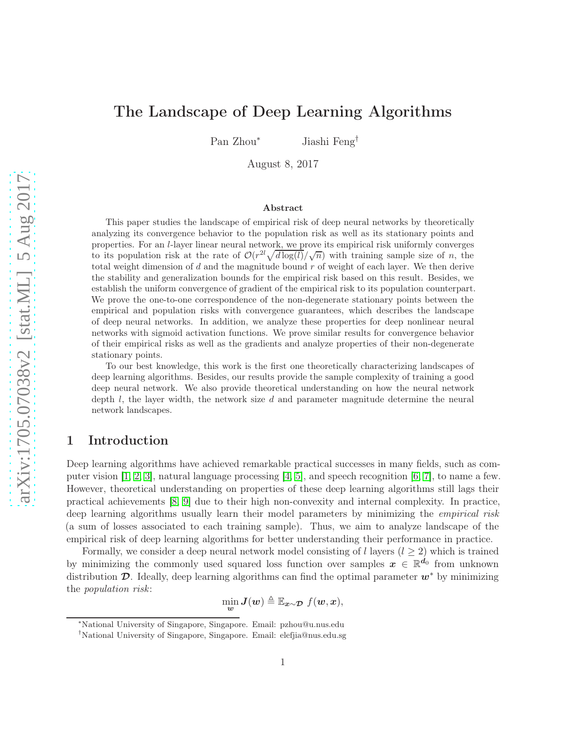# The Landscape of Deep Learning Algorithms

Pan Zhou<sup>∗</sup> Jiashi Feng†

August 8, 2017

#### Abstract

This paper studies the landscape of empirical risk of deep neural networks by theoretically analyzing its convergence behavior to the population risk as well as its stationary points and properties. For an l-layer linear neural network, we prove its empirical risk uniformly converges to its population risk at the rate of  $\mathcal{O}(r^{2l}\sqrt{d\log(l)}/\sqrt{n})$  with training sample size of n, the total weight dimension of  $d$  and the magnitude bound  $r$  of weight of each layer. We then derive the stability and generalization bounds for the empirical risk based on this result. Besides, we establish the uniform convergence of gradient of the empirical risk to its population counterpart. We prove the one-to-one correspondence of the non-degenerate stationary points between the empirical and population risks with convergence guarantees, which describes the landscape of deep neural networks. In addition, we analyze these properties for deep nonlinear neural networks with sigmoid activation functions. We prove similar results for convergence behavior of their empirical risks as well as the gradients and analyze properties of their non-degenerate stationary points.

To our best knowledge, this work is the first one theoretically characterizing landscapes of deep learning algorithms. Besides, our results provide the sample complexity of training a good deep neural network. We also provide theoretical understanding on how the neural network depth  $l$ , the layer width, the network size  $d$  and parameter magnitude determine the neural network landscapes.

# 1 Introduction

Deep learning algorithms have achieved remarkable practical successes in many fields, such as computer vision  $[1, 2, 3]$  $[1, 2, 3]$  $[1, 2, 3]$ , natural language processing  $[4, 5]$  $[4, 5]$ , and speech recognition  $[6, 7]$  $[6, 7]$ , to name a few. However, theoretical understanding on properties of these deep learning algorithms still lags their practical achievements [\[8,](#page-11-7) [9\]](#page-11-8) due to their high non-convexity and internal complexity. In practice, deep learning algorithms usually learn their model parameters by minimizing the *empirical risk* (a sum of losses associated to each training sample). Thus, we aim to analyze landscape of the empirical risk of deep learning algorithms for better understanding their performance in practice.

Formally, we consider a deep neural network model consisting of l layers  $(l > 2)$  which is trained by minimizing the commonly used squared loss function over samples  $x \in \mathbb{R}^{d_0}$  from unknown distribution  $\mathcal{D}$ . Ideally, deep learning algorithms can find the optimal parameter  $w^*$  by minimizing the *population risk*:

$$
\min_{\mathbf{w}} \mathbf{J}(\mathbf{w}) \triangleq \mathbb{E}_{\mathbf{x} \sim \mathcal{D}} f(\mathbf{w}, \mathbf{x}),
$$

<sup>∗</sup>National University of Singapore, Singapore. Email: pzhou@u.nus.edu

<sup>†</sup>National University of Singapore, Singapore. Email: elefjia@nus.edu.sg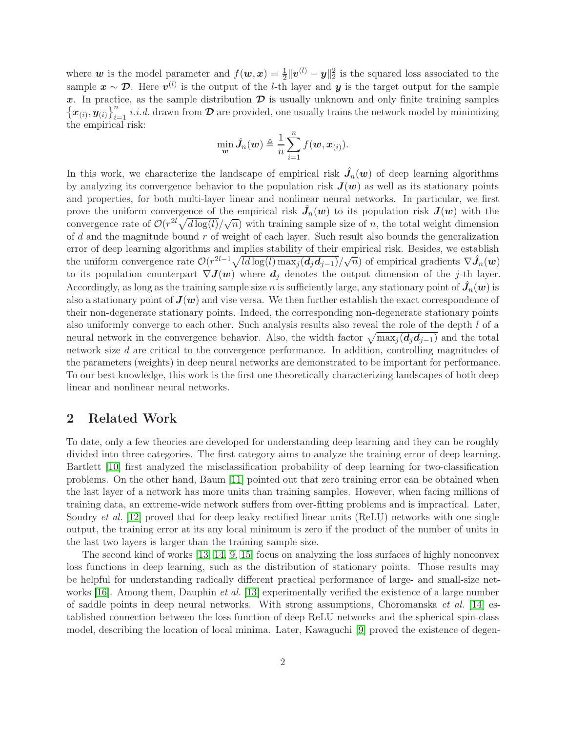where w is the model parameter and  $f(w, x) = \frac{1}{2} ||v^{(l)} - y||_2^2$  is the squared loss associated to the sample  $x \sim \mathcal{D}$ . Here  $v^{(l)}$  is the output of the *l*-th layer and  $y$  is the target output for the sample x. In practice, as the sample distribution  $\mathcal D$  is usually unknown and only finite training samples  $\{\boldsymbol{x}_{(i)}, \boldsymbol{y}_{(i)}\}_{i=1}^n$  *i.i.d.* drawn from  $\boldsymbol{\mathcal{D}}$  are provided, one usually trains the network model by minimizing the empirical risk:

$$
\min_{\boldsymbol{w}} \hat{J}_n(\boldsymbol{w}) \triangleq \frac{1}{n} \sum_{i=1}^n f(\boldsymbol{w}, \boldsymbol{x}_{(i)}).
$$

In this work, we characterize the landscape of empirical risk  $\hat{J}_n(w)$  of deep learning algorithms by analyzing its convergence behavior to the population risk  $J(w)$  as well as its stationary points and properties, for both multi-layer linear and nonlinear neural networks. In particular, we first prove the uniform convergence of the empirical risk  $\hat{J}_n(w)$  to its population risk  $J(w)$  with the convergence rate of  $\mathcal{O}(r^{2l}\sqrt{d\log(l)}/\sqrt{n})$  with training sample size of n, the total weight dimension of  $d$  and the magnitude bound  $r$  of weight of each layer. Such result also bounds the generalization error of deep learning algorithms and implies stability of their empirical risk. Besides, we establish the uniform convergence rate  $\mathcal{O}(r^{2l-1}\sqrt{ld \log(l) \max_j (d_j d_{j-1})}/\sqrt{n})$  of empirical gradients  $\nabla \hat{J}_n(w)$ to its population counterpart  $\nabla J(\boldsymbol{w})$  where  $\boldsymbol{d}_j$  denotes the output dimension of the j-th layer. Accordingly, as long as the training sample size  $n$  is sufficiently large, any stationary point of  $\hat{J}_n(\bm{w})$  is also a stationary point of  $J(w)$  and vise versa. We then further establish the exact correspondence of their non-degenerate stationary points. Indeed, the corresponding non-degenerate stationary points also uniformly converge to each other. Such analysis results also reveal the role of the depth l of a neural network in the convergence behavior. Also, the width factor  $\sqrt{\max_j (d_j d_{j-1})}$  and the total network size d are critical to the convergence performance. In addition, controlling magnitudes of the parameters (weights) in deep neural networks are demonstrated to be important for performance. To our best knowledge, this work is the first one theoretically characterizing landscapes of both deep linear and nonlinear neural networks.

# 2 Related Work

To date, only a few theories are developed for understanding deep learning and they can be roughly divided into three categories. The first category aims to analyze the training error of deep learning. Bartlett [\[10\]](#page-11-9) first analyzed the misclassification probability of deep learning for two-classification problems. On the other hand, Baum [\[11\]](#page-11-10) pointed out that zero training error can be obtained when the last layer of a network has more units than training samples. However, when facing millions of training data, an extreme-wide network suffers from over-fitting problems and is impractical. Later, Soudry *et al.* [\[12\]](#page-11-11) proved that for deep leaky rectified linear units (ReLU) networks with one single output, the training error at its any local minimum is zero if the product of the number of units in the last two layers is larger than the training sample size.

The second kind of works [\[13,](#page-11-12) [14,](#page-11-13) [9,](#page-11-8) [15\]](#page-11-14) focus on analyzing the loss surfaces of highly nonconvex loss functions in deep learning, such as the distribution of stationary points. Those results may be helpful for understanding radically different practical performance of large- and small-size networks [\[16\]](#page-11-15). Among them, Dauphin *et al.* [\[13\]](#page-11-12) experimentally verified the existence of a large number of saddle points in deep neural networks. With strong assumptions, Choromanska *et al.* [\[14\]](#page-11-13) established connection between the loss function of deep ReLU networks and the spherical spin-class model, describing the location of local minima. Later, Kawaguchi [\[9\]](#page-11-8) proved the existence of degen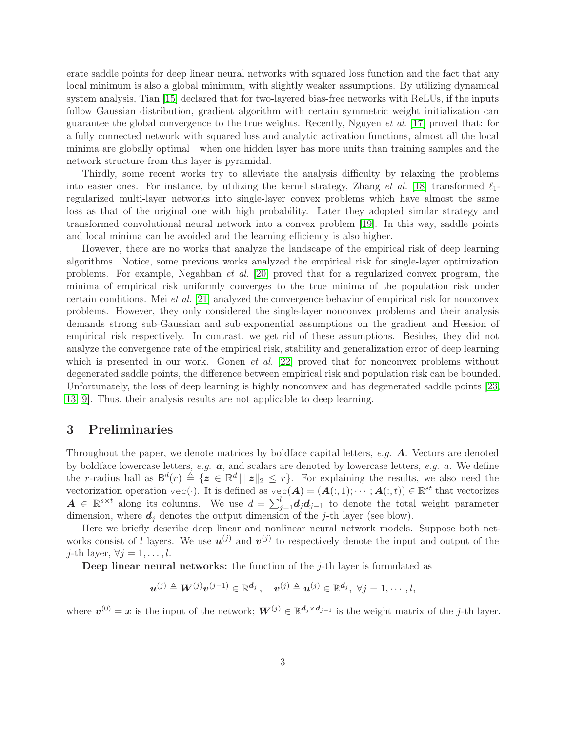erate saddle points for deep linear neural networks with squared loss function and the fact that any local minimum is also a global minimum, with slightly weaker assumptions. By utilizing dynamical system analysis, Tian [\[15\]](#page-11-14) declared that for two-layered bias-free networks with ReLUs, if the inputs follow Gaussian distribution, gradient algorithm with certain symmetric weight initialization can guarantee the global convergence to the true weights. Recently, Nguyen *et al*. [\[17\]](#page-11-16) proved that: for a fully connected network with squared loss and analytic activation functions, almost all the local minima are globally optimal—when one hidden layer has more units than training samples and the network structure from this layer is pyramidal.

Thirdly, some recent works try to alleviate the analysis difficulty by relaxing the problems into easier ones. For instance, by utilizing the kernel strategy, Zhang *et al.* [\[18\]](#page-12-0) transformed  $\ell_1$ regularized multi-layer networks into single-layer convex problems which have almost the same loss as that of the original one with high probability. Later they adopted similar strategy and transformed convolutional neural network into a convex problem [\[19\]](#page-12-1). In this way, saddle points and local minima can be avoided and the learning efficiency is also higher.

However, there are no works that analyze the landscape of the empirical risk of deep learning algorithms. Notice, some previous works analyzed the empirical risk for single-layer optimization problems. For example, Negahban *et al.* [\[20\]](#page-12-2) proved that for a regularized convex program, the minima of empirical risk uniformly converges to the true minima of the population risk under certain conditions. Mei *et al.* [\[21\]](#page-12-3) analyzed the convergence behavior of empirical risk for nonconvex problems. However, they only considered the single-layer nonconvex problems and their analysis demands strong sub-Gaussian and sub-exponential assumptions on the gradient and Hession of empirical risk respectively. In contrast, we get rid of these assumptions. Besides, they did not analyze the convergence rate of the empirical risk, stability and generalization error of deep learning which is presented in our work. Gonen *et al.* [\[22\]](#page-12-4) proved that for nonconvex problems without degenerated saddle points, the difference between empirical risk and population risk can be bounded. Unfortunately, the loss of deep learning is highly nonconvex and has degenerated saddle points [\[23,](#page-12-5) [13,](#page-11-12) [9\]](#page-11-8). Thus, their analysis results are not applicable to deep learning.

# 3 Preliminaries

Throughout the paper, we denote matrices by boldface capital letters, *e.g.* A. Vectors are denoted by boldface lowercase letters, *e.g.* a, and scalars are denoted by lowercase letters, *e.g.* a. We define the r-radius ball as  $B^d(r) \triangleq \{z \in \mathbb{R}^d \mid ||z||_2 \leq r\}$ . For explaining the results, we also need the vectorization operation  $\text{vec}(\cdot)$ . It is defined as  $\text{vec}(A) = (A(:,1); \dots; A(:,t)) \in \mathbb{R}^{st}$  that vectorizes  $A \in \mathbb{R}^{s \times t}$  along its columns. We use  $d = \sum_{j=1}^{l} d_j d_{j-1}$  to denote the total weight parameter dimension, where  $d_i$  denotes the output dimension of the j-th layer (see blow).

Here we briefly describe deep linear and nonlinear neural network models. Suppose both networks consist of l layers. We use  $u^{(j)}$  and  $v^{(j)}$  to respectively denote the input and output of the j-th layer,  $\forall j = 1, \ldots, l$ .

**Deep linear neural networks:** the function of the  $j$ -th layer is formulated as

 $\boldsymbol{u}^{(j)} \triangleq \boldsymbol{W}^{(j)} \boldsymbol{v}^{(j-1)} \in \mathbb{R}^{\boldsymbol{d}_j} \,, \quad \boldsymbol{v}^{(j)} \triangleq \boldsymbol{u}^{(j)} \in \mathbb{R}^{\boldsymbol{d}_j}, \,\, \forall j = 1, \cdots, l,$ 

where  $v^{(0)} = x$  is the input of the network;  $W^{(j)} \in \mathbb{R}^{d_j \times d_{j-1}}$  is the weight matrix of the j-th layer.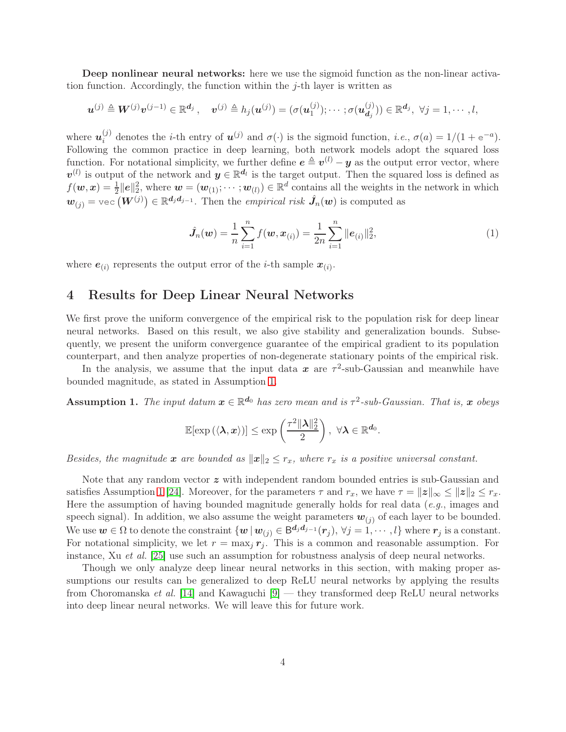Deep nonlinear neural networks: here we use the sigmoid function as the non-linear activation function. Accordingly, the function within the  $j$ -th layer is written as

$$
\boldsymbol{u}^{(j)} \triangleq \boldsymbol{W}^{(j)} \boldsymbol{v}^{(j-1)} \in \mathbb{R}^{\boldsymbol{d}_j}, \quad \boldsymbol{v}^{(j)} \triangleq h_j(\boldsymbol{u}^{(j)}) = (\sigma(\boldsymbol{u}_1^{(j)}); \cdots; \sigma(\boldsymbol{u}_{\boldsymbol{d}_j}^{(j)})) \in \mathbb{R}^{\boldsymbol{d}_j}, \ \forall j = 1, \cdots, l,
$$

where  $u_i^{(j)}$ <sup>(j)</sup> denotes the *i*-th entry of  $u^{(j)}$  and  $\sigma(\cdot)$  is the sigmoid function, *i.e.*,  $\sigma(a) = 1/(1 + e^{-a})$ . Following the common practice in deep learning, both network models adopt the squared loss function. For notational simplicity, we further define  $e \triangleq v^{(l)} - y$  as the output error vector, where  $v^{(l)}$  is output of the network and  $y \in \mathbb{R}^{d_l}$  is the target output. Then the squared loss is defined as  $f(\boldsymbol{w}, \boldsymbol{x}) = \frac{1}{2} ||\boldsymbol{e}||_2^2$ , where  $\boldsymbol{w} = (\boldsymbol{w}_{(1)}; \cdots; \boldsymbol{w}_{(l)}) \in \mathbb{R}^d$  contains all the weights in the network in which  $\bm{w}_{(j)} = \text{vec}\left(\bm{W}^{(j)}\right) \in \mathbb{R}^{d_j d_{j-1}}.$  Then the *empirical risk*  $\hat{\bm{J}}_n(\bm{w})$  is computed as

<span id="page-3-1"></span>
$$
\hat{\boldsymbol{J}}_n(\boldsymbol{w}) = \frac{1}{n} \sum_{i=1}^n f(\boldsymbol{w}, \boldsymbol{x}_{(i)}) = \frac{1}{2n} \sum_{i=1}^n ||\boldsymbol{e}_{(i)}||_2^2, \tag{1}
$$

where  $e_{(i)}$  represents the output error of the *i*-th sample  $x_{(i)}$ .

# 4 Results for Deep Linear Neural Networks

We first prove the uniform convergence of the empirical risk to the population risk for deep linear neural networks. Based on this result, we also give stability and generalization bounds. Subsequently, we present the uniform convergence guarantee of the empirical gradient to its population counterpart, and then analyze properties of non-degenerate stationary points of the empirical risk.

In the analysis, we assume that the input data  $x$  are  $\tau^2$ -sub-Gaussian and meanwhile have bounded magnitude, as stated in Assumption [1.](#page-3-0)

<span id="page-3-0"></span>Assumption 1. *The input datum*  $x \in \mathbb{R}^{d_0}$  *has zero mean and is*  $\tau^2$ -sub-Gaussian. *That is,*  $x$  *obeys* 

$$
\mathbb{E}[\exp\left(\langle \boldsymbol{\lambda}, \boldsymbol{x} \rangle\right)] \le \exp\left(\frac{\tau^2 \|\boldsymbol{\lambda}\|_2^2}{2}\right), \ \forall \boldsymbol{\lambda} \in \mathbb{R}^{d_0}.
$$

*Besides, the magnitude* x are bounded as  $||x||_2 \leq r_x$ , where  $r_x$  is a positive universal constant.

Note that any random vector  $z$  with independent random bounded entries is sub-Gaussian and satisfies Assumption [1](#page-3-0) [\[24\]](#page-12-6). Moreover, for the parameters  $\tau$  and  $r_x$ , we have  $\tau = ||\mathbf{z}||_{\infty} \le ||\mathbf{z}||_2 \le r_x$ . Here the assumption of having bounded magnitude generally holds for real data (*e.g.*, images and speech signal). In addition, we also assume the weight parameters  $w_{(i)}$  of each layer to be bounded. We use  $w \in \Omega$  to denote the constraint  $\{w | w_{(j)} \in \mathsf{B}^{d_j d_{j-1}}(r_j), \forall j = 1, \cdots, l\}$  where  $r_j$  is a constant. For notational simplicity, we let  $r = \max_j r_j$ . This is a common and reasonable assumption. For instance, Xu *et al.* [\[25\]](#page-12-7) use such an assumption for robustness analysis of deep neural networks.

Though we only analyze deep linear neural networks in this section, with making proper assumptions our results can be generalized to deep ReLU neural networks by applying the results from Choromanska *et al.* [\[14\]](#page-11-13) and Kawaguchi [\[9\]](#page-11-8) — they transformed deep ReLU neural networks into deep linear neural networks. We will leave this for future work.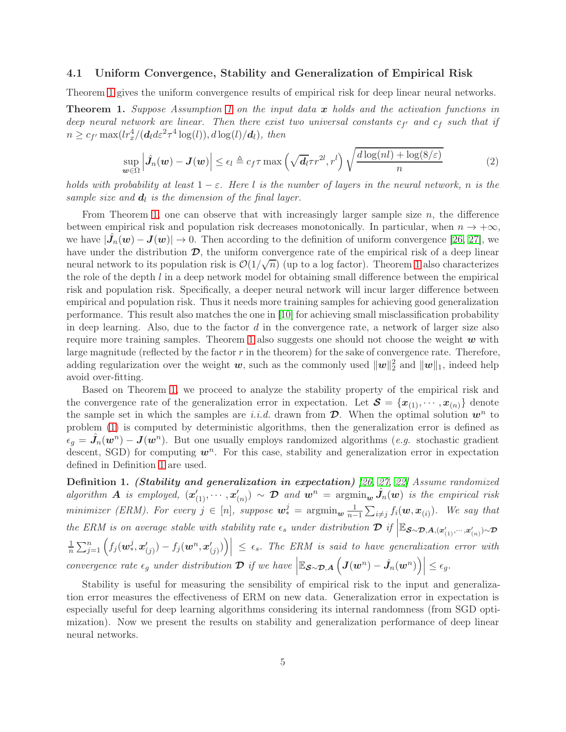#### 4.1 Uniform Convergence, Stability and Generalization of Empirical Risk

Theorem [1](#page-4-0) gives the uniform convergence results of empirical risk for deep linear neural networks.

<span id="page-4-0"></span>Theorem 1. *Suppose Assumption [1](#page-3-0) on the input data* x *holds and the activation functions in deep neural network are linear. Then there exist two universal constants*  $c_{f'}$  and  $c_f$  such that if  $n \geq c_{f'} \max(lr_x^4/(\boldsymbol{d}_l d \varepsilon^2 \tau^4 \log(l)), d \log(l)/\boldsymbol{d}_l), \text{ then}$ 

<span id="page-4-2"></span>
$$
\sup_{\boldsymbol{w}\in\Omega}\left|\hat{J}_n(\boldsymbol{w})-\boldsymbol{J}(\boldsymbol{w})\right|\leq\epsilon_l\triangleq c_f\tau\max\left(\sqrt{d_l}\tau r^{2l},r^l\right)\sqrt{\frac{d\log(nl)+\log(8/\varepsilon)}{n}}\tag{2}
$$

*holds with probability at least*  $1 - \varepsilon$ *. Here* l *is the number of layers in the neural network, n is the* sample size and  $d_l$  is the dimension of the final layer.

From Theorem [1,](#page-4-0) one can observe that with increasingly larger sample size  $n$ , the difference between empirical risk and population risk decreases monotonically. In particular, when  $n \to +\infty$ , we have  $|\hat{J}_n(\boldsymbol{w}) - \boldsymbol{J}(\boldsymbol{w})| \to 0$ . Then according to the definition of uniform convergence [\[26,](#page-12-8) [27\]](#page-12-9), we have under the distribution  $\mathcal{D}$ , the uniform convergence rate of the empirical risk of a deep linear neural network to its population risk is  $\mathcal{O}(1/\sqrt{n})$  (up to a log factor). Theorem [1](#page-4-0) also characterizes the role of the depth  $l$  in a deep network model for obtaining small difference between the empirical risk and population risk. Specifically, a deeper neural network will incur larger difference between empirical and population risk. Thus it needs more training samples for achieving good generalization performance. This result also matches the one in [\[10\]](#page-11-9) for achieving small misclassification probability in deep learning. Also, due to the factor  $d$  in the convergence rate, a network of larger size also require more training samples. Theorem [1](#page-4-0) also suggests one should not choose the weight  $w$  with large magnitude (reflected by the factor  $r$  in the theorem) for the sake of convergence rate. Therefore, adding regularization over the weight  $w$ , such as the commonly used  $\|w\|_2^2$  and  $\|w\|_1$ , indeed help avoid over-fitting.

Based on Theorem [1,](#page-4-0) we proceed to analyze the stability property of the empirical risk and the convergence rate of the generalization error in expectation. Let  $\mathcal{S} = \{x_{(1)}, \dots, x_{(n)}\}$  denote the sample set in which the samples are *i.i.d.* drawn from  $\mathcal{D}$ . When the optimal solution  $w^n$  to problem [\(1\)](#page-3-1) is computed by deterministic algorithms, then the generalization error is defined as  $\epsilon_g = \hat{J}_n(\boldsymbol{w}^n) - \boldsymbol{J}(\boldsymbol{w}^n)$ . But one usually employs randomized algorithms (*e.g.* stochastic gradient descent, SGD) for computing  $w<sup>n</sup>$ . For this case, stability and generalization error in expectation defined in Definition [1](#page-4-1) are used.

<span id="page-4-1"></span>Definition 1. (Stability and generalization in expectation) *[\[26,](#page-12-8) [27,](#page-12-9) [22\]](#page-12-4) Assume randomized*  $algorithm \tA$  *is employed,*  $(\mathbf{x}'_{(1)}, \cdots, \mathbf{x}'_{(n)}) \sim \mathcal{D}$  *and*  $\mathbf{w}^n = \text{argmin}_{\mathbf{w}} \hat{J}_n(\mathbf{w})$  *is the empirical risk minimizer (ERM). For every*  $j \in [n]$ , suppose  $\mathbf{w}_{*}^{j} = \operatorname{argmin}_{\mathbf{w}} \frac{1}{n-1}$  $\frac{1}{n-1}\sum_{i\neq j}f_i(\boldsymbol{w},\boldsymbol{x}_{(i)})$ *.* We say that the ERM is on average stable with stability rate  $\epsilon_s$  under distribution  $\mathcal{D}$  if  $\Big| \mathbb{E}_{\mathcal{S}\sim\mathcal{D},\mathbf{A},(\mathbf{x}'_{(1)},\cdots,\mathbf{x}'_{(n)})\sim\mathcal{D}}$ 1  $\left| \frac{1}{n} \sum_{j=1}^n \left( f_j(\boldsymbol{w}_*^j, \boldsymbol{x}'_{(j)}) - f_j(\boldsymbol{w}^n, \boldsymbol{x}'_{(j)}) \right) \right| \ \le \ \epsilon_s.$  The ERM is said to have generalization error with  $convergence\ rate\ \epsilon_g\ under\ distribution\ \mathcal{D}\ if\ we\ have\ \Big|\mathbb{E}_{\mathcal{S}\sim\mathcal{D},\mathcal{A}}\left(\mathcal{J}(\boldsymbol{w}^n)-\hat{\mathcal{J}}_n(\boldsymbol{w}^n)\right)\Big|\leq \epsilon_g.$ 

Stability is useful for measuring the sensibility of empirical risk to the input and generalization error measures the effectiveness of ERM on new data. Generalization error in expectation is especially useful for deep learning algorithms considering its internal randomness (from SGD optimization). Now we present the results on stability and generalization performance of deep linear neural networks.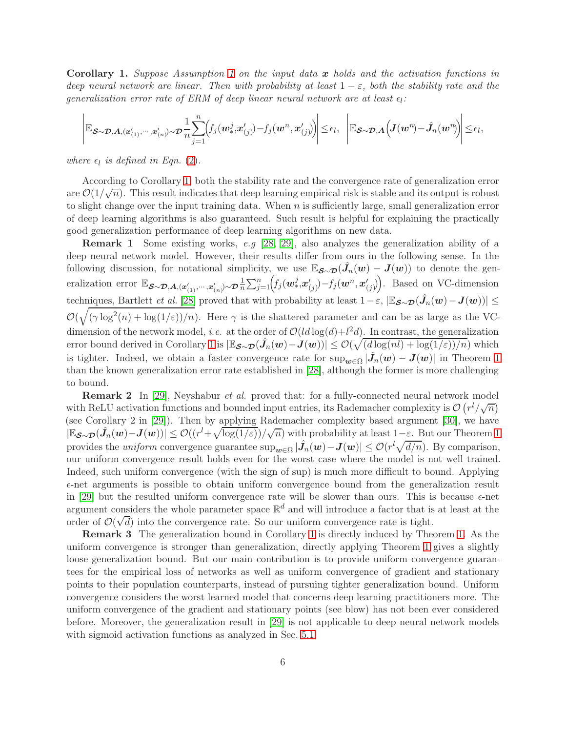<span id="page-5-0"></span>Corollary 1. *Suppose Assumption [1](#page-3-0) on the input data* x *holds and the activation functions in deep neural network are linear. Then with probability at least*  $1 - \varepsilon$ *, both the stability rate and the*  $generalization$  error rate of ERM of deep linear neural network are at least  $\epsilon_l$ :

$$
\left| \mathbb{E}_{\boldsymbol{\mathcal{S}}\sim\boldsymbol{\mathcal{D}}, \boldsymbol{A}, (\boldsymbol{x}^{\prime}_{(1)}, \cdots, \boldsymbol{x}^{\prime}_{(n)}) \sim \boldsymbol{\mathcal{D}} \frac{1}{n} \sum_{j=1}^{n} \Bigl( f_j(\boldsymbol{w}^j_*, \boldsymbol{x}^{\prime}_{(j)}) - f_j(\boldsymbol{w}^n, \boldsymbol{x}^{\prime}_{(j)}) \Bigr) \right| \leq \epsilon_l, \ \left| \mathbb{E}_{\boldsymbol{\mathcal{S}}\sim\boldsymbol{\mathcal{D}}, \boldsymbol{A}} \Bigl( \boldsymbol{J}(\boldsymbol{w}^n) - \hat{\boldsymbol{J}}_n(\boldsymbol{w}^n) \Bigr) \right| \leq \epsilon_l,
$$

*where*  $\epsilon_l$  *is defined in Eqn.* [\(2\)](#page-4-2)*.* 

According to Corollary [1,](#page-5-0) both the stability rate and the convergence rate of generalization error are  $\mathcal{O}(1/\sqrt{n})$ . This result indicates that deep learning empirical risk is stable and its output is robust to slight change over the input training data. When  $n$  is sufficiently large, small generalization error of deep learning algorithms is also guaranteed. Such result is helpful for explaining the practically good generalization performance of deep learning algorithms on new data.

Remark 1 Some existing works, *e.g* [\[28,](#page-12-10) [29\]](#page-12-11), also analyzes the generalization ability of a deep neural network model. However, their results differ from ours in the following sense. In the following discussion, for notational simplicity, we use  $\mathbb{E}_{\boldsymbol{\mathcal{S}}\sim\boldsymbol{\mathcal{D}}}(\hat{J}_n(\boldsymbol{w})-J(\boldsymbol{w}))$  to denote the generalization error  $\mathbb{E}_{\substack{S\sim\mathcal{D},A,(x'_{(1)},\cdots,x'_{(n})\sim\mathcal{D}\frac{1}{n}}}$  $\frac{1}{n} \sum_{j=1}^n \Bigl(f_j({\bm{w}}_*^j, {\bm{x}}'_{(j)}) \!-\! f_j({\bm{w}}^n, {\bm{x}}'_{(j)})\Bigr).$  Based on VC-dimension techniques, Bartlett *et al.* [\[28\]](#page-12-10) proved that with probability at least  $1-\varepsilon$ ,  $|\mathbb{E}_{\mathcal{S}\sim\mathcal{D}}(\hat{J}_n(\boldsymbol{w}) - \boldsymbol{J}(\boldsymbol{w}))|$  $\mathcal{O}(\sqrt{(\gamma \log^2(n) + \log(1/\varepsilon))/n})$ . Here  $\gamma$  is the shattered parameter and can be as large as the VCdimension of the network model, *i.e.* at the order of  $O(l d \log(d) + l^2 d)$ . In contrast, the generalization error bound derived in Corollary [1](#page-5-0) is  $|\mathbb{E}_{\mathcal{S}\sim\mathcal{D}}(\hat{J}_n(\boldsymbol{w}) - \boldsymbol{J}(\boldsymbol{w}))| \leq \mathcal{O}(\sqrt{\left(\frac{d \log(nl) + \log(1/\varepsilon)}{\beta}\right)^2 n})$  which is tighter. Indeed, we obtain a faster convergence rate for  $\sup_{w \in \Omega} |\hat{J}_n(w) - J(w)|$  in Theorem [1](#page-4-0) than the known generalization error rate established in [\[28\]](#page-12-10), although the former is more challenging to bound.

Remark 2 In [\[29\]](#page-12-11), Neyshabur *et al.* proved that: for a fully-connected neural network model with ReLU activation functions and bounded input entries, its Rademacher complexity is  $\mathcal{O}(r^l/\sqrt{n})$ (see Corollary 2 in [\[29\]](#page-12-11)). Then by applying Rademacher complexity based argument [\[30\]](#page-12-12), we have  $|\mathbb{E}_{\mathbfcal{S}\sim\mathbfcal{D}}(\hat{J}_n(\hat{\mathbf{w}})-\mathbf{J}(\hat{\mathbf{w}}))|\leq \mathcal{O}((r^l+\sqrt{\log(1/\varepsilon)})/\sqrt{n})$  with probability at least  $1-\varepsilon$ . But our Theorem [1](#page-4-0) provides the *uniform* convergence guarantee  $\sup_{w \in \Omega} |\hat{J}_n(w) - J(w)| \leq \mathcal{O}(r^l \sqrt{d/n})$ . By comparison, our uniform convergence result holds even for the worst case where the model is not well trained. Indeed, such uniform convergence (with the sign of sup) is much more difficult to bound. Applying  $\epsilon$ -net arguments is possible to obtain uniform convergence bound from the generalization result in [\[29\]](#page-12-11) but the resulted uniform convergence rate will be slower than ours. This is because  $\epsilon$ -net argument considers the whole parameter space  $\mathbb{R}^d$  and will introduce a factor that is at least at the order of  $\mathcal{O}(\sqrt{d})$  into the convergence rate. So our uniform convergence rate is tight.

Remark 3 The generalization bound in Corollary [1](#page-5-0) is directly induced by Theorem [1.](#page-4-0) As the uniform convergence is stronger than generalization, directly applying Theorem [1](#page-4-0) gives a slightly loose generalization bound. But our main contribution is to provide uniform convergence guarantees for the empirical loss of networks as well as uniform convergence of gradient and stationary points to their population counterparts, instead of pursuing tighter generalization bound. Uniform convergence considers the worst learned model that concerns deep learning practitioners more. The uniform convergence of the gradient and stationary points (see blow) has not been ever considered before. Moreover, the generalization result in [\[29\]](#page-12-11) is not applicable to deep neural network models with sigmoid activation functions as analyzed in Sec. [5.1.](#page-8-0)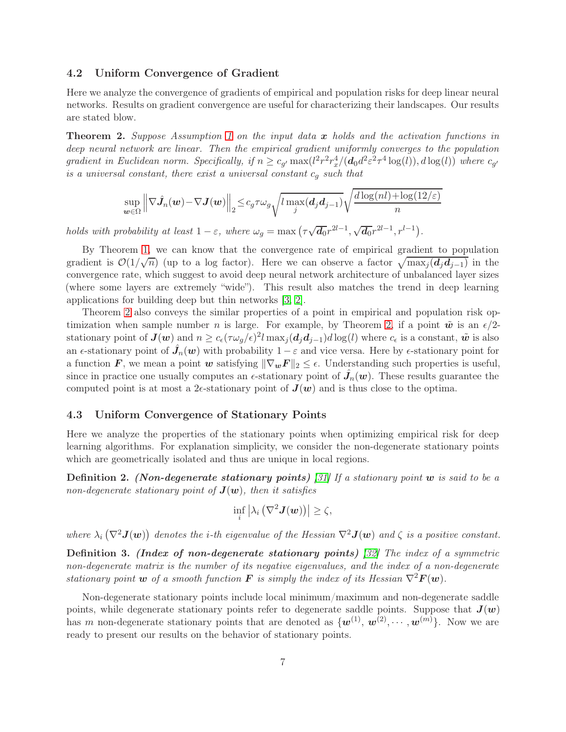### 4.2 Uniform Convergence of Gradient

Here we analyze the convergence of gradients of empirical and population risks for deep linear neural networks. Results on gradient convergence are useful for characterizing their landscapes. Our results are stated blow.

<span id="page-6-0"></span>Theorem 2. *Suppose Assumption [1](#page-3-0) on the input data* x *holds and the activation functions in deep neural network are linear. Then the empirical gradient uniformly converges to the population gradient in Euclidean norm. Specifically, if*  $n \geq c_{g'} \max(l^2 r^2 r_x^4/(\boldsymbol{d}_0 d^2 \varepsilon^2 \tau^4 \log(l)), d \log(l))$  *where*  $c_{g'}$ *is a universal constant, there exist a universal constant* c<sup>g</sup> *such that*

$$
\sup_{\boldsymbol{w}\in\Omega}\left\|\nabla\hat{J}_n(\boldsymbol{w})-\nabla J(\boldsymbol{w})\right\|_2\leq c_g\tau\omega_g\sqrt{l\max_j(d_jd_{j-1})}\sqrt{\frac{d\log(nl)+\log(12/\varepsilon)}{n}}
$$

*holds with probability at least*  $1 - \varepsilon$ , where  $\omega_g = \max(\tau \sqrt{d_0}r^{2l-1}, \sqrt{d_0}r^{2l-1}, r^{l-1})$ .

By Theorem [1,](#page-4-0) we can know that the convergence rate of empirical gradient to population gradient is  $\mathcal{O}(1/\sqrt{n})$  (up to a log factor). Here we can observe a factor  $\sqrt{\max_j (d_j d_{j-1})}$  in the convergence rate, which suggest to avoid deep neural network architecture of unbalanced layer sizes (where some layers are extremely "wide"). This result also matches the trend in deep learning applications for building deep but thin networks [\[3,](#page-11-2) [2\]](#page-11-1).

Theorem [2](#page-6-0) also conveys the similar properties of a point in empirical and population risk optimization when sample number *n* is large. For example, by Theorem [2,](#page-6-0) if a point  $\tilde{w}$  is an  $\epsilon/2$ stationary point of  $J(w)$  and  $n \ge c_{\epsilon} (\tau \omega_g / \epsilon)^2 l \max_j (d_j d_{j-1}) d \log(l)$  where  $c_{\epsilon}$  is a constant,  $\tilde{w}$  is also an  $\epsilon$ -stationary point of  $\hat{J}_n(w)$  with probability  $1-\varepsilon$  and vice versa. Here by  $\epsilon$ -stationary point for a function F, we mean a point w satisfying  $\|\nabla_wF\|_2 \leq \epsilon$ . Understanding such properties is useful, since in practice one usually computes an  $\epsilon$ -stationary point of  $\hat{J}_n(w)$ . These results guarantee the computed point is at most a 2 $\epsilon$ -stationary point of  $J(w)$  and is thus close to the optima.

#### 4.3 Uniform Convergence of Stationary Points

Here we analyze the properties of the stationary points when optimizing empirical risk for deep learning algorithms. For explanation simplicity, we consider the non-degenerate stationary points which are geometrically isolated and thus are unique in local regions.

Definition 2. (Non-degenerate stationary points) *[\[31\]](#page-12-13) If a stationary point* w *is said to be a non-degenerate stationary point of*  $J(\mathbf{w})$ *, then it satisfies* 

$$
\inf_i \left| \lambda_i \left( \nabla^2 \bm{J}(\bm{w}) \right) \right| \geq \zeta,
$$

where  $\lambda_i(\nabla^2 \mathbf{J}(\boldsymbol{w}))$  denotes the *i*-th eigenvalue of the Hessian  $\nabla^2 \mathbf{J}(\boldsymbol{w})$  and  $\zeta$  is a positive constant.

Definition 3. (Index of non-degenerate stationary points) *[\[32\]](#page-12-14) The index of a symmetric non-degenerate matrix is the number of its negative eigenvalues, and the index of a non-degenerate stationary point* w *of a smooth function* F *is simply the index of its Hessian*  $\nabla^2 \mathbf{F}(\mathbf{w})$ *.* 

Non-degenerate stationary points include local minimum/maximum and non-degenerate saddle points, while degenerate stationary points refer to degenerate saddle points. Suppose that  $J(w)$ has m non-degenerate stationary points that are denoted as  $\{w^{(1)}, w^{(2)}, \cdots, w^{(m)}\}$ . Now we are ready to present our results on the behavior of stationary points.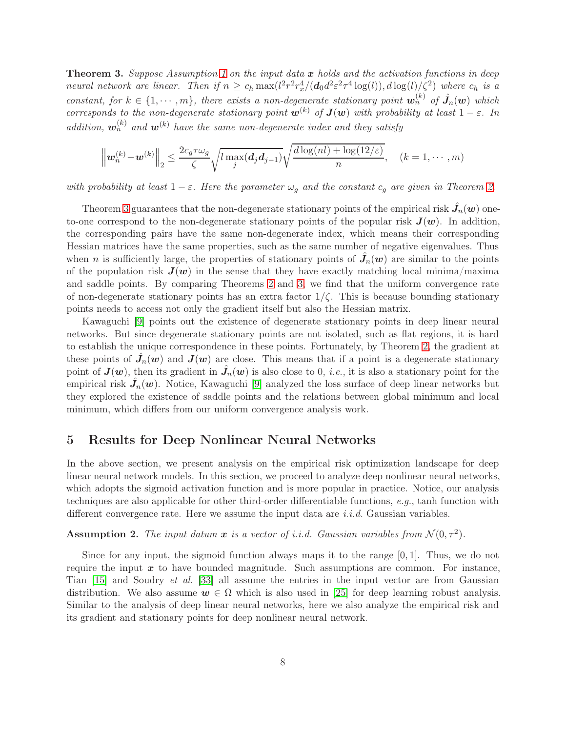<span id="page-7-0"></span>Theorem 3. *Suppose Assumption [1](#page-3-0) on the input data* x *holds and the activation functions in deep neural network are linear. Then if*  $n \geq c_h \max(l^2 r^2 r_x^4/(d_0 d^2 \varepsilon^2 \tau^4 \log(l)), d \log(l)/\zeta^2)$  where  $c_h$  *is a constant, for*  $k \in \{1, \dots, m\}$ , there exists a non-degenerate stationary point  $w_n^{(k)}$  of  $\hat{J}_n(w)$  which *corresponds to the non-degenerate stationary point*  $\mathbf{w}^{(k)}$  *of*  $\mathbf{J}(\mathbf{w})$  *with probability at least*  $1 - \varepsilon$ *. In* addition,  $\mathbf{w}_n^{(k)}$  and  $\mathbf{w}^{(k)}$  have the same non-degenerate index and they satisfy

$$
\left\|\mathbf{w}_n^{(k)} - \mathbf{w}^{(k)}\right\|_2 \le \frac{2c_g \tau \omega_g}{\zeta} \sqrt{l \max_j(\mathbf{d}_j \mathbf{d}_{j-1})} \sqrt{\frac{d \log(nl) + \log(12/\varepsilon)}{n}}, \quad (k = 1, \cdots, m)
$$

*with probability at least*  $1 - \varepsilon$ *. Here the parameter*  $\omega_q$  *and the constant*  $c_q$  *are given in Theorem [2.](#page-6-0)* 

Theorem [3](#page-7-0) guarantees that the non-degenerate stationary points of the empirical risk  $\hat{J}_n(w)$  oneto-one correspond to the non-degenerate stationary points of the popular risk  $J(w)$ . In addition, the corresponding pairs have the same non-degenerate index, which means their corresponding Hessian matrices have the same properties, such as the same number of negative eigenvalues. Thus when n is sufficiently large, the properties of stationary points of  $\hat{J}_n(w)$  are similar to the points of the population risk  $J(w)$  in the sense that they have exactly matching local minima/maxima and saddle points. By comparing Theorems [2](#page-6-0) and [3,](#page-7-0) we find that the uniform convergence rate of non-degenerate stationary points has an extra factor  $1/\zeta$ . This is because bounding stationary points needs to access not only the gradient itself but also the Hessian matrix.

Kawaguchi [\[9\]](#page-11-8) points out the existence of degenerate stationary points in deep linear neural networks. But since degenerate stationary points are not isolated, such as flat regions, it is hard to establish the unique correspondence in these points. Fortunately, by Theorem [2,](#page-6-0) the gradient at these points of  $\hat{J}_n(w)$  and  $J(w)$  are close. This means that if a point is a degenerate stationary point of  $J(w)$ , then its gradient in  $\hat{J}_n(w)$  is also close to 0, *i.e.*, it is also a stationary point for the empirical risk  $\hat{J}_n(w)$ . Notice, Kawaguchi [\[9\]](#page-11-8) analyzed the loss surface of deep linear networks but they explored the existence of saddle points and the relations between global minimum and local minimum, which differs from our uniform convergence analysis work.

# 5 Results for Deep Nonlinear Neural Networks

In the above section, we present analysis on the empirical risk optimization landscape for deep linear neural network models. In this section, we proceed to analyze deep nonlinear neural networks, which adopts the sigmoid activation function and is more popular in practice. Notice, our analysis techniques are also applicable for other third-order differentiable functions, *e.g.*, tanh function with different convergence rate. Here we assume the input data are *i.i.d.* Gaussian variables.

# <span id="page-7-1"></span>**Assumption 2.** The input datum  $x$  is a vector of i.i.d. Gaussian variables from  $\mathcal{N}(0, \tau^2)$ .

Since for any input, the sigmoid function always maps it to the range  $[0, 1]$ . Thus, we do not require the input  $x$  to have bounded magnitude. Such assumptions are common. For instance, Tian [\[15\]](#page-11-14) and Soudry *et al.* [\[33\]](#page-12-15) all assume the entries in the input vector are from Gaussian distribution. We also assume  $w \in \Omega$  which is also used in [\[25\]](#page-12-7) for deep learning robust analysis. Similar to the analysis of deep linear neural networks, here we also analyze the empirical risk and its gradient and stationary points for deep nonlinear neural network.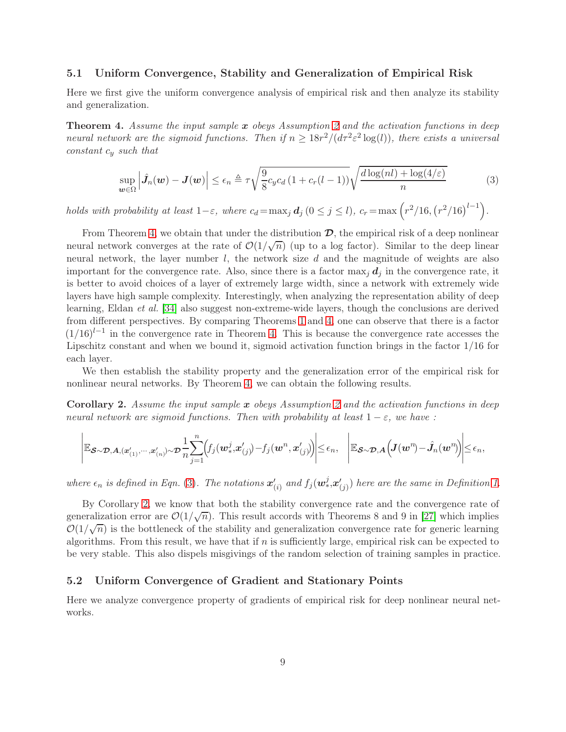### <span id="page-8-0"></span>5.1 Uniform Convergence, Stability and Generalization of Empirical Risk

Here we first give the uniform convergence analysis of empirical risk and then analyze its stability and generalization.

<span id="page-8-1"></span>Theorem 4. *Assume the input sample* x *obeys Assumption [2](#page-7-1) and the activation functions in deep neural network are the sigmoid functions. Then if*  $n \geq 18r^2/(d\tau^2 \varepsilon^2 \log(l))$ , there exists a universal *constant* c<sup>y</sup> *such that*

<span id="page-8-2"></span>
$$
\sup_{\boldsymbol{w}\in\Omega} \left| \hat{J}_n(\boldsymbol{w}) - \boldsymbol{J}(\boldsymbol{w}) \right| \leq \epsilon_n \triangleq \tau \sqrt{\frac{9}{8} c_y c_d \left( 1 + c_r(l-1) \right)} \sqrt{\frac{d \log(nl) + \log(4/\varepsilon)}{n}} \tag{3}
$$

*holds with probability at least*  $1-\varepsilon$ , where  $c_d = \max_j d_j$   $(0 \le j \le l)$ ,  $c_r = \max \left( r^2/16, (r^2/16)^{l-1} \right)$ .

From Theorem [4,](#page-8-1) we obtain that under the distribution  $\mathcal{D}$ , the empirical risk of a deep nonlinear neural network converges at the rate of  $\mathcal{O}(1/\sqrt{n})$  (up to a log factor). Similar to the deep linear neural network, the layer number  $l$ , the network size  $d$  and the magnitude of weights are also important for the convergence rate. Also, since there is a factor  $\max_i d_i$  in the convergence rate, it is better to avoid choices of a layer of extremely large width, since a network with extremely wide layers have high sample complexity. Interestingly, when analyzing the representation ability of deep learning, Eldan *et al.* [\[34\]](#page-12-16) also suggest non-extreme-wide layers, though the conclusions are derived from different perspectives. By comparing Theorems [1](#page-4-0) and [4,](#page-8-1) one can observe that there is a factor  $(1/16)^{l-1}$  in the convergence rate in Theorem [4.](#page-8-1) This is because the convergence rate accesses the Lipschitz constant and when we bound it, sigmoid activation function brings in the factor 1/16 for each layer.

We then establish the stability property and the generalization error of the empirical risk for nonlinear neural networks. By Theorem [4,](#page-8-1) we can obtain the following results.

<span id="page-8-3"></span>Corollary 2. *Assume the input sample* x *obeys Assumption [2](#page-7-1) and the activation functions in deep neural network are sigmoid functions. Then with probability at least*  $1 - \varepsilon$ *, we have :* 

$$
\left| \mathbb{E}_{\boldsymbol{\mathcal{S}}\sim\boldsymbol{\mathcal{D}}, \boldsymbol{A}, (\boldsymbol{x}^{\prime}_{(1)}, \cdots, \boldsymbol{x}^{\prime}_{(n)}) \sim \boldsymbol{\mathcal{D}} \frac{1}{n} \sum_{j=1}^{n} \Bigl( f_j(\boldsymbol{w}^j_*, \boldsymbol{x}^{\prime}_{(j)}) - f_j(\boldsymbol{w}^n, \boldsymbol{x}^{\prime}_{(j)}) \Bigr) \right| \leq \epsilon_n, \quad \left| \mathbb{E}_{\boldsymbol{\mathcal{S}}\sim\boldsymbol{\mathcal{D}}, \boldsymbol{A}} \Bigl( \boldsymbol{J}(\boldsymbol{w}^n) - \hat{\boldsymbol{J}}_n(\boldsymbol{w}^n) \Bigr) \right| \leq \epsilon_n,
$$

where  $\epsilon_n$  is defined in Eqn. [\(3\)](#page-8-2). The notations  $\mathbf{x}'_{(i)}$  and  $f_j(\mathbf{w}_*^j, \mathbf{x}'_{(j)})$  here are the same in Definition [1.](#page-4-1)

By Corollary [2,](#page-8-3) we know that both the stability convergence rate and the convergence rate of generalization error are  $\mathcal{O}(1/\sqrt{n})$ . This result accords with Theorems 8 and 9 in [\[27\]](#page-12-9) which implies  $\mathcal{O}(1/\sqrt{n})$  is the bottleneck of the stability and generalization convergence rate for generic learning algorithms. From this result, we have that if  $n$  is sufficiently large, empirical risk can be expected to be very stable. This also dispels misgivings of the random selection of training samples in practice.

### 5.2 Uniform Convergence of Gradient and Stationary Points

Here we analyze convergence property of gradients of empirical risk for deep nonlinear neural networks.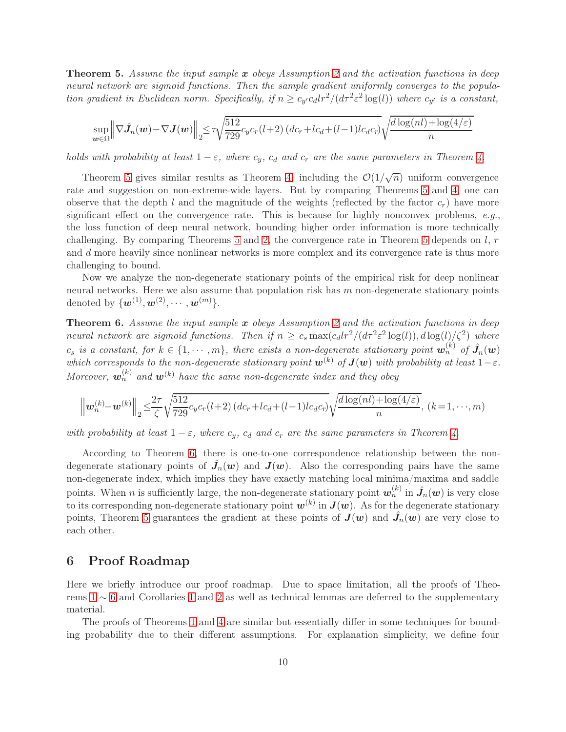<span id="page-9-0"></span>Theorem 5. *Assume the input sample* x *obeys Assumption [2](#page-7-1) and the activation functions in deep neural network are sigmoid functions. Then the sample gradient uniformly converges to the population gradient in Euclidean norm. Specifically, if*  $n \geq c_y c_d l r^2 / (d\tau^2 \varepsilon^2 \log(l))$  *where*  $c_{y'}$  *is a constant,* 

$$
\sup_{\boldsymbol{w}\in\Omega} \left\| \nabla \hat{J}_n(\boldsymbol{w}) - \nabla J(\boldsymbol{w}) \right\|_2 \le \tau \sqrt{\frac{512}{729}} c_y c_r(l+2) \left( dc_r + lc_d + (l-1)lc_d c_r \right) \sqrt{\frac{d \log(nl) + \log(4/\varepsilon)}{n}}
$$

*holds with probability at least*  $1 - \varepsilon$ *, where*  $c_y$ *,*  $c_d$  *and*  $c_r$  *are the same parameters in Theorem [4.](#page-8-1)* 

Theorem [5](#page-9-0) gives similar results as Theorem [4,](#page-8-1) including the  $\mathcal{O}(1/\sqrt{n})$  uniform convergence rate and suggestion on non-extreme-wide layers. But by comparing Theorems [5](#page-9-0) and [4,](#page-8-1) one can observe that the depth l and the magnitude of the weights (reflected by the factor  $c_r$ ) have more significant effect on the convergence rate. This is because for highly nonconvex problems, *e.g.*, the loss function of deep neural network, bounding higher order information is more technically challenging. By comparing Theorems [5](#page-9-0) and [2,](#page-6-0) the convergence rate in Theorem 5 depends on  $l, r$ and d more heavily since nonlinear networks is more complex and its convergence rate is thus more challenging to bound.

Now we analyze the non-degenerate stationary points of the empirical risk for deep nonlinear neural networks. Here we also assume that population risk has  $m$  non-degenerate stationary points denoted by  $\{w^{(1)}, w^{(2)}, \cdots, w^{(m)}\}.$ 

<span id="page-9-1"></span>Theorem 6. *Assume the input sample* x *obeys Assumption [2](#page-7-1) and the activation functions in deep neural network are sigmoid functions. Then if*  $n \geq c_s \max(c_d lr^2/(d\tau^2 \varepsilon^2 \log(l)), d \log(l)/\zeta^2)$  *where*  $c_s$  *is a constant, for*  $k \in \{1, \dots, m\}$ , there exists a non-degenerate stationary point  $w_n^{(k)}$  of  $\hat{J}_n(w)$ which corresponds to the non-degenerate stationary point  $\mathbf{w}^{(k)}$  of  $\mathbf{J}(\mathbf{w})$  with probability at least  $1-\varepsilon$ . Moreover,  $\mathbf{w}_n^{(k)}$  and  $\mathbf{w}^{(k)}$  have the same non-degenerate index and they obey

$$
\left\|\boldsymbol{w}_{n}^{(k)}-\boldsymbol{w}^{(k)}\right\|_{2} \leq \frac{2\tau}{\zeta} \sqrt{\frac{512}{729}c_{y}c_{r}(l+2)\left(dc_{r}+lc_{d}+(l-1)lc_{d}c_{r}\right)}\sqrt{\frac{d\log(nl)+\log(4/\varepsilon)}{n}},\ (k=1,\cdots,m)
$$

*with probability at least*  $1 - \varepsilon$ *, where*  $c_y$ *,*  $c_d$  *and*  $c_r$  *are the same parameters in Theorem [4.](#page-8-1)* 

According to Theorem [6,](#page-9-1) there is one-to-one correspondence relationship between the nondegenerate stationary points of  $\hat{J}_n(w)$  and  $J(w)$ . Also the corresponding pairs have the same non-degenerate index, which implies they have exactly matching local minima/maxima and saddle points. When *n* is sufficiently large, the non-degenerate stationary point  $w_n^{(k)}$  in  $\hat{J}_n(w)$  is very close to its corresponding non-degenerate stationary point  $w^{(k)}$  in  $J(w)$ . As for the degenerate stationary points, Theorem [5](#page-9-0) guarantees the gradient at these points of  $J(w)$  and  $\hat{J}_n(w)$  are very close to each other.

# 6 Proof Roadmap

Here we briefly introduce our proof roadmap. Due to space limitation, all the proofs of Theorems [1](#page-4-0) ∼ [6](#page-9-1) and Corollaries [1](#page-5-0) and [2](#page-8-3) as well as technical lemmas are deferred to the supplementary material.

The proofs of Theorems [1](#page-4-0) and [4](#page-8-1) are similar but essentially differ in some techniques for bounding probability due to their different assumptions. For explanation simplicity, we define four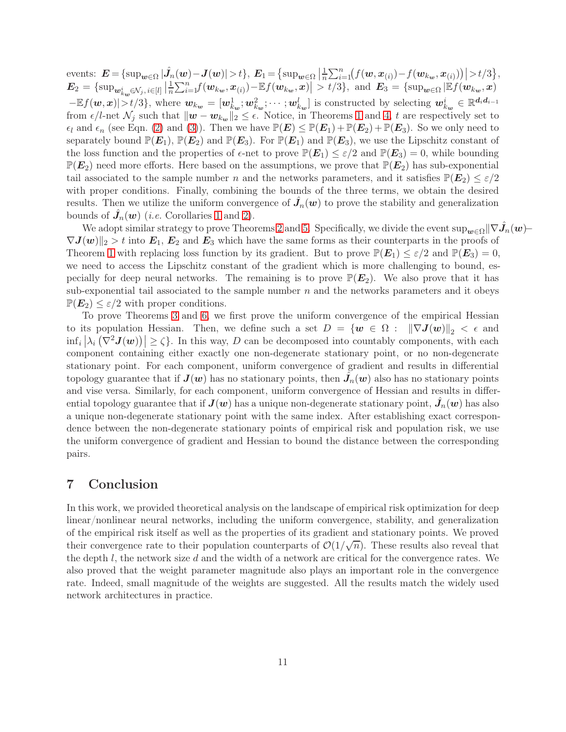events:  $E = {\sup_{\boldsymbol{w} \in \Omega} |\hat{J}_n(\boldsymbol{w}) - J(\boldsymbol{w})| > t}, E_1 = {\sup_{\boldsymbol{w} \in \Omega} |\frac{1}{n}$  $\frac{1}{n} \sum_{i=1}^{n} (f(w, x_{(i)}) - f(w_{kw}, x_{(i)})) > t/3$  $\boldsymbol{E}_2 = \{\sup_{\boldsymbol{w}^i_k \boldsymbol{w} \in \mathcal{N}_j,\, i \in [l]} \big|\frac{1}{n}$  $\frac{1}{n}\sum_{i=1}^{n}f(\boldsymbol{w}_{k_{\boldsymbol{w}}},\boldsymbol{x}_{(i)}) - \mathbb{E} f(\boldsymbol{w}_{k_{\boldsymbol{w}}},\boldsymbol{x})\vert > t/3\},\,$  and  $\boldsymbol{E}_3 = \{\sup_{\boldsymbol{w}\in\Omega}|\mathbb{E} f(\boldsymbol{w}_{k_{\boldsymbol{w}}},\boldsymbol{x})\vert$  $-\mathbb{E}f(w,x)|>t/3\},\$  where  $w_{k_w}=[w_{k_w}^1;w_{k_w}^2;\cdots;w_{k_w}^l]$  is constructed by selecting  $w_{k_w}^i\in\mathbb{R}^{d_id_{i-1}}$ from  $\epsilon/l$ -net  $\mathcal{N}_j$  such that  $\|\boldsymbol{w} - \boldsymbol{w}_{k_{\boldsymbol{w}}}\|_2 \leq \epsilon$ . Notice, in Theorems [1](#page-4-0) and [4,](#page-8-1) t are respectively set to  $\epsilon_l$  and  $\epsilon_n$  (see Eqn. [\(2\)](#page-4-2) and [\(3\)](#page-8-2)). Then we have  $\mathbb{P}(E) \leq \mathbb{P}(E_1) + \mathbb{P}(E_2) + \mathbb{P}(E_3)$ . So we only need to separately bound  $\mathbb{P}(E_1)$ ,  $\mathbb{P}(E_2)$  and  $\mathbb{P}(E_3)$ . For  $\mathbb{P}(E_1)$  and  $\mathbb{P}(E_3)$ , we use the Lipschitz constant of the loss function and the properties of  $\epsilon$ -net to prove  $\mathbb{P}(E_1) \leq \epsilon/2$  and  $\mathbb{P}(E_3) = 0$ , while bounding  $\mathbb{P}(E_2)$  need more efforts. Here based on the assumptions, we prove that  $\mathbb{P}(E_2)$  has sub-exponential tail associated to the sample number n and the networks parameters, and it satisfies  $\mathbb{P}(E_2) \leq \varepsilon/2$ with proper conditions. Finally, combining the bounds of the three terms, we obtain the desired results. Then we utilize the uniform convergence of  $\hat{J}_n(w)$  to prove the stability and generalization bounds of  $\hat{J}_n(w)$  (*i.e.* Corollaries [1](#page-5-0) and [2\)](#page-8-3).

We adopt similar strategy to prove Theorems [2](#page-6-0) and [5.](#page-9-0) Specifically, we divide the event  $\sup_{w \in \Omega} || \nabla \hat{J}_n(w) \nabla J(w)$ <sub>2</sub> > t into  $E_1, E_2$  and  $E_3$  which have the same forms as their counterparts in the proofs of Theorem [1](#page-4-0) with replacing loss function by its gradient. But to prove  $\mathbb{P}(E_1) \leq \varepsilon/2$  and  $\mathbb{P}(E_3) = 0$ , we need to access the Lipschitz constant of the gradient which is more challenging to bound, especially for deep neural networks. The remaining is to prove  $\mathbb{P}(E_2)$ . We also prove that it has sub-exponential tail associated to the sample number  $n$  and the networks parameters and it obeys  $\mathbb{P}(E_2) \leq \varepsilon/2$  with proper conditions.

To prove Theorems [3](#page-7-0) and [6,](#page-9-1) we first prove the uniform convergence of the empirical Hessian to its population Hessian. Then, we define such a set  $D = \{w \in \Omega : ||\nabla J(w)||_2 < \epsilon \}$  and  $\inf_i |\lambda_i(\nabla^2 \mathbf{J}(\boldsymbol{w}))| \ge \zeta$ . In this way, D can be decomposed into countably components, with each component containing either exactly one non-degenerate stationary point, or no non-degenerate stationary point. For each component, uniform convergence of gradient and results in differential topology guarantee that if  $\bm{J}(\bm{w})$  has no stationary points, then  $\hat{\bm{J}_n}(\bm{w})$  also has no stationary points and vise versa. Similarly, for each component, uniform convergence of Hessian and results in differential topology guarantee that if  $\bm{J}(\bm{w})$  has a unique non-degenerate stationary point,  $\hat{\bm{J}_n}(\bm{w})$  has also a unique non-degenerate stationary point with the same index. After establishing exact correspondence between the non-degenerate stationary points of empirical risk and population risk, we use the uniform convergence of gradient and Hessian to bound the distance between the corresponding pairs.

# 7 Conclusion

In this work, we provided theoretical analysis on the landscape of empirical risk optimization for deep linear/nonlinear neural networks, including the uniform convergence, stability, and generalization of the empirical risk itself as well as the properties of its gradient and stationary points. We proved their convergence rate to their population counterparts of  $\mathcal{O}(1/\sqrt{n})$ . These results also reveal that the depth  $l$ , the network size  $d$  and the width of a network are critical for the convergence rates. We also proved that the weight parameter magnitude also plays an important role in the convergence rate. Indeed, small magnitude of the weights are suggested. All the results match the widely used network architectures in practice.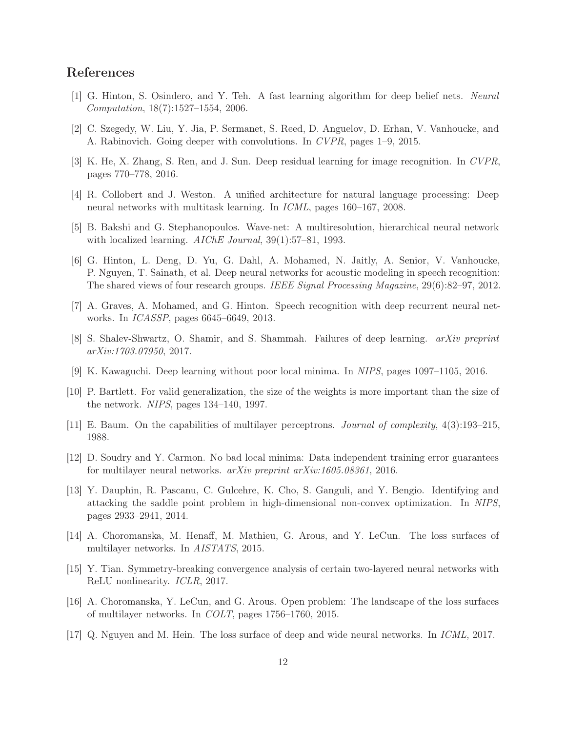# <span id="page-11-0"></span>References

- <span id="page-11-1"></span>[1] G. Hinton, S. Osindero, and Y. Teh. A fast learning algorithm for deep belief nets. *Neural Computation*, 18(7):1527–1554, 2006.
- <span id="page-11-2"></span>[2] C. Szegedy, W. Liu, Y. Jia, P. Sermanet, S. Reed, D. Anguelov, D. Erhan, V. Vanhoucke, and A. Rabinovich. Going deeper with convolutions. In *CVPR*, pages 1–9, 2015.
- <span id="page-11-3"></span>[3] K. He, X. Zhang, S. Ren, and J. Sun. Deep residual learning for image recognition. In *CVPR*, pages 770–778, 2016.
- <span id="page-11-4"></span>[4] R. Collobert and J. Weston. A unified architecture for natural language processing: Deep neural networks with multitask learning. In *ICML*, pages 160–167, 2008.
- <span id="page-11-5"></span>[5] B. Bakshi and G. Stephanopoulos. Wave-net: A multiresolution, hierarchical neural network with localized learning. *AIChE Journal*, 39(1):57–81, 1993.
- [6] G. Hinton, L. Deng, D. Yu, G. Dahl, A. Mohamed, N. Jaitly, A. Senior, V. Vanhoucke, P. Nguyen, T. Sainath, et al. Deep neural networks for acoustic modeling in speech recognition: The shared views of four research groups. *IEEE Signal Processing Magazine*, 29(6):82–97, 2012.
- <span id="page-11-7"></span><span id="page-11-6"></span>[7] A. Graves, A. Mohamed, and G. Hinton. Speech recognition with deep recurrent neural networks. In *ICASSP*, pages 6645–6649, 2013.
- <span id="page-11-8"></span>[8] S. Shalev-Shwartz, O. Shamir, and S. Shammah. Failures of deep learning. *arXiv preprint arXiv:1703.07950*, 2017.
- <span id="page-11-9"></span>[9] K. Kawaguchi. Deep learning without poor local minima. In *NIPS*, pages 1097–1105, 2016.
- <span id="page-11-10"></span>[10] P. Bartlett. For valid generalization, the size of the weights is more important than the size of the network. *NIPS*, pages 134–140, 1997.
- <span id="page-11-11"></span>[11] E. Baum. On the capabilities of multilayer perceptrons. *Journal of complexity*, 4(3):193–215, 1988.
- <span id="page-11-12"></span>[12] D. Soudry and Y. Carmon. No bad local minima: Data independent training error guarantees for multilayer neural networks. *arXiv preprint arXiv:1605.08361*, 2016.
- [13] Y. Dauphin, R. Pascanu, C. Gulcehre, K. Cho, S. Ganguli, and Y. Bengio. Identifying and attacking the saddle point problem in high-dimensional non-convex optimization. In *NIPS*, pages 2933–2941, 2014.
- <span id="page-11-13"></span>[14] A. Choromanska, M. Henaff, M. Mathieu, G. Arous, and Y. LeCun. The loss surfaces of multilayer networks. In *AISTATS*, 2015.
- <span id="page-11-15"></span><span id="page-11-14"></span>[15] Y. Tian. Symmetry-breaking convergence analysis of certain two-layered neural networks with ReLU nonlinearity. *ICLR*, 2017.
- [16] A. Choromanska, Y. LeCun, and G. Arous. Open problem: The landscape of the loss surfaces of multilayer networks. In *COLT*, pages 1756–1760, 2015.
- <span id="page-11-16"></span>[17] Q. Nguyen and M. Hein. The loss surface of deep and wide neural networks. In *ICML*, 2017.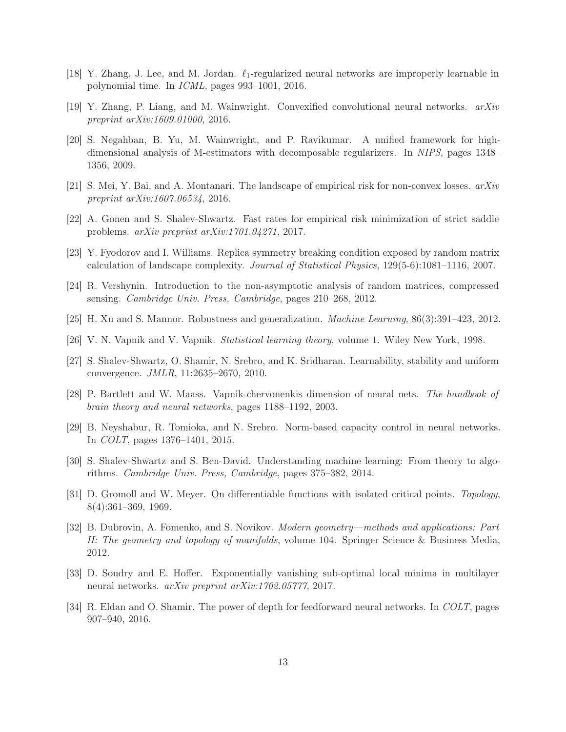- <span id="page-12-1"></span><span id="page-12-0"></span>[18] Y. Zhang, J. Lee, and M. Jordan.  $\ell_1$ -regularized neural networks are improperly learnable in polynomial time. In *ICML*, pages 993–1001, 2016.
- <span id="page-12-2"></span>[19] Y. Zhang, P. Liang, and M. Wainwright. Convexified convolutional neural networks. *arXiv preprint arXiv:1609.01000*, 2016.
- [20] S. Negahban, B. Yu, M. Wainwright, and P. Ravikumar. A unified framework for highdimensional analysis of M-estimators with decomposable regularizers. In *NIPS*, pages 1348– 1356, 2009.
- <span id="page-12-4"></span><span id="page-12-3"></span>[21] S. Mei, Y. Bai, and A. Montanari. The landscape of empirical risk for non-convex losses. *arXiv preprint arXiv:1607.06534*, 2016.
- <span id="page-12-5"></span>[22] A. Gonen and S. Shalev-Shwartz. Fast rates for empirical risk minimization of strict saddle problems. *arXiv preprint arXiv:1701.04271*, 2017.
- <span id="page-12-6"></span>[23] Y. Fyodorov and I. Williams. Replica symmetry breaking condition exposed by random matrix calculation of landscape complexity. *Journal of Statistical Physics*, 129(5-6):1081–1116, 2007.
- <span id="page-12-7"></span>[24] R. Vershynin. Introduction to the non-asymptotic analysis of random matrices, compressed sensing. *Cambridge Univ. Press, Cambridge*, pages 210–268, 2012.
- <span id="page-12-8"></span>[25] H. Xu and S. Mannor. Robustness and generalization. *Machine Learning*, 86(3):391–423, 2012.
- <span id="page-12-9"></span>[26] V. N. Vapnik and V. Vapnik. *Statistical learning theory*, volume 1. Wiley New York, 1998.
- <span id="page-12-10"></span>[27] S. Shalev-Shwartz, O. Shamir, N. Srebro, and K. Sridharan. Learnability, stability and uniform convergence. *JMLR*, 11:2635–2670, 2010.
- <span id="page-12-11"></span>[28] P. Bartlett and W. Maass. Vapnik-chervonenkis dimension of neural nets. *The handbook of brain theory and neural networks*, pages 1188–1192, 2003.
- <span id="page-12-12"></span>[29] B. Neyshabur, R. Tomioka, and N. Srebro. Norm-based capacity control in neural networks. In *COLT*, pages 1376–1401, 2015.
- <span id="page-12-13"></span>[30] S. Shalev-Shwartz and S. Ben-David. Understanding machine learning: From theory to algorithms. *Cambridge Univ. Press, Cambridge*, pages 375–382, 2014.
- [31] D. Gromoll and W. Meyer. On differentiable functions with isolated critical points. *Topology*, 8(4):361–369, 1969.
- <span id="page-12-14"></span>[32] B. Dubrovin, A. Fomenko, and S. Novikov. *Modern geometry—methods and applications: Part II: The geometry and topology of manifolds*, volume 104. Springer Science & Business Media, 2012.
- <span id="page-12-15"></span>[33] D. Soudry and E. Hoffer. Exponentially vanishing sub-optimal local minima in multilayer neural networks. *arXiv preprint arXiv:1702.05777*, 2017.
- <span id="page-12-16"></span>[34] R. Eldan and O. Shamir. The power of depth for feedforward neural networks. In *COLT*, pages 907–940, 2016.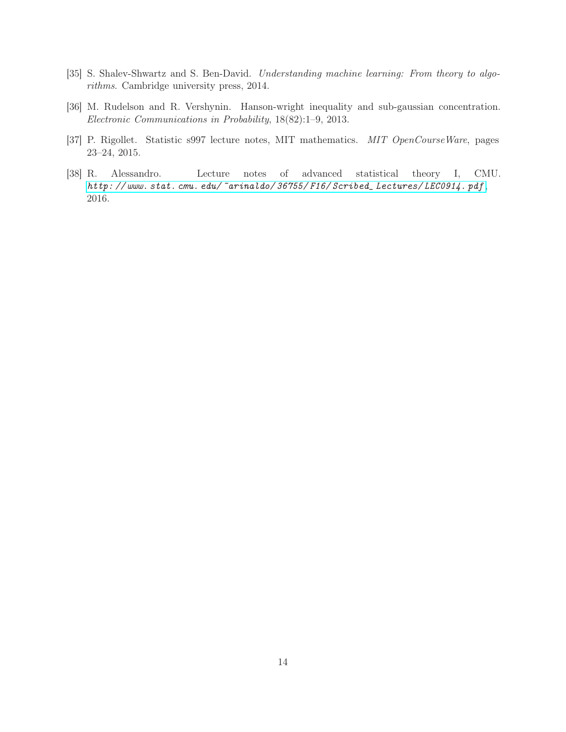- <span id="page-13-1"></span><span id="page-13-0"></span>[35] S. Shalev-Shwartz and S. Ben-David. *Understanding machine learning: From theory to algorithms*. Cambridge university press, 2014.
- <span id="page-13-2"></span>[36] M. Rudelson and R. Vershynin. Hanson-wright inequality and sub-gaussian concentration. *Electronic Communications in Probability*, 18(82):1–9, 2013.
- <span id="page-13-3"></span>[37] P. Rigollet. Statistic s997 lecture notes, MIT mathematics. *MIT OpenCourseWare*, pages 23–24, 2015.
- [38] R. Alessandro. Lecture notes of advanced statistical theory I, CMU. *[http: // www. stat. cmu. edu/ ~arinaldo/ 36755/ F16/ Scribed\\_ Lectures/ LEC0914. pdf](http://www.stat.cmu.edu/~arinaldo/36755/F16/Scribed_Lectures/LEC0914.pdf)* , 2016.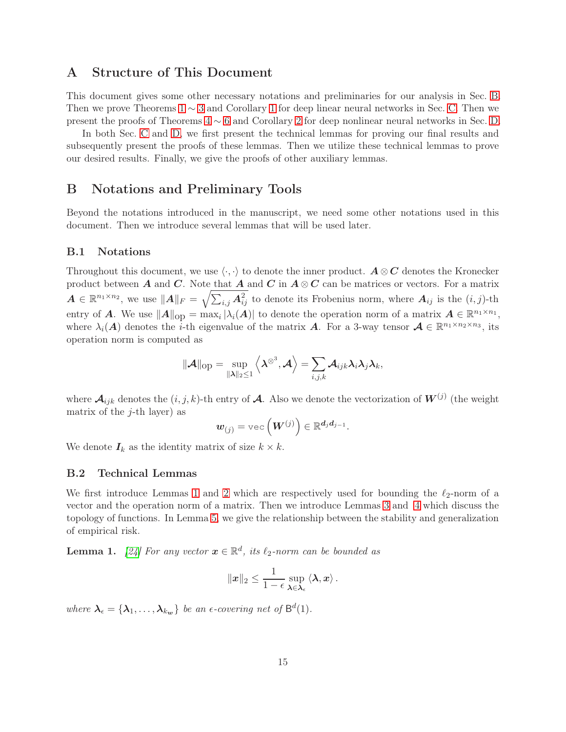# A Structure of This Document

This document gives some other necessary notations and preliminaries for our analysis in Sec. [B.](#page-14-0) Then we prove Theorems  $1 \sim 3$  $1 \sim 3$  and Corollary [1](#page-5-0) for deep linear neural networks in Sec. [C.](#page-15-0) Then we present the proofs of Theorems [4](#page-8-1) ∼ [6](#page-9-1) and Corollary [2](#page-8-3) for deep nonlinear neural networks in Sec. [D.](#page-42-0)

In both Sec. [C](#page-15-0) and [D,](#page-42-0) we first present the technical lemmas for proving our final results and subsequently present the proofs of these lemmas. Then we utilize these technical lemmas to prove our desired results. Finally, we give the proofs of other auxiliary lemmas.

# <span id="page-14-0"></span>B Notations and Preliminary Tools

Beyond the notations introduced in the manuscript, we need some other notations used in this document. Then we introduce several lemmas that will be used later.

#### B.1 Notations

Throughout this document, we use  $\langle \cdot, \cdot \rangle$  to denote the inner product.  $A \otimes C$  denotes the Kronecker product between A and C. Note that A and C in  $A \otimes C$  can be matrices or vectors. For a matrix  $A \in \mathbb{R}^{n_1 \times n_2}$ , we use  $||A||_F = \sqrt{\sum_{i,j} A_{ij}^2}$  to denote its Frobenius norm, where  $A_{ij}$  is the  $(i, j)$ -th entry of A. We use  $||A||_{op} = \max_i |\lambda_i(A)|$  to denote the operation norm of a matrix  $A \in \mathbb{R}^{n_1 \times n_1}$ , where  $\lambda_i(A)$  denotes the *i*-th eigenvalue of the matrix A. For a 3-way tensor  $A \in \mathbb{R}^{n_1 \times n_2 \times n_3}$ , its operation norm is computed as

$$
\|\mathcal{A}\|_{\text{op}} = \sup_{\|\boldsymbol{\lambda}\|_2 \leq 1} \left\langle \boldsymbol{\lambda}^{\otimes 3}, \mathcal{A} \right\rangle = \sum_{i,j,k} \mathcal{A}_{ijk} \boldsymbol{\lambda}_i \boldsymbol{\lambda}_j \boldsymbol{\lambda}_k,
$$

where  $\mathcal{A}_{ijk}$  denotes the  $(i, j, k)$ -th entry of  $\mathcal{A}$ . Also we denote the vectorization of  $W^{(j)}$  (the weight matrix of the  $j$ -th layer) as

$$
\boldsymbol{w}_{(j)} = \text{vec}\left(\boldsymbol{W}^{(j)}\right) \in \mathbb{R}^{d_j d_{j-1}}.
$$

We denote  $I_k$  as the identity matrix of size  $k \times k$ .

#### B.2 Technical Lemmas

We first introduce Lemmas [1](#page-14-1) and [2](#page-15-1) which are respectively used for bounding the  $\ell_2$ -norm of a vector and the operation norm of a matrix. Then we introduce Lemmas [3](#page-15-2) and [4](#page-15-3) which discuss the topology of functions. In Lemma [5,](#page-15-4) we give the relationship between the stability and generalization of empirical risk.

<span id="page-14-1"></span>**Lemma 1.** [\[24\]](#page-12-6) For any vector  $\mathbf{x} \in \mathbb{R}^d$ , its  $\ell_2$ -norm can be bounded as

$$
\|\boldsymbol{x}\|_2 \leq \frac{1}{1-\epsilon} \sup_{\boldsymbol{\lambda} \in \boldsymbol{\lambda}_{\epsilon}} \langle \boldsymbol{\lambda}, \boldsymbol{x} \rangle.
$$

where  $\lambda_{\epsilon} = {\lambda_1, ..., \lambda_{k_w}}$  *be an*  $\epsilon$ *-covering net of*  $B^d(1)$ *.*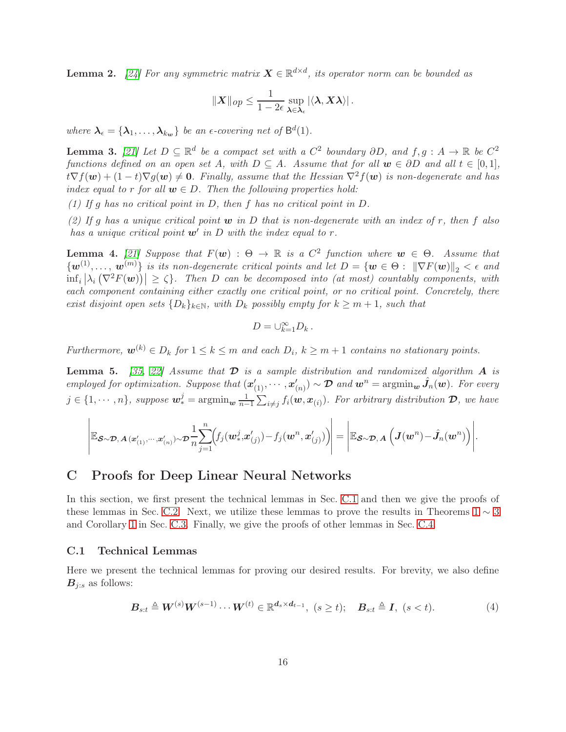<span id="page-15-1"></span>**Lemma 2.** [\[24\]](#page-12-6) For any symmetric matrix  $X \in \mathbb{R}^{d \times d}$ , its operator norm can be bounded as

$$
||X||_{op} \leq \frac{1}{1-2\epsilon} \sup_{\lambda \in \lambda_{\epsilon}} |\langle \lambda, X\lambda \rangle|.
$$

where  $\lambda_{\epsilon} = {\lambda_1, ..., \lambda_{k_w}}$  *be an*  $\epsilon$ *-covering net of*  $B^d(1)$ *.* 

<span id="page-15-2"></span>**Lemma 3.** [\[21\]](#page-12-3) Let  $D \subseteq \mathbb{R}^d$  be a compact set with a  $C^2$  boundary  $\partial D$ , and  $f, g: A \to \mathbb{R}$  be  $C^2$ *functions defined on an open set* A*, with*  $D \subseteq A$ *. Assume that for all*  $w \in \partial D$  *and all*  $t \in [0,1]$ *,*  $t\nabla f(\boldsymbol{w}) + (1-t)\nabla g(\boldsymbol{w}) \neq 0$ . Finally, assume that the Hessian  $\nabla^2 f(\boldsymbol{w})$  is non-degenerate and has *index equal to* r *for all*  $w \in D$ . Then the following properties hold:

*(1) If* g *has no critical point in* D*, then* f *has no critical point in* D*.*

*(2) If* g *has a unique critical point* w *in* D *that is non-degenerate with an index of* r*, then* f *also has a unique critical point* w′ *in* D *with the index equal to* r*.*

<span id="page-15-3"></span>**Lemma 4.** [\[21\]](#page-12-3) Suppose that  $F(w)$ :  $\Theta \to \mathbb{R}$  is a  $C^2$  function where  $w \in \Theta$ . Assume that  $\{w^{(1)},\ldots,w^{(m)}\}$  *is its non-degenerate critical points and let*  $D=\{\bm{w}\in\Theta:\ \|\nabla F(\bm{w})\|_2<\epsilon\}$  *and*  $\inf_i |\lambda_i(\nabla^2 F(\boldsymbol{w}))| \geq \zeta$ . Then D can be decomposed into (at most) countably components, with *each component containing either exactly one critical point, or no critical point. Concretely, there exist disjoint open sets*  $\{D_k\}_{k\in\mathbb{N}}$ *, with*  $D_k$  *possibly empty for*  $k \geq m+1$ *, such that* 

$$
D=\cup_{k=1}^{\infty}D_k.
$$

*Furthermore,*  $\mathbf{w}^{(k)} \in D_k$  *for*  $1 \leq k \leq m$  *and each*  $D_i$ ,  $k \geq m+1$  *contains no stationary points.* 

<span id="page-15-4"></span>**Lemma 5.** [\[35,](#page-13-0) [22\]](#page-12-4) Assume that  $\mathcal{D}$  is a sample distribution and randomized algorithm  $\mathbf{A}$  is *employed for optimization. Suppose that*  $(x'_{(1)}, \cdots, x'_{(n)}) \sim \mathcal{D}$  *and*  $\mathbf{w}^n = \operatorname{argmin}_{\mathbf{w}} \hat{J}_n(\mathbf{w})$ *. For every*  $j \in \{1, \cdots, n\}$ , suppose  $\mathbf{w}_{*}^{j} = \operatorname{argmin}_{\mathbf{w}} \frac{1}{n-1}$  $\frac{1}{n-1}\sum_{i\neq j}f_i(\boldsymbol{w},\boldsymbol{x}_{(i)})$ *. For arbitrary distribution*  $\boldsymbol{\mathcal{D}},$  we have

$$
\left| \mathbb{E}_{\boldsymbol{\mathcal{S}}\sim\boldsymbol{\mathcal{D}},\boldsymbol{A}\left(\boldsymbol{x}^{\prime}_{(1)},\cdots,\boldsymbol{x}^{\prime}_{(n)}\right)\sim\boldsymbol{\mathcal{D}}}\frac{1}{n}\!\sum_{j=1}^{n}\!\!\left(\!f_j(\boldsymbol{w}^j_*,\boldsymbol{x}^{\prime}_{(j)})\!-\!f_j(\boldsymbol{w}^n,\boldsymbol{x}^{\prime}_{(j)})\right)\right|=\left| \mathbb{E}_{\boldsymbol{\mathcal{S}}\sim\boldsymbol{\mathcal{D}},\boldsymbol{A}}\left(\boldsymbol{J}(\boldsymbol{w}^n)\!-\!\hat{\boldsymbol{J}}_n(\boldsymbol{w}^n)\right)\right|.
$$

# <span id="page-15-0"></span>C Proofs for Deep Linear Neural Networks

In this section, we first present the technical lemmas in Sec. [C.1](#page-15-5) and then we give the proofs of these lemmas in Sec. [C.2.](#page-17-0) Next, we utilize these lemmas to prove the results in Theorems  $1 \sim 3$  $1 \sim 3$ and Corollary [1](#page-5-0) in Sec. [C.3.](#page-33-0) Finally, we give the proofs of other lemmas in Sec. [C.4.](#page-42-1)

### <span id="page-15-5"></span>C.1 Technical Lemmas

Here we present the technical lemmas for proving our desired results. For brevity, we also define  $B_{j:s}$  as follows:

<span id="page-15-6"></span>
$$
\boldsymbol{B}_{s:t} \triangleq \boldsymbol{W}^{(s)} \boldsymbol{W}^{(s-1)} \cdots \boldsymbol{W}^{(t)} \in \mathbb{R}^{\boldsymbol{d}_s \times \boldsymbol{d}_{t-1}}, \ (s \ge t); \quad \boldsymbol{B}_{s:t} \triangleq \boldsymbol{I}, \ (s < t). \tag{4}
$$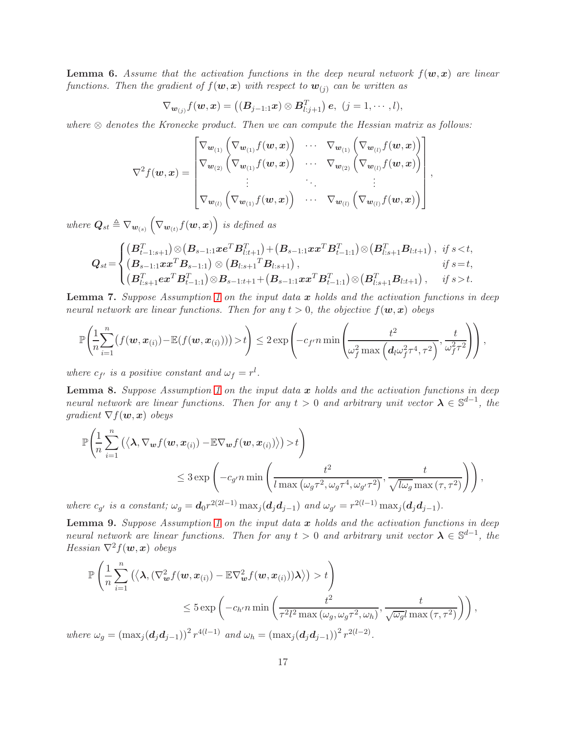<span id="page-16-0"></span>**Lemma 6.** Assume that the activation functions in the deep neural network  $f(\mathbf{w},\mathbf{x})$  are linear *functions. Then the gradient of*  $f(\mathbf{w}, \mathbf{x})$  *with respect to*  $\mathbf{w}_{(j)}$  *can be written as* 

$$
\nabla_{\bm{w}_{(j)}} f(\bm{w}, \bm{x}) = ((\bm{B}_{j-1:1} \bm{x}) \otimes \bm{B}_{l:j+1}^T) \bm{e}, \ (j = 1, \cdots, l),
$$

*where*  $\otimes$  *denotes the Kronecke product. Then we can compute the Hessian matrix as follows:* 

$$
\nabla^2 f(\boldsymbol{w}, \boldsymbol{x}) = \begin{bmatrix}\n\nabla_{\boldsymbol{w}_{(1)}} \left( \nabla_{\boldsymbol{w}_{(1)}} f(\boldsymbol{w}, \boldsymbol{x}) \right) & \cdots & \nabla_{\boldsymbol{w}_{(1)}} \left( \nabla_{\boldsymbol{w}_{(l)}} f(\boldsymbol{w}, \boldsymbol{x}) \right) \\
\nabla_{\boldsymbol{w}_{(2)}} \left( \nabla_{\boldsymbol{w}_{(1)}} f(\boldsymbol{w}, \boldsymbol{x}) \right) & \cdots & \nabla_{\boldsymbol{w}_{(2)}} \left( \nabla_{\boldsymbol{w}_{(l)}} f(\boldsymbol{w}, \boldsymbol{x}) \right) \\
\vdots & \ddots & \vdots \\
\nabla_{\boldsymbol{w}_{(l)}} \left( \nabla_{\boldsymbol{w}_{(1)}} f(\boldsymbol{w}, \boldsymbol{x}) \right) & \cdots & \nabla_{\boldsymbol{w}_{(l)}} \left( \nabla_{\boldsymbol{w}_{(l)}} f(\boldsymbol{w}, \boldsymbol{x}) \right)\n\end{bmatrix},
$$

where  $\boldsymbol{Q}_{st} \triangleq \nabla_{\boldsymbol{w}_{(s)}} \left( \nabla_{\boldsymbol{w}_{(t)}} f(\boldsymbol{w}, \boldsymbol{x}) \right)$  is defined as

$$
Q_{st} = \begin{cases} (B_{t-1:s+1}^T) \otimes (B_{s-1:1} x e^T B_{t:t+1}^T) + (B_{s-1:1} x x^T B_{t-1:1}^T) \otimes (B_{t:s+1}^T B_{t:t+1}), & \text{if } s < t, \\ (B_{s-1:1} x x^T B_{s-1:1}) \otimes (B_{t:s+1}^T B_{t:s+1}), & \text{if } s = t, \\ (B_{t:s+1}^T e x^T B_{t-1:1}^T) \otimes B_{s-1:t+1} + (B_{s-1:1} x x^T B_{t-1:1}^T) \otimes (B_{t:s+1}^T B_{t:t+1}), & \text{if } s > t. \end{cases}
$$

<span id="page-16-1"></span>Lemma 7. *Suppose Assumption [1](#page-3-0) on the input data* x *holds and the activation functions in deep neural network are linear functions. Then for any*  $t > 0$ , the objective  $f(\mathbf{w}, \mathbf{x})$  obeys

$$
\mathbb{P}\left(\frac{1}{n}\sum_{i=1}^n\big(f(\boldsymbol{w}, \boldsymbol{x}_{(i)}) - \mathbb{E}(f(\boldsymbol{w}, \boldsymbol{x}_{(i)}))\big) > t\right) \leq 2\exp\left(-c_f n\min\left(\frac{t^2}{\omega_f^2\max\left(d_l\omega_f^2\tau^4, \tau^2\right)}, \frac{t}{\omega_f^2\tau^2}\right)\right),
$$

*where*  $c_{f'}$  *is a positive constant and*  $\omega_f = r^l$ *.* 

<span id="page-16-2"></span>Lemma 8. *Suppose Assumption [1](#page-3-0) on the input data* x *holds and the activation functions in deep neural network are linear functions. Then for any*  $t > 0$  *and arbitrary unit vector*  $\lambda \in \mathbb{S}^{d-1}$ , the *gradient*  $\nabla f(\boldsymbol{w}, \boldsymbol{x})$  *obeys* 

$$
\mathbb{P}\left(\frac{1}{n}\sum_{i=1}^{n}\left(\left\langle \mathbf{\lambda}, \nabla_{\mathbf{w}}f(\mathbf{w}, \mathbf{x}_{(i)}) - \mathbb{E}\nabla_{\mathbf{w}}f(\mathbf{w}, \mathbf{x}_{(i)}) \right\rangle\right) > t\right)
$$
\n
$$
\leq 3 \exp\left(-c_{g'} n \min\left(\frac{t^2}{l \max\left(\omega_{g}\tau^2, \omega_{g}\tau^4, \omega_{g'}\tau^2\right)}, \frac{t}{\sqrt{l\omega_{g}} \max\left(\tau, \tau^2\right)}\right)\right),
$$

*where*  $c_{g'}$  *is a constant;*  $\omega_g = d_0 r^{2(2l-1)} \max_j (d_j d_{j-1})$  *and*  $\omega_{g'} = r^{2(l-1)} \max_j (d_j d_{j-1})$ *.* 

<span id="page-16-3"></span>Lemma 9. *Suppose Assumption [1](#page-3-0) on the input data* x *holds and the activation functions in deep neural network are linear functions. Then for any*  $t > 0$  *and arbitrary unit vector*  $\lambda \in \mathbb{S}^{d-1}$ , the *Hessian*  $\nabla^2 f(\boldsymbol{w}, \boldsymbol{x})$  *obeys* 

$$
\mathbb{P}\left(\frac{1}{n}\sum_{i=1}^{n}\left(\left\langle \lambda, \left(\nabla_{\boldsymbol{w}}^{2}f(\boldsymbol{w}, \boldsymbol{x}_{(i)}) - \mathbb{E}\nabla_{\boldsymbol{w}}^{2}f(\boldsymbol{w}, \boldsymbol{x}_{(i)})\right)\lambda\right\rangle\right) > t\right)
$$
\n
$$
\leq 5 \exp\left(-c_{h'}n \min\left(\frac{t^{2}}{\tau^{2}l^{2}\max\left(\omega_{g}, \omega_{g}\tau^{2}, \omega_{h}\right)}, \frac{t}{\sqrt{\omega_{g}}l\max\left(\tau, \tau^{2}\right)}\right)\right),
$$
\nwhere\n
$$
k^{2} \left(\frac{1}{n}\sum_{i=1}^{n} \left(\sum_{i=1}^{n} \mathbb{E}\left[\lambda, \frac{1}{n}\right]\lambda_{i}\right) \leq \frac{1}{n^{2}l^{2}\max\left(\omega_{g}, \frac{1}{n}\right)}.
$$

*where*  $\omega_g = (\max_j (\boldsymbol{d}_j \boldsymbol{d}_{j-1}))^2 r^{4(l-1)}$  *and*  $\omega_h = (\max_j (\boldsymbol{d}_j \boldsymbol{d}_{j-1}))^2 r^{2(l-2)}$ *.*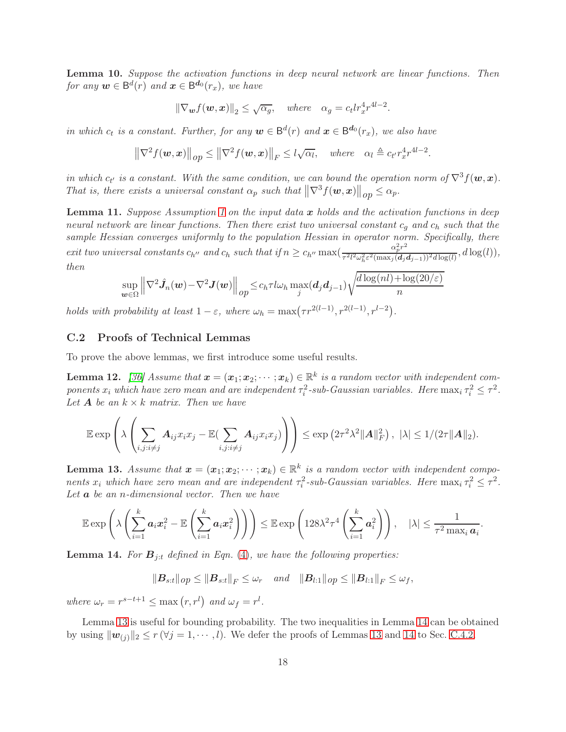<span id="page-17-4"></span>Lemma 10. *Suppose the activation functions in deep neural network are linear functions. Then*  $for any w \in B^d(r)$  and  $\boldsymbol{x} \in B^{d_0}(r_x)$ , we have

$$
\|\nabla_{\boldsymbol{w}}f(\boldsymbol{w},\boldsymbol{x})\|_2 \leq \sqrt{\alpha_g}, \quad \text{where} \quad \alpha_g = c_t lr_x^4 r^{4l-2}.
$$

*in which*  $c_t$  *is a constant. Further, for any*  $\mathbf{w} \in \mathsf{B}^d(r)$  *and*  $\mathbf{x} \in \mathsf{B}^d(r_x)$ *, we also have* 

$$
\left\|\nabla^2 f(\boldsymbol{w}, \boldsymbol{x})\right\|_{op} \le \left\|\nabla^2 f(\boldsymbol{w}, \boldsymbol{x})\right\|_F \le l\sqrt{\alpha_l}, \quad \text{where} \quad \alpha_l \triangleq c_{t'} r_x^4 r^{4l-2}.
$$

*in which*  $c_t$  *is a constant. With the same condition, we can bound the operation norm of*  $\nabla^3 f(\boldsymbol{w}, \boldsymbol{x})$ *. That is, there exists a universal constant*  $\alpha_p$  *such that*  $\|\nabla^3 f(\boldsymbol{w}, \boldsymbol{x})\|_{op} \leq \alpha_p$ .

<span id="page-17-5"></span>Lemma 11. *Suppose Assumption [1](#page-3-0) on the input data* x *holds and the activation functions in deep neural network are linear functions. Then there exist two universal constant*  $c_q$  and  $c_h$  *such that the sample Hessian converges uniformly to the population Hessian in operator norm. Specifically, there exit two universal constants*  $c_{h''}$  *and*  $c_h$  *such that* if  $n \geq c_{h''} \max(\frac{\alpha_p^2 r^2}{\tau^2 l^2 \omega_h^2 \varepsilon^2 (\max_i(d_i/\sigma_i))^2})$  $\frac{a_p}{\tau^2 l^2 \omega_h^2 \varepsilon^2 (\max_j(\boldsymbol{d}_j \boldsymbol{d}_{j-1}))^2 d \log(l)}, d \log(l)),$ *then*

$$
\sup_{\boldsymbol{w}\in\Omega}\left\|\nabla^2\hat{\boldsymbol{J}}_n(\boldsymbol{w})-\nabla^2\boldsymbol{J}(\boldsymbol{w})\right\|_{op}\leq c_h\tau l\omega_h\max_j(\boldsymbol{d}_j\boldsymbol{d}_{j-1})\sqrt{\frac{d\log(nl)+\log(20/\varepsilon)}{n}}
$$

*holds with probability at least*  $1 - \varepsilon$ , where  $\omega_h = \max(\tau r^{2(l-1)}, r^{2(l-1)}, r^{l-2})$ .

# <span id="page-17-0"></span>C.2 Proofs of Technical Lemmas

To prove the above lemmas, we first introduce some useful results.

<span id="page-17-3"></span>**Lemma 12.** [\[36\]](#page-13-1) Assume that  $\mathbf{x} = (\mathbf{x}_1; \mathbf{x}_2; \dots; \mathbf{x}_k) \in \mathbb{R}^k$  is a random vector with independent components  $x_i$  which have zero mean and are independent  $\tau_i^2$ -sub-Gaussian variables. Here  $\max_i \tau_i^2 \leq \tau^2$ . Let  $A$  be an  $k \times k$  *matrix. Then we have* 

$$
\mathbb{E} \exp \left( \lambda \left( \sum_{i,j:i \neq j} A_{ij} x_i x_j - \mathbb{E} (\sum_{i,j:i \neq j} A_{ij} x_i x_j) \right) \right) \leq \exp \left( 2 \tau^2 \lambda^2 \|A\|_F^2 \right), \ |\lambda| \leq 1/(2\tau \|A\|_2).
$$

<span id="page-17-1"></span>**Lemma 13.** *Assume that*  $\boldsymbol{x} = (\boldsymbol{x}_1; \boldsymbol{x}_2; \cdots; \boldsymbol{x}_k) \in \mathbb{R}^k$  *is a random vector with independent compo*nents  $x_i$  which have zero mean and are independent  $\tau_i^2$ -sub-Gaussian variables. Here  $\max_i \tau_i^2 \leq \tau^2$ . *Let* a *be an* n*-dimensional vector. Then we have*

$$
\mathbb{E}\exp\left(\lambda\left(\sum_{i=1}^k a_i x_i^2 - \mathbb{E}\left(\sum_{i=1}^k a_i x_i^2\right)\right)\right) \leq \mathbb{E}\exp\left(128\lambda^2 \tau^4 \left(\sum_{i=1}^k a_i^2\right)\right), \quad |\lambda| \leq \frac{1}{\tau^2 \max_i a_i}.
$$

<span id="page-17-2"></span>**Lemma 14.** For  $B_{j:t}$  defined in Eqn. [\(4\)](#page-15-6), we have the following properties:

 $||B_{s:t}||_{op} \le ||B_{s:t}||_F \le \omega_r$  *and*  $||B_{l:1}||_{op} \le ||B_{l:1}||_F \le \omega_f$ ,

where  $\omega_r = r^{s-t+1} \leq \max(r, r^l)$  and  $\omega_f = r^l$ .

Lemma [13](#page-17-1) is useful for bounding probability. The two inequalities in Lemma [14](#page-17-2) can be obtained by using  $\|\mathbf{w}_{(i)}\|_2 \le r (\forall j = 1, \cdots, l)$ . We defer the proofs of Lemmas [13](#page-17-1) and [14](#page-17-2) to Sec. [C.4.2.](#page-42-2)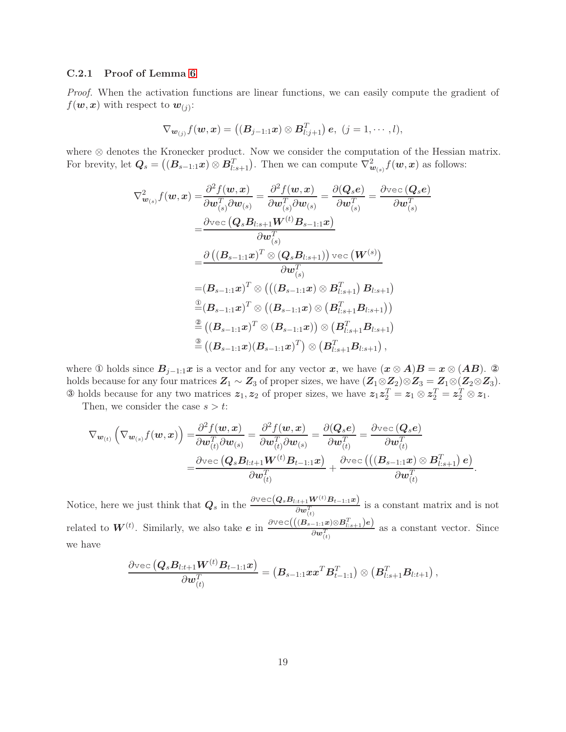### C.2.1 Proof of Lemma [6](#page-16-0)

*Proof.* When the activation functions are linear functions, we can easily compute the gradient of  $f(\boldsymbol{w}, \boldsymbol{x})$  with respect to  $\boldsymbol{w}_{(j)}$ :

$$
\nabla_{\boldsymbol{w}_{(j)}} f(\boldsymbol{w}, \boldsymbol{x}) = ((\boldsymbol{B}_{j-1:1} \boldsymbol{x}) \otimes \boldsymbol{B}_{l:j+1}^T) \boldsymbol{e}, (j = 1, \cdots, l),
$$

where ⊗ denotes the Kronecker product. Now we consider the computation of the Hessian matrix. For brevity, let  $Q_s = ((B_{s-1:1}x) \otimes B_{l:s+1}^T)$ . Then we can compute  $\nabla_{w_{(s)}}^2 f(w, x)$  as follows:

$$
\nabla_{\boldsymbol{w}_{(s)}}^2 f(\boldsymbol{w}, \boldsymbol{x}) = \frac{\partial^2 f(\boldsymbol{w}, \boldsymbol{x})}{\partial \boldsymbol{w}_{(s)}^T \partial \boldsymbol{w}_{(s)}} = \frac{\partial^2 f(\boldsymbol{w}, \boldsymbol{x})}{\partial \boldsymbol{w}_{(s)}^T} = \frac{\partial (\boldsymbol{Q}_s \boldsymbol{e})}{\partial \boldsymbol{w}_{(s)}^T} = \frac{\partial \text{vec} (\boldsymbol{Q}_s \boldsymbol{e})}{\partial \boldsymbol{w}_{(s)}^T} \n= \frac{\partial \text{vec} (\boldsymbol{Q}_s \boldsymbol{B}_{l:s+1} \boldsymbol{W}^{(t)} \boldsymbol{B}_{s-1:1} \boldsymbol{x})}{\partial \boldsymbol{w}_{(s)}^T} \n= \frac{\partial ((\boldsymbol{B}_{s-1:1} \boldsymbol{x})^T \otimes (\boldsymbol{Q}_s \boldsymbol{B}_{l:s+1})) \text{vec} (\boldsymbol{W}^{(s)})}{\partial \boldsymbol{w}_{(s)}^T} \n= (\boldsymbol{B}_{s-1:1} \boldsymbol{x})^T \otimes (((\boldsymbol{B}_{s-1:1} \boldsymbol{x}) \otimes \boldsymbol{B}_{l:s+1}^T) \boldsymbol{B}_{l:s+1}) \n= (\boldsymbol{B}_{s-1:1} \boldsymbol{x})^T \otimes ((\boldsymbol{B}_{s-1:1} \boldsymbol{x}) \otimes (\boldsymbol{B}_{l:s+1}^T \boldsymbol{B}_{l:s+1})) \n= ((\boldsymbol{B}_{s-1:1} \boldsymbol{x})^T \otimes (\boldsymbol{B}_{s-1:1} \boldsymbol{x})) \otimes (\boldsymbol{B}_{l:s+1}^T \boldsymbol{B}_{l:s+1}) \n= ((\boldsymbol{B}_{s-1:1} \boldsymbol{x}) (\boldsymbol{B}_{s-1:1} \boldsymbol{x})^T) \otimes (\boldsymbol{B}_{l:s+1}^T \boldsymbol{B}_{l:s+1}),
$$

where ① holds since  $B_{j-1:1}x$  is a vector and for any vector x, we have  $(x \otimes A)B = x \otimes (AB)$ . ② holds because for any four matrices  $Z_1 \sim Z_3$  of proper sizes, we have  $(Z_1 \otimes Z_2) \otimes Z_3 = Z_1 \otimes (Z_2 \otimes Z_3)$ . **3** holds because for any two matrices  $z_1, z_2$  of proper sizes, we have  $z_1 z_2^T = z_1 \otimes z_2^T = z_2^T \otimes z_1$ .

Then, we consider the case  $s > t$ :

$$
\nabla_{\boldsymbol{w}_{(t)}} \left( \nabla_{\boldsymbol{w}_{(s)}} f(\boldsymbol{w}, \boldsymbol{x}) \right) = \frac{\partial^2 f(\boldsymbol{w}, \boldsymbol{x})}{\partial \boldsymbol{w}_{(t)}^T \partial \boldsymbol{w}_{(s)}} = \frac{\partial^2 f(\boldsymbol{w}, \boldsymbol{x})}{\partial \boldsymbol{w}_{(t)}^T \partial \boldsymbol{w}_{(s)}} = \frac{\partial (\boldsymbol{Q}_s \boldsymbol{e})}{\partial \boldsymbol{w}_{(t)}^T} = \frac{\partial \text{vec} (\boldsymbol{Q}_s \boldsymbol{e})}{\partial \boldsymbol{w}_{(t)}^T} \\ = \frac{\partial \text{vec} (\boldsymbol{Q}_s \boldsymbol{B}_{l:t+1} \boldsymbol{W}^{(t)} \boldsymbol{B}_{t-1:1} \boldsymbol{x})}{\partial \boldsymbol{w}_{(t)}^T} + \frac{\partial \text{vec} ((\boldsymbol{B}_{s-1:1} \boldsymbol{x}) \otimes \boldsymbol{B}_{l:s+1}^T) \boldsymbol{e})}{\partial \boldsymbol{w}_{(t)}^T}.
$$

Notice, here we just think that  $Q_s$  in the  $\frac{\partial \text{vec}(Q_sB_{l:t+1}W^{(t)}B_{t-1:1}x)}{\partial w_{(t)}^T}$  is a constant matrix and is not related to  $W^{(t)}$ . Similarly, we also take  $e$  in  $\frac{\partial \text{vec}((B_{s-1:1} \cdot x) \otimes B_{l:s+1}^T)e)}{\partial x \cdot T}$  $\frac{\partial w(t)}{\partial w(t)}$  as a constant vector. Since we have

$$
\frac{\partial\text{vec}\left(\bm{Q}_{s}\bm{B}_{l:t+1}\bm{W}^{(t)}\bm{B}_{t-1:1}\bm{x}\right)}{\partial\bm{w}_{(t)}^{T}}=\left(\bm{B}_{s-1:1}\bm{x}\bm{x}^{T}\bm{B}_{t-1:1}^{T}\right)\otimes\left(\bm{B}_{l:s+1}^{T}\bm{B}_{l:t+1}\right),
$$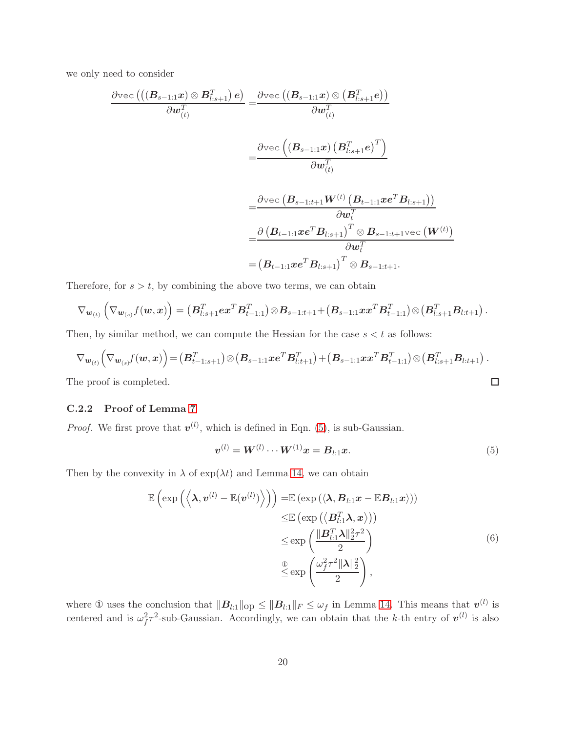we only need to consider

$$
\begin{aligned} \frac{\partial \text{vec}\left(\left((\boldsymbol{B}_{s-1:1} \boldsymbol{x}) \otimes \boldsymbol{B}_{l:s+1}^T\right)\boldsymbol{e}\right)}{\partial \boldsymbol{w}_{(t)}^T}=&\frac{\partial \text{vec}\left((\boldsymbol{B}_{s-1:1} \boldsymbol{x}) \otimes \left(\boldsymbol{B}_{l:s+1}^T \boldsymbol{e}\right)\right)}{\partial \boldsymbol{w}_{(t)}^T} \\=&\frac{\partial \text{vec}\left((\boldsymbol{B}_{s-1:1} \boldsymbol{x}) \left(\boldsymbol{B}_{l:s+1}^T \boldsymbol{e}\right)^T\right)}{\partial \boldsymbol{w}_{(t)}^T} \\=&\frac{\partial \text{vec}\left(\boldsymbol{B}_{s-1:t+1} \boldsymbol{W}^{(t)} \left(\boldsymbol{B}_{t-1:1} \boldsymbol{x}\boldsymbol{e}^T \boldsymbol{B}_{l:s+1}\right)\right)}{\partial \boldsymbol{w}_{t}^T} \\=&\frac{\partial \left(\boldsymbol{B}_{t-1:1} \boldsymbol{x}\boldsymbol{e}^T \boldsymbol{B}_{l:s+1}\right)^T \otimes \boldsymbol{B}_{s-1:t+1} \text{vec}\left(\boldsymbol{W}^{(t)}\right)}{\partial \boldsymbol{w}_{t}^T} \\=&\left(\boldsymbol{B}_{t-1:1} \boldsymbol{x}\boldsymbol{e}^T \boldsymbol{B}_{l:s+1}\right)^T \otimes \boldsymbol{B}_{s-1:t+1}. \end{aligned}
$$

Therefore, for  $s > t$ , by combining the above two terms, we can obtain

$$
\nabla_{\bm{w}_{(t)}}\left(\nabla_{\bm{w}_{(s)}} f(\bm{w}, \bm{x})\right)=\left(\bm{B}_{l:s+1}^T\bm{e}\bm{x}^T\bm{B}_{t-1:1}^T\right)\otimes \bm{B}_{s-1:t+1}+\left(\bm{B}_{s-1:1}\bm{x}\bm{x}^T\bm{B}_{t-1:1}^T\right)\otimes\left(\bm{B}_{l:s+1}^T\bm{B}_{l:t+1}\right).
$$

Then, by similar method, we can compute the Hessian for the case  $s < t$  as follows:

$$
\nabla_{\boldsymbol{w}_{(t)}} \left( \nabla_{\boldsymbol{w}_{(s)}} f(\boldsymbol{w}, \boldsymbol{x}) \right) = (\boldsymbol{B}_{t-1:s+1}^T) \otimes (\boldsymbol{B}_{s-1:1} \boldsymbol{x} \boldsymbol{e}^T \boldsymbol{B}_{l:t+1}^T) + (\boldsymbol{B}_{s-1:1} \boldsymbol{x} \boldsymbol{x}^T \boldsymbol{B}_{t-1:1}^T) \otimes (\boldsymbol{B}_{l:s+1}^T \boldsymbol{B}_{l:t+1}).
$$
  
are proof is completed.

The proof is completed.

# C.2.2 Proof of Lemma [7](#page-16-1)

*Proof.* We first prove that  $v^{(l)}$ , which is defined in Eqn. [\(5\)](#page-19-0), is sub-Gaussian.

<span id="page-19-1"></span><span id="page-19-0"></span>
$$
v^{(l)} = W^{(l)} \cdots W^{(1)} x = B_{l:1} x.
$$
\n(5)

Then by the convexity in  $\lambda$  of  $\exp(\lambda t)$  and Lemma [14,](#page-17-2) we can obtain

$$
\mathbb{E}\left(\exp\left(\left\langle \mathbf{\lambda}, \mathbf{v}^{(l)} - \mathbb{E}(\mathbf{v}^{(l)}) \right\rangle\right)\right) = \mathbb{E}\left(\exp\left(\left\langle \mathbf{\lambda}, \mathbf{B}_{l:1} \mathbf{x} - \mathbb{E} \mathbf{B}_{l:1} \mathbf{x}\right\rangle\right)\right) \n\leq \mathbb{E}\left(\exp\left(\left\langle \mathbf{B}_{l:1}^T \mathbf{\lambda}, \mathbf{x}\right\rangle\right)\right) \n\leq \exp\left(\frac{\|\mathbf{B}_{l:1}^T \mathbf{\lambda}\|_2^2 \tau^2}{2}\right) \n\leq \exp\left(\frac{\omega_f^2 \tau^2 \|\mathbf{\lambda}\|_2^2}{2}\right),
$$
\n(6)

where  $\Phi$  uses the conclusion that  $||\mathbf{B}_{l:1}||_{\text{op}} \le ||\mathbf{B}_{l:1}||_F \le \omega_f$  in Lemma [14.](#page-17-2) This means that  $v^{(l)}$  is centered and is  $\omega_f^2 \tau^2$ -sub-Gaussian. Accordingly, we can obtain that the k-th entry of  $v^{(l)}$  is also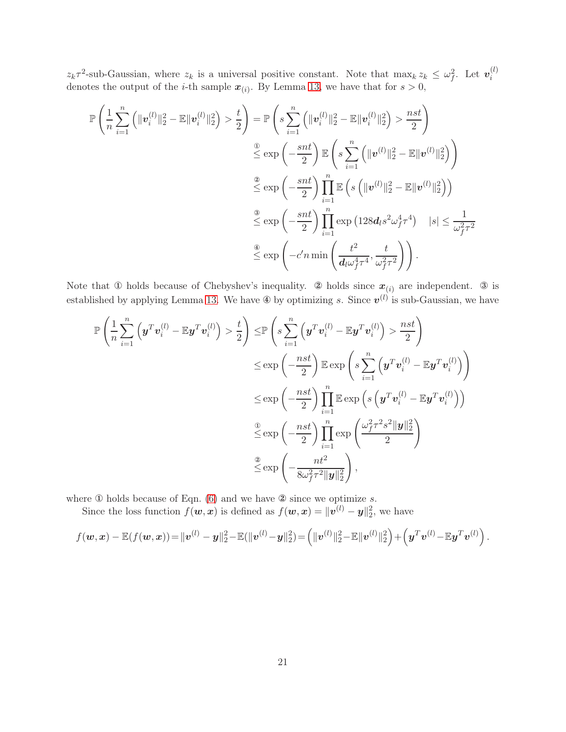$z_k \tau^2$ -sub-Gaussian, where  $z_k$  is a universal positive constant. Note that  $\max_k z_k \leq \omega_f^2$ . Let  $\mathbf{v}_i^{(l)}$  $z_k$ , sub-Gaussian, where  $z_k$  is a dimensal positive constant. Note that  $\max_k z_k \leq \omega_f$ . Let  $v_i$  denotes the output of the *i*-th sample  $x_{(i)}$ . By Lemma [13,](#page-17-1) we have that for  $s > 0$ ,

$$
\mathbb{P}\left(\frac{1}{n}\sum_{i=1}^{n}\left(\|\mathbf{v}_{i}^{(l)}\|_{2}^{2}-\mathbb{E}\|\mathbf{v}_{i}^{(l)}\|_{2}^{2}\right)>\frac{t}{2}\right) = \mathbb{P}\left(s\sum_{i=1}^{n}\left(\|\mathbf{v}_{i}^{(l)}\|_{2}^{2}-\mathbb{E}\|\mathbf{v}_{i}^{(l)}\|_{2}^{2}\right)>\frac{nst}{2}\right)
$$

$$
\stackrel{\circledcirc}{\leq}\exp\left(-\frac{snt}{2}\right)\mathbb{E}\left(s\sum_{i=1}^{n}\left(\|\mathbf{v}^{(l)}\|_{2}^{2}-\mathbb{E}\|\mathbf{v}^{(l)}\|_{2}^{2}\right)\right)
$$

$$
\stackrel{\circledcirc}{\leq}\exp\left(-\frac{snt}{2}\right)\prod_{i=1}^{n}\mathbb{E}\left(s\left(\|\mathbf{v}^{(l)}\|_{2}^{2}-\mathbb{E}\|\mathbf{v}^{(l)}\|_{2}^{2}\right)\right)
$$

$$
\stackrel{\circledcirc}{\leq}\exp\left(-\frac{snt}{2}\right)\prod_{i=1}^{n}\exp\left(128d_{l}s^{2}\omega_{f}^{4}t^{4}\right) \quad |s|\leq\frac{1}{\omega_{f}^{2}\tau^{2}}
$$

$$
\stackrel{\circledcirc}{\leq}\exp\left(-c'n\min\left(\frac{t^{2}}{d_{l}\omega_{f}^{4}\tau^{4}},\frac{t}{\omega_{f}^{2}\tau^{2}}\right)\right).
$$

Note that  $\Phi$  holds because of Chebyshev's inequality.  $\Phi$  holds since  $x_{(i)}$  are independent.  $\Phi$  is established by applying Lemma [13.](#page-17-1) We have  $\circledast$  by optimizing s. Since  $v^{(l)}$  is sub-Gaussian, we have

$$
\mathbb{P}\left(\frac{1}{n}\sum_{i=1}^{n}\left(\boldsymbol{y}^{T}\boldsymbol{v}_{i}^{(l)}-\mathbb{E}\boldsymbol{y}^{T}\boldsymbol{v}_{i}^{(l)}\right) > \frac{t}{2}\right) \leq \mathbb{P}\left(s\sum_{i=1}^{n}\left(\boldsymbol{y}^{T}\boldsymbol{v}_{i}^{(l)}-\mathbb{E}\boldsymbol{y}^{T}\boldsymbol{v}_{i}^{(l)}\right) > \frac{nst}{2}\right) \n\leq \exp\left(-\frac{nst}{2}\right) \mathbb{E}\exp\left(s\sum_{i=1}^{n}\left(\boldsymbol{y}^{T}\boldsymbol{v}_{i}^{(l)}-\mathbb{E}\boldsymbol{y}^{T}\boldsymbol{v}_{i}^{(l)}\right)\right) \n\leq \exp\left(-\frac{nst}{2}\right) \prod_{i=1}^{n} \mathbb{E}\exp\left(s\left(\boldsymbol{y}^{T}\boldsymbol{v}_{i}^{(l)}-\mathbb{E}\boldsymbol{y}^{T}\boldsymbol{v}_{i}^{(l)}\right)\right) \n\leq \exp\left(-\frac{nst}{2}\right) \prod_{i=1}^{n} \exp\left(\frac{\omega_{f}^{2}\tau^{2}s^{2} \|\boldsymbol{y}\|_{2}^{2}}{2}\right) \n\leq \exp\left(-\frac{nt^{2}}{8\omega_{f}^{2}\tau^{2}\|\boldsymbol{y}\|_{2}^{2}}\right),
$$

where  $\Phi$  holds because of Eqn. [\(6\)](#page-19-1) and we have  $\Phi$  since we optimize s.

Since the loss function  $f(\boldsymbol{w}, \boldsymbol{x})$  is defined as  $f(\boldsymbol{w}, \boldsymbol{x}) = ||\boldsymbol{v}^{(l)} - \boldsymbol{y}||_2^2$ , we have

$$
f(\boldsymbol{w}, \boldsymbol{x}) - \mathbb{E}(f(\boldsymbol{w}, \boldsymbol{x})) = ||\boldsymbol{v}^{(l)} - \boldsymbol{y}||_2^2 - \mathbb{E}(||\boldsymbol{v}^{(l)} - \boldsymbol{y}||_2^2) = (||\boldsymbol{v}^{(l)}||_2^2 - \mathbb{E}||\boldsymbol{v}^{(l)}||_2^2) + (\boldsymbol{y}^T \boldsymbol{v}^{(l)} - \mathbb{E} \boldsymbol{y}^T \boldsymbol{v}^{(l)}) .
$$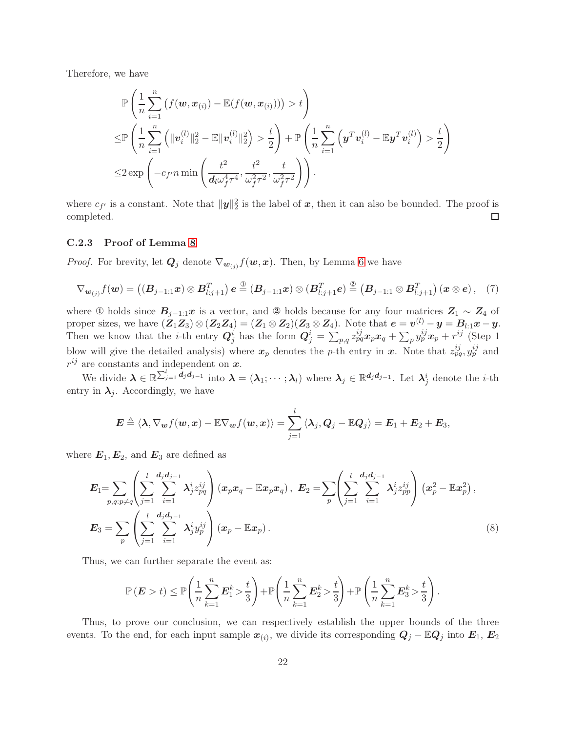Therefore, we have

$$
\mathbb{P}\left(\frac{1}{n}\sum_{i=1}^n\left(f(\boldsymbol{w}, \boldsymbol{x}_{(i)}) - \mathbb{E}(f(\boldsymbol{w}, \boldsymbol{x}_{(i)}))\right) > t\right) \n\leq \mathbb{P}\left(\frac{1}{n}\sum_{i=1}^n\left(\|\boldsymbol{v}_i^{(l)}\|_2^2 - \mathbb{E}\|\boldsymbol{v}_i^{(l)}\|_2^2\right) > \frac{t}{2}\right) + \mathbb{P}\left(\frac{1}{n}\sum_{i=1}^n\left(\boldsymbol{y}^T\boldsymbol{v}_i^{(l)} - \mathbb{E}\boldsymbol{y}^T\boldsymbol{v}_i^{(l)}\right) > \frac{t}{2}\right) \n\leq 2 \exp\left(-c_{f'}n \min\left(\frac{t^2}{d_l\omega_f^4\tau^4}, \frac{t^2}{\omega_f^2\tau^2}, \frac{t}{\omega_f^2\tau^2}\right)\right).
$$

where  $c_{f'}$  is a constant. Note that  $\|\mathbf{y}\|_2^2$  is the label of  $\mathbf{x}$ , then it can also be bounded. The proof is completed.  $\Box$ 

### C.2.3 Proof of Lemma [8](#page-16-2)

*Proof.* For brevity, let  $Q_j$  denote  $\nabla_{w_{(j)}} f(w, x)$ . Then, by Lemma [6](#page-16-0) we have

<span id="page-21-0"></span>
$$
\nabla_{\boldsymbol{w}_{(j)}} f(\boldsymbol{w}) = \left( (\boldsymbol{B}_{j-1:1} \boldsymbol{x}) \otimes \boldsymbol{B}_{l:j+1}^T \right) \boldsymbol{e} \stackrel{\circled{\text{\tiny 1}}}{=} (\boldsymbol{B}_{j-1:1} \boldsymbol{x}) \otimes (\boldsymbol{B}_{l:j+1}^T \boldsymbol{e}) \stackrel{\circled{\text{\tiny 2}}}{=} (\boldsymbol{B}_{j-1:1} \otimes \boldsymbol{B}_{l:j+1}^T) (\boldsymbol{x} \otimes \boldsymbol{e}), \quad (7)
$$

where ① holds since  $B_{j-1:1}x$  is a vector, and ② holds because for any four matrices  $Z_1 \sim Z_4$  of proper sizes, we have  $(\mathbf{Z}_1 \mathbf{Z}_3) \otimes (\mathbf{Z}_2 \mathbf{Z}_4) = (\mathbf{Z}_1 \otimes \mathbf{Z}_2)(\mathbf{Z}_3 \otimes \mathbf{Z}_4)$ . Note that  $\mathbf{e} = \mathbf{v}^{(l)} - \mathbf{y} = \mathbf{B}_{l,1} \mathbf{x} - \mathbf{y}$ . Then we know that the *i*-th entry  $Q_j^i$  has the form  $Q_j^i = \sum_{p,q} z_{pq}^{ij} x_p x_q + \sum_p y_p^{ij} x_p + r^{ij}$  (Step 1) blow will give the detailed analysis) where  $x_p$  denotes the p-th entry in x. Note that  $z_{pq}^{ij}, y_p^{ij}$  and  $r^{ij}$  are constants and independent on  $\boldsymbol{x}$ .

We divide  $\boldsymbol{\lambda} \in \mathbb{R}^{\sum_{j=1}^{l} d_j d_{j-1}}$  into  $\boldsymbol{\lambda} = (\boldsymbol{\lambda}_1; \cdots; \boldsymbol{\lambda}_l)$  where  $\boldsymbol{\lambda}_j \in \mathbb{R}^{d_j d_{j-1}}$ . Let  $\boldsymbol{\lambda}_j^i$  denote the *i*-th entry in  $\lambda_j$ . Accordingly, we have

$$
\boldsymbol{E} \triangleq \langle \boldsymbol{\lambda}, \nabla_{\boldsymbol{w}} f(\boldsymbol{w}, \boldsymbol{x}) - \mathbb{E} \nabla_{\boldsymbol{w}} f(\boldsymbol{w}, \boldsymbol{x}) \rangle = \sum_{j=1}^l \langle \boldsymbol{\lambda}_j, \boldsymbol{Q}_j - \mathbb{E} \boldsymbol{Q}_j \rangle = \boldsymbol{E}_1 + \boldsymbol{E}_2 + \boldsymbol{E}_3,
$$

where  $E_1, E_2$ , and  $E_3$  are defined as

$$
E_{1} = \sum_{p,q:p\neq q} \left( \sum_{j=1}^{l} \sum_{i=1}^{d_{j}d_{j-1}} \lambda_{j}^{i} z_{pq}^{ij} \right) (x_{p}x_{q} - \mathbb{E}x_{p}x_{q}), \ E_{2} = \sum_{p} \left( \sum_{j=1}^{l} \sum_{i=1}^{d_{j}d_{j-1}} \lambda_{j}^{i} z_{pp}^{ij} \right) (x_{p}^{2} - \mathbb{E}x_{p}^{2}),
$$
  

$$
E_{3} = \sum_{p} \left( \sum_{j=1}^{l} \sum_{i=1}^{d_{j}d_{j-1}} \lambda_{j}^{i} y_{p}^{ij} \right) (x_{p} - \mathbb{E}x_{p}).
$$
 (8)

Thus, we can further separate the event as:

<span id="page-21-1"></span>
$$
\mathbb{P}\left(\boldsymbol{E} > t\right) \le \mathbb{P}\left(\frac{1}{n}\sum_{k=1}^n \boldsymbol{E}_1^k > \frac{t}{3}\right) + \mathbb{P}\left(\frac{1}{n}\sum_{k=1}^n \boldsymbol{E}_2^k > \frac{t}{3}\right) + \mathbb{P}\left(\frac{1}{n}\sum_{k=1}^n \boldsymbol{E}_3^k > \frac{t}{3}\right).
$$

Thus, to prove our conclusion, we can respectively establish the upper bounds of the three events. To the end, for each input sample  $x_{(i)}$ , we divide its corresponding  $Q_j - \mathbb{E}Q_j$  into  $E_1, E_2$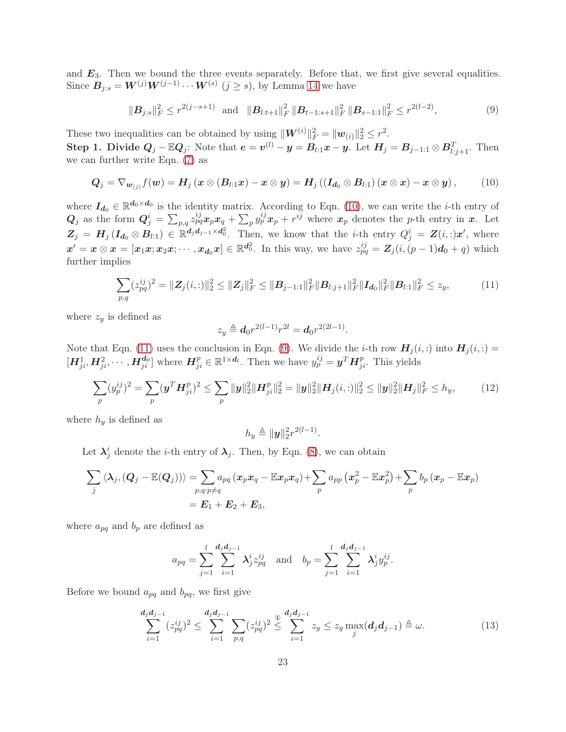and  $E_3$ . Then we bound the three events separately. Before that, we first give several equalities. Since  $B_{j:s} = W^{(j)}W^{(j-1)} \cdots W^{(s)}$   $(j \ge s)$ , by Lemma [14](#page-17-2) we have

<span id="page-22-2"></span><span id="page-22-0"></span>
$$
\|\mathbf{B}_{j:s}\|_{F}^{2} \leq r^{2(j-s+1)} \quad \text{and} \quad \|\mathbf{B}_{l:t+1}\|_{F}^{2} \|\mathbf{B}_{t-1:s+1}\|_{F}^{2} \|\mathbf{B}_{s-1:1}\|_{F}^{2} \leq r^{2(l-2)},
$$
\n
$$
(9)
$$

These two inequalities can be obtained by using  $\|\mathbf{W}^{(i)}\|_F^2 = \|\mathbf{w}_{(i)}\|_2^2 \leq r^2$ .

Step 1. Divide  $Q_j - \mathbb{E}Q_j$ : Note that  $e = v^{(l)} - y = B_{l:1}x - y$ . Let  $H_j = B_{j-1:1} \otimes B_{l:j+1}^T$ . Then we can further write Eqn. [\(7\)](#page-21-0) as

$$
Q_j = \nabla_{\boldsymbol{w}_{(j)}} f(\boldsymbol{w}) = \boldsymbol{H}_j \left( \boldsymbol{x} \otimes (\boldsymbol{B}_{l:1} \boldsymbol{x}) - \boldsymbol{x} \otimes \boldsymbol{y} \right) = \boldsymbol{H}_j \left( \left( \boldsymbol{I}_{d_0} \otimes \boldsymbol{B}_{l:1} \right) \left( \boldsymbol{x} \otimes \boldsymbol{x} \right) - \boldsymbol{x} \otimes \boldsymbol{y} \right), \tag{10}
$$

where  $I_{d_0} \in \mathbb{R}^{d_0 \times d_0}$  is the identity matrix. According to Eqn. [\(10\)](#page-22-0), we can write the *i*-th entry of  $Q_j$  as the form  $Q_j^i = \sum_{p,q} z_{pq}^{ij} x_p x_q + \sum_p y_p^{ij} x_p + r^{ij}$  where  $x_p$  denotes the p-th entry in x. Let  $Z_j = H_j (I_{d_0} \otimes B_{l,1}) \in \mathbb{R}^{d_j d_{j-1} \times d_0^2}$ . Then, we know that the *i*-th entry  $Q_j^i = Z(i,:)x'$ , where  $x' = x \otimes x = [x_1x; x_2x; \cdots, x_{d_0}x] \in \mathbb{R}^{d_0^2}$ . In this way, we have  $z_{pq}^{ij} = Z_j(i, (p-1)d_0 + q)$  which further implies

<span id="page-22-1"></span>
$$
\sum_{p,q} (z_{pq}^{ij})^2 = \|Z_j(i,:)\|_2^2 \le \|Z_j\|_F^2 \le \|B_{j-1:1}\|_F^2 \|B_{l:j+1}\|_F^2 \|I_{d_0}\|_F^2 \|B_{l:1}\|_F^2 \le z_y,
$$
\n(11)

where  $z_y$  is defined as

$$
z_y \triangleq d_0 r^{2(l-1)} r^{2l} = d_0 r^{2(2l-1)}.
$$

Note that Eqn. [\(11\)](#page-22-1) uses the conclusion in Eqn. [\(9\)](#page-22-2). We divide the *i*-th row  $H_j(i,:)$  into  $H_j(i,:)$  $[H_{ji}^1, H_{ji}^2, \cdots, H_{ji}^{d_0}]$  where  $H_{ji}^p \in \mathbb{R}^{1 \times d_l}$ . Then we have  $y_p^{ij} = \mathbf{y}^T H_{ji}^p$ . This yields

$$
\sum_{p} (y_p^{ij})^2 = \sum_{p} (y^T H_{ji}^p)^2 \le \sum_{p} \|y\|_2^2 \|H_{ji}^p\|_2^2 = \|y\|_2^2 \|H_j(i,:)\|_2^2 \le \|y\|_2^2 \|H_j\|_F^2 \le h_y,
$$
(12)

where  $h_y$  is defined as

<span id="page-22-4"></span>
$$
h_y \triangleq ||\mathbf{y}||_2^2 r^{2(l-1)}.
$$

Let  $\lambda_j^i$  denote the *i*-th entry of  $\lambda_j$ . Then, by Eqn. [\(8\)](#page-21-1), we can obtain

$$
\sum_j \left\langle \boldsymbol{\lambda}_j, \left( \boldsymbol{Q}_j - \mathbb{E}(\boldsymbol{Q}_j) \right) \right\rangle = \sum_{p,q: p \neq q} a_{pq} \left( \boldsymbol{x}_p \boldsymbol{x}_q - \mathbb{E} \boldsymbol{x}_p \boldsymbol{x}_q \right) + \sum_p a_{pp} \left( \boldsymbol{x}_p^2 - \mathbb{E} \boldsymbol{x}_p^2 \right) + \sum_p b_p \left( \boldsymbol{x}_p - \mathbb{E} \boldsymbol{x}_p \right) \\ = \boldsymbol{E}_1 + \boldsymbol{E}_2 + \boldsymbol{E}_3,
$$

where  $a_{pq}$  and  $b_p$  are defined as

<span id="page-22-3"></span>
$$
a_{pq} = \sum_{j=1}^{l} \sum_{i=1}^{d_j d_{j-1}} \lambda_j^{i} z_{pq}^{ij} \text{ and } b_p = \sum_{j=1}^{l} \sum_{i=1}^{d_j d_{j-1}} \lambda_j^{i} y_p^{ij}.
$$

Before we bound  $a_{pq}$  and  $b_{pq}$ , we first give

$$
\sum_{i=1}^{d_j d_{j-1}} (z_{pq}^{ij})^2 \le \sum_{i=1}^{d_j d_{j-1}} \sum_{p,q} (z_{pq}^{ij})^2 \stackrel{\textcircled{d}}{\le} \sum_{i=1}^{d_j d_{j-1}} z_y \le z_y \max_j (d_j d_{j-1}) \stackrel{\textcircled{d}}{=} \omega.
$$
 (13)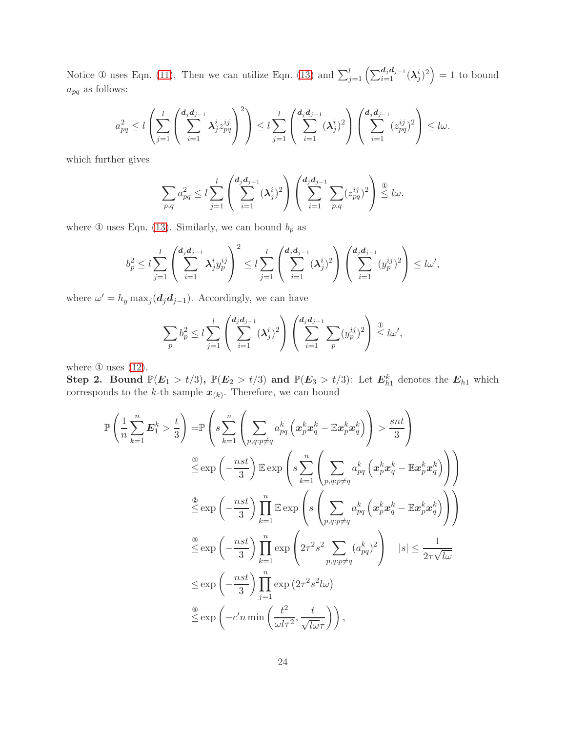Notice ① uses Eqn. [\(11\)](#page-22-1). Then we can utilize Eqn. [\(13\)](#page-22-3) and  $\sum_{j=1}^{l} \left( \sum_{i=1}^{d_j d_{j-1}} (\lambda_j^i)^2 \right) = 1$  to bound  $a_{pq}$  as follows:

$$
a_{pq}^2 \le l \left( \sum_{j=1}^l \left( \sum_{i=1}^{d_j d_{j-1}} \lambda_j^i z_{pq}^{ij} \right)^2 \right) \le l \sum_{j=1}^l \left( \sum_{i=1}^{d_j d_{j-1}} (\lambda_j^i)^2 \right) \left( \sum_{i=1}^{d_j d_{j-1}} (z_{pq}^{ij})^2 \right) \le l \omega.
$$

which further gives

$$
\sum_{p,q} a_{pq}^2 \le l \sum_{j=1}^l \left( \sum_{i=1}^{d_j d_{j-1}} (\lambda_j^i)^2 \right) \left( \sum_{i=1}^{d_j d_{j-1}} \sum_{p,q} (z_{pq}^{ij})^2 \right) \stackrel{\textcircled{\tiny 1}}{\leq} l \omega.
$$

where  $\mathbbm{O}$  uses Eqn. [\(13\)](#page-22-3). Similarly, we can bound  $b_p$  as

$$
b_p^2 \le l \sum_{j=1}^l \left( \sum_{i=1}^{d_j d_{j-1}} \lambda_j^i y_p^{ij} \right)^2 \le l \sum_{j=1}^l \left( \sum_{i=1}^{d_j d_{j-1}} (\lambda_j^i)^2 \right) \left( \sum_{i=1}^{d_j d_{j-1}} (y_p^{ij})^2 \right) \le l \omega',
$$

where  $\omega' = h_y \max_j (\mathbf{d}_j \mathbf{d}_{j-1})$ . Accordingly, we can have

$$
\sum_{p} b_p^2 \le l \sum_{j=1}^l \left( \sum_{i=1}^{d_j d_{j-1}} (\lambda_j^i)^2 \right) \left( \sum_{i=1}^{d_j d_{j-1}} \sum_{p} (y_p^{ij})^2 \right) \stackrel{\textcircled{\tiny 1}}{\leq} l \omega',
$$

where  $\Phi$  uses  $(12)$ .

Step 2. Bound  $\mathbb{P}(E_1 > t/3)$ ,  $\mathbb{P}(E_2 > t/3)$  and  $\mathbb{P}(E_3 > t/3)$ : Let  $E_{h1}^k$  denotes the  $E_{h1}$  which corresponds to the k-th sample  $x_{(k)}$ . Therefore, we can bound

$$
\mathbb{P}\left(\frac{1}{n}\sum_{k=1}^{n}\mathbf{E}_{1}^{k} > \frac{t}{3}\right) = \mathbb{P}\left(s\sum_{k=1}^{n}\left(\sum_{p,q:p\neq q} a_{pq}^{k}\left(\mathbf{x}_{p}^{k}\mathbf{x}_{q}^{k} - \mathbb{E}\mathbf{x}_{p}^{k}\mathbf{x}_{q}^{k}\right)\right) > \frac{snt}{3}\right)
$$
\n
$$
\stackrel{\circledcirc}{\leq} \exp\left(-\frac{nst}{3}\right) \mathbb{E}\exp\left(s\sum_{k=1}^{n}\left(\sum_{p,q:p\neq q} a_{pq}^{k}\left(\mathbf{x}_{p}^{k}\mathbf{x}_{q}^{k} - \mathbb{E}\mathbf{x}_{p}^{k}\mathbf{x}_{q}^{k}\right)\right)\right)
$$
\n
$$
\stackrel{\circledcirc}{\leq} \exp\left(-\frac{nst}{3}\right) \prod_{k=1}^{n} \mathbb{E}\exp\left(s\left(\sum_{p,q:p\neq q} a_{pq}^{k}\left(\mathbf{x}_{p}^{k}\mathbf{x}_{q}^{k} - \mathbb{E}\mathbf{x}_{p}^{k}\mathbf{x}_{q}^{k}\right)\right)\right)
$$
\n
$$
\stackrel{\circledcirc}{\leq} \exp\left(-\frac{nst}{3}\right) \prod_{k=1}^{n} \exp\left(2\tau^{2}s^{2}\sum_{p,q:p\neq q} (a_{pq}^{k})^{2}\right) \quad |s| \leq \frac{1}{2\tau\sqrt{l\omega}}
$$
\n
$$
\stackrel{\circledcirc}{\leq} \exp\left(-\frac{nst}{3}\right) \prod_{j=1}^{n} \exp\left(2\tau^{2}s^{2}l\omega\right)
$$
\n
$$
\stackrel{\circledcirc}{\leq} \exp\left(-c'n\min\left(\frac{t^{2}}{\omega l\tau^{2}},\frac{t}{\sqrt{l\omega}\tau}\right)\right),
$$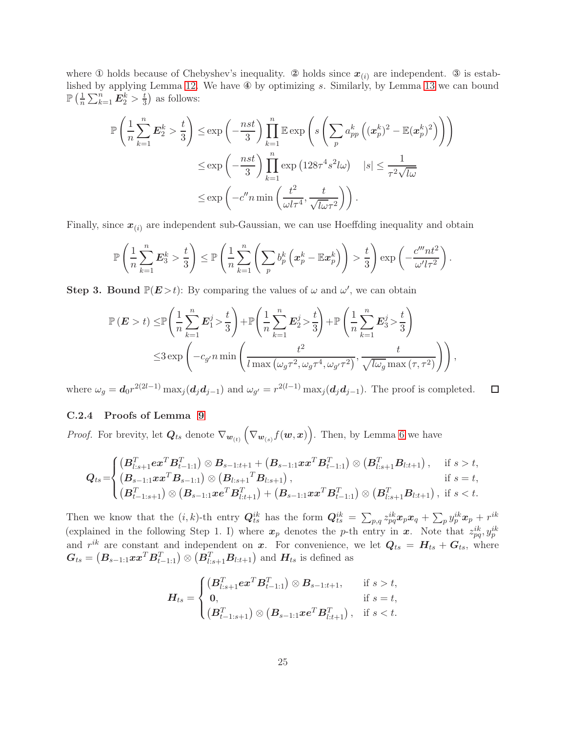where  $\Phi$  holds because of Chebyshev's inequality.  $\Phi$  holds since  $x_{(i)}$  are independent.  $\Phi$  is established by applying Lemma [12.](#page-17-3) We have ④ by optimizing s. Similarly, by Lemma [13](#page-17-1) we can bound  $\mathbb{P}\left(\frac{1}{n}\right)$  $\frac{1}{n}\sum_{k=1}^n{\bm E}_2^k > \frac{t}{3}$  $(\frac{t}{3})$  as follows:

$$
\mathbb{P}\left(\frac{1}{n}\sum_{k=1}^{n}\mathbf{E}_{2}^{k} > \frac{t}{3}\right) \leq \exp\left(-\frac{nst}{3}\right) \prod_{k=1}^{n} \mathbb{E} \exp\left(s\left(\sum_{p} a_{pp}^{k}\left((\mathbf{x}_{p}^{k})^{2} - \mathbb{E}(\mathbf{x}_{p}^{k})^{2}\right)\right)\right)
$$

$$
\leq \exp\left(-\frac{nst}{3}\right) \prod_{k=1}^{n} \exp\left(128\tau^{4}s^{2}l\omega\right) \quad |s| \leq \frac{1}{\tau^{2}\sqrt{l\omega}}
$$

$$
\leq \exp\left(-c''n\min\left(\frac{t^{2}}{\omega l\tau^{4}}, \frac{t}{\sqrt{l\omega}\tau^{2}}\right)\right).
$$

Finally, since  $x_{(i)}$  are independent sub-Gaussian, we can use Hoeffding inequality and obtain

$$
\mathbb{P}\left(\frac{1}{n}\sum_{k=1}^n \boldsymbol{E}_3^k > \frac{t}{3}\right) \leq \mathbb{P}\left(\frac{1}{n}\sum_{k=1}^n \left(\sum_p b_p^k \left(\boldsymbol{x}_p^k - \mathbb{E}\boldsymbol{x}_p^k\right)\right) > \frac{t}{3}\right) \exp\left(-\frac{c^m n t^2}{\omega' l \tau^2}\right).
$$

**Step 3. Bound**  $\mathbb{P}(E > t)$ : By comparing the values of  $\omega$  and  $\omega'$ , we can obtain

$$
\mathbb{P}\left(\mathbf{E} > t\right) \leq \mathbb{P}\left(\frac{1}{n}\sum_{k=1}^{n}\mathbf{E}_{1}^{j} > \frac{t}{3}\right) + \mathbb{P}\left(\frac{1}{n}\sum_{k=1}^{n}\mathbf{E}_{2}^{j} > \frac{t}{3}\right) + \mathbb{P}\left(\frac{1}{n}\sum_{k=1}^{n}\mathbf{E}_{3}^{j} > \frac{t}{3}\right)
$$
  

$$
\leq 3 \exp\left(-c_{g'}n \min\left(\frac{t^{2}}{\ln 2\left(\omega_{g}\tau^{2}, \omega_{g}\tau^{4}, \omega_{g'}\tau^{2}\right)}, \frac{t}{\sqrt{\ln g}}\right)\right),
$$

where  $\omega_g = d_0 r^{2(2l-1)} \max_j (d_j d_{j-1})$  and  $\omega_{g'} = r^{2(l-1)} \max_j (d_j d_{j-1})$ . The proof is completed.  $\Box$ 

### C.2.4 Proofs of Lemma [9](#page-16-3)

*Proof.* For brevity, let  $Q_{ts}$  denote  $\nabla_{\bm{w}_{(t)}} (\nabla_{\bm{w}_{(s)}} f(\bm{w}, \bm{x}))$ . Then, by Lemma [6](#page-16-0) we have

$$
Q_{ts} = \begin{cases} (B_{l:s+1}^T \mathbf{e} x^T B_{t-1:1}^T) \otimes B_{s-1:t+1} + (B_{s-1:1} x x^T B_{t-1:1}^T) \otimes (B_{l:s+1}^T B_{l:t+1}), & \text{if } s > t, \\ (B_{s-1:1} x x^T B_{s-1:1}) \otimes (B_{l:s+1}^T B_{l:s+1}), & \text{if } s = t, \\ (B_{t-1:s+1}^T) \otimes (B_{s-1:1} x \mathbf{e}^T B_{l:t+1}^T) + (B_{s-1:1} x x^T B_{t-1:1}^T) \otimes (B_{l:s+1}^T B_{l:t+1}), & \text{if } s < t. \end{cases}
$$

Then we know that the  $(i, k)$ -th entry  $Q_{ts}^{ik}$  has the form  $Q_{ts}^{ik} = \sum_{p,q} z_{pq}^{ik} x_p x_q + \sum_p y_p^{ik} x_p + r^{ik}$ (explained in the following Step 1. I) where  $x_p$  denotes the p-th entry in x. Note that  $z_{pq}^{ik}, y_p^{ik}$ and  $r^{ik}$  are constant and independent on x. For convenience, we let  $Q_{ts} = H_{ts} + G_{ts}$ , where  $G_{ts} = (B_{s-1:1}xx^TB_{t-1:1}^T) \otimes (B_{l:s+1}^TB_{l:t+1})$  and  $H_{ts}$  is defined as

$$
\boldsymbol{H}_{ts} = \begin{cases} (\boldsymbol{B}_{l:s+1}^T \boldsymbol{e} \boldsymbol{x}^T \boldsymbol{B}_{t-1:1}^T) \otimes \boldsymbol{B}_{s-1:t+1}, & \text{if } s > t, \\ \boldsymbol{0}, & \text{if } s = t, \\ (\boldsymbol{B}_{t-1:s+1}^T) \otimes (\boldsymbol{B}_{s-1:1} \boldsymbol{x} \boldsymbol{e}^T \boldsymbol{B}_{l:t+1}^T), & \text{if } s < t. \end{cases}
$$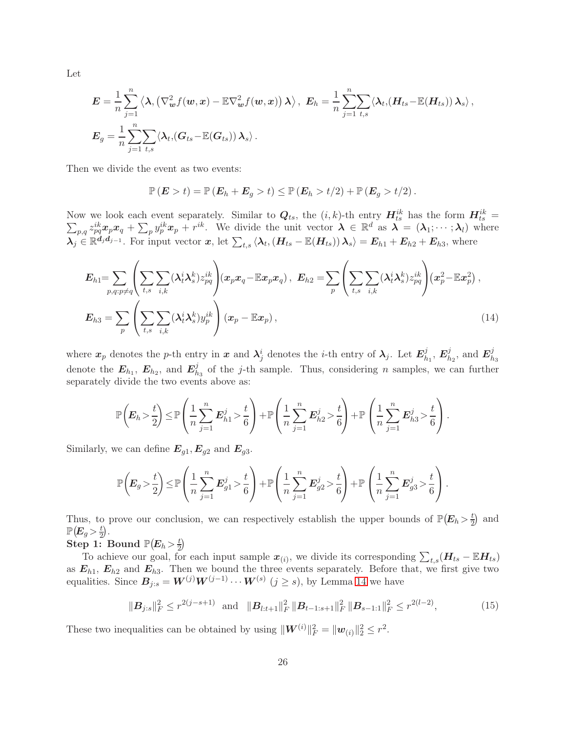Let

$$
\mathbf{E} = \frac{1}{n} \sum_{j=1}^{n} \left\langle \mathbf{\lambda}, \left( \nabla_{\boldsymbol{w}}^{2} f(\boldsymbol{w}, \boldsymbol{x}) - \mathbb{E} \nabla_{\boldsymbol{w}}^{2} f(\boldsymbol{w}, \boldsymbol{x}) \right) \boldsymbol{\lambda} \right\rangle, \ \ \mathbf{E}_{h} = \frac{1}{n} \sum_{j=1}^{n} \sum_{t,s} \left\langle \mathbf{\lambda}_{t}, (\boldsymbol{H}_{ts} - \mathbb{E}(\boldsymbol{H}_{ts})) \mathbf{\lambda}_{s} \right\rangle,
$$

$$
\mathbf{E}_{g} = \frac{1}{n} \sum_{j=1}^{n} \sum_{t,s} \left\langle \mathbf{\lambda}_{t}, (\boldsymbol{G}_{ts} - \mathbb{E}(\boldsymbol{G}_{ts})) \mathbf{\lambda}_{s} \right\rangle.
$$

Then we divide the event as two events:

<span id="page-25-1"></span>
$$
\mathbb{P}\left(\boldsymbol{E} > t\right) = \mathbb{P}\left(\boldsymbol{E}_h + \boldsymbol{E}_g > t\right) \leq \mathbb{P}\left(\boldsymbol{E}_h > t/2\right) + \mathbb{P}\left(\boldsymbol{E}_g > t/2\right).
$$

Now we look each event separately. Similar to  $Q_{ts}$ , the  $(i, k)$ -th entry  $H_{ts}^{ik}$  has the form  $H_{ts}^{ik}$  $\sum$  $\frac{ik}{ts} =$  $p_{p,q} z_{pq}^{ik} x_p x_q + \sum_p y_p^{ik} x_p + r^{ik}$ . We divide the unit vector  $\boldsymbol{\lambda} \in \mathbb{R}^d$  as  $\boldsymbol{\lambda} = (\lambda_1; \cdots; \lambda_l)$  where  $\lambda_j \in \mathbb{R}^{d_j d_{j-1}}$ . For input vector  $x$ , let  $\sum_{t,s} \langle \lambda_t, (H_{ts} - \mathbb{E}(H_{ts})) \lambda_s \rangle = E_{h1} + E_{h2} + E_{h3}$ , where

$$
E_{h1} = \sum_{p,q:p\neq q} \left( \sum_{t,s} \sum_{i,k} (\lambda_t^i \lambda_s^k) z_{pq}^{ik} \right) (x_p x_q - \mathbb{E} x_p x_q), \quad E_{h2} = \sum_p \left( \sum_{t,s} \sum_{i,k} (\lambda_t^i \lambda_s^k) z_{pq}^{ik} \right) (x_p^2 - \mathbb{E} x_p^2),
$$

$$
E_{h3} = \sum_p \left( \sum_{t,s} \sum_{i,k} (\lambda_t^i \lambda_s^k) y_p^{ik} \right) (x_p - \mathbb{E} x_p), \tag{14}
$$

where  $x_p$  denotes the p-th entry in  $x$  and  $\lambda_j^i$  denotes the *i*-th entry of  $\lambda_j$ . Let  $E_h^j$  $_{h_1}^j,\, \boldsymbol{E}_h^j$  $\frac{j}{h_2}$ , and  $\boldsymbol{E}_h^j$  $_{h_3}$ denote the  $E_{h_1}$ ,  $E_{h_2}$ , and  $E_h^j$  $h_3$  of the j-th sample. Thus, considering *n* samples, we can further separately divide the two events above as:

$$
\mathbb{P}\left(E_h > \frac{t}{2}\right) \le \mathbb{P}\left(\frac{1}{n}\sum_{j=1}^n E_{h1}^j > \frac{t}{6}\right) + \mathbb{P}\left(\frac{1}{n}\sum_{j=1}^n E_{h2}^j > \frac{t}{6}\right) + \mathbb{P}\left(\frac{1}{n}\sum_{j=1}^n E_{h3}^j > \frac{t}{6}\right).
$$

Similarly, we can define  $E_{g1}, E_{g2}$  and  $E_{g3}$ .

$$
\mathbb{P}\left(E_g > \frac{t}{2}\right) \le \mathbb{P}\left(\frac{1}{n}\sum_{j=1}^n E_{g1}^j > \frac{t}{6}\right) + \mathbb{P}\left(\frac{1}{n}\sum_{j=1}^n E_{g2}^j > \frac{t}{6}\right) + \mathbb{P}\left(\frac{1}{n}\sum_{j=1}^n E_{g3}^j > \frac{t}{6}\right).
$$

Thus, to prove our conclusion, we can respectively establish the upper bounds of  $\mathbb{P}(E_h > \frac{t}{2})$  $(\frac{t}{2})$  and  $\mathbb{P}\big(\!\boldsymbol{E}_g\!>\!\frac{t}{2}$  $\frac{t}{2}$ .

Step 1: Bound  $\mathbb{P}(E_h > \frac{t}{2})$  $rac{t}{2}$ 

To achieve our goal, for each input sample  $x_{(i)}$ , we divide its corresponding  $\sum_{t,s}(H_{ts} - \mathbb{E}H_{ts})$ as  $E_{h1}$ ,  $E_{h2}$  and  $E_{h3}$ . Then we bound the three events separately. Before that, we first give two equalities. Since  $B_{j:s} = W^{(j)}W^{(j-1)} \cdots W^{(s)}$   $(j \ge s)$ , by Lemma [14](#page-17-2) we have

<span id="page-25-0"></span>
$$
\|\mathbf{B}_{j:s}\|_{F}^{2} \leq r^{2(j-s+1)} \quad \text{and} \quad \|\mathbf{B}_{l:t+1}\|_{F}^{2} \|\mathbf{B}_{t-1:s+1}\|_{F}^{2} \|\mathbf{B}_{s-1:1}\|_{F}^{2} \leq r^{2(l-2)},
$$
\n(15)

These two inequalities can be obtained by using  $\|\mathbf{W}^{(i)}\|_F^2 = \|\mathbf{w}_{(i)}\|_2^2 \leq r^2$ .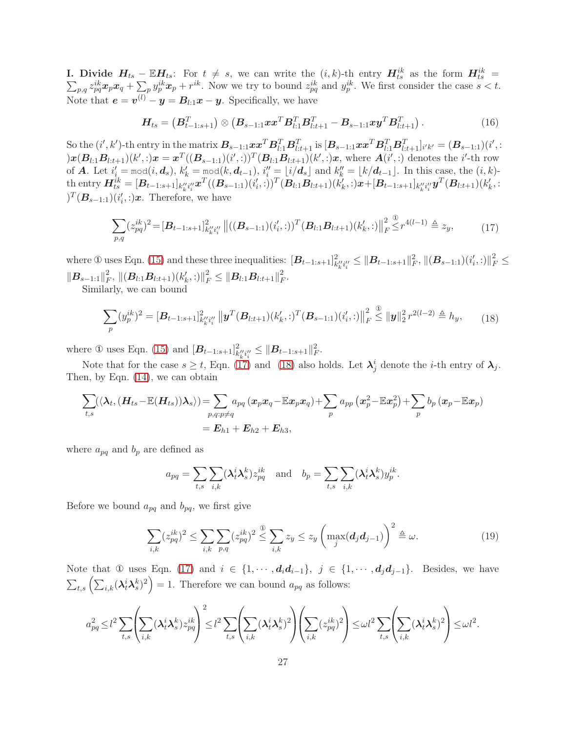**I.** Divide  $H_{ts} - \mathbb{E}H_{ts}$ : For  $t \neq s$ , we can write the  $(i, k)$ -th entry  $H_{ts}^{ik}$  as the form  $H_{ts}^{ik}$  $\sum$  $\frac{ik}{ts} =$  $p_{pq} z_{pq}^{ik} x_p x_q + \sum_p y_p^{ik} x_p + r^{ik}$ . Now we try to bound  $z_{pq}^{ik}$  and  $y_p^{ik}$ . We first consider the case  $s < t$ . Note that  $e = v^{(l)} - y = B_{l:1}x - y$ . Specifically, we have

<span id="page-26-0"></span>
$$
H_{ts} = (B_{t-1:s+1}^T) \otimes (B_{s-1:1}xx^T B_{l:1}^T B_{l:t+1}^T - B_{s-1:1}xy^T B_{l:t+1}^T). \qquad (16)
$$

 $S$ o the  $(i', k')$ -th entry in the matrix  $B_{s-1:1}xx^T B_{l:1}^T B_{l:t+1}^T$  is  $[B_{s-1:1}xx^T B_{l:1}^T B_{l:t+1}^T]_{i'k'} = (B_{s-1:1})(i';$  $(x) = \sum_{l=1}^{n} (B_{l+1}) (k',t) x = x^T ((B_{s-1:1}) (i',t))^T (B_{l+1} B_{l:t+1}) (k',t) x$ , where  $A(i',t)$  denotes the *i*'-th row of **A**. Let  $i'_i = \text{mod}(i, d_s)$ ,  $k'_k = \text{mod}(k, d_{t-1})$ ,  $i''_i = \lfloor i/d_s \rfloor$  and  $k''_k = \lfloor k/d_{t-1} \rfloor$ . In this case, the  $(i, k)$ - $\text{that}\ \text{that}\ \textbf{H}_{ts}^{ik}=[\textbf{B}_{t-1:s+1}]_{k''_ki''_i}x^T((\textbf{B}_{s-1:1})(i'_i,:))^T(\textbf{B}_{l:1}\textbf{B}_{l:t+1})(k'_k,:)\textbf{x}+[\textbf{B}_{t-1:s+1}]_{k''_ki''_i}y^T(\textbf{B}_{l:t+1})(k'_k,:)\textbf{B}_{l:t+1}$  $(T(\mathbf{B}_{s-1:1})(i'_{i,:})x)$ . Therefore, we have

$$
\sum_{p,q} (z_{pq}^{ik})^2 = [\mathbf{B}_{t-1:s+1}]_{k''_k i''_i}^{2} ||((\mathbf{B}_{s-1:1})(i'_i,:))^T (\mathbf{B}_{l:1} \mathbf{B}_{l:t+1})(k'_k,:)||_F^2 \leq r^{4(l-1)} \triangleq z_y,
$$
\n(17)

where  $\mathbb D$  uses Eqn. [\(15\)](#page-25-0) and these three inequalities:  $[\mathbf B_{t-1:s+1}]_{k''_k i''_i}^2 \leq {\|\mathbf B_{t-1:s+1}\|_F^2}, {\|(\mathbf B_{s-1:1})(i'_i,:)\|_F^2} \leq {\|\mathbf B_{t-1:s+1}\|_F^2},$  $\|\boldsymbol{B}_{s-1:1}\|_F^2$  $\|_{F}^{2},\,\|( \boldsymbol{B}_{l:1}\boldsymbol{B}_{l:t+1})(k_{k}',:) \|_{F}^{2} \leq \| \boldsymbol{B}_{l:1}\boldsymbol{B}_{l:t+1} \|_{F}^{2}$  $_F^2$ .

Similarly, we can bound

<span id="page-26-1"></span>
$$
\sum_{p} (y_p^{ik})^2 = [\mathbf{B}_{t-1:s+1}]_{k_k'' i_l''}^2 \left\| \mathbf{y}^T (\mathbf{B}_{l:t+1}) (k_k', \cdot)^T (\mathbf{B}_{s-1:1}) (i_i', \cdot) \right\|_F^2 \leq \| \mathbf{y} \|_2^2 r^{2(l-2)} \triangleq h_y,
$$
 (18)

where ① uses Eqn. [\(15\)](#page-25-0) and  $[B_{t-1:s+1}]_{k''_k i''_i}^2 \leq \|B_{t-1:s+1}\|_F^2$ .

Note that for the case  $s \ge t$ , Eqn. [\(17\)](#page-26-0) and [\(18\)](#page-26-1) also holds. Let  $\lambda_j^i$  denote the *i*-th entry of  $\lambda_j$ . Then, by Eqn. [\(14\)](#page-25-1), we can obtain

$$
\sum_{t,s} (\langle \lambda_t, (\boldsymbol{H}_{ts} - \mathbb{E}(\boldsymbol{H}_{ts})) \lambda_s \rangle) = \sum_{p,q: p \neq q} a_{pq} (x_p x_q - \mathbb{E} x_p x_q) + \sum_p a_{pp} (x_p^2 - \mathbb{E} x_p^2) + \sum_p b_p (x_p - \mathbb{E} x_p)
$$
  
=  $\boldsymbol{E}_{h1} + \boldsymbol{E}_{h2} + \boldsymbol{E}_{h3}$ ,

where  $a_{pq}$  and  $b_p$  are defined as

$$
a_{pq} = \sum_{t,s} \sum_{i,k} (\lambda_t^i \lambda_s^k) z_{pq}^{ik} \text{ and } b_p = \sum_{t,s} \sum_{i,k} (\lambda_t^i \lambda_s^k) y_p^{ik}.
$$

Before we bound  $a_{pq}$  and  $b_{pq}$ , we first give

$$
\sum_{i,k} (z_{pq}^{ik})^2 \le \sum_{i,k} \sum_{p,q} (z_{pq}^{ik})^2 \stackrel{\textcircled{d}}{\le} \sum_{i,k} z_y \le z_y \left( \max_j (d_j d_{j-1}) \right)^2 \stackrel{\textcircled{d}}{\le} \omega. \tag{19}
$$

Note that ① uses Eqn. [\(17\)](#page-26-0) and  $i \in \{1, \dots, d_i d_{i-1}\}, j \in \{1, \dots, d_j d_{j-1}\}.$  Besides, we have  $\sum_{t,s} \left( \sum_{i,k} (\lambda_t^i \lambda_s^k)^2 \right) = 1$ . Therefore we can bound  $a_{pq}$  as follows:

$$
a_{pq}^2 \leq l^2 \sum_{t,s} \left( \sum_{i,k} (\lambda_t^i \lambda_s^k) z_{pq}^{ik} \right)^2 \leq l^2 \sum_{t,s} \left( \sum_{i,k} (\lambda_t^i \lambda_s^k)^2 \right) \left( \sum_{i,k} (z_{pq}^{ik})^2 \right) \leq \omega l^2 \sum_{t,s} \left( \sum_{i,k} (\lambda_t^i \lambda_s^k)^2 \right) \leq \omega l^2.
$$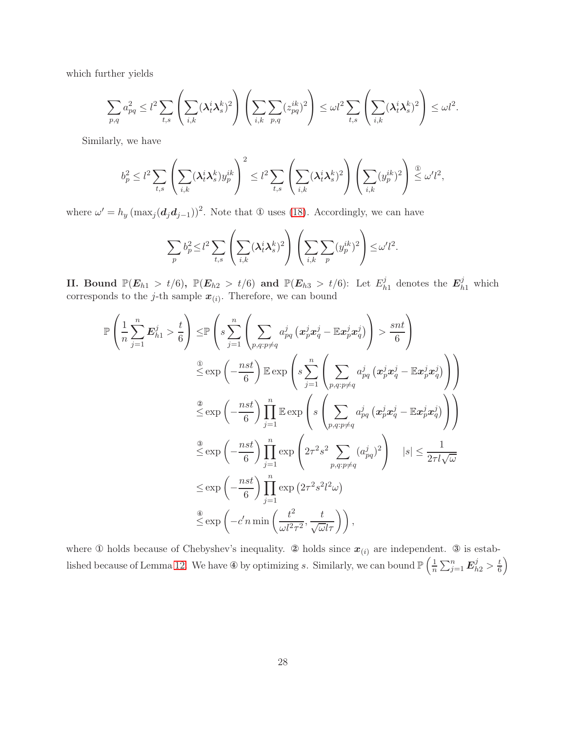which further yields

$$
\sum_{p,q} a_{pq}^2 \le l^2 \sum_{t,s} \left( \sum_{i,k} (\lambda_t^i \lambda_s^k)^2 \right) \left( \sum_{i,k} \sum_{p,q} (z_{pq}^{ik})^2 \right) \le \omega l^2 \sum_{t,s} \left( \sum_{i,k} (\lambda_t^i \lambda_s^k)^2 \right) \le \omega l^2.
$$

Similarly, we have

$$
b_p^2 \le l^2 \sum_{t,s} \left( \sum_{i,k} (\lambda_t^i \lambda_s^k) y_p^{ik} \right)^2 \le l^2 \sum_{t,s} \left( \sum_{i,k} (\lambda_t^i \lambda_s^k)^2 \right) \left( \sum_{i,k} (y_p^{ik})^2 \right) \stackrel{\textcircled{\tiny $\mathfrak{D}$}}{\leq} \omega' l^2,
$$

where  $\omega' = h_y \left( \max_j (\boldsymbol{d}_j \boldsymbol{d}_{j-1}) \right)^2$ . Note that  $\Phi$  uses [\(18\)](#page-26-1). Accordingly, we can have

$$
\sum_{p} b_p^2 \le l^2 \sum_{t,s} \left( \sum_{i,k} (\lambda_t^i \lambda_s^k)^2 \right) \left( \sum_{i,k} \sum_{p} (y_p^{ik})^2 \right) \le \omega' l^2.
$$

II. Bound  $\mathbb{P}(E_{h1} > t/6), \; \mathbb{P}(E_{h2} > t/6) \; \text{and} \; \mathbb{P}(E_{h3} > t/6)$ : Let  $E_h^j$  $\mathbf{E}_{h1}^j$  denotes the  $\mathbf{E}_{h1}^j$  which corresponds to the *j*-th sample  $x_{(i)}$ . Therefore, we can bound

$$
\mathbb{P}\left(\frac{1}{n}\sum_{j=1}^{n}E_{h1}^{j} > \frac{t}{6}\right) \leq \mathbb{P}\left(s\sum_{j=1}^{n}\left(\sum_{p,q:p\neq q}a_{pq}^{j}\left(x_{p}^{j}x_{q}^{j}-\mathbb{E}x_{p}^{j}x_{q}^{j}\right)\right) > \frac{snt}{6}\right)
$$
\n
$$
\stackrel{\textcircled{\tiny 2}}{\leq}\n\exp\left(-\frac{nst}{6}\right)\mathbb{E}\exp\left(s\sum_{j=1}^{n}\left(\sum_{p,q:p\neq q}a_{pq}^{j}\left(x_{p}^{j}x_{q}^{j}-\mathbb{E}x_{p}^{j}x_{q}^{j}\right)\right)\right)
$$
\n
$$
\stackrel{\textcircled{\tiny 2}}{\leq}\n\exp\left(-\frac{nst}{6}\right)\prod_{j=1}^{n}\mathbb{E}\exp\left(s\left(\sum_{p,q:p\neq q}a_{pq}^{j}\left(x_{p}^{j}x_{q}^{j}-\mathbb{E}x_{p}^{j}x_{q}^{j}\right)\right)\right)
$$
\n
$$
\stackrel{\textcircled{\tiny 3}}{\leq}\n\exp\left(-\frac{nst}{6}\right)\prod_{j=1}^{n}\exp\left(2\tau^{2}s^{2}\sum_{p,q:p\neq q}(a_{pq}^{j})^{2}\right) \quad |s|\leq\frac{1}{2\tau l\sqrt{\omega}}
$$
\n
$$
\leq\exp\left(-\frac{nst}{6}\right)\prod_{j=1}^{n}\exp\left(2\tau^{2}s^{2}l^{2}\omega\right)
$$
\n
$$
\stackrel{\textcircled{\tiny 4}}{\leq}\n\exp\left(-c'n\min\left(\frac{t^{2}}{\omega l^{2}\tau^{2}},\frac{t}{\sqrt{\omega}l\tau}\right)\right),
$$

where  $\Phi$  holds because of Chebyshev's inequality.  $\Phi$  holds since  $x_{(i)}$  are independent.  $\Phi$  is estab-lished because of Lemma [12.](#page-17-3) We have  $\Phi$  by optimizing s. Similarly, we can bound  $\mathbb{P}\left(\frac{1}{n}\right)$  $\frac{1}{n}\sum_{j=1}^n \boldsymbol{E}_{h2}^j > \frac{t}{6}$  $\left(\frac{t}{6}\right)$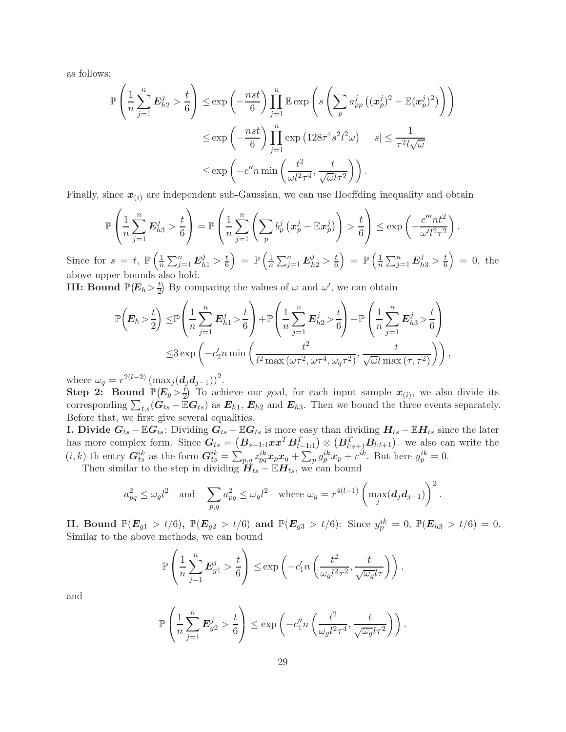as follows:

$$
\mathbb{P}\left(\frac{1}{n}\sum_{j=1}^{n}\mathbf{E}_{h2}^{j} > \frac{t}{6}\right) \leq \exp\left(-\frac{nst}{6}\right) \prod_{j=1}^{n} \mathbb{E} \exp\left(s\left(\sum_{p} a_{pp}^{j} \left((\mathbf{x}_{p}^{j})^{2} - \mathbb{E}(\mathbf{x}_{p}^{j})^{2}\right)\right)\right)
$$

$$
\leq \exp\left(-\frac{nst}{6}\right) \prod_{j=1}^{n} \exp\left(128\tau^{4} s^{2} l^{2} \omega\right) \quad |s| \leq \frac{1}{\tau^{2} l \sqrt{\omega}}
$$

$$
\leq \exp\left(-c'' n \min\left(\frac{t^{2}}{\omega l^{2} \tau^{4}}, \frac{t}{\sqrt{\omega} l \tau^{2}}\right)\right).
$$

Finally, since  $x_{(i)}$  are independent sub-Gaussian, we can use Hoeffding inequality and obtain

$$
\mathbb{P}\left(\frac{1}{n}\sum_{j=1}^{n}\boldsymbol{E}_{h3}^{j} > \frac{t}{6}\right) = \mathbb{P}\left(\frac{1}{n}\sum_{j=1}^{n}\left(\sum_{p} b_{p}^{j}\left(\boldsymbol{x}_{p}^{j}-\mathbb{E}\boldsymbol{x}_{p}^{j}\right)\right) > \frac{t}{6}\right) \leq \exp\left(-\frac{c'''nt^{2}}{\omega'l^{2}\tau^{2}}\right).
$$
\n
$$
\mathbb{E}[S_{h} = t, \mathbb{P}\left(\frac{1}{n}\sum_{p} \mathbf{E}_{h3}^{j} > t\right) = \mathbb{P}\left(\frac{1}{n}\sum_{p} \mathbf{E}_{h3}^{j} > t\right) = \mathbb{P}\left(\frac{1}{n}\sum_{p} \mathbf{E}_{h3}^{j} > t\right) = 0.
$$

Since for  $s = t$ ,  $\mathbb{P}\left(\frac{1}{n}\right)$  $\frac{1}{n}\sum_{j=1}^n E_{h1}^j > \frac{t}{6}$  $\left(\frac{t}{6}\right)$  =  $\mathbb{P}\left(\frac{1}{n}\right)$  $\frac{1}{n}\sum_{j=1}^n E_{h2}^j > \frac{t}{6}$  $\left(\frac{t}{6}\right)$  =  $\mathbb{P}\left(\frac{1}{n}\right)$  $\frac{1}{n}\sum_{j=1}^n E_{h3}^j > \frac{t}{6}$  $\left(\frac{t}{6}\right) = 0$ , the above upper bounds also hold.

III: Bound  $\mathbb{P}\big(E_h\!>\!\frac{t}{2}$  $\frac{t}{2}$  By comparing the values of  $\omega$  and  $\omega'$ , we can obtain

$$
\mathbb{P}\left(E_h > \frac{t}{2}\right) \leq \mathbb{P}\left(\frac{1}{n}\sum_{j=1}^n E_{h1}^j > \frac{t}{6}\right) + \mathbb{P}\left(\frac{1}{n}\sum_{j=1}^n E_{h2}^j > \frac{t}{6}\right) + \mathbb{P}\left(\frac{1}{n}\sum_{j=1}^n E_{h3}^j > \frac{t}{6}\right)
$$
  

$$
\leq 3 \exp\left(-c_2' n \min\left(\frac{t^2}{l^2 \max\left(\omega \tau^2, \omega \tau^4, \omega_q \tau^2\right)}, \frac{t}{\sqrt{\omega}l \max\left(\tau, \tau^2\right)}\right)\right),
$$

where  $\omega_q = r^{2(l-2)} (\max_j (\mathbf{d}_j \mathbf{d}_{j-1}))^2$ .

**Step 2:** Bound  $\mathbb{P}(E_g > \frac{t}{2})$  To achieve our goal, for each input sample  $x_{(i)}$ , we also divide its corresponding  $\sum_{t,s}(\hat{G}_{ts} - \mathbb{E}G_{ts})$  as  $E_{h1}$ ,  $E_{h2}$  and  $E_{h3}$ . Then we bound the three events separately. Before that, we first give several equalities.

**I. Divide**  $G_{ts} - \mathbb{E}G_{ts}$ **:** Dividing  $G_{ts} - \mathbb{E}G_{ts}$  is more easy than dividing  $H_{ts} - \mathbb{E}H_{ts}$  since the later has more complex form. Since  $G_{ts} = (B_{s-1,1}xx^T B_{t-1,1}^T) \otimes (B_{t,s+1}^T B_{t:t+1})$ , we also can write the  $(i,k)$ -th entry  $G_{ts}^{ik}$  as the form  $G_{ts}^{ik} = \sum_{p,q} z_{pq}^{ik} x_p x_q + \sum_p y_p^{ik} x_p + r^{ik}$ . But here  $y_p^{ik} = 0$ . Then similar to the step in dividing  $\mathbf{H}_{ts} - \mathbb{E} \mathbf{H}_{ts}$ , we can bound

$$
a_{pq}^2 \leq \omega_g l^2
$$
 and  $\sum_{p,q} a_{pq}^2 \leq \omega_g l^2$  where  $\omega_g = r^{4(l-1)} \left( \max_j (\boldsymbol{d}_j \boldsymbol{d}_{j-1}) \right)^2$ .

**II.** Bound  $\mathbb{P}(E_{g1} > t/6)$ ,  $\mathbb{P}(E_{g2} > t/6)$  and  $\mathbb{P}(E_{g3} > t/6)$ : Since  $y_p^{ik} = 0$ ,  $\mathbb{P}(E_{h3} > t/6) = 0$ . Similar to the above methods, we can bound

$$
\mathbb{P}\left(\frac{1}{n}\sum_{j=1}^n \mathbf{E}_{g1}^j > \frac{t}{6}\right) \le \exp\left(-c_1'n\left(\frac{t^2}{\omega_g l^2 \tau^2}, \frac{t}{\sqrt{\omega_g l \tau}}\right)\right),
$$

and

$$
\mathbb{P}\left(\frac{1}{n}\sum_{j=1}^n \mathbf{E}_{g2}^j > \frac{t}{6}\right) \le \exp\left(-c_1'' n\left(\frac{t^2}{\omega_g l^2 \tau^4}, \frac{t}{\sqrt{\omega_g l \tau^2}}\right)\right).
$$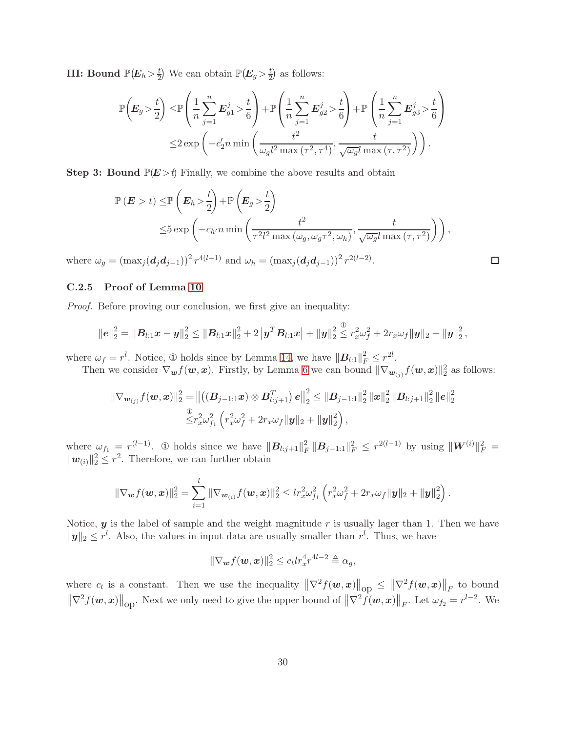**III:** Bound  $\mathbb{P}(E_h > \frac{t}{2})$  We can obtain  $\mathbb{P}(E_g > \frac{t}{2})$  as follows:

$$
\mathbb{P}\left(E_g > \frac{t}{2}\right) \leq \mathbb{P}\left(\frac{1}{n}\sum_{j=1}^n E_{g1}^j > \frac{t}{6}\right) + \mathbb{P}\left(\frac{1}{n}\sum_{j=1}^n E_{g2}^j > \frac{t}{6}\right) + \mathbb{P}\left(\frac{1}{n}\sum_{j=1}^n E_{g3}^j > \frac{t}{6}\right) \leq 2 \exp\left(-c_2' n \min\left(\frac{t^2}{\omega_g l^2 \max\left(\tau^2, \tau^4\right)}, \frac{t}{\sqrt{\omega_g} l \max\left(\tau, \tau^2\right)}\right)\right).
$$

**Step 3: Bound**  $\mathbb{P}(E > t)$  Finally, we combine the above results and obtain

$$
\mathbb{P}\left(E > t\right) \leq \mathbb{P}\left(E_h > \frac{t}{2}\right) + \mathbb{P}\left(E_g > \frac{t}{2}\right)
$$
  

$$
\leq 5 \exp\left(-c_{h'} n \min\left(\frac{t^2}{\tau^2 l^2 \max\left(\omega_g, \omega_g \tau^2, \omega_h\right)}, \frac{t}{\sqrt{\omega_g} l \max\left(\tau, \tau^2\right)}\right)\right),
$$

 $\Box$ 

where  $\omega_g = (\max_j (\boldsymbol{d}_j \boldsymbol{d}_{j-1}))^2 r^{4(l-1)}$  and  $\omega_h = (\max_j (\boldsymbol{d}_j \boldsymbol{d}_{j-1}))^2 r^{2(l-2)}$ .

# C.2.5 Proof of Lemma [10](#page-17-4)

*Proof.* Before proving our conclusion, we first give an inequality:

$$
\|\boldsymbol{e}\|_2^2 = \|\boldsymbol{B}_{l:1}\boldsymbol{x}-\boldsymbol{y}\|_2^2 \leq \|\boldsymbol{B}_{l:1}\boldsymbol{x}\|_2^2 + 2\left|\boldsymbol{y}^T\boldsymbol{B}_{l:1}\boldsymbol{x}\right| + \|\boldsymbol{y}\|_2^2 \overset{\textcircled{\tiny 2}}{\leq} r_x^2\omega_f^2 + 2r_x\omega_f \|\boldsymbol{y}\|_2 + \|\boldsymbol{y}\|_2^2,
$$

where  $\omega_f = r^l$ . Notice,  $\Phi$  holds since by Lemma [14,](#page-17-2) we have  $||\mathbf{B}_{l:1}||_F^2 \leq r^{2l}$ .

Then we consider  $\nabla_{\bm{w}} f(\bm{w}, \bm{x})$ . Firstly, by Lemma [6](#page-16-0) we can bound  $\|\nabla_{\bm{w}_{(j)}} f(\bm{w}, \bm{x})\|_2^2$  as follows:

$$
\|\nabla_{\boldsymbol{w}_{(j)}} f(\boldsymbol{w}, \boldsymbol{x})\|_2^2 = \left\| \left( (\boldsymbol{B}_{j-1:1} \boldsymbol{x}) \otimes \boldsymbol{B}_{l:j+1}^T \right) \boldsymbol{e} \right\|_2^2 \leq \|\boldsymbol{B}_{j-1:1}\|_2^2 \|\boldsymbol{x}\|_2^2 \|\boldsymbol{B}_{l:j+1}\|_2^2 \|\boldsymbol{e}\|_2^2
$$
  

$$
\overset{\textcircled{\textstyle $ \leq$}}{\leq} r_{x}^2 \omega_{f_1}^2 \left( r_{x}^2 \omega_{f}^2 + 2r_{x} \omega_{f} \|\boldsymbol{y}\|_2 + \|\boldsymbol{y}\|_2^2 \right),
$$

where  $\omega_{f_1} = r^{(l-1)}$ . ① holds since we have  $||\mathbf{B}_{l:j+1}||_F^2$  $\frac{2}{F} \|\mathbf{B}_{j-1:1}\|_F^2 \leq r^{2(l-1)}$  by using  $\|\mathbf{W}^{(i)}\|_F^2 =$  $\|\mathbf{w}_{(i)}\|_2^2 \leq r^2$ . Therefore, we can further obtain

$$
\|\nabla_{\boldsymbol{w}}f(\boldsymbol{w},\boldsymbol{x})\|_2^2 = \sum_{i=1}^l \|\nabla_{\boldsymbol{w}_{(i)}}f(\boldsymbol{w},\boldsymbol{x})\|_2^2 \leq lr_x^2\omega_{f_1}^2 \left(r_x^2\omega_f^2 + 2r_x\omega_f \|\boldsymbol{y}\|_2 + \|\boldsymbol{y}\|_2^2\right).
$$

Notice,  $y$  is the label of sample and the weight magnitude  $r$  is usually lager than 1. Then we have  $\|\mathbf{y}\|_2 \leq r^l$ . Also, the values in input data are usually smaller than  $r^l$ . Thus, we have

$$
\|\nabla_{\boldsymbol{w}}f(\boldsymbol{w},\boldsymbol{x})\|_2^2 \leq c_t lr_x^4 r^{4l-2} \triangleq \alpha_g,
$$

where  $c_t$  is a constant. Then we use the inequality  $\|\nabla^2 f(\boldsymbol{w}, \boldsymbol{x})\|_{\text{op}} \leq \|\nabla^2 f(\boldsymbol{w}, \boldsymbol{x})\|_F$  to bound  $\|\nabla^2 f(\boldsymbol{w}, \boldsymbol{x})\|_{\text{op}}$ . Next we only need to give the upper bound of  $\|\nabla^2 f(\boldsymbol{w}, \boldsymbol{x})\|_F$ . Let  $\omega_{f_2} = r^{l-2}$ . We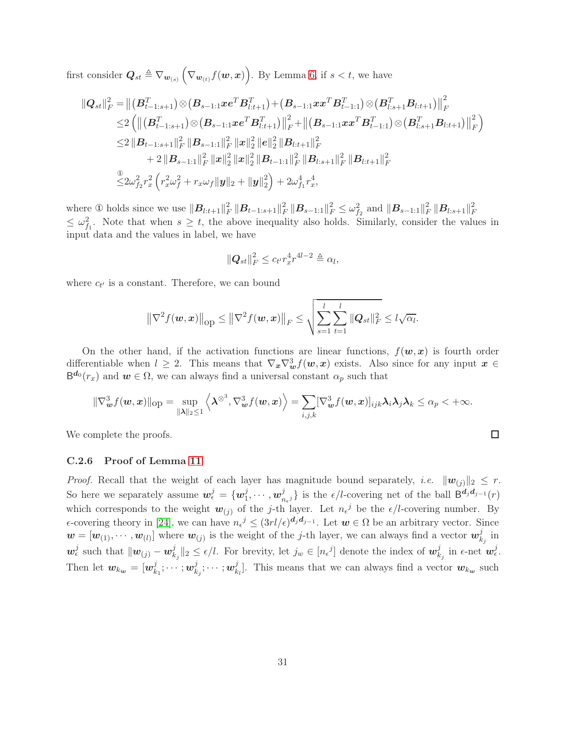first consider  $\mathbf{Q}_{st} \triangleq \nabla_{\mathbf{w}_{(s)}} (\nabla_{\mathbf{w}_{(t)}} f(\mathbf{w}, \mathbf{x}))$ . By Lemma [6,](#page-16-0) if  $s < t$ , we have

$$
\begin{aligned}\n\|Q_{st}\|_F^2 &= \left\|(B_{t-1:s+1}^T)\otimes (B_{s-1:1} x e^T B_{l:t+1}^T) + (B_{s-1:1} x x^T B_{t-1:1}^T)\otimes (B_{l:s+1}^T B_{l:t+1})\right\|_F^2 \\
&\leq & 2\left(\left\|(B_{t-1:s+1}^T)\otimes (B_{s-1:1} x e^T B_{l:t+1}^T)\right\|_F^2 + \left\|(B_{s-1:1} x x^T B_{t-1:1}^T)\otimes (B_{l:s+1}^T B_{l:t+1})\right\|_F^2\right) \\
&\leq & 2\left\|B_{t-1:s+1}\right\|_F^2 \left\|B_{s-1:1}\right\|_F^2 \left\|x\right\|_2^2 \left\|e\right\|_2^2 \left\|B_{l:t+1}\right\|_F^2 \\
&\quad + 2\left\|B_{s-1:1}\right\|_F^2 \left\|x\right\|_2^2 \left\|B_{t-1:1}\right\|_F^2 \left\|B_{l:s+1}\right\|_F^2 \left\|B_{l:t+1}\right\|_F^2 \\
&\leq & 2\omega_{f_2}^2 r_x^2 \left(r_x^2 \omega_f^2 + r_x \omega_f \|y\|_2 + \|y\|_2^2\right) + 2\omega_{f_1}^4 r_x^4,\n\end{aligned}
$$

where  $\Phi$  holds since we use  $||B_{l:t+1}||_F^2$  $\frac{2}{F}\left\Vert \boldsymbol{B}_{t-1:s+1}\right\Vert _{F}^{2}$  $\frac{2}{F} \left\| \boldsymbol{B}_{s-1:1} \right\|_F^2 \leq \omega_{f_2}^2 \text{ and } \left\| \boldsymbol{B}_{s-1:1} \right\|_F^2$  $\frac{2}{F}\left\|\boldsymbol{B}_{l:s+1}\right\|_{F}^{2}$ F  $\leq \omega_{f_1}^2$ . Note that when  $s \geq t$ , the above inequality also holds. Similarly, consider the values in input data and the values in label, we have

$$
\|\mathbf{Q}_{st}\|_F^2 \le c_{t'} r_x^4 r^{4l-2} \triangleq \alpha_l,
$$

where  $c_{t'}$  is a constant. Therefore, we can bound

$$
\left\|\nabla^2 f(\mathbf{w}, \mathbf{x})\right\|_{\text{op}} \le \left\|\nabla^2 f(\mathbf{w}, \mathbf{x})\right\|_{F} \le \sqrt{\sum_{s=1}^l \sum_{t=1}^l \|Q_{st}\|_{F}^2} \le l\sqrt{\alpha_l}.
$$

On the other hand, if the activation functions are linear functions,  $f(w, x)$  is fourth order differentiable when  $l \geq 2$ . This means that  $\nabla_x \nabla_w^3 f(w, x)$  exists. Also since for any input  $x \in$  $B^{d_0}(r_x)$  and  $w \in \Omega$ , we can always find a universal constant  $\alpha_p$  such that

$$
\|\nabla_{\boldsymbol{w}}^3 f(\boldsymbol{w},\boldsymbol{x})\|_{\text{op}} = \sup_{\|\boldsymbol{\lambda}\|_2 \le 1} \left\langle \boldsymbol{\lambda}^{\otimes 3}, \nabla_{\boldsymbol{w}}^3 f(\boldsymbol{w},\boldsymbol{x}) \right\rangle = \sum_{i,j,k} [\nabla_{\boldsymbol{w}}^3 f(\boldsymbol{w},\boldsymbol{x})]_{ijk} \boldsymbol{\lambda}_i \boldsymbol{\lambda}_j \boldsymbol{\lambda}_k \le \alpha_p < +\infty.
$$

 $\Box$ 

We complete the proofs.

#### C.2.6 Proof of Lemma [11](#page-17-5)

*Proof.* Recall that the weight of each layer has magnitude bound separately, *i.e.*  $||\mathbf{w}_{(i)}||_2 \leq r$ . So here we separately assume  $\mathbf{w}_{\epsilon}^{j} = \{ \mathbf{w}_{1}^{j} \}$  $_{1}^{j},\cdots ,w_{n}^{j}$  $\{j}{n_{\epsilon}j}\}$  is the  $\epsilon/l$ -covering net of the ball  $\mathsf{B}^{\mathbf{d}_j\mathbf{d}_{j-1}}(r)$ which corresponds to the weight  $w_{(j)}$  of the j-th layer. Let  $n_{\epsilon}^{j}$  be the  $\epsilon/l$ -covering number. By  $\epsilon$ -covering theory in [\[24\]](#page-12-6), we can have  $n_{\epsilon}^{j} \leq (3rl/\epsilon)^{d_j d_{j-1}}$ . Let  $w \in \Omega$  be an arbitrary vector. Since  $\mathbf{w} = [\mathbf{w}_{(1)}, \cdots, \mathbf{w}_{(l)}]$  where  $\mathbf{w}_{(j)}$  is the weight of the j-th layer, we can always find a vector  $\mathbf{w}_k^j$  $\frac{\jmath}{k_j}$  in  $\boldsymbol{w}_{\epsilon}^j$  such that  $\|\boldsymbol{w}_{(j)} - \boldsymbol{w}_k^j\|$  $\|k_j\|_2 \leq \epsilon/l$ . For brevity, let  $j_w \in [n_{\epsilon}^j]$  denote the index of  $w_k^j$  $\frac{j}{k_j}$  in  $\epsilon$ -net  $\bm{w}_{\epsilon}^j$ . Then let  $w_{k_{w}} = [w_{k}^{j}]$  $_{k_{1}}^{j};\cdots ;$   $\boldsymbol{w}_{k}^{j}$  $_{k_{j}}^{j};\cdots ;w_{k}^{j}$  $\mathcal{L}_{k_l}^j$ . This means that we can always find a vector  $w_{k_w}$  such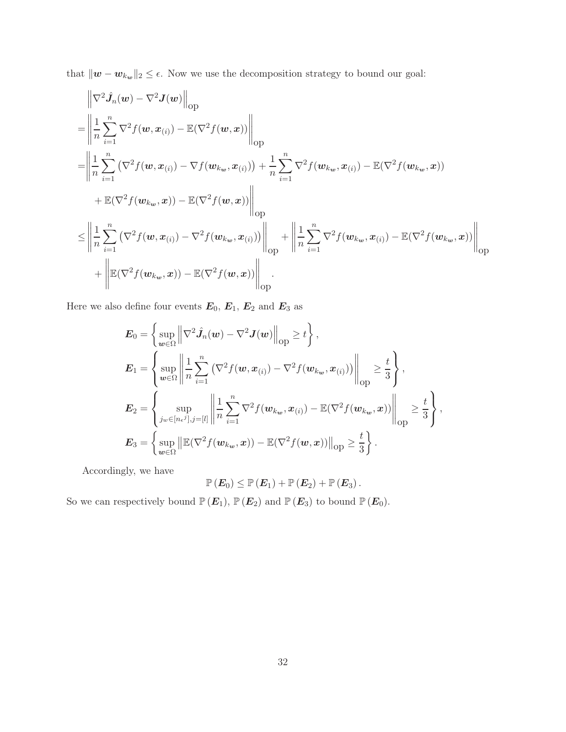that  $\|\boldsymbol{w}-\boldsymbol{w}_{k_{\boldsymbol{w}}}\|_2 \leq \epsilon$ . Now we use the decomposition strategy to bound our goal:

$$
\begin{split}\n&= \left\| \frac{1}{n} \sum_{i=1}^{n} \nabla^{2} f(w, x_{(i)}) - \mathbb{E}(\nabla^{2} f(w, x)) \right\|_{\text{op}} \\
&= \left\| \frac{1}{n} \sum_{i=1}^{n} \nabla^{2} f(w, x_{(i)}) - \mathbb{E}(\nabla^{2} f(w, x)) \right\|_{\text{op}} \\
&= \left\| \frac{1}{n} \sum_{i=1}^{n} \left( \nabla^{2} f(w, x_{(i)}) - \nabla f(w_{k_{w}}, x_{(i)}) \right) + \frac{1}{n} \sum_{i=1}^{n} \nabla^{2} f(w_{k_{w}}, x_{(i)}) - \mathbb{E}(\nabla^{2} f(w_{k_{w}}, x)) \\
&+ \mathbb{E}(\nabla^{2} f(w_{k_{w}}, x)) - \mathbb{E}(\nabla^{2} f(w, x)) \right\|_{\text{op}} \\
&\leq \left\| \frac{1}{n} \sum_{i=1}^{n} \left( \nabla^{2} f(w, x_{(i)}) - \nabla^{2} f(w_{k_{w}}, x_{(i)}) \right) \right\|_{\text{op}} + \left\| \frac{1}{n} \sum_{i=1}^{n} \nabla^{2} f(w_{k_{w}}, x_{(i)}) - \mathbb{E}(\nabla^{2} f(w_{k_{w}}, x)) \right\|_{\text{op}} \\
&+ \left\| \mathbb{E}(\nabla^{2} f(w_{k_{w}}, x)) - \mathbb{E}(\nabla^{2} f(w, x)) \right\|_{\text{op}}.\n\end{split}
$$

Here we also define four events  $\boldsymbol{E}_0, \, \boldsymbol{E}_1, \, \boldsymbol{E}_2$  and  $\boldsymbol{E}_3$  as

$$
\mathbf{E}_0 = \left\{ \sup_{\mathbf{w} \in \Omega} \left\| \nabla^2 \hat{J}_n(\mathbf{w}) - \nabla^2 \mathbf{J}(\mathbf{w}) \right\|_{\text{op}} \ge t \right\},
$$
\n
$$
\mathbf{E}_1 = \left\{ \sup_{\mathbf{w} \in \Omega} \left\| \frac{1}{n} \sum_{i=1}^n \left( \nabla^2 f(\mathbf{w}, \mathbf{x}_{(i)}) - \nabla^2 f(\mathbf{w}_{k_\mathbf{w}}, \mathbf{x}_{(i)}) \right) \right\|_{\text{op}} \ge \frac{t}{3} \right\},
$$
\n
$$
\mathbf{E}_2 = \left\{ \sup_{j_w \in [n_{\epsilon}^j], j = [l]} \left\| \frac{1}{n} \sum_{i=1}^n \nabla^2 f(\mathbf{w}_{k_w}, \mathbf{x}_{(i)}) - \mathbb{E}(\nabla^2 f(\mathbf{w}_{k_w}, \mathbf{x})) \right\|_{\text{op}} \ge \frac{t}{3} \right\},
$$
\n
$$
\mathbf{E}_3 = \left\{ \sup_{\mathbf{w} \in \Omega} \left\| \mathbb{E}(\nabla^2 f(\mathbf{w}_{k_w}, \mathbf{x})) - \mathbb{E}(\nabla^2 f(\mathbf{w}, \mathbf{x})) \right\|_{\text{op}} \ge \frac{t}{3} \right\}.
$$

Accordingly, we have

$$
\mathbb{P}\left(\boldsymbol{E}_0\right)\leq \mathbb{P}\left(\boldsymbol{E}_1\right)+\mathbb{P}\left(\boldsymbol{E}_2\right)+\mathbb{P}\left(\boldsymbol{E}_3\right).
$$

So we can respectively bound  $\mathbb{P} (E_1)$ ,  $\mathbb{P} (E_2)$  and  $\mathbb{P} (E_3)$  to bound  $\mathbb{P} (E_0)$ .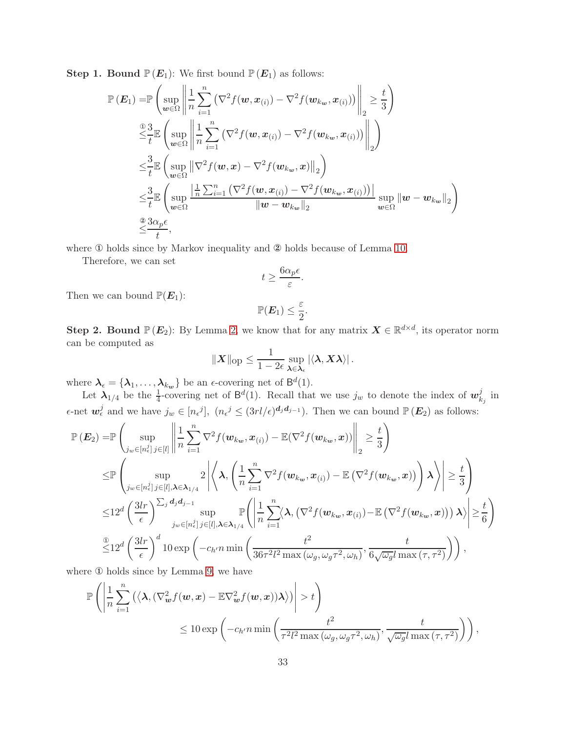**Step 1. Bound**  $\mathbb{P}(E_1)$ : We first bound  $\mathbb{P}(E_1)$  as follows:

$$
\mathbb{P}\left(\mathbf{E}_{1}\right) = \mathbb{P}\left(\sup_{\mathbf{w}\in\Omega}\left\|\frac{1}{n}\sum_{i=1}^{n}\left(\nabla^{2}f(\mathbf{w},\mathbf{x}_{(i)})-\nabla^{2}f(\mathbf{w}_{k_{\mathbf{w}}},\mathbf{x}_{(i)})\right)\right\|_{2} \geq \frac{t}{3}\right)
$$
\n
$$
\leq \frac{3}{t}\mathbb{E}\left(\sup_{\mathbf{w}\in\Omega}\left\|\frac{1}{n}\sum_{i=1}^{n}\left(\nabla^{2}f(\mathbf{w},\mathbf{x}_{(i)})-\nabla^{2}f(\mathbf{w}_{k_{\mathbf{w}}},\mathbf{x}_{(i)})\right)\right\|_{2}\right)
$$
\n
$$
\leq \frac{3}{t}\mathbb{E}\left(\sup_{\mathbf{w}\in\Omega}\left\|\nabla^{2}f(\mathbf{w},\mathbf{x})-\nabla^{2}f(\mathbf{w}_{k_{\mathbf{w}}},\mathbf{x})\right\|_{2}\right)
$$
\n
$$
\leq \frac{3}{t}\mathbb{E}\left(\sup_{\mathbf{w}\in\Omega}\frac{\left|\frac{1}{n}\sum_{i=1}^{n}\left(\nabla^{2}f(\mathbf{w},\mathbf{x}_{(i)})-\nabla^{2}f(\mathbf{w}_{k_{\mathbf{w}}},\mathbf{x}_{(i)})\right)\right|}{\|\mathbf{w}-\mathbf{w}_{k_{\mathbf{w}}}\|_{2}}\right)\sup_{\mathbf{w}\in\Omega}\|\mathbf{w}-\mathbf{w}_{k_{\mathbf{w}}}\|_{2}\right)
$$
\n
$$
\leq \frac{3\alpha_{p}\epsilon}{t},
$$

where ① holds since by Markov inequality and ② holds because of Lemma [10.](#page-17-4)

Therefore, we can set

$$
t \ge \frac{6\alpha_p \epsilon}{\varepsilon}.
$$

Then we can bound  $\mathbb{P}(E_1)$ :

$$
\mathbb{P}(\boldsymbol{E}_1) \leq \frac{\varepsilon}{2}.
$$

**Step 2. Bound**  $\mathbb{P}(E_2)$ : By Lemma [2,](#page-15-1) we know that for any matrix  $X \in \mathbb{R}^{d \times d}$ , its operator norm can be computed as

$$
\|\boldsymbol{X}\|_{\text{op}} \leq \frac{1}{1-2\epsilon} \sup_{\boldsymbol{\lambda} \in \boldsymbol{\lambda}_{\epsilon}} |\langle \boldsymbol{\lambda}, \boldsymbol{X} \boldsymbol{\lambda} \rangle|.
$$

where  $\lambda_{\epsilon} = {\lambda_1, \ldots, \lambda_{k_w}}$  be an  $\epsilon$ -covering net of  $\mathsf{B}^d(1)$ .

Let  $\lambda_{1/4}$  be the  $\frac{1}{4}$ -covering net of  $\mathsf{B}^d(1)$ . Recall that we use  $j_w$  to denote the index of  $\mathbf{w}_k^j$  $\frac{j}{k_j}$  in  $\epsilon$ -net  $\mathbf{w}_{\epsilon}^{j}$  and we have  $j_{w} \in [n_{\epsilon}j], (n_{\epsilon}j \leq (3rl/\epsilon)^{d_j d_{j-1}})$ . Then we can bound  $\mathbb{P}(\mathbf{E}_2)$  as follows:

$$
\mathbb{P}\left(\mathbf{E}_{2}\right) = \mathbb{P}\left(\sup_{j_{w}\in[n_{\epsilon}^{j}]}\left\|\frac{1}{n}\sum_{i=1}^{n}\nabla^{2}f(\mathbf{w}_{k_{w}},\mathbf{x}_{(i)}) - \mathbb{E}(\nabla^{2}f(\mathbf{w}_{k_{w}},\mathbf{x}))\right\|_{2} \geq \frac{t}{3}\right) \n\leq \mathbb{P}\left(\sup_{j_{w}\in[n_{\epsilon}^{j}]}\sup_{j\in[l],\lambda\in\lambda_{1/4}}2\left|\left\langle\lambda,\left(\frac{1}{n}\sum_{i=1}^{n}\nabla^{2}f(\mathbf{w}_{k_{w}},\mathbf{x}_{(i)}) - \mathbb{E}\left(\nabla^{2}f(\mathbf{w}_{k_{w}},\mathbf{x})\right)\right)\lambda\right\rangle\right| \geq \frac{t}{3}\right) \n\leq 12^{d}\left(\frac{3lr}{\epsilon}\right)^{\sum_{j}d_{j}d_{j-1}}\sup_{j_{w}\in[n_{\epsilon}^{j}]}\mathbb{P}\left(\left|\frac{1}{n}\sum_{i=1}^{n}\left\langle\lambda,\left(\nabla^{2}f(\mathbf{w}_{k_{w}},\mathbf{x}_{(i)}) - \mathbb{E}\left(\nabla^{2}f(\mathbf{w}_{k_{w}},\mathbf{x})\right)\right)\lambda\right\rangle\right| \geq \frac{t}{6}\right) \n\leq 12^{d}\left(\frac{3lr}{\epsilon}\right)^{d}10\exp\left(-c_{h'}n\min\left(\frac{t^{2}}{36\tau^{2}l^{2}\max(\omega_{g},\omega_{g}\tau^{2},\omega_{h})},\frac{t}{6\sqrt{\omega_{g}}l\max(\tau,\tau^{2})}\right)\right),
$$

where ① holds since by Lemma [9,](#page-16-3) we have

$$
\mathbb{P}\left(\left|\frac{1}{n}\sum_{i=1}^{n}\left(\left\langle\mathbf{\lambda},\left(\nabla_{\boldsymbol{w}}^{2}f(\boldsymbol{w},\boldsymbol{x})-\mathbb{E}\nabla_{\boldsymbol{w}}^{2}f(\boldsymbol{w},\boldsymbol{x})\right)\lambda\right\rangle\right|\right>t\right) \leq 10 \exp\left(-c_{h'}n\min\left(\frac{t^{2}}{\tau^{2}l^{2}\max\left(\omega_{g},\omega_{g}\tau^{2},\omega_{h}\right)},\frac{t}{\sqrt{\omega_{g}l}\max\left(\tau,\tau^{2}\right)}\right)\right),
$$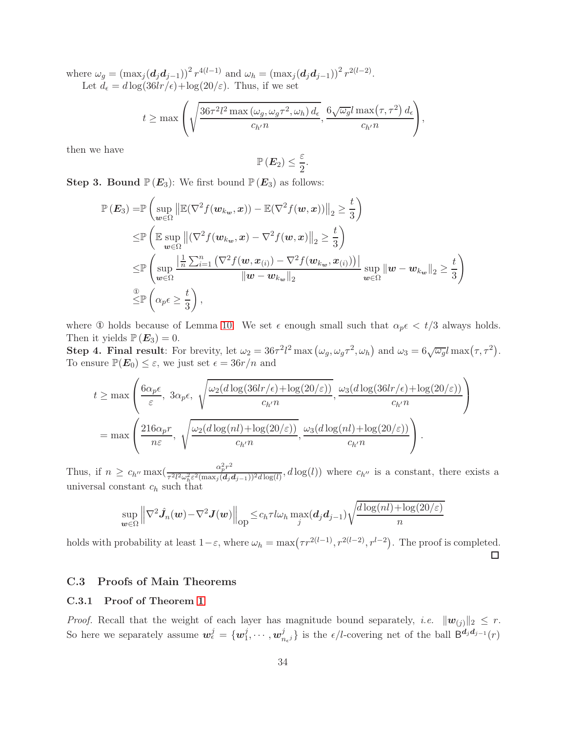where  $\omega_g = (\max_j (\mathbf{d}_j \mathbf{d}_{j-1}))^2 r^{4(l-1)}$  and  $\omega_h = (\max_j (\mathbf{d}_j \mathbf{d}_{j-1}))^2 r^{2(l-2)}$ . Let  $d_{\epsilon} = d \log(36lr/\epsilon) + \log(20/\epsilon)$ . Thus, if we set

$$
t \geq \max \left( \sqrt{\frac{36\tau^2 l^2 \max (\omega_g, \omega_g \tau^2, \omega_h) d_{\epsilon}}{c_{h'} n}}, \frac{6\sqrt{\omega_g}l \max (\tau, \tau^2) d_{\epsilon}}{c_{h'} n} \right),
$$

then we have

$$
\mathbb{P}\left(\boldsymbol{E}_2\right) \leq \frac{\varepsilon}{2}.
$$

**Step 3. Bound**  $\mathbb{P}(E_3)$ : We first bound  $\mathbb{P}(E_3)$  as follows:

$$
\mathbb{P}\left(\mathbf{E}_{3}\right) = \mathbb{P}\left(\sup_{\mathbf{w}\in\Omega} \left\|\mathbb{E}(\nabla^{2}f(\mathbf{w}_{k_{\mathbf{w}}}, \mathbf{x})) - \mathbb{E}(\nabla^{2}f(\mathbf{w}, \mathbf{x}))\right\|_{2} \geq \frac{t}{3}\right) \n\leq \mathbb{P}\left(\mathbb{E}\sup_{\mathbf{w}\in\Omega} \left\|\left(\nabla^{2}f(\mathbf{w}_{k_{\mathbf{w}}}, \mathbf{x}) - \nabla^{2}f(\mathbf{w}, \mathbf{x})\right\|_{2} \geq \frac{t}{3}\right) \n\leq \mathbb{P}\left(\sup_{\mathbf{w}\in\Omega} \frac{\left|\frac{1}{n}\sum_{i=1}^{n}\left(\nabla^{2}f(\mathbf{w}, \mathbf{x}_{(i)}) - \nabla^{2}f(\mathbf{w}_{k_{\mathbf{w}}}, \mathbf{x}_{(i)})\right)\right|}{\|\mathbf{w} - \mathbf{w}_{k_{\mathbf{w}}}\|_{2}}\sup_{\mathbf{w}\in\Omega} \|\mathbf{w} - \mathbf{w}_{k_{\mathbf{w}}}\|_{2} \geq \frac{t}{3}\right) \n\leq \mathbb{P}\left(\alpha_{p}\epsilon \geq \frac{t}{3}\right),
$$

where ① holds because of Lemma [10.](#page-17-4) We set  $\epsilon$  enough small such that  $\alpha_p \epsilon < t/3$  always holds. Then it yields  $\mathbb{P}(E_3) = 0$ .

Step 4. Final result: For brevity, let  $\omega_2 = 36\tau^2 l^2 \max(\omega_g, \omega_g \tau^2, \omega_h)$  and  $\omega_3 = 6\sqrt{\omega_g}l \max(\tau, \tau^2)$ . To ensure  $\mathbb{P}(E_0) \leq \varepsilon$ , we just set  $\epsilon = 36r/n$  and

$$
t \geq \max\left(\frac{6\alpha_p\epsilon}{\varepsilon}, 3\alpha_p\epsilon, \sqrt{\frac{\omega_2(d\log(36lr/\epsilon) + \log(20/\varepsilon))}{c_{h'}n}}, \frac{\omega_3(d\log(36lr/\epsilon) + \log(20/\varepsilon))}{c_{h'}n}\right)
$$

$$
= \max\left(\frac{216\alpha_pr}{n\varepsilon}, \sqrt{\frac{\omega_2(d\log(nl) + \log(20/\varepsilon))}{c_{h'}n}}, \frac{\omega_3(d\log(nl) + \log(20/\varepsilon))}{c_{h'}n}\right).
$$

Thus, if  $n \geq c_{h''} \max\left(\frac{\alpha_p^2 r^2}{\tau^2 l^2 \omega_k^2 \varepsilon^2 (\max_i(d_i))}\right)$  $\frac{\alpha_p}{\tau^2 l^2 \omega_h^2 \varepsilon^2 (\max_j(d_j d_{j-1}))^2 d \log(l)}, d \log(l))$  where  $c_{h''}$  is a constant, there exists a universal constant  $c_h$  such that

$$
\sup_{\boldsymbol{w}\in\Omega}\left\|\nabla^2\hat{\boldsymbol{J}}_n(\boldsymbol{w})-\nabla^2\boldsymbol{J}(\boldsymbol{w})\right\|_{\text{op}}\leq c_h\tau l\omega_h\max_j(\boldsymbol{d}_j\boldsymbol{d}_{j-1})\sqrt{\frac{d\log(nl)+\log(20/\varepsilon)}{n}}
$$

holds with probability at least  $1-\varepsilon$ , where  $\omega_h = \max(\tau r^{2(l-1)}, r^{2(l-2)}, r^{l-2})$ . The proof is completed.  $\Box$ 

# <span id="page-33-0"></span>C.3 Proofs of Main Theorems

### C.3.1 Proof of Theorem [1](#page-4-0)

*Proof.* Recall that the weight of each layer has magnitude bound separately, *i.e.*  $||w_{(j)}||_2 \leq r$ . So here we separately assume  $\mathbf{w}_{\epsilon}^{j} = \{ \mathbf{w}_{1}^{j} \}$  $_{1}^{j},\cdots ,w_{n}^{j}$  $\{g_{n_{\epsilon}j}\}\$ is the  $\epsilon/l$ -covering net of the ball  $B^{d_jd_{j-1}}(r)$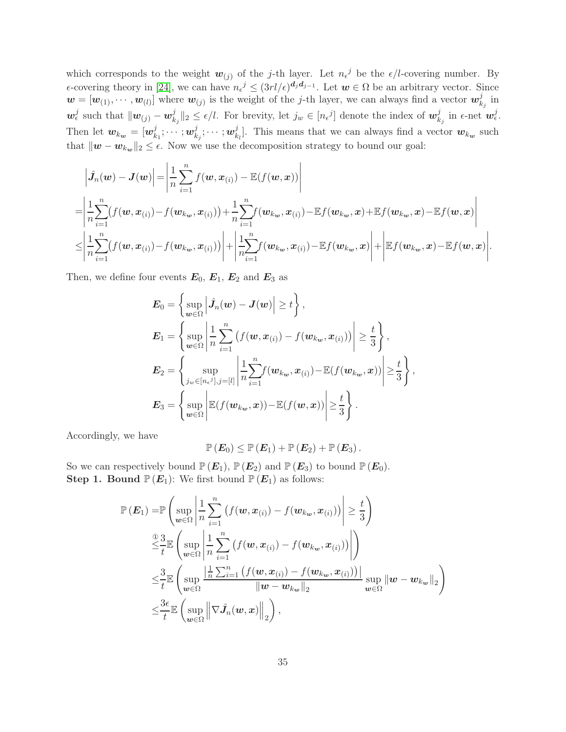which corresponds to the weight  $w_{(j)}$  of the j-th layer. Let  $n_{\epsilon}^{j}$  be the  $\epsilon/l$ -covering number. By  $\epsilon$ -covering theory in [\[24\]](#page-12-6), we can have  $n_{\epsilon}^{j} \leq (3rl/\epsilon)^{d_j d_{j-1}}$ . Let  $w \in \Omega$  be an arbitrary vector. Since  $\mathbf{w} = [\mathbf{w}_{(1)}, \cdots, \mathbf{w}_{(l)}]$  where  $\mathbf{w}_{(j)}$  is the weight of the j-th layer, we can always find a vector  $\mathbf{w}_k^j$  $\frac{j}{k_j}$  in  $\boldsymbol{w}_{\epsilon}^j$  such that  $\|\boldsymbol{w}_{(j)} - \boldsymbol{w}_k^j\|$  $\|k_j\|_2 \leq \epsilon/l$ . For brevity, let  $j_w \in [n_{\epsilon}^{\ j}]$  denote the index of  $\boldsymbol{w}_k^j$  $\frac{j}{k_j}$  in  $\epsilon$ -net  $\boldsymbol{w}_{\epsilon}^j$ . Then let  $w_{k_{w}} = [w_{k}^{j}]$  $_{k_{1}}^{j};\cdots ;$   $\boldsymbol{w}_{k}^{j}$  $_{k_{j}}^{j};\cdots ;w_{k}^{j}$  $\mathcal{L}_{k_l}^j$ . This means that we can always find a vector  $\mathbf{w}_{k_{\mathbf{w}}}$  such that  $\|\boldsymbol{w} - \boldsymbol{w}_{k_{\boldsymbol{w}}}\|_2 \leq \epsilon$ . Now we use the decomposition strategy to bound our goal:

$$
\begin{split}\n&\left|\hat{J}_n(\boldsymbol{w}) - \boldsymbol{J}(\boldsymbol{w})\right| = \left|\frac{1}{n}\sum_{i=1}^n f(\boldsymbol{w}, \boldsymbol{x}_{(i)}) - \mathbb{E}(f(\boldsymbol{w}, \boldsymbol{x}))\right| \\
&= \left|\frac{1}{n}\sum_{i=1}^n (f(\boldsymbol{w}, \boldsymbol{x}_{(i)}) - f(\boldsymbol{w}_{k_{\boldsymbol{w}}}, \boldsymbol{x}_{(i)})) + \frac{1}{n}\sum_{i=1}^n f(\boldsymbol{w}_{k_{\boldsymbol{w}}}, \boldsymbol{x}_{(i)}) - \mathbb{E}f(\boldsymbol{w}_{k_{\boldsymbol{w}}}, \boldsymbol{x}) + \mathbb{E}f(\boldsymbol{w}_{k_{\boldsymbol{w}}}, \boldsymbol{x}) - \mathbb{E}f(\boldsymbol{w}, \boldsymbol{x})\right| \\
&\leq \left|\frac{1}{n}\sum_{i=1}^n (f(\boldsymbol{w}, \boldsymbol{x}_{(i)}) - f(\boldsymbol{w}_{k_{\boldsymbol{w}}}, \boldsymbol{x}_{(i)}))\right| + \left|\frac{1}{n}\sum_{i=1}^n f(\boldsymbol{w}_{k_{\boldsymbol{w}}}, \boldsymbol{x}_{(i)}) - \mathbb{E}f(\boldsymbol{w}_{k_{\boldsymbol{w}}}, \boldsymbol{x})\right| + \left|\mathbb{E}f(\boldsymbol{w}_{k_{\boldsymbol{w}}}, \boldsymbol{x}) - \mathbb{E}f(\boldsymbol{w}, \boldsymbol{x})\right|.\n\end{split}
$$

Then, we define four events  $E_0, E_1, E_2$  and  $E_3$  as

$$
E_0 = \left\{ \sup_{w \in \Omega} \left| \hat{J}_n(w) - J(w) \right| \ge t \right\},
$$
  
\n
$$
E_1 = \left\{ \sup_{w \in \Omega} \left| \frac{1}{n} \sum_{i=1}^n \left( f(w, x_{(i)}) - f(w_{k_w}, x_{(i)}) \right) \right| \ge \frac{t}{3} \right\},
$$
  
\n
$$
E_2 = \left\{ \sup_{j_w \in [n_e, j], j = [l]} \left| \frac{1}{n} \sum_{i=1}^n f(w_{k_w}, x_{(i)}) - \mathbb{E}(f(w_{k_w}, x)) \right| \ge \frac{t}{3} \right\},
$$
  
\n
$$
E_3 = \left\{ \sup_{w \in \Omega} \left| \mathbb{E}(f(w_{k_w}, x)) - \mathbb{E}(f(w, x)) \right| \ge \frac{t}{3} \right\}.
$$

Accordingly, we have

$$
\mathbb{P}\left(\boldsymbol{E}_0\right) \leq \mathbb{P}\left(\boldsymbol{E}_1\right) + \mathbb{P}\left(\boldsymbol{E}_2\right) + \mathbb{P}\left(\boldsymbol{E}_3\right).
$$

So we can respectively bound  $\mathbb{P}(E_1), \mathbb{P}(E_2)$  and  $\mathbb{P}(E_3)$  to bound  $\mathbb{P}(E_0)$ . **Step 1. Bound**  $\mathbb{P}(E_1)$ : We first bound  $\mathbb{P}(E_1)$  as follows:

$$
\mathbb{P}\left(\mathbf{E}_{1}\right) = \mathbb{P}\left(\sup_{\mathbf{w}\in\Omega}\left|\frac{1}{n}\sum_{i=1}^{n}\left(f(\mathbf{w},\mathbf{x}_{(i)})-f(\mathbf{w}_{k_{\mathbf{w}}},\mathbf{x}_{(i)})\right)\right| \geq \frac{t}{3}\right)
$$
\n
$$
\stackrel{\text{②}}{\leq} \frac{3}{t}\mathbb{E}\left(\sup_{\mathbf{w}\in\Omega}\left|\frac{1}{n}\sum_{i=1}^{n}\left(f(\mathbf{w},\mathbf{x}_{(i)})-f(\mathbf{w}_{k_{\mathbf{w}}},\mathbf{x}_{(i)})\right)\right|\right)
$$
\n
$$
\leq \frac{3}{t}\mathbb{E}\left(\sup_{\mathbf{w}\in\Omega}\left|\frac{1}{n}\sum_{i=1}^{n}\left(f(\mathbf{w},\mathbf{x}_{(i)})-f(\mathbf{w}_{k_{\mathbf{w}}},\mathbf{x}_{(i)})\right)\right|\right)
$$
\n
$$
\leq \frac{3}{t}\mathbb{E}\left(\sup_{\mathbf{w}\in\Omega}\left\|\nabla\hat{J}_{n}(\mathbf{w},\mathbf{x})\right\|_{2}\right),
$$
\n
$$
\leq \frac{3\epsilon}{t}\mathbb{E}\left(\sup_{\mathbf{w}\in\Omega}\left\|\nabla\hat{J}_{n}(\mathbf{w},\mathbf{x})\right\|_{2}\right),
$$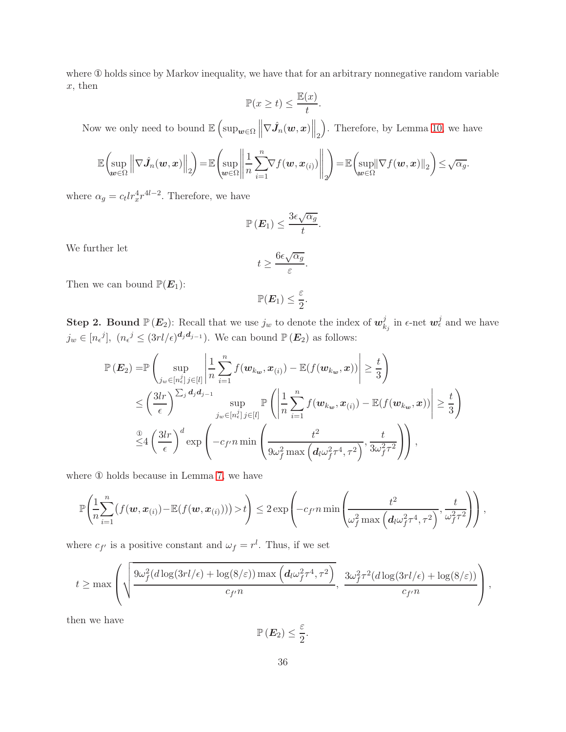where ① holds since by Markov inequality, we have that for an arbitrary nonnegative random variable  $x$ , then

$$
\mathbb{P}(x \ge t) \le \frac{\mathbb{E}(x)}{t}.
$$

Now we only need to bound  $\mathbb{E}\left(\sup_{\bm{w}\in\Omega}\left\|\nabla\hat{J}_n(\bm{w},\bm{x})\right\|_2\right)$ . Therefore, by Lemma [10,](#page-17-4) we have

$$
\mathbb{E}\left(\sup_{\boldsymbol{w}\in\Omega}\left\|\nabla\hat{J}_n(\boldsymbol{w},\boldsymbol{x})\right\|_2\right)=\mathbb{E}\left(\sup_{\boldsymbol{w}\in\Omega}\left\|\frac{1}{n}\sum_{i=1}^n\nabla f(\boldsymbol{w},\boldsymbol{x}_{(i)})\right\|_2\right)=\mathbb{E}\left(\sup_{\boldsymbol{w}\in\Omega}\left\|\nabla f(\boldsymbol{w},\boldsymbol{x})\right\|_2\right)\leq\sqrt{\alpha_g}.
$$

where  $\alpha_g = c_t l r_x^4 r^{4l-2}$ . Therefore, we have

$$
\mathbb{P}\left(\boldsymbol{E}_1\right) \leq \frac{3\epsilon\sqrt{\alpha_g}}{t}.
$$

We further let

$$
t \geq \frac{6\epsilon \sqrt{\alpha_g}}{\varepsilon}.
$$

Then we can bound  $\mathbb{P}(E_1)$ :

$$
\mathbb{P}(\boldsymbol{E}_1) \leq \frac{\varepsilon}{2}.
$$

**Step 2. Bound**  $\mathbb{P}(E_2)$ : Recall that we use  $j_w$  to denote the index of  $w_k^j$  $\frac{j}{k_j}$  in  $\epsilon$ -net  $\boldsymbol{w}_{\epsilon}^j$  and we have  $j_w \in [n_{\epsilon}^j]$ ,  $(n_{\epsilon}^j \leq (3rl/\epsilon)^{d_j d_{j-1}})$ . We can bound  $\mathbb{P}(\mathbf{E}_2)$  as follows:

$$
\mathbb{P}\left(\mathbf{E}_2\right) = \mathbb{P}\left(\sup_{j_w \in [n_{\epsilon}^j], j \in [l]} \left| \frac{1}{n} \sum_{i=1}^n f(\mathbf{w}_{k_w}, \mathbf{x}_{(i)}) - \mathbb{E}(f(\mathbf{w}_{k_w}, \mathbf{x})) \right| \ge \frac{t}{3} \right)
$$
\n
$$
\le \left(\frac{3lr}{\epsilon}\right)^{\sum_j d_j d_{j-1}} \sup_{j_w \in [n_{\epsilon}^j], j \in [l]} \mathbb{P}\left(\left|\frac{1}{n} \sum_{i=1}^n f(\mathbf{w}_{k_w}, \mathbf{x}_{(i)}) - \mathbb{E}(f(\mathbf{w}_{k_w}, \mathbf{x}))\right| \ge \frac{t}{3} \right)
$$
\n
$$
\stackrel{\circled{\mathbb{Q}}}{\le 4} \left(\frac{3lr}{\epsilon}\right)^d \exp\left(-c_{f'} n \min\left(\frac{t^2}{9\omega_f^2 \max\left(d_l \omega_f^2 \tau^4, \tau^2\right)}, \frac{t}{3\omega_f^2 \tau^2}\right)\right),
$$

where ① holds because in Lemma [7,](#page-16-1) we have

$$
\mathbb{P}\left(\frac{1}{n}\sum_{i=1}^n\big(f(\boldsymbol{w},\boldsymbol{x}_{(i)})-\mathbb{E}(f(\boldsymbol{w},\boldsymbol{x}_{(i)}))\big)>t\right)\leq 2\exp\left(-c_f n\min\left(\frac{t^2}{\omega_f^2\max\left(d_l\omega_f^2\tau^4,\tau^2\right)},\frac{t}{\omega_f^2\tau^2}\right)\right),
$$

where  $c_{f'}$  is a positive constant and  $\omega_f = r^l$ . Thus, if we set

$$
t \geq \max\left(\sqrt{\frac{9\omega_f^2(d\log(3rl/\epsilon) + \log(8/\varepsilon))\max\left(d_l\omega_f^2\tau^4, \tau^2\right)}{c_{f'}n}}, \frac{3\omega_f^2\tau^2(d\log(3rl/\epsilon) + \log(8/\varepsilon))}{c_{f'}n}\right),
$$

then we have

$$
\mathbb{P}\left(\boldsymbol{E}_2\right) \leq \frac{\varepsilon}{2}.
$$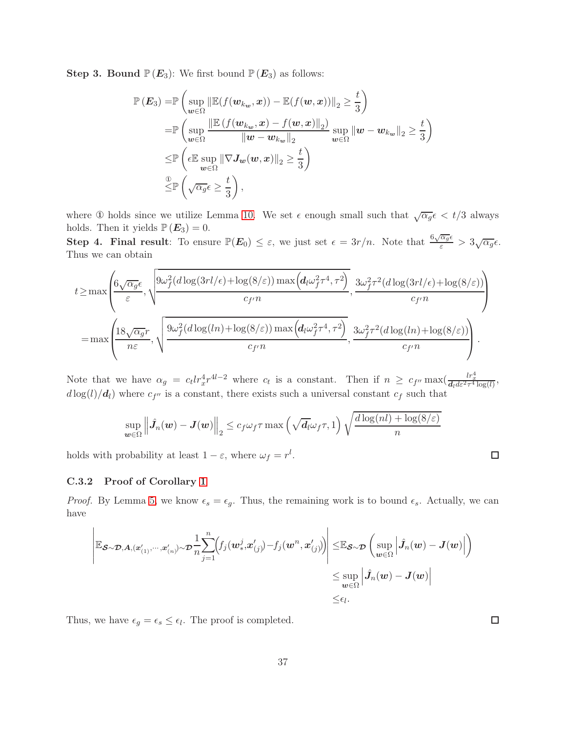**Step 3. Bound**  $\mathbb{P}(E_3)$ : We first bound  $\mathbb{P}(E_3)$  as follows:

$$
\mathbb{P}(E_3) = \mathbb{P}\left(\sup_{\boldsymbol{w}\in\Omega} \|\mathbb{E}(f(\boldsymbol{w}_{k_{\boldsymbol{w}}},\boldsymbol{x})) - \mathbb{E}(f(\boldsymbol{w},\boldsymbol{x}))\|_2 \geq \frac{t}{3}\right)
$$
  
\n
$$
= \mathbb{P}\left(\sup_{\boldsymbol{w}\in\Omega} \frac{\|\mathbb{E}(f(\boldsymbol{w}_{k_{\boldsymbol{w}}},\boldsymbol{x}) - f(\boldsymbol{w},\boldsymbol{x})\|_2)}{\|\boldsymbol{w} - \boldsymbol{w}_{k_{\boldsymbol{w}}}\|_2} \sup_{\boldsymbol{w}\in\Omega} \|\boldsymbol{w} - \boldsymbol{w}_{k_{\boldsymbol{w}}}\|_2 \geq \frac{t}{3}\right)
$$
  
\n
$$
\leq \mathbb{P}\left(\epsilon \mathbb{E}\sup_{\boldsymbol{w}\in\Omega} \|\nabla J_{\boldsymbol{w}}(\boldsymbol{w},\boldsymbol{x})\|_2 \geq \frac{t}{3}\right)
$$
  
\n
$$
\overset{\circ}{\leq} \mathbb{P}\left(\sqrt{\alpha_g}\epsilon \geq \frac{t}{3}\right),
$$

where ① holds since we utilize Lemma [10.](#page-17-4) We set  $\epsilon$  enough small such that  $\sqrt{\alpha_g} \epsilon < t/3$  always holds. Then it yields  $\mathbb{P}(E_3) = 0$ .

Step 4. Final result: To ensure  $\mathbb{P}(E_0) \leq \varepsilon$ , we just set  $\epsilon = \frac{3r}{n}$ . Note that  $\frac{6\sqrt{\alpha_g}\epsilon}{\varepsilon} > \frac{3\sqrt{\alpha_g}\epsilon}{n}$ . Thus we can obtain

$$
t \ge \max \left( \frac{6\sqrt{\alpha_g} \epsilon}{\varepsilon}, \sqrt{\frac{9\omega_f^2(d \log(3rl/\epsilon) + \log(8/\varepsilon)) \max\left(d_l \omega_f^2 \tau^4, \tau^2\right)}{c_{f'} n}}, \frac{3\omega_f^2 \tau^2(d \log(3rl/\epsilon) + \log(8/\varepsilon))}{c_{f'} n} \right)
$$
  
=  $\max \left( \frac{18\sqrt{\alpha_g} r}{n\varepsilon}, \sqrt{\frac{9\omega_f^2(d \log(ln) + \log(8/\varepsilon)) \max\left(d_l \omega_f^2 \tau^4, \tau^2\right)}{c_{f'} n}}, \frac{3\omega_f^2 \tau^2(d \log(ln) + \log(8/\varepsilon))}{c_{f'} n} \right).$ 

Note that we have  $\alpha_g = c_t l r_x^4 r^{4l-2}$  where  $c_t$  is a constant. Then if  $n \geq c_{f''} \max(\frac{l r_x^4}{d_t d \varepsilon^2 \tau^4 \log(l)},$  $d \log(l)/d_l$ ) where  $c_{f''}$  is a constant, there exists such a universal constant  $c_f$  such that

$$
\sup_{\boldsymbol{w}\in\Omega}\left\|\hat{\boldsymbol{J}}_n(\boldsymbol{w})-\boldsymbol{J}(\boldsymbol{w})\right\|_2 \leq c_f\omega_f\tau \max\left(\sqrt{\boldsymbol{d}}_l\omega_f\tau,1\right)\sqrt{\frac{d\log(nl)+\log(8/\varepsilon)}{n}}
$$

holds with probability at least  $1 - \varepsilon$ , where  $\omega_f = r^l$ .

#### C.3.2 Proof of Corollary [1](#page-5-0)

*Proof.* By Lemma [5,](#page-15-4) we know  $\epsilon_s = \epsilon_g$ . Thus, the remaining work is to bound  $\epsilon_s$ . Actually, we can have

$$
\left| \mathbb{E}_{\boldsymbol{\mathcal{S}}\sim\boldsymbol{\mathcal{D}},\boldsymbol{A},(\boldsymbol{x}^{\prime}_{(1)},\cdots,\boldsymbol{x}^{\prime}_{(n)})\sim\boldsymbol{\mathcal{D}}}\frac{1}{n}\!\sum_{j=1}^{n}\!\!\left(\!f_j(\boldsymbol{w}^j_*,\boldsymbol{x}^{\prime}_{(j)})\!-\!f_j(\boldsymbol{w}^n,\boldsymbol{x}^{\prime}_{(j)})\!\right)\right|\leq\!\mathbb{E}_{\boldsymbol{\mathcal{S}}\sim\boldsymbol{\mathcal{D}}}\left(\sup_{\boldsymbol{w}\in\Omega}\left|\hat{J}_n(\boldsymbol{w})-\boldsymbol{J}(\boldsymbol{w})\right|\right)\\\leq\sup_{\boldsymbol{w}\in\Omega}\left|\hat{J}_n(\boldsymbol{w})-\boldsymbol{J}(\boldsymbol{w})\right|\leq\epsilon_l.
$$

Thus, we have  $\epsilon_g = \epsilon_s \leq \epsilon_l$ . The proof is completed.

 $\Box$ 

 $\Box$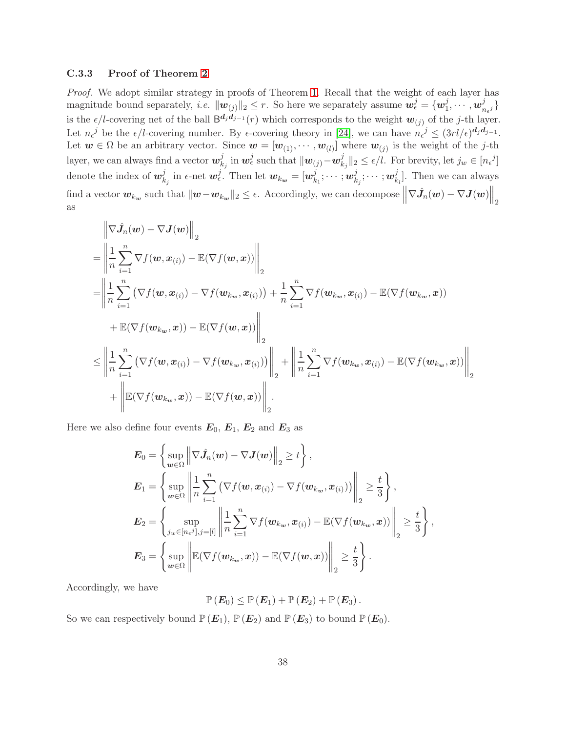### C.3.3 Proof of Theorem [2](#page-6-0)

*Proof.* We adopt similar strategy in proofs of Theorem [1.](#page-4-0) Recall that the weight of each layer has magnitude bound separately, *i.e.*  $\|\mathbf{w}_{(j)}\|_2 \leq r$ . So here we separately assume  $\mathbf{w}_{\epsilon}^j = \{\mathbf{w}_1^j\}$  $_{1}^{j},\cdots ,$   $\boldsymbol{w}_{n}^{j}$  $n_{\epsilon}$ j } is the  $\epsilon/l$ -covering net of the ball  $B^{d_j d_{j-1}}(r)$  which corresponds to the weight  $w_{(j)}$  of the j-th layer. Let  $n_{\epsilon}^{j}$  be the  $\epsilon/l$ -covering number. By  $\epsilon$ -covering theory in [\[24\]](#page-12-6), we can have  $n_{\epsilon}^{j} \leq (3rl/\epsilon)^{\mathbf{d}_j \mathbf{d}_{j-1}}$ . Let  $w \in \Omega$  be an arbitrary vector. Since  $w = [w_{(1)}, \dots, w_{(l)}]$  where  $w_{(j)}$  is the weight of the j-th layer, we can always find a vector  $\boldsymbol{w}_k^j$  $\frac{j}{k_j}$  in  $\boldsymbol{w}^j_\epsilon$  such that  $\|\boldsymbol{w}_{(j)}\!-\!\boldsymbol{w}^j_k\|$  $\|k_j\|_2 \leq \epsilon/l$ . For brevity, let  $j_w \in [n_{\epsilon}^{\ j}]$ denote the index of  $w_k^j$  $\frac{j}{k_j}$  in  $\epsilon$ -net  $\boldsymbol{w}_{\epsilon}^j$ . Then let  $\boldsymbol{w}_{k_{\boldsymbol{w}}} = [\boldsymbol{w}_{k_{\boldsymbol{w}}}^j]$  $_{k_{1}}^{j};\cdots ;$   $\boldsymbol{w}_{k}^{j}$  $_{k_{j}}^{j};\cdots ;w_{k}^{j}$  $_{k_l}^j$ ]. Then we can always find a vector  $w_{k_w}$  such that  $\|w-w_{k_w}\|_2 \leq \epsilon$ . Accordingly, we can decompose  $\left\|\nabla \hat{J}_n(w) - \nabla J(w)\right\|_2$ as

$$
\begin{split}\n&= \left\| \frac{1}{n} \sum_{i=1}^{n} \nabla f(\boldsymbol{w}, \boldsymbol{x}_{(i)}) - \mathbb{E}(\nabla f(\boldsymbol{w}, \boldsymbol{x})) \right\|_{2} \\
&= \left\| \frac{1}{n} \sum_{i=1}^{n} \nabla f(\boldsymbol{w}, \boldsymbol{x}_{(i)}) - \nabla f(\boldsymbol{w}_{k_{\boldsymbol{w}}}, \boldsymbol{x}_{(i)}) \right\|_{2} \\
&= \left\| \frac{1}{n} \sum_{i=1}^{n} \left( \nabla f(\boldsymbol{w}, \boldsymbol{x}_{(i)}) - \nabla f(\boldsymbol{w}_{k_{\boldsymbol{w}}}, \boldsymbol{x}_{(i)}) \right) + \frac{1}{n} \sum_{i=1}^{n} \nabla f(\boldsymbol{w}_{k_{\boldsymbol{w}}}, \boldsymbol{x}_{(i)}) - \mathbb{E}(\nabla f(\boldsymbol{w}_{k_{\boldsymbol{w}}}, \boldsymbol{x})) \\
&+ \mathbb{E}(\nabla f(\boldsymbol{w}_{k_{\boldsymbol{w}}}, \boldsymbol{x})) - \mathbb{E}(\nabla f(\boldsymbol{w}, \boldsymbol{x})) \right\|_{2} \\
& \leq \left\| \frac{1}{n} \sum_{i=1}^{n} \left( \nabla f(\boldsymbol{w}, \boldsymbol{x}_{(i)}) - \nabla f(\boldsymbol{w}_{k_{\boldsymbol{w}}}, \boldsymbol{x}_{(i)}) \right) \right\|_{2} + \left\| \frac{1}{n} \sum_{i=1}^{n} \nabla f(\boldsymbol{w}_{k_{\boldsymbol{w}}}, \boldsymbol{x}_{(i)}) - \mathbb{E}(\nabla f(\boldsymbol{w}_{k_{\boldsymbol{w}}}, \boldsymbol{x})) \right\|_{2} \\
&+ \left\| \mathbb{E}(\nabla f(\boldsymbol{w}_{k_{\boldsymbol{w}}}, \boldsymbol{x})) - \mathbb{E}(\nabla f(\boldsymbol{w}, \boldsymbol{x})) \right\|_{2}.\n\end{split}
$$

Here we also define four events  $E_0, E_1, E_2$  and  $E_3$  as

$$
E_0 = \left\{ \sup_{w \in \Omega} \left\| \nabla \hat{J}_n(w) - \nabla J(w) \right\|_2 \ge t \right\},
$$
  
\n
$$
E_1 = \left\{ \sup_{w \in \Omega} \left\| \frac{1}{n} \sum_{i=1}^n \left( \nabla f(w, x_{(i)}) - \nabla f(w_{k_w}, x_{(i)}) \right) \right\|_2 \ge \frac{t}{3} \right\},
$$
  
\n
$$
E_2 = \left\{ \sup_{j_w \in [n_e, j], j = [l]} \left\| \frac{1}{n} \sum_{i=1}^n \nabla f(w_{k_w}, x_{(i)}) - \mathbb{E}(\nabla f(w_{k_w}, x)) \right\|_2 \ge \frac{t}{3} \right\},
$$
  
\n
$$
E_3 = \left\{ \sup_{w \in \Omega} \left\| \mathbb{E}(\nabla f(w_{k_w}, x)) - \mathbb{E}(\nabla f(w, x)) \right\|_2 \ge \frac{t}{3} \right\}.
$$

Accordingly, we have

$$
\mathbb{P}\left(\boldsymbol{E}_0\right) \leq \mathbb{P}\left(\boldsymbol{E}_1\right) + \mathbb{P}\left(\boldsymbol{E}_2\right) + \mathbb{P}\left(\boldsymbol{E}_3\right).
$$

So we can respectively bound  $\mathbb{P}(E_1), \mathbb{P}(E_2)$  and  $\mathbb{P}(E_3)$  to bound  $\mathbb{P}(E_0)$ .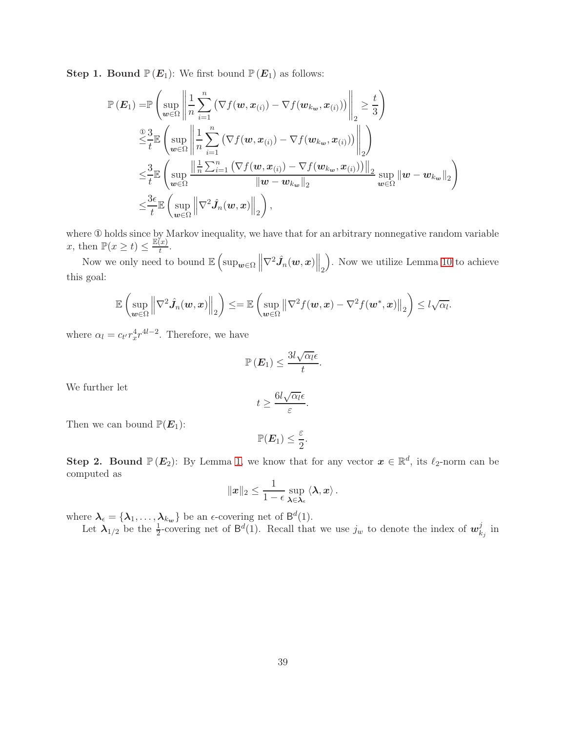**Step 1. Bound**  $\mathbb{P}(E_1)$ : We first bound  $\mathbb{P}(E_1)$  as follows:

$$
\mathbb{P}\left(\mathbf{E}_{1}\right) = \mathbb{P}\left(\sup_{\mathbf{w}\in\Omega}\left\|\frac{1}{n}\sum_{i=1}^{n}\left(\nabla f(\mathbf{w},\mathbf{x}_{(i)}) - \nabla f(\mathbf{w}_{k_{\mathbf{w}}},\mathbf{x}_{(i)})\right)\right\|_{2} \geq \frac{t}{3}\right)
$$
\n
$$
\stackrel{\text{② } 3}{\leq t} \mathbb{E}\left(\sup_{\mathbf{w}\in\Omega}\left\|\frac{1}{n}\sum_{i=1}^{n}\left(\nabla f(\mathbf{w},\mathbf{x}_{(i)}) - \nabla f(\mathbf{w}_{k_{\mathbf{w}}},\mathbf{x}_{(i)})\right)\right\|_{2}\right)
$$
\n
$$
\leq \frac{3}{t} \mathbb{E}\left(\sup_{\mathbf{w}\in\Omega}\frac{\left\|\frac{1}{n}\sum_{i=1}^{n}\left(\nabla f(\mathbf{w},\mathbf{x}_{(i)}) - \nabla f(\mathbf{w}_{k_{\mathbf{w}}},\mathbf{x}_{(i)})\right)\right\|_{2}}{\left\|\mathbf{w}-\mathbf{w}_{k_{\mathbf{w}}}\right\|_{2}}\sup_{\mathbf{w}\in\Omega}\left\|\mathbf{w}-\mathbf{w}_{k_{\mathbf{w}}}\right\|_{2}\right)
$$
\n
$$
\leq \frac{3\epsilon}{t} \mathbb{E}\left(\sup_{\mathbf{w}\in\Omega}\left\|\nabla^{2}\hat{J}_{n}(\mathbf{w},\mathbf{x})\right\|_{2}\right),
$$

where ① holds since by Markov inequality, we have that for an arbitrary nonnegative random variable x, then  $\mathbb{P}(x \geq t) \leq \frac{\mathbb{E}(x)}{t}$  $\frac{x}{t}$ .

Now we only need to bound  $\mathbb{E}\left[\sup_{\bm{w}\in\Omega}\left\|\nabla^2 \hat{J}_n(\bm{w},x)\right\|_2\right]$  . Now we utilize Lemma [10](#page-17-4) to achieve this goal:

$$
\mathbb{E}\left(\sup_{\boldsymbol{w}\in\Omega}\left\|\nabla^2\hat{J}_n(\boldsymbol{w},\boldsymbol{x})\right\|_2\right)\leq=\mathbb{E}\left(\sup_{\boldsymbol{w}\in\Omega}\left\|\nabla^2f(\boldsymbol{w},\boldsymbol{x})-\nabla^2f(\boldsymbol{w}^*,\boldsymbol{x})\right\|_2\right)\leq l\sqrt{\alpha_l}.
$$

where  $\alpha_l = c_{t'} r_x^4 r^{4l-2}$ . Therefore, we have

$$
\mathbb{P}\left(\boldsymbol{E}_1\right) \leq \frac{3l\sqrt{\alpha_l}\epsilon}{t}
$$

.

We further let

$$
t \geq \frac{6l\sqrt{\alpha_l}\epsilon}{\varepsilon}.
$$

Then we can bound  $\mathbb{P}(E_1)$ :

$$
\mathbb{P}(\boldsymbol{E}_1) \leq \frac{\varepsilon}{2}
$$

.

**Step 2. Bound**  $\mathbb{P}(E_2)$ : By Lemma [1,](#page-14-1) we know that for any vector  $x \in \mathbb{R}^d$ , its  $\ell_2$ -norm can be computed as

$$
\|\boldsymbol{x}\|_2 \leq \frac{1}{1-\epsilon} \sup_{\boldsymbol{\lambda} \in \boldsymbol{\lambda}_{\epsilon}} \langle \boldsymbol{\lambda}, \boldsymbol{x} \rangle.
$$

where  $\lambda_{\epsilon} = {\lambda_1, \ldots, \lambda_{k_w}}$  be an  $\epsilon$ -covering net of  $\mathsf{B}^d(1)$ .

Let  $\lambda_{1/2}$  be the  $\frac{1}{2}$ -covering net of  $\mathsf{B}^d(1)$ . Recall that we use  $j_w$  to denote the index of  $\mathbf{w}_k^j$  $\frac{\jmath}{k_j}$  in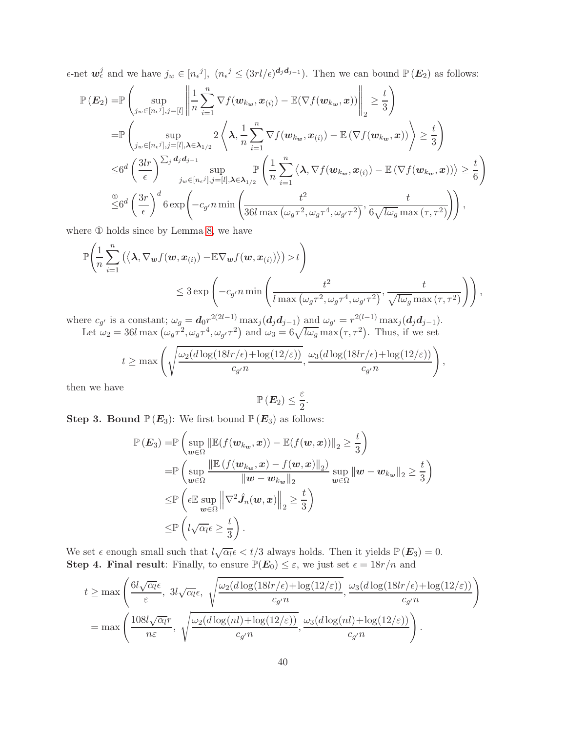$\epsilon$ -net  $\mathbf{w}_{\epsilon}^{j}$  and we have  $j_{w} \in [n_{\epsilon}j], (n_{\epsilon}j \leq (3rl/\epsilon)^{d_j d_{j-1}})$ . Then we can bound  $\mathbb{P}(\mathbf{E}_2)$  as follows:

$$
\mathbb{P}\left(E_{2}\right) = \mathbb{P}\left(\sup_{j_{w}\in[n_{\epsilon}j],j=[l]} \left\|\frac{1}{n}\sum_{i=1}^{n} \nabla f(w_{k_{w}},x_{(i)}) - \mathbb{E}(\nabla f(w_{k_{w}},x))\right\|_{2} \geq \frac{t}{3}\right)
$$
\n
$$
= \mathbb{P}\left(\sup_{j_{w}\in[n_{\epsilon}j],j=[l],\lambda\in\lambda_{1/2}} 2\left\langle\lambda,\frac{1}{n}\sum_{i=1}^{n} \nabla f(w_{k_{w}},x_{(i)}) - \mathbb{E}\left(\nabla f(w_{k_{w}},x)\right)\right\rangle \geq \frac{t}{3}\right)
$$
\n
$$
\leq 6^{d}\left(\frac{3lr}{\epsilon}\right)^{\sum_{j}d_{j}d_{j-1}} \sup_{j_{w}\in[n_{\epsilon}j],j=[l],\lambda\in\lambda_{1/2}} \mathbb{P}\left(\frac{1}{n}\sum_{i=1}^{n}\left\langle\lambda,\nabla f(w_{k_{w}},x_{(i)}) - \mathbb{E}\left(\nabla f(w_{k_{w}},x)\right)\right\rangle \geq \frac{t}{6}\right)
$$
\n
$$
\stackrel{\textcircled{0}}{\leq} 6^{d}\left(\frac{3r}{\epsilon}\right)^{d} 6 \exp\left(-c_{g'}n \min\left(\frac{t^{2}}{36l \max\left(\omega_{g}\tau^{2},\omega_{g}\tau^{4},\omega_{g'}\tau^{2}\right)},\frac{t}{6\sqrt{l\omega_{g}} \max\left(\tau,\tau^{2}\right)}\right)\right),
$$

where ① holds since by Lemma [8,](#page-16-2) we have

$$
\mathbb{P}\left(\frac{1}{n}\sum_{i=1}^{n}\left(\langle\mathbf{\lambda},\nabla_{\mathbf{w}}f(\mathbf{w},\mathbf{x}_{(i)})-\mathbb{E}\nabla_{\mathbf{w}}f(\mathbf{w},\mathbf{x}_{(i)})\rangle\right) > t\right) \leq 3 \exp\left(-c_{g'}n\min\left(\frac{t^2}{l\max\left(\omega_{g}\tau^2,\omega_{g}\tau^4,\omega_{g'}\tau^2\right)},\frac{t}{\sqrt{l\omega_{g}}\max\left(\tau,\tau^2\right)}\right)\right),
$$

where  $c_{g'}$  is a constant;  $\omega_g = d_0 r^{2(2l-1)} \max_j (d_j d_{j-1}) \text{ and } \omega_{g'} = r^{2(l-1)} \max_j (d_j d_{j-1}).$ Let  $\omega_2 = 36l \max \left( \omega_g \tau^2, \omega_g \tau^4, \omega_{g'} \tau^2 \right)$  and  $\omega_3 = 6\sqrt{l\omega_g} \max(\tau, \tau^2)$ . Thus, if we set

$$
t \geq \max \left( \sqrt{\frac{\omega_2(d \log(18lr/\epsilon) + \log(12/\varepsilon))}{c_{g'}n}}, \frac{\omega_3(d \log(18lr/\epsilon) + \log(12/\varepsilon))}{c_{g'}n} \right),
$$

then we have

$$
\mathbb{P}\left(\boldsymbol{E}_2\right) \leq \frac{\varepsilon}{2}
$$

.

**Step 3. Bound**  $\mathbb{P}(E_3)$ : We first bound  $\mathbb{P}(E_3)$  as follows:

$$
\mathbb{P}(E_3) = \mathbb{P}\left(\sup_{\boldsymbol{w}\in\Omega} \|\mathbb{E}(f(\boldsymbol{w}_{k_{\boldsymbol{w}}},\boldsymbol{x})) - \mathbb{E}(f(\boldsymbol{w},\boldsymbol{x}))\|_2 \geq \frac{t}{3}\right)
$$
  
\n
$$
= \mathbb{P}\left(\sup_{\boldsymbol{w}\in\Omega} \frac{\|\mathbb{E}(f(\boldsymbol{w}_{k_{\boldsymbol{w}}},\boldsymbol{x}) - f(\boldsymbol{w},\boldsymbol{x})\|_2)}{\|\boldsymbol{w} - \boldsymbol{w}_{k_{\boldsymbol{w}}}\|_2} \sup_{\boldsymbol{w}\in\Omega} \|\boldsymbol{w} - \boldsymbol{w}_{k_{\boldsymbol{w}}}\|_2 \geq \frac{t}{3}\right)
$$
  
\n
$$
\leq \mathbb{P}\left(\epsilon \mathbb{E}\sup_{\boldsymbol{w}\in\Omega} \left\|\nabla^2 \hat{J}_n(\boldsymbol{w},\boldsymbol{x})\right\|_2 \geq \frac{t}{3}\right)
$$
  
\n
$$
\leq \mathbb{P}\left(l\sqrt{\alpha_l}\epsilon \geq \frac{t}{3}\right).
$$

We set  $\epsilon$  enough small such that  $l\sqrt{\alpha_l\epsilon} < t/3$  always holds. Then it yields  $\mathbb{P}(E_3) = 0$ . Step 4. Final result: Finally, to ensure  $\mathbb{P}(E_0) \leq \varepsilon$ , we just set  $\epsilon = 18r/n$  and

$$
t \geq \max\left(\frac{6l\sqrt{\alpha_l}\epsilon}{\varepsilon}, 3l\sqrt{\alpha_l}\epsilon, \sqrt{\frac{\omega_2(d\log(18lr/\epsilon) + \log(12/\varepsilon))}{c_{g'n}}}, \frac{\omega_3(d\log(18lr/\epsilon) + \log(12/\varepsilon))}{c_{g'n}}\right)
$$

$$
= \max\left(\frac{108l\sqrt{\alpha_l}r}{n\varepsilon}, \sqrt{\frac{\omega_2(d\log(nl) + \log(12/\varepsilon))}{c_{g'n}}}, \frac{\omega_3(d\log(nl) + \log(12/\varepsilon))}{c_{g'n}}\right).
$$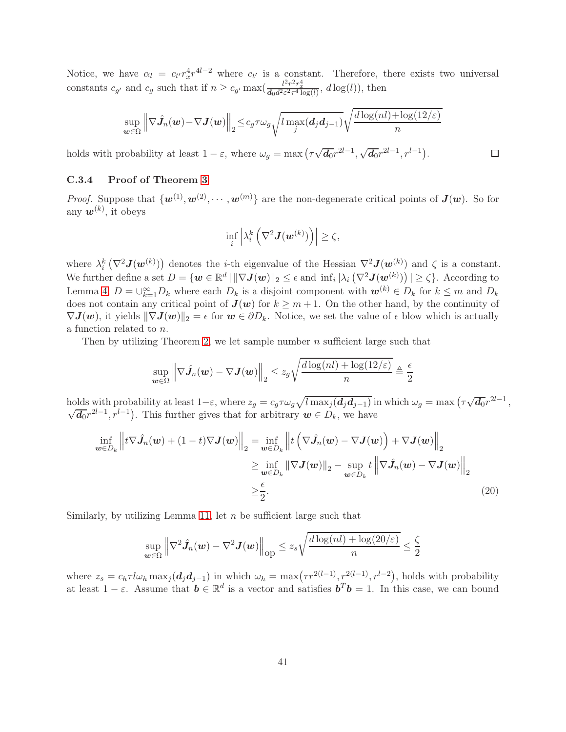Notice, we have  $\alpha_l = c_{t'} r_x^4 r^{4l-2}$  where  $c_{t'}$  is a constant. Therefore, there exists two universal constants  $c_{g'}$  and  $c_g$  such that if  $n \geq c_{g'} \max(\frac{l^2 r^2 r_x^4}{d_0 d^2 \epsilon^2 \tau^4 \log(l)}, d \log(l))$ , then

$$
\sup_{\boldsymbol{w}\in\Omega}\left\|\nabla\hat{J}_n(\boldsymbol{w})-\nabla J(\boldsymbol{w})\right\|_2 \leq c_g \tau \omega_g \sqrt{l \max_j(\boldsymbol{d}_j \boldsymbol{d}_{j-1})} \sqrt{\frac{d \log(nl)+\log(12/\varepsilon)}{n}}
$$

<span id="page-40-0"></span> $\Box$ 

holds with probability at least  $1 - \varepsilon$ , where  $\omega_g = \max(\tau \sqrt{d_0} r^{2l-1}, \sqrt{d_0} r^{2l-1}, r^{l-1}).$ 

## C.3.4 Proof of Theorem [3](#page-7-0)

*Proof.* Suppose that  $\{w^{(1)}, w^{(2)}, \cdots, w^{(m)}\}$  are the non-degenerate critical points of  $J(w)$ . So for any  $w^{(k)}$ , it obeys

$$
\inf_{i} \left| \lambda_i^k \left( \nabla^2 \bm{J}(\bm{w}^{(k)}) \right) \right| \geq \zeta,
$$

where  $\lambda_i^k(\nabla^2 \mathbf{J}(\mathbf{w}^{(k)}))$  denotes the *i*-th eigenvalue of the Hessian  $\nabla^2 \mathbf{J}(\mathbf{w}^{(k)})$  and  $\zeta$  is a constant. We further define a set  $D = \{w \in \mathbb{R}^d \mid ||\nabla J(w)||_2 \leq \epsilon \text{ and } \inf_i |\lambda_i(\nabla^2 J(w^{(k)}))| \geq \zeta\}.$  According to Lemma [4,](#page-15-3)  $D = \bigcup_{k=1}^{\infty} D_k$  where each  $D_k$  is a disjoint component with  $\mathbf{w}^{(k)} \in D_k$  for  $k \leq m$  and  $D_k$ does not contain any critical point of  $J(w)$  for  $k \geq m+1$ . On the other hand, by the continuity of  $\nabla J(\boldsymbol{w})$ , it yields  $\|\nabla J(\boldsymbol{w})\|_2 = \epsilon$  for  $\boldsymbol{w} \in \partial D_k$ . Notice, we set the value of  $\epsilon$  blow which is actually a function related to n.

Then by utilizing Theorem [2,](#page-6-0) we let sample number  $n$  sufficient large such that

$$
\sup_{\boldsymbol{w}\in\Omega}\left\|\nabla\hat{\boldsymbol{J}}_n(\boldsymbol{w})-\nabla\boldsymbol{J}(\boldsymbol{w})\right\|_2\leq z_g\sqrt{\frac{d\log(nl)+\log(12/\varepsilon)}{n}}\triangleq\frac{\epsilon}{2}
$$

holds with probability at least  $1-\varepsilon$ , where  $z_g = c_g \tau \omega_g \sqrt{l \max_j (d_j d_{j-1})}$  in which  $\omega_g = \max \left( \tau \sqrt{d_0} r^{2l-1}, \frac{d_{\varepsilon}^2}{d_0^2} \right)$  $\overline{d_0}r^{2l-1}, r^{l-1}$ ). This further gives that for arbitrary  $w \in D_k$ , we have

$$
\inf_{\boldsymbol{w}\in D_{k}} \left\| t\nabla \hat{J}_{n}(\boldsymbol{w}) + (1-t)\nabla J(\boldsymbol{w}) \right\|_{2} = \inf_{\boldsymbol{w}\in D_{k}} \left\| t\left(\nabla \hat{J}_{n}(\boldsymbol{w}) - \nabla J(\boldsymbol{w})\right) + \nabla J(\boldsymbol{w}) \right\|_{2}
$$
\n
$$
\geq \inf_{\boldsymbol{w}\in D_{k}} \left\| \nabla J(\boldsymbol{w}) \right\|_{2} - \sup_{\boldsymbol{w}\in D_{k}} t \left\| \nabla \hat{J}_{n}(\boldsymbol{w}) - \nabla J(\boldsymbol{w}) \right\|_{2}
$$
\n
$$
\geq \frac{\epsilon}{2}.
$$
\n(20)

Similarly, by utilizing Lemma [11,](#page-17-5) let  $n$  be sufficient large such that

$$
\sup_{\boldsymbol{w}\in\Omega}\left\|\nabla^2\hat{\boldsymbol{J}}_n(\boldsymbol{w})-\nabla^2\boldsymbol{J}(\boldsymbol{w})\right\|_{\text{op}}\leq z_s\sqrt{\frac{d\log(nl)+\log(20/\varepsilon)}{n}}\leq\frac{\zeta}{2}
$$

where  $z_s = c_h \tau l \omega_h \max_j(\boldsymbol{d}_j \boldsymbol{d}_{j-1})$  in which  $\omega_h = \max(r r^{2(l-1)}, r^{2(l-1)}, r^{l-2})$ , holds with probability at least  $1 - \varepsilon$ . Assume that  $\boldsymbol{b} \in \mathbb{R}^d$  is a vector and satisfies  $\boldsymbol{b}^T \boldsymbol{b} = 1$ . In this case, we can bound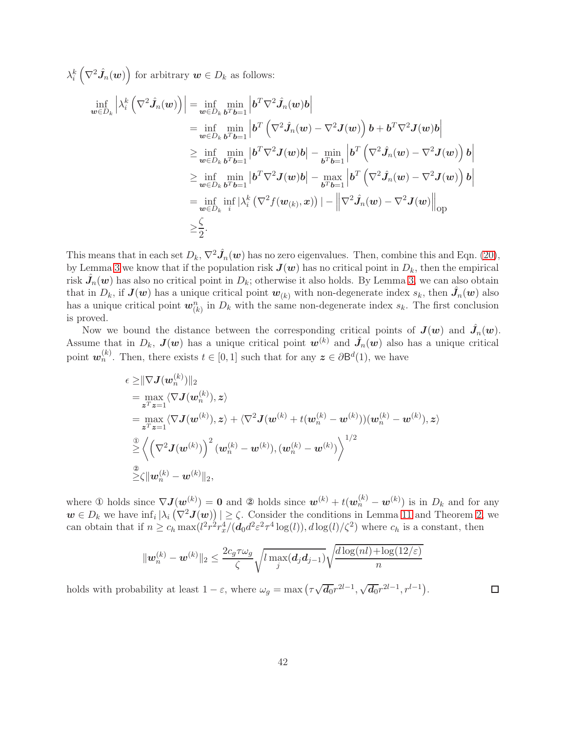$\lambda_i^k\left(\nabla^2 \hat{J}_n(\boldsymbol{w})\right)$  for arbitrary  $\boldsymbol{w}\in D_k$  as follows:

$$
\inf_{\boldsymbol{w}\in D_{k}}\left|\lambda_{i}^{k}\left(\nabla^{2}\hat{J}_{n}(\boldsymbol{w})\right)\right|=\inf_{\boldsymbol{w}\in D_{k}}\min_{\boldsymbol{b}^{T}\boldsymbol{b}=1}\left|\boldsymbol{b}^{T}\nabla^{2}\hat{J}_{n}(\boldsymbol{w})\boldsymbol{b}\right|
$$
\n
$$
=\inf_{\boldsymbol{w}\in D_{k}}\min_{\boldsymbol{b}^{T}\boldsymbol{b}=1}\left|\boldsymbol{b}^{T}\left(\nabla^{2}\hat{J}_{n}(\boldsymbol{w})-\nabla^{2}\boldsymbol{J}(\boldsymbol{w})\right)\boldsymbol{b}+\boldsymbol{b}^{T}\nabla^{2}\boldsymbol{J}(\boldsymbol{w})\boldsymbol{b}\right|
$$
\n
$$
\geq\inf_{\boldsymbol{w}\in D_{k}}\min_{\boldsymbol{b}^{T}\boldsymbol{b}=1}\left|\boldsymbol{b}^{T}\nabla^{2}\boldsymbol{J}(\boldsymbol{w})\boldsymbol{b}\right|-\min_{\boldsymbol{b}^{T}\boldsymbol{b}=1}\left|\boldsymbol{b}^{T}\left(\nabla^{2}\hat{J}_{n}(\boldsymbol{w})-\nabla^{2}\boldsymbol{J}(\boldsymbol{w})\right)\boldsymbol{b}\right|
$$
\n
$$
\geq\inf_{\boldsymbol{w}\in D_{k}}\min_{\boldsymbol{b}^{T}\boldsymbol{b}=1}\left|\boldsymbol{b}^{T}\nabla^{2}\boldsymbol{J}(\boldsymbol{w})\boldsymbol{b}\right|-\max_{\boldsymbol{b}^{T}\boldsymbol{b}=1}\left|\boldsymbol{b}^{T}\left(\nabla^{2}\hat{J}_{n}(\boldsymbol{w})-\nabla^{2}\boldsymbol{J}(\boldsymbol{w})\right)\boldsymbol{b}\right|
$$
\n
$$
=\inf_{\boldsymbol{w}\in D_{k}}\inf_{i}\left|\lambda_{i}^{k}\left(\nabla^{2}f(\boldsymbol{w}_{(k)},\boldsymbol{x})\right)\right|-\left\|\nabla^{2}\hat{J}_{n}(\boldsymbol{w})-\nabla^{2}\boldsymbol{J}(\boldsymbol{w})\right\|_{\text{op}}
$$
\n
$$
\geq\frac{\zeta}{2}.
$$

This means that in each set  $D_k$ ,  $\nabla^2 \hat{J}_n(w)$  has no zero eigenvalues. Then, combine this and Eqn. [\(20\)](#page-40-0), by Lemma [3](#page-15-2) we know that if the population risk  $J(w)$  has no critical point in  $D_k$ , then the empirical risk  $\hat{J}_n(\bm{w})$  has also no critical point in  $D_k$ ; otherwise it also holds. By Lemma [3,](#page-15-2) we can also obtain that in  $D_k$ , if  $J(w)$  has a unique critical point  $w_{(k)}$  with non-degenerate index  $s_k$ , then  $\hat{J}_n(w)$  also has a unique critical point  $w_{(k)}^n$  in  $D_k$  with the same non-degenerate index  $s_k$ . The first conclusion is proved.

Now we bound the distance between the corresponding critical points of  $J(w)$  and  $\hat{J}_n(w)$ . Assume that in  $D_k$ ,  $J(w)$  has a unique critical point  $w^{(k)}$  and  $\hat{J}_n(w)$  also has a unique critical point  $w_n^{(k)}$ . Then, there exists  $t \in [0,1]$  such that for any  $\boldsymbol{z} \in \partial \mathsf{B}^d(1)$ , we have

$$
\epsilon \geq ||\nabla \mathbf{J}(\mathbf{w}_n^{(k)})||_2
$$
\n
$$
= \max_{\mathbf{z}^T \mathbf{z} = 1} \langle \nabla \mathbf{J}(\mathbf{w}_n^{(k)}), \mathbf{z} \rangle
$$
\n
$$
= \max_{\mathbf{z}^T \mathbf{z} = 1} \langle \nabla \mathbf{J}(\mathbf{w}^{(k)}), \mathbf{z} \rangle + \langle \nabla^2 \mathbf{J}(\mathbf{w}^{(k)} + t(\mathbf{w}_n^{(k)} - \mathbf{w}^{(k)})) (\mathbf{w}_n^{(k)} - \mathbf{w}^{(k)}), \mathbf{z} \rangle
$$
\n
$$
\stackrel{\circledR}{\geq} \left\langle \left( \nabla^2 \mathbf{J}(\mathbf{w}^{(k)}) \right)^2 (\mathbf{w}_n^{(k)} - \mathbf{w}^{(k)}), (\mathbf{w}_n^{(k)} - \mathbf{w}^{(k)}) \right\rangle^{1/2}
$$
\n
$$
\stackrel{\circledR}{\geq} \zeta ||\mathbf{w}_n^{(k)} - \mathbf{w}^{(k)}||_2,
$$

where ① holds since  $\nabla J(\boldsymbol{w}^{(k)}) = \boldsymbol{0}$  and ② holds since  $\boldsymbol{w}^{(k)} + t(\boldsymbol{w}^{(k)}_n - \boldsymbol{w}^{(k)})$  is in  $D_k$  and for any  $w \in D_k$  we have  $\inf_i |\lambda_i(\nabla^2 \mathbf{J}(\mathbf{w}))| \geq \zeta$ . Consider the conditions in Lemma [11](#page-17-5) and Theorem [2,](#page-6-0) we can obtain that if  $n \geq c_h \max(l^2 r^2 r_x^4/(d_0 d^2 \varepsilon^2 \tau^4 \log(l)), d \log(l)/\zeta^2)$  where  $c_h$  is a constant, then

$$
\|\boldsymbol{w}_n^{(k)} - \boldsymbol{w}^{(k)}\|_2 \le \frac{2c_g \tau \omega_g}{\zeta} \sqrt{l \max_j(\boldsymbol{d}_j \boldsymbol{d}_{j-1})} \sqrt{\frac{d \log(nl) + \log(12/\varepsilon)}{n}}
$$

holds with probability at least  $1 - \varepsilon$ , where  $\omega_g = \max(\tau \sqrt{d_0} r^{2l-1}, \sqrt{d_0} r^{2l-1}, r^{l-1}).$  $\Box$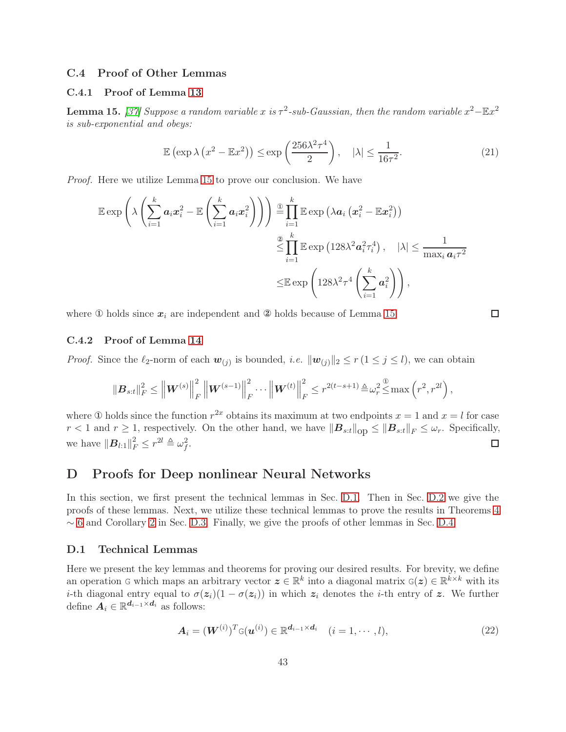# <span id="page-42-1"></span>C.4 Proof of Other Lemmas

## C.4.1 Proof of Lemma [13](#page-17-1)

<span id="page-42-3"></span>**Lemma 15.** [\[37\]](#page-13-2) Suppose a random variable x is  $\tau^2$ -sub-Gaussian, then the random variable  $x^2 - \mathbb{E}x^2$ *is sub-exponential and obeys:*

$$
\mathbb{E}\left(\exp\lambda\left(x^2 - \mathbb{E}x^2\right)\right) \le \exp\left(\frac{256\lambda^2\tau^4}{2}\right), \quad |\lambda| \le \frac{1}{16\tau^2}.\tag{21}
$$

 $\Box$ 

*Proof.* Here we utilize Lemma [15](#page-42-3) to prove our conclusion. We have

$$
\mathbb{E} \exp \left( \lambda \left( \sum_{i=1}^{k} a_i x_i^2 - \mathbb{E} \left( \sum_{i=1}^{k} a_i x_i^2 \right) \right) \right) \stackrel{\mathbb{G}}{=} \prod_{i=1}^{k} \mathbb{E} \exp \left( \lambda a_i \left( x_i^2 - \mathbb{E} x_i^2 \right) \right) \n\stackrel{\mathbb{G}}{\leq} \prod_{i=1}^{k} \mathbb{E} \exp \left( 128 \lambda^2 a_i^2 \tau_i^4 \right), \quad |\lambda| \leq \frac{1}{\max_i a_i \tau^2} \n\leq \mathbb{E} \exp \left( 128 \lambda^2 \tau^4 \left( \sum_{i=1}^{k} a_i^2 \right) \right),
$$

where  $\Phi$  holds since  $x_i$  are independent and  $\Phi$  holds because of Lemma [15.](#page-42-3)

# <span id="page-42-2"></span>C.4.2 Proof of Lemma [14](#page-17-2)

*Proof.* Since the  $\ell_2$ -norm of each  $w_{(j)}$  is bounded, *i.e.*  $\|\mathbf{w}_{(j)}\|_2 \le r (1 \le j \le l)$ , we can obtain

$$
\|\boldsymbol{B}_{s:t}\|_F^2 \leq \left\|\boldsymbol{W}^{(s)}\right\|_F^2 \left\|\boldsymbol{W}^{(s-1)}\right\|_F^2 \cdots \left\|\boldsymbol{W}^{(t)}\right\|_F^2 \leq r^{2(t-s+1)} \triangleq \omega_r^2 \triangleq \max\left(r^2, r^{2l}\right),
$$

where ① holds since the function  $r^{2x}$  obtains its maximum at two endpoints  $x = 1$  and  $x = l$  for case  $r < 1$  and  $r \ge 1$ , respectively. On the other hand, we have  $||\mathbf{B}_{s:t}||_{\text{op}} \le ||\mathbf{B}_{s:t}||_F \le \omega_r$ . Specifically, we have  $\|\boldsymbol{B}_{l:1}\|_F^2 \leq r^{2l} \triangleq \omega_f^2$ .  $\Box$ 

# <span id="page-42-0"></span>D Proofs for Deep nonlinear Neural Networks

In this section, we first present the technical lemmas in Sec. [D.1.](#page-42-4) Then in Sec. [D.2](#page-44-0) we give the proofs of these lemmas. Next, we utilize these technical lemmas to prove the results in Theorems [4](#page-8-1)  $\sim$  [6](#page-9-1) and Corollary [2](#page-8-3) in Sec. [D.3.](#page-59-0) Finally, we give the proofs of other lemmas in Sec. [D.4.](#page-67-0)

### <span id="page-42-4"></span>D.1 Technical Lemmas

Here we present the key lemmas and theorems for proving our desired results. For brevity, we define an operation G which maps an arbitrary vector  $\boldsymbol{z} \in \mathbb{R}^k$  into a diagonal matrix  $\boldsymbol{\mathsf{G}}(\boldsymbol{z}) \in \mathbb{R}^{k \times k}$  with its i-th diagonal entry equal to  $\sigma(z_i)(1 - \sigma(z_i))$  in which  $z_i$  denotes the i-th entry of z. We further define  $A_i \in \mathbb{R}^{d_{i-1} \times d_i}$  as follows:

<span id="page-42-5"></span>
$$
\mathbf{A}_{i} = (\mathbf{W}^{(i)})^{T} \mathbf{G}(\mathbf{u}^{(i)}) \in \mathbb{R}^{d_{i-1} \times d_{i}} \quad (i = 1, \cdots, l),
$$
\n(22)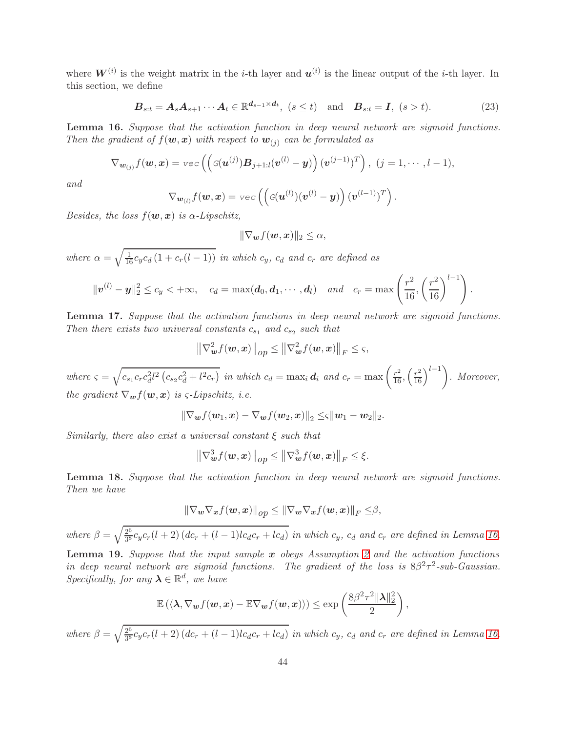where  $W^{(i)}$  is the weight matrix in the *i*-th layer and  $u^{(i)}$  is the linear output of the *i*-th layer. In this section, we define

<span id="page-43-1"></span>
$$
\boldsymbol{B}_{s:t} = \boldsymbol{A}_s \boldsymbol{A}_{s+1} \cdots \boldsymbol{A}_t \in \mathbb{R}^{d_{s-1} \times d_t}, \ (s \le t) \quad \text{and} \quad \boldsymbol{B}_{s:t} = \boldsymbol{I}, \ (s > t). \tag{23}
$$

<span id="page-43-0"></span>Lemma 16. *Suppose that the activation function in deep neural network are sigmoid functions. Then the gradient of*  $f(\boldsymbol{w}, \boldsymbol{x})$  *with respect to*  $\boldsymbol{w}_{(j)}$  *can be formulated as* 

$$
\nabla_{\boldsymbol{w}_{(j)}} f(\boldsymbol{w}, \boldsymbol{x}) = \text{vec}\left(\left(\mathcal{G}(\boldsymbol{u}^{(j)}) \boldsymbol{B}_{j+1:l}(\boldsymbol{v}^{(l)} - \boldsymbol{y})\right) (\boldsymbol{v}^{(j-1)})^T\right), (j = 1, \cdots, l-1),
$$

*and*

$$
\nabla_{\boldsymbol{w}_{(l)}} f(\boldsymbol{w}, \boldsymbol{x}) = \text{vec}\left( \left( \mathcal{G}(\boldsymbol{u}^{(l)}) (\boldsymbol{v}^{(l)} - \boldsymbol{y}) \right) (\boldsymbol{v}^{(l-1)})^T \right).
$$

*Besides, the loss*  $f(\mathbf{w}, \mathbf{x})$  *is*  $\alpha$ -*Lipschitz,* 

$$
\|\nabla_{\boldsymbol{w}}f(\boldsymbol{w},\boldsymbol{x})\|_2\leq\alpha,
$$

*where*  $\alpha = \sqrt{\frac{1}{16} c_y c_d (1 + c_r(l-1))}$  *in which*  $c_y$ *,*  $c_d$  *and*  $c_r$  *are defined as* 

$$
\|\bm{v}^{(l)}-\bm{y}\|_2^2 \leq c_y < +\infty, \quad c_d = \max(\bm{d}_0, \bm{d}_1, \cdots, \bm{d}_l) \quad and \quad c_r = \max\left(\frac{r^2}{16}, \left(\frac{r^2}{16}\right)^{l-1}\right).
$$

<span id="page-43-2"></span>Lemma 17. *Suppose that the activation functions in deep neural network are sigmoid functions. Then there exists two universal constants*  $c_{s_1}$  *and*  $c_{s_2}$  *such that* 

$$
\left\|\nabla_{\boldsymbol{w}}^2 f(\boldsymbol{w}, \boldsymbol{x})\right\|_{op} \le \left\|\nabla_{\boldsymbol{w}}^2 f(\boldsymbol{w}, \boldsymbol{x})\right\|_F \le \varsigma,
$$

 $where \zeta = \sqrt{c_{s_1}c_r c_d^2 l^2 (c_{s_2}c_d^2 + l^2 c_r)}$  in which  $c_d = \max_i d_i$  and  $c_r = \max\left(\frac{r^2}{16}, \left(\frac{r^2}{16}\right)^{l-1}\right)$ . Moreover, *the gradient*  $\nabla_{\boldsymbol{w}} f(\boldsymbol{w}, \boldsymbol{x})$  *is*  $\varsigma$ -*Lipschitz, i.e.* 

$$
\|\nabla_{\bm{w}}f(\bm{w}_1,\bm{x})-\nabla_{\bm{w}}f(\bm{w}_2,\bm{x})\|_2\leq \zeta \|\bm{w}_1-\bm{w}_2\|_2.
$$

*Similarly, there also exist a universal constant* ξ *such that*

$$
\left\|\nabla_{\boldsymbol{w}}^3 f(\boldsymbol{w}, \boldsymbol{x})\right\|_{op} \le \left\|\nabla_{\boldsymbol{w}}^3 f(\boldsymbol{w}, \boldsymbol{x})\right\|_F \le \xi.
$$

<span id="page-43-3"></span>Lemma 18. *Suppose that the activation function in deep neural network are sigmoid functions. Then we have*

$$
\|\nabla_{\boldsymbol{w}}\nabla_{\boldsymbol{x}}f(\boldsymbol{w},\boldsymbol{x})\|_{op}\leq \|\nabla_{\boldsymbol{w}}\nabla_{\boldsymbol{x}}f(\boldsymbol{w},\boldsymbol{x})\|_{F}\leq\beta,
$$

*where*  $\beta = \sqrt{\frac{2^6}{3^8}}$  $\frac{2^6}{3^8}c_yc_r(l+2)(dc_r+(l-1)lc_d c_r+lc_d)$  in which  $c_y$ ,  $c_d$  and  $c_r$  are defined in Lemma [16.](#page-43-0)

<span id="page-43-4"></span>Lemma 19. *Suppose that the input sample* x *obeys Assumption [2](#page-7-1) and the activation functions in deep neural network are sigmoid functions. The gradient of the loss is*  $8\beta^2 \tau^2$ -sub-Gaussian. *Specifically, for any*  $\lambda \in \mathbb{R}^d$ *, we have* 

$$
\mathbb{E}\left(\langle\boldsymbol{\lambda}, \nabla_{\boldsymbol{w}}f(\boldsymbol{w},\boldsymbol{x})-\mathbb{E}\nabla_{\boldsymbol{w}}f(\boldsymbol{w},\boldsymbol{x})\rangle\right)\leq \exp\left(\frac{8\beta^2\tau^2\|\boldsymbol{\lambda}\|_2^2}{2}\right),
$$

*where*  $\beta = \sqrt{\frac{2^6}{3^8}}$  $\frac{2^6}{3^8}c_yc_r(l+2)(dc_r+(l-1)lc_d c_r+lc_d)$  in which  $c_y$ ,  $c_d$  and  $c_r$  are defined in Lemma [16.](#page-43-0)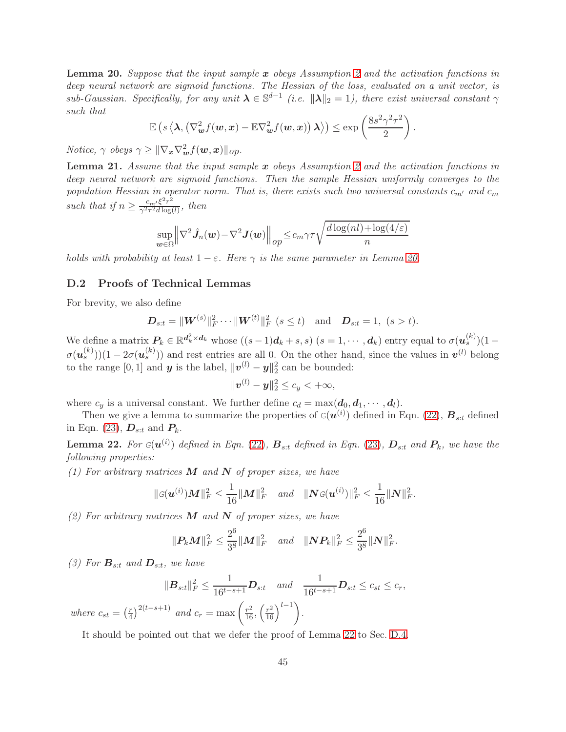<span id="page-44-1"></span>Lemma 20. *Suppose that the input sample* x *obeys Assumption [2](#page-7-1) and the activation functions in deep neural network are sigmoid functions. The Hessian of the loss, evaluated on a unit vector, is*  $sub-Gaussian$ . Specifically, for any unit  $\lambda \in \mathbb{S}^{d-1}$  (i.e.  $\|\lambda\|_2 = 1$ ), there exist universal constant  $\gamma$ *such that*

$$
\mathbb{E}\left(s\left\langle\boldsymbol{\lambda},\left(\nabla_{\boldsymbol{w}}^2f(\boldsymbol{w},\boldsymbol{x})-\mathbb{E}\nabla_{\boldsymbol{w}}^2f(\boldsymbol{w},\boldsymbol{x})\right)\boldsymbol{\lambda}\right\rangle\right) \leq \exp\left(\frac{8s^2\gamma^2\tau^2}{2}\right).
$$

*Notice,*  $\gamma$  *obeys*  $\gamma \geq ||\nabla_{\bm{x}} \nabla_{\bm{w}}^2 f(\bm{w}, \bm{x})||_{op}.$ 

<span id="page-44-3"></span>Lemma 21. *Assume that the input sample* x *obeys Assumption [2](#page-7-1) and the activation functions in deep neural network are sigmoid functions. Then the sample Hessian uniformly converges to the population Hessian in operator norm. That is, there exists such two universal constants*  $c_{m'}$  *and*  $c_m$ *such that if*  $n \geq \frac{c_m'\xi^2r^2}{\gamma^2\tau^2d\log r}$  $\frac{c_m}{\gamma^2 \tau^2 d \log(l)},$  then

$$
\sup_{\boldsymbol{w}\in\Omega} \left\|\nabla^2 \hat{\boldsymbol{J}}_n(\boldsymbol{w}) - \nabla^2 \boldsymbol{J}(\boldsymbol{w})\right\|_{op} \le c_m \gamma \tau \sqrt{\frac{d\log(nl) + \log(4/\varepsilon)}{n}}
$$

<span id="page-44-0"></span>*holds with probability at least*  $1 - \varepsilon$ *. Here*  $\gamma$  *is the same parameter in Lemma [20.](#page-44-1)* 

## D.2 Proofs of Technical Lemmas

For brevity, we also define

$$
\mathbf{D}_{s:t} = \|\mathbf{W}^{(s)}\|_{F}^{2} \cdots \|\mathbf{W}^{(t)}\|_{F}^{2} \ (s \leq t) \quad \text{and} \quad \mathbf{D}_{s:t} = 1, \ (s > t).
$$

We define a matrix  $P_k \in \mathbb{R}^{d_k^2 \times d_k}$  whose  $((s-1)d_k+s,s)$   $(s = 1,\dots, d_k)$  entry equal to  $\sigma(u_s^{(k)})(1-s)$  $\sigma(\mathbf{u}_s^{(k)})(1-2\sigma(\mathbf{u}_s^{(k)}))$  and rest entries are all 0. On the other hand, since the values in  $\mathbf{v}^{(l)}$  belong to the range  $[0, 1]$  and **y** is the label,  $||\boldsymbol{v}^{(l)} - \boldsymbol{y}||_2^2$  can be bounded:

$$
\|\boldsymbol{v}^{(l)}-\boldsymbol{y}\|_2^2\leq c_y<+\infty,
$$

where  $c_y$  is a universal constant. We further define  $c_d = \max(\mathbf{d}_0, \mathbf{d}_1, \cdots, \mathbf{d}_l)$ .

Then we give a lemma to summarize the properties of  $\mathbf{G}(\boldsymbol{u}^{(i)})$  defined in Eqn. [\(22\)](#page-42-5),  $\boldsymbol{B}_{s:t}$  defined in Eqn. [\(23\)](#page-43-1),  $\boldsymbol{D}_{s:t}$  and  $\boldsymbol{P}_k$ .

<span id="page-44-2"></span>**Lemma 22.** For  $G(u^{(i)})$  defined in Eqn. [\(22\)](#page-42-5),  $B_{s:t}$  defined in Eqn. [\(23\)](#page-43-1),  $D_{s:t}$  and  $P_k$ , we have the *following properties:*

*(1) For arbitrary matrices* M *and* N *of proper sizes, we have*

$$
\|\mathbf{G}(\boldsymbol{u}^{(i)})\boldsymbol{M}\|_{F}^{2} \leq \frac{1}{16} \|\boldsymbol{M}\|_{F}^{2} \quad and \quad \|\boldsymbol{N}\mathbf{G}(\boldsymbol{u}^{(i)})\|_{F}^{2} \leq \frac{1}{16} \|\boldsymbol{N}\|_{F}^{2}.
$$

*(2) For arbitrary matrices* M *and* N *of proper sizes, we have*

$$
\|\mathbf{P}_k\mathbf{M}\|_F^2 \leq \frac{2^6}{3^8} \|\mathbf{M}\|_F^2 \quad \text{and} \quad \|\mathbf{N}\mathbf{P}_k\|_F^2 \leq \frac{2^6}{3^8} \|\mathbf{N}\|_F^2.
$$

(3) For  $\mathbf{B}_{s:t}$  and  $\mathbf{D}_{s:t}$ , we have

$$
\|\boldsymbol{B}_{s:t}\|_{F}^{2} \leq \frac{1}{16^{t-s+1}} \boldsymbol{D}_{s:t} \quad and \quad \frac{1}{16^{t-s+1}} \boldsymbol{D}_{s:t} \leq c_{st} \leq c_{r},
$$

*where*  $c_{st} = \left(\frac{r}{4}\right)$  $\int_{a}^{r} \sqrt{\int_{1}^{2(t-s+1)} a_n} \, du \, dr = \max \left( \frac{r^2}{16}, \left( \frac{r^2}{16} \right)^{l-1} \right).$ 

It should be pointed out that we defer the proof of Lemma [22](#page-44-2) to Sec. [D.4.](#page-67-0)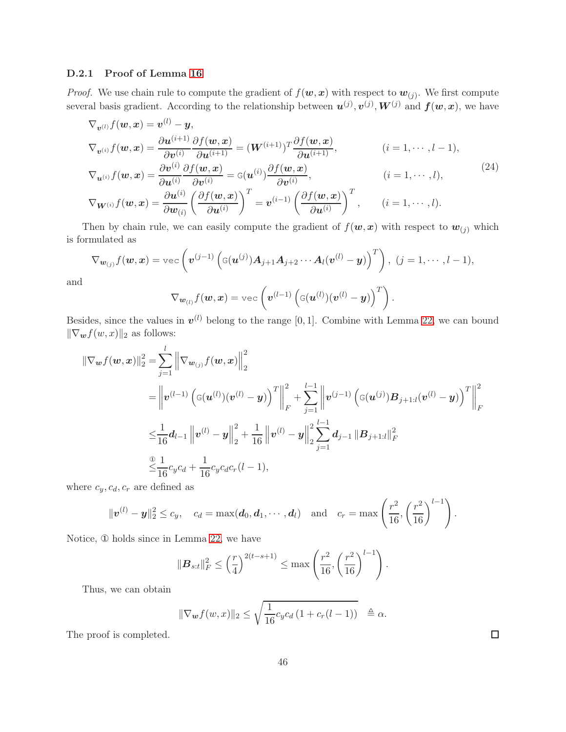## <span id="page-45-1"></span>D.2.1 Proof of Lemma [16](#page-43-0)

*Proof.* We use chain rule to compute the gradient of  $f(w, x)$  with respect to  $w_{(j)}$ . We first compute several basis gradient. According to the relationship between  $u^{(j)}$ ,  $v^{(j)}$ ,  $W^{(j)}$  and  $f(w, x)$ , we have

$$
\nabla_{\mathbf{v}^{(l)}} f(\mathbf{w}, \mathbf{x}) = \mathbf{v}^{(l)} - \mathbf{y},
$$
\n
$$
\nabla_{\mathbf{v}^{(i)}} f(\mathbf{w}, \mathbf{x}) = \frac{\partial \mathbf{u}^{(i+1)}}{\partial \mathbf{v}^{(i)}} \frac{\partial f(\mathbf{w}, \mathbf{x})}{\partial \mathbf{u}^{(i+1)}} = (\mathbf{W}^{(i+1)})^T \frac{\partial f(\mathbf{w}, \mathbf{x})}{\partial \mathbf{u}^{(i+1)}}, \qquad (i = 1, \dots, l-1),
$$
\n
$$
\nabla_{\mathbf{u}^{(i)}} f(\mathbf{w}, \mathbf{x}) = \frac{\partial \mathbf{v}^{(i)}}{\partial \mathbf{u}^{(i)}} \frac{\partial f(\mathbf{w}, \mathbf{x})}{\partial \mathbf{v}^{(i)}} = G(\mathbf{u}^{(i)}) \frac{\partial f(\mathbf{w}, \mathbf{x})}{\partial \mathbf{v}^{(i)}}, \qquad (i = 1, \dots, l),
$$
\n
$$
\nabla_{\mathbf{W}^{(i)}} f(\mathbf{w}, \mathbf{x}) = \frac{\partial \mathbf{u}^{(i)}}{\partial \mathbf{w}_{(i)}} \left( \frac{\partial f(\mathbf{w}, \mathbf{x})}{\partial \mathbf{u}^{(i)}} \right)^T = \mathbf{v}^{(i-1)} \left( \frac{\partial f(\mathbf{w}, \mathbf{x})}{\partial \mathbf{u}^{(i)}} \right)^T, \qquad (i = 1, \dots, l).
$$
\n(24)

Then by chain rule, we can easily compute the gradient of  $f(\mathbf{w},\mathbf{x})$  with respect to  $\mathbf{w}_{(j)}$  which is formulated as

$$
\nabla_{\boldsymbol{w}_{(j)}} f(\boldsymbol{w}, \boldsymbol{x}) = \text{vec}\left(\boldsymbol{v}^{(j-1)}\left(\mathbf{G}(\boldsymbol{u}^{(j)}) \boldsymbol{A}_{j+1} \boldsymbol{A}_{j+2} \cdots \boldsymbol{A}_{l}(\boldsymbol{v}^{(l)} - \boldsymbol{y})\right)^{T}\right), (j = 1, \cdots, l-1),
$$

and

<span id="page-45-0"></span>
$$
\nabla_{\boldsymbol{w}_{(l)}} f(\boldsymbol{w},\boldsymbol{x}) = \text{vec}\left(\boldsymbol{v}^{(l-1)}\left(\mathbf{\mathbf{G}}(\boldsymbol{u}^{(l)})(\boldsymbol{v}^{(l)} - \boldsymbol{y})\right)^T\right).
$$

Besides, since the values in  $v^{(l)}$  belong to the range [0, 1]. Combine with Lemma [22,](#page-44-2) we can bound  $\|\nabla_{\bm{w}}f(w, x)\|_2$  as follows:

$$
\begin{split}\n\|\nabla_{\boldsymbol{w}} f(\boldsymbol{w}, \boldsymbol{x})\|_{2}^{2} &= \sum_{j=1}^{l} \left\|\nabla_{\boldsymbol{w}_{(j)}} f(\boldsymbol{w}, \boldsymbol{x})\right\|_{2}^{2} \\
&= \left\|\boldsymbol{v}^{(l-1)} \left(\mathbf{G}(\boldsymbol{u}^{(l)})(\boldsymbol{v}^{(l)} - \boldsymbol{y})\right)^{T}\right\|_{F}^{2} + \sum_{j=1}^{l-1} \left\|\boldsymbol{v}^{(j-1)} \left(\mathbf{G}(\boldsymbol{u}^{(j)}) \boldsymbol{B}_{j+1:l}(\boldsymbol{v}^{(l)} - \boldsymbol{y})\right)^{T}\right\|_{F}^{2} \\
&\leq & \frac{1}{16} \boldsymbol{d}_{l-1} \left\|\boldsymbol{v}^{(l)} - \boldsymbol{y}\right\|_{2}^{2} + \frac{1}{16} \left\|\boldsymbol{v}^{(l)} - \boldsymbol{y}\right\|_{2}^{2} \sum_{j=1}^{l-1} \boldsymbol{d}_{j-1} \left\|\boldsymbol{B}_{j+1:l}\right\|_{F}^{2} \\
&\leq & \frac{1}{16} c_{y} c_{d} + \frac{1}{16} c_{y} c_{d} c_{r} (l-1),\n\end{split}
$$

where  $c_y, c_d, c_r$  are defined as

$$
\|\bm{v}^{(l)}-\bm{y}\|_2^2 \leq c_y, \quad c_d = \max(\bm{d}_0, \bm{d}_1, \cdots, \bm{d}_l) \quad \text{and} \quad c_r = \max\left(\frac{r^2}{16}, \left(\frac{r^2}{16}\right)^{l-1}\right).
$$

Notice, ① holds since in Lemma [22,](#page-44-2) we have

l

$$
\|\boldsymbol{B}_{s:t}\|_{F}^{2} \leq \left(\frac{r}{4}\right)^{2(t-s+1)} \leq \max\left(\frac{r^{2}}{16}, \left(\frac{r^{2}}{16}\right)^{l-1}\right).
$$

Thus, we can obtain

$$
\|\nabla_{\boldsymbol{w}}f(w,x)\|_2 \leq \sqrt{\frac{1}{16}c_yc_d\left(1+c_r(l-1)\right)} \quad \triangleq \alpha.
$$

The proof is completed.

 $\Box$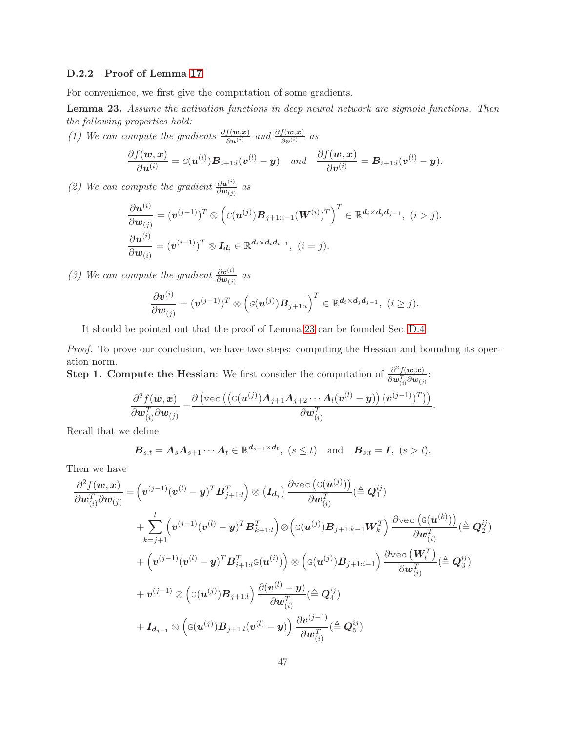### D.2.2 Proof of Lemma [17](#page-43-2)

For convenience, we first give the computation of some gradients.

<span id="page-46-0"></span>Lemma 23. *Assume the activation functions in deep neural network are sigmoid functions. Then the following properties hold:*

*(1)* We can compute the gradients  $\frac{\partial f(w, x)}{\partial u^{(i)}}$  and  $\frac{\partial f(w, x)}{\partial v^{(i)}}$  as

$$
\frac{\partial f(\boldsymbol{w}, \boldsymbol{x})}{\partial \boldsymbol{u}^{(i)}} = G(\boldsymbol{u}^{(i)}) \boldsymbol{B}_{i+1:l}(\boldsymbol{v}^{(l)} - \boldsymbol{y}) \quad and \quad \frac{\partial f(\boldsymbol{w}, \boldsymbol{x})}{\partial \boldsymbol{v}^{(i)}} = \boldsymbol{B}_{i+1:l}(\boldsymbol{v}^{(l)} - \boldsymbol{y}).
$$

*(2)* We can compute the gradient  $\frac{\partial u^{(i)}}{\partial w_{(j)}}$  as

$$
\frac{\partial \boldsymbol{u}^{(i)}}{\partial \boldsymbol{w}_{(j)}} = (\boldsymbol{v}^{(j-1)})^T \otimes \left( G(\boldsymbol{u}^{(j)}) \boldsymbol{B}_{j+1:i-1} (\boldsymbol{W}^{(i)})^T \right)^T \in \mathbb{R}^{d_i \times d_j d_{j-1}}, \ (i > j).
$$

$$
\frac{\partial \boldsymbol{u}^{(i)}}{\partial \boldsymbol{w}_{(i)}} = (\boldsymbol{v}^{(i-1)})^T \otimes \boldsymbol{I}_{d_i} \in \mathbb{R}^{d_i \times d_i d_{i-1}}, \ (i = j).
$$

*(3)* We can compute the gradient  $\frac{\partial v^{(i)}}{\partial w_{(i)}}$  $\frac{\partial \bm{v}^{(i)}}{\partial \bm{w}_{(j)}}$  as

$$
\frac{\partial \boldsymbol{v}^{(i)}}{\partial \boldsymbol{w}_{(j)}} = (\boldsymbol{v}^{(j-1)})^T \otimes \left( \varsigma(\boldsymbol{u}^{(j)}) \boldsymbol{B}_{j+1:i} \right)^T \in \mathbb{R}^{\boldsymbol{d}_i \times \boldsymbol{d}_j \boldsymbol{d}_{j-1}}, \,\, (i \geq j).
$$

It should be pointed out that the proof of Lemma [23](#page-46-0) can be founded Sec. [D.4.](#page-67-0)

*Proof.* To prove our conclusion, we have two steps: computing the Hessian and bounding its operation norm.

Step 1. Compute the Hessian: We first consider the computation of  $\frac{\partial^2 f(w,x)}{\partial w'}$  $\frac{\partial^{\alpha} f(\bm{w},\bm{x})}{\partial \bm{w}_{(i)}^T \partial \bm{w}_{(j)}}$ :

$$
\frac{\partial^2 f(\boldsymbol{w}, \boldsymbol{x})}{\partial \boldsymbol{w}_{(i)}^T \partial \boldsymbol{w}_{(j)}} = \frac{\partial \left( \text{vec} \left( (\text{G}(\boldsymbol{u}^{(j)}) \boldsymbol{A}_{j+1} \boldsymbol{A}_{j+2} \cdots \boldsymbol{A}_l (\boldsymbol{v}^{(l)} - \boldsymbol{y}) \right) (\boldsymbol{v}^{(j-1)})^T \right) \right)}{\partial \boldsymbol{w}_{(i)}^T}
$$

.

Recall that we define

$$
\boldsymbol{B}_{s:t} = \boldsymbol{A}_s \boldsymbol{A}_{s+1} \cdots \boldsymbol{A}_t \in \mathbb{R}^{d_{s-1} \times d_t}, \ (s \le t) \quad \text{and} \quad \boldsymbol{B}_{s:t} = \boldsymbol{I}, \ (s > t).
$$

Then we have

$$
\begin{aligned} &\frac{\partial^2 f(\boldsymbol{w}, \boldsymbol{x})}{\partial \boldsymbol{w}_{(i)}^T\partial \boldsymbol{w}_{(j)}} = \Big(\boldsymbol{v}^{(j-1)} (\boldsymbol{v}^{(l)} - \boldsymbol{y})^T \boldsymbol{B}_{j+1:l}^T\Big) \otimes \big(\boldsymbol{I_{d_j}}\big) \frac{\partial \text{vec}\left(\mathbb{G}(\boldsymbol{u}^{(j)})\right)}{\partial \boldsymbol{w}_{(i)}^T} (\triangleq \boldsymbol{Q}_1^{ij}) \\&+ \sum_{k=j+1}^l \Big(\boldsymbol{v}^{(j-1)} (\boldsymbol{v}^{(l)} - \boldsymbol{y})^T \boldsymbol{B}_{k+1:l}^T\Big) \otimes \Big(\mathbb{G}(\boldsymbol{u}^{(j)}) \boldsymbol{B}_{j+1:k-1} \boldsymbol{W}_k^T\Big) \frac{\partial \text{vec}\left(\mathbb{G}(\boldsymbol{u}^{(k)})\right)}{\partial \boldsymbol{w}_{(i)}^T} (\triangleq \boldsymbol{Q}_2^{ij}) \\&+ \Big(\boldsymbol{v}^{(j-1)} (\boldsymbol{v}^{(l)} - \boldsymbol{y})^T \boldsymbol{B}_{i+1:l}^T \mathbb{G}(\boldsymbol{u}^{(i)})\Big) \otimes \Big(\mathbb{G}(\boldsymbol{u}^{(j)}) \boldsymbol{B}_{j+1:i-1}\Big) \frac{\partial \text{vec}\left(\boldsymbol{W}_i^T\right)}{\partial \boldsymbol{w}_{(i)}^T} (\triangleq \boldsymbol{Q}_3^{ij}) \\&+ \boldsymbol{v}^{(j-1)} \otimes \Big(\mathbb{G}(\boldsymbol{u}^{(j)}) \boldsymbol{B}_{j+1:l}\Big) \frac{\partial (\boldsymbol{v}^{(l)} - \boldsymbol{y})}{\partial \boldsymbol{w}_{(i)}^T} (\triangleq \boldsymbol{Q}_4^{ij}) \\&+ \boldsymbol{I_{d_{j-1}}} \otimes \Big(\mathbb{G}(\boldsymbol{u}^{(j)}) \boldsymbol{B}_{j+1:l} (\boldsymbol{v}^{(l)} - \boldsymbol{y})\Big) \frac{\partial \boldsymbol{v}^{(j-1)}}{\partial \boldsymbol{w}_{(i)}^T} (\triangleq \boldsymbol{Q}_5^{ij}) \end{aligned}
$$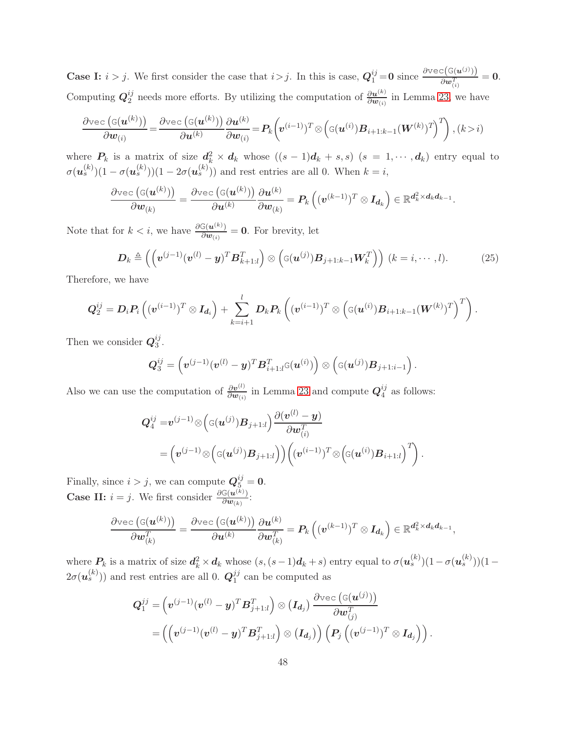**Case I:**  $i > j$ . We first consider the case that  $i > j$ . In this is case,  $Q_1^{ij} = 0$  since  $\frac{\partial \text{vec}(\mathsf{G}(u^{(j)}))}{\partial w_{j}^{T}}$  $\frac{\mathbb{E}(\mathbb{G}(\boldsymbol{u}^{(j)}))}{\partial \boldsymbol{w}_{(i)}^T} = \boldsymbol{0}.$ Computing  $Q_2^{ij}$  $\frac{i}{2}$  needs more efforts. By utilizing the computation of  $\frac{\partial u^{(k)}}{\partial w_{(i)}}$  in Lemma [23,](#page-46-0) we have

$$
\frac{\partial \text{vec}\left(\mathbf{G}(\boldsymbol{u}^{(k)})\right)}{\partial \boldsymbol{w}_{(i)}} = \frac{\partial \text{vec}\left(\mathbf{G}(\boldsymbol{u}^{(k)})\right)}{\partial \boldsymbol{u}^{(k)}} \frac{\partial \boldsymbol{u}^{(k)}}{\partial \boldsymbol{w}_{(i)}} = P_k\bigg(\boldsymbol{v}^{(i-1)})^T \otimes \left(\mathbf{G}(\boldsymbol{u}^{(i)}) \boldsymbol{B}_{i+1:k-1}(\boldsymbol{W}^{(k)})^T\right)^T\bigg), (k > i)
$$

where  $P_k$  is a matrix of size  $d_k^2 \times d_k$  whose  $((s-1)d_k + s, s)$   $(s = 1, \dots, d_k)$  entry equal to  $\sigma(\boldsymbol{u}_s^{(k)})(1-\sigma(\boldsymbol{u}_s^{(k)}))(1-2\sigma(\boldsymbol{u}_s^{(k)}))$  and rest entries are all 0. When  $k=i$ ,

$$
\frac{\partial \text{vec}\left(\text{G}(\bm{u}^{(k)})\right)}{\partial \bm{w}_{(k)}} = \frac{\partial \text{vec}\left(\text{G}(\bm{u}^{(k)})\right)}{\partial \bm{u}^{(k)}} \frac{\partial \bm{u}^{(k)}}{\partial \bm{w}_{(k)}} = \bm{P}_k\left((\bm{v}^{(k-1)})^T \otimes \bm{I}_{\bm{d}_k}\right) \in \mathbb{R}^{\bm{d}_k^2 \times \bm{d}_k \bm{d}_{k-1}}.
$$

Note that for  $k < i$ , we have  $\frac{\partial G(\boldsymbol{u}^{(k)})}{\partial \boldsymbol{u}_{(k)}}$  $\frac{\mathbb{G}(\boldsymbol{u}^{(k)})}{\partial \boldsymbol{w}_{(i)}} = \boldsymbol{0}$ . For brevity, let

<span id="page-47-0"></span>
$$
\boldsymbol{D}_k \triangleq \left( \left( \boldsymbol{v}^{(j-1)} (\boldsymbol{v}^{(l)} - \boldsymbol{y})^T \boldsymbol{B}_{k+1:l}^T \right) \otimes \left( \mathbf{G}(\boldsymbol{u}^{(j)}) \boldsymbol{B}_{j+1:k-1} \boldsymbol{W}_k^T \right) \right) \ (k = i, \cdots, l). \tag{25}
$$

Therefore, we have

$$
\boldsymbol{Q}_2^{ij} = \boldsymbol{D}_i \boldsymbol{P}_i \left( (\boldsymbol{v}^{(i-1)})^T \otimes \boldsymbol{I_{d_i}} \right) + \sum_{k=i+1}^{l} \boldsymbol{D}_k \boldsymbol{P}_k \left( (\boldsymbol{v}^{(i-1)})^T \otimes \left( \boldsymbol{\mathsf{G}}(\boldsymbol{u}^{(i)}) \boldsymbol{B}_{i+1:k-1}(\boldsymbol{W}^{(k)})^T \right)^T \right).
$$

Then we consider  $Q_3^{ij}$  $\frac{ij}{3}$ .

$$
\boldsymbol{Q}_3^{ij} = \left(\boldsymbol{v}^{(j-1)}(\boldsymbol{v}^{(l)} - \boldsymbol{y})^T \boldsymbol{B}_{i+1:l}^T\varsigma(\boldsymbol{u}^{(i)})\right) \otimes \left(\varsigma(\boldsymbol{u}^{(j)})\boldsymbol{B}_{j+1:i-1}\right).
$$

Also we can use the computation of  $\frac{\partial v^{(l)}}{\partial w^{(l)}}$  $\frac{\partial v^{(l)}}{\partial w_{(i)}}$  in Lemma [23](#page-46-0) and compute  $Q_4^{ij}$  $\frac{y}{4}$  as follows:

$$
\begin{aligned} \boldsymbol{Q}_4^{ij}=&\boldsymbol{v}^{(j-1)}\otimes\Big(\mathbf{G}(\boldsymbol{u}^{(j)})\boldsymbol{B}_{j+1:l}\Big)\frac{\partial(\boldsymbol{v}^{(l)}-\boldsymbol{y})}{\partial\boldsymbol{w}_{(i)}^T} \\&=\Big(\boldsymbol{v}^{(j-1)}\otimes\Big(\mathbf{G}(\boldsymbol{u}^{(j)})\boldsymbol{B}_{j+1:l}\Big)\Big)\Big(\big(\boldsymbol{v}^{(i-1)}\big)^T\otimes\Big(\mathbf{G}(\boldsymbol{u}^{(i)})\boldsymbol{B}_{i+1:l}\Big)^T\Big)\,. \end{aligned}
$$

Finally, since  $i > j$ , we can compute  $\mathbf{Q}_{\bar{5}}^{ij} = \mathbf{0}$ . **Case II:**  $i = j$ . We first consider  $\frac{\partial G(u^{(k)})}{\partial w_{(k)}}$  $\frac{\sigma(u^{n})}{\partial w_{(k)}}$ :

$$
\frac{\partial \text{vec}\left(\mathbf{G}(\boldsymbol{u}^{(k)})\right)}{\partial \boldsymbol{w}_{(k)}^T} = \frac{\partial \text{vec}\left(\mathbf{G}(\boldsymbol{u}^{(k)})\right)}{\partial \boldsymbol{u}^{(k)}} \frac{\partial \boldsymbol{u}^{(k)}}{\partial \boldsymbol{w}_{(k)}^T} = \boldsymbol{P}_k\left((\boldsymbol{v}^{(k-1)})^T \otimes \boldsymbol{I}_{\boldsymbol{d}_k}\right) \in \mathbb{R}^{\boldsymbol{d}_k^2 \times \boldsymbol{d}_k \boldsymbol{d}_{k-1}},
$$

where  $P_k$  is a matrix of size  $d_k^2 \times d_k$  whose  $(s, (s-1)d_k + s)$  entry equal to  $\sigma(u_s^{(k)})(1 - \sigma(u_s^{(k)}))(1 2\sigma(\boldsymbol{u}_s^{(k)}))$  and rest entries are all 0.  $\boldsymbol{Q}_1^{jj}$  $_1^{jj}$  can be computed as

$$
\begin{aligned} \boldsymbol{Q}^{jj}_1 &= \left(\boldsymbol{v}^{(j-1)}(\boldsymbol{v}^{(l)} - \boldsymbol{y})^T \boldsymbol{B}^T_{j+1:l}\right) \otimes \left(\boldsymbol{I_{d_j}}\right) \frac{\partial \text{vec}\left(\mathbf{G}(\boldsymbol{u}^{(j)})\right)}{\partial \boldsymbol{w}^T_{(j)}} \\ &= \left(\left(\boldsymbol{v}^{(j-1)}(\boldsymbol{v}^{(l)} - \boldsymbol{y})^T \boldsymbol{B}^T_{j+1:l}\right) \otimes \left(\boldsymbol{I_{d_j}}\right)\right) \left(\boldsymbol{P}_j\left((\boldsymbol{v}^{(j-1)})^T \otimes \boldsymbol{I_{d_j}}\right)\right). \end{aligned}
$$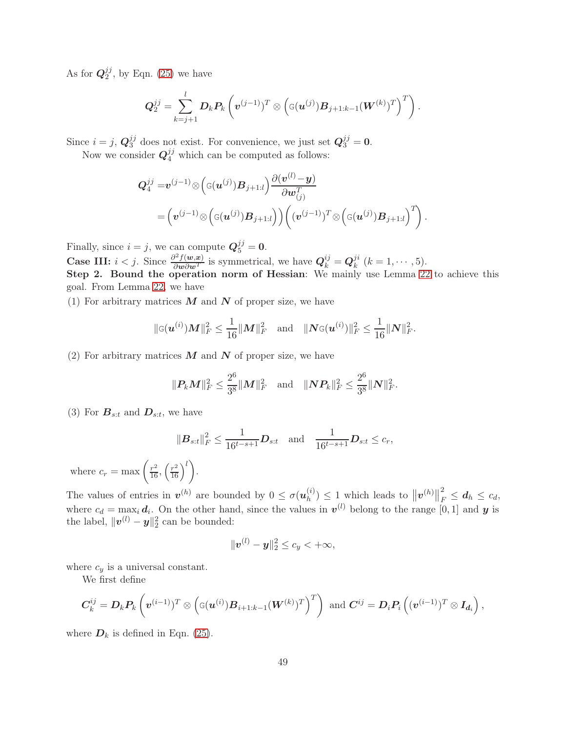As for  $\bm{Q}_2^{jj}$  $2^{J}$ , by Eqn. [\(25\)](#page-47-0) we have

$$
\boldsymbol{Q}_2^{jj} = \sum_{k=j+1}^{l} \boldsymbol{D}_k \boldsymbol{P}_k \left(\boldsymbol{v}^{(j-1)})^T \otimes \left( \mathbf{G}(\boldsymbol{u}^{(j)}) \boldsymbol{B}_{j+1:k-1}(\boldsymbol{W}^{(k)})^T \right)^T \right).
$$

Since  $i=j, \, \mathbf{Q}_3^{jj}$  $j_3^{j}$  does not exist. For convenience, we just set  $Q_3^{j} = 0$ .

Now we consider  $Q_4^{jj}$  which can be computed as follows:

$$
Q_4^{jj} = v^{(j-1)} \otimes \left( \mathbf{G}(\boldsymbol{u}^{(j)}) \boldsymbol{B}_{j+1:l} \right) \frac{\partial (\boldsymbol{v}^{(l)} - \boldsymbol{y})}{\partial \boldsymbol{w}_{(j)}^T} = \left( v^{(j-1)} \otimes \left( \mathbf{G}(\boldsymbol{u}^{(j)}) \boldsymbol{B}_{j+1:l} \right) \right) \left( (\boldsymbol{v}^{(j-1)})^T \otimes \left( \mathbf{G}(\boldsymbol{u}^{(j)}) \boldsymbol{B}_{j+1:l} \right)^T \right).
$$

Finally, since  $i = j$ , we can compute  $Q_5^{jj} = 0$ .

**Case III:**  $i < j$ . Since  $\frac{\partial^2 f(w, x)}{\partial w \partial w^T}$  is symmetrical, we have  $Q_k^{ij} = Q_k^{ji}$  $\binom{J^i}{k}$   $(k = 1, \cdots, 5)$ . Step 2. Bound the operation norm of Hessian: We mainly use Lemma [22](#page-44-2) to achieve this goal. From Lemma [22,](#page-44-2) we have

(1) For arbitrary matrices  $M$  and  $N$  of proper size, we have

$$
\|\mathbf{G}(\boldsymbol{u}^{(i)})\boldsymbol{M}\|_{F}^{2} \leq \frac{1}{16} \|\boldsymbol{M}\|_{F}^{2} \quad \text{and} \quad \|\boldsymbol{N}\mathbf{G}(\boldsymbol{u}^{(i)})\|_{F}^{2} \leq \frac{1}{16} \|\boldsymbol{N}\|_{F}^{2}.
$$

(2) For arbitrary matrices  $M$  and  $N$  of proper size, we have

$$
\|\textbf{\textit{P}}_k\textbf{\textit{M}}\|_F^2 \leq \frac{2^6}{3^8}\|\textbf{\textit{M}}\|_F^2 \quad \text{and} \quad \|\textbf{\textit{N}}\textbf{\textit{P}}_k\|_F^2 \leq \frac{2^6}{3^8}\|\textbf{\textit{N}}\|_F^2.
$$

(3) For  $B_{s:t}$  and  $D_{s:t}$ , we have

$$
\|\boldsymbol{B}_{s:t}\|_{F}^{2} \leq \frac{1}{16^{t-s+1}} \boldsymbol{D}_{s:t} \text{ and } \frac{1}{16^{t-s+1}} \boldsymbol{D}_{s:t} \leq c_{r},
$$

where  $c_r = \max\left(\frac{r^2}{16}, \left(\frac{r^2}{16}\right)^l\right)$ .

The values of entries in  $v^{(h)}$  are bounded by  $0 \leq \sigma(u_h^{(i)})$  $\binom{n}{h} \leq 1$  which leads to  $||\mathbf{v}^{(h)}||$ 2  $\frac{z}{F} \leq d_h \leq c_d,$ where  $c_d = \max_i d_i$ . On the other hand, since the values in  $v^{(l)}$  belong to the range [0, 1] and y is the label,  $\|\boldsymbol{v}^{(l)} - \boldsymbol{y}\|_2^2$  can be bounded:

$$
\|\boldsymbol{v}^{(l)}-\boldsymbol{y}\|_2^2\leq c_y<+\infty,
$$

where  $c_y$  is a universal constant.

We first define

$$
\boldsymbol{C}_k^{ij} = \boldsymbol{D}_k \boldsymbol{P}_k \left( \boldsymbol{v}^{(i-1)})^T \otimes \left( \mathbf{G}(\boldsymbol{u}^{(i)}) \boldsymbol{B}_{i+1:k-1}(\boldsymbol{W}^{(k)})^T \right)^T \right) \text{ and } \boldsymbol{C}^{ij} = \boldsymbol{D}_i \boldsymbol{P}_i \left( (\boldsymbol{v}^{(i-1)})^T \otimes \boldsymbol{I_d} \right),
$$

where  $D_k$  is defined in Eqn. [\(25\)](#page-47-0).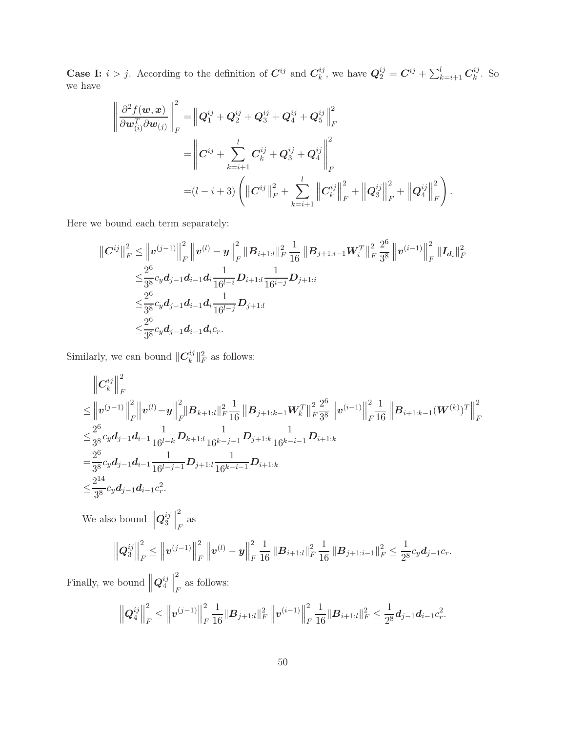**Case I:**  $i > j$ . According to the definition of  $C^{ij}$  and  $C^{ij}_k$  $k^{ij}_{k}$ , we have  $\mathbf{Q}_{2}^{ij} = \mathbf{C}^{ij} + \sum_{k=i+1}^{l} \mathbf{C}_{k}^{ij}$  $\frac{dy}{k}$ . So we have

$$
\begin{aligned}\n\left\|\frac{\partial^2 f(\boldsymbol{w}, \boldsymbol{x})}{\partial \boldsymbol{w}_{(i)}^T \partial \boldsymbol{w}_{(j)}}\right\|_F^2 &= \left\|\boldsymbol{Q}_1^{ij} + \boldsymbol{Q}_2^{ij} + \boldsymbol{Q}_3^{ij} + \boldsymbol{Q}_4^{ij} + \boldsymbol{Q}_5^{ij}\right\|_F^2 \\
&= \left\|\boldsymbol{C}^{ij} + \sum_{k=i+1}^l \boldsymbol{C}_k^{ij} + \boldsymbol{Q}_3^{ij} + \boldsymbol{Q}_4^{ij}\right\|_F^2 \\
&= (l-i+3) \left( \|\boldsymbol{C}^{ij}\|_F^2 + \sum_{k=i+1}^l \left\|\boldsymbol{C}_k^{ij}\right\|_F^2 + \left\|\boldsymbol{Q}_3^{ij}\right\|_F^2 + \left\|\boldsymbol{Q}_4^{ij}\right\|_F^2 \right).\n\end{aligned}
$$

Here we bound each term separately:

$$
\|C^{ij}\|_F^2 \leq \|v^{(j-1)}\|_F^2 \|v^{(l)} - y\|_F^2 \|B_{i+1:l}\|_F^2 \frac{1}{16} \|B_{j+1:i-1}W_i^T\|_F^2 \frac{2^6}{3^8} \|v^{(i-1)}\|_F^2 \|I_{d_i}\|_F^2
$$
  

$$
\leq \frac{2^6}{3^8} c_y d_{j-1} d_{i-1} d_i \frac{1}{16^{l-i}} D_{i+1:l} \frac{1}{16^{i-j}} D_{j+1:i}
$$
  

$$
\leq \frac{2^6}{3^8} c_y d_{j-1} d_{i-1} d_i \frac{1}{16^{l-j}} D_{j+1:l}
$$
  

$$
\leq \frac{2^6}{3^8} c_y d_{j-1} d_{i-1} d_i c_r.
$$

Similarly, we can bound  $\|C_k^{ij}\|$  $\|k^i\|_F^2$  as follows:

$$
\|C_k^{ij}\|_F^2 \leq \|v^{(j-1)}\|_F^2 \|v^{(l)} - y\|_F^2 \|B_{k+1:l}\|_F^2 \frac{1}{16} \|B_{j+1:k-1}W_k^T\|_F^2 \frac{2^6}{3^8} \|v^{(i-1)}\|_F^2 \frac{1}{16} \|B_{i+1:k-1}(W^{(k)})^T\|_F^2
$$
  
\n
$$
\leq \frac{2^6}{3^8} c_y d_{j-1} d_{i-1} \frac{1}{16^{l-k}} D_{k+1:l} \frac{1}{16^{k-j-1}} D_{j+1:k} \frac{1}{16^{k-i-1}} D_{i+1:k}
$$
  
\n
$$
= \frac{2^6}{3^8} c_y d_{j-1} d_{i-1} \frac{1}{16^{l-j-1}} D_{j+1:l} \frac{1}{16^{k-i-1}} D_{i+1:k}
$$
  
\n
$$
\leq \frac{2^{14}}{3^8} c_y d_{j-1} d_{i-1} c_r^2.
$$
  
\nWe also bound 
$$
\left\|Q_3^{ij}\right\|_F^2 \text{ as}
$$
  
\n
$$
\left\|Q_3^{ij}\right\|_F^2 \leq \left\|v^{(j-1)}\right\|_F^2 \left\|v^{(l)} - y\right\|_F^2 \frac{1}{16} \|B_{i+1:l}\|_F^2 \frac{1}{16} \|B_{j+1:i-1}\|_F^2 \leq \frac{1}{2^8} c_y d_{j-1} c_r.
$$

Finally, we bound  $||Q_4^{ij}||$  $\begin{array}{c} ij \\ 4 \end{array}$ 2 as follows:<br> $F$ 

$$
\left\|Q_4^{ij}\right\|_F^2 \le \left\|v^{(j-1)}\right\|_F^2 \frac{1}{16} \|B_{j+1:l}\|_F^2 \left\|v^{(i-1)}\right\|_F^2 \frac{1}{16} \|B_{i+1:l}\|_F^2 \le \frac{1}{2^8} d_{j-1} d_{i-1} c_r^2.
$$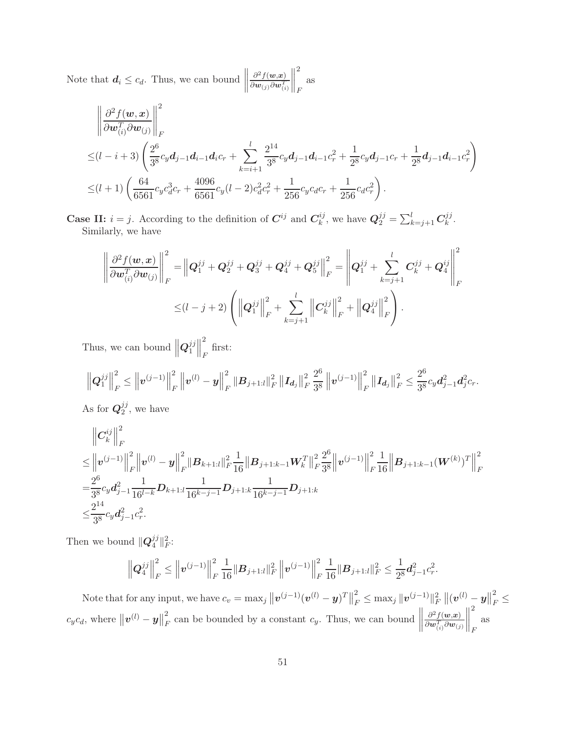Note that  $d_i \leq c_d$ . Thus, we can bound  $\parallel$  $\partial^2 f(\boldsymbol{w},\boldsymbol{x})$  $\overline{\partial \boldsymbol{w}_{\left(j\right)}\partial \boldsymbol{w}_{\left(i\right)}^{T}}$  2 F as

$$
\begin{split}\n&\left\|\frac{\partial^2 f(\mathbf{w}, \mathbf{x})}{\partial \mathbf{w}_{(i)}^T \partial \mathbf{w}_{(j)}}\right\|_F^2 \\
&\leq (l-i+3) \left(\frac{2^6}{3^8}c_y d_{j-1} d_{i-1} d_i c_r + \sum_{k=i+1}^l \frac{2^{14}}{3^8}c_y d_{j-1} d_{i-1} c_r^2 + \frac{1}{2^8}c_y d_{j-1} c_r + \frac{1}{2^8}d_{j-1} d_{i-1} c_r^2\right) \\
&\leq (l+1) \left(\frac{64}{6561}c_y c_d^3 c_r + \frac{4096}{6561}c_y (l-2) c_d^2 c_r^2 + \frac{1}{256}c_y c_d c_r + \frac{1}{256}c_d c_r^2\right).\n\end{split}
$$

**Case II:**  $i = j$ . According to the definition of  $C^{ij}$  and  $C_k^{ij}$  $k^{ij}_{k}$ , we have  $\mathbf{Q}_{2}^{jj} = \sum_{k=j+1}^{l} \mathbf{C}_{k}^{jj}$  $_k^{jj}$  . Similarly, we have

$$
\left\|\frac{\partial^2 f(\boldsymbol{w}, \boldsymbol{x})}{\partial \boldsymbol{w}_{(i)}^T \partial \boldsymbol{w}_{(j)}}\right\|_F^2 = \left\|\boldsymbol{Q}_1^{jj} + \boldsymbol{Q}_2^{jj} + \boldsymbol{Q}_3^{jj} + \boldsymbol{Q}_4^{jj} + \boldsymbol{Q}_5^{jj}\right\|_F^2 = \left\|\boldsymbol{Q}_1^{jj} + \sum_{k=j+1}^l C_k^{jj} + \boldsymbol{Q}_4^{ij}\right\|_F^2
$$
  

$$
\leq (l - j + 2) \left( \left\|\boldsymbol{Q}_1^{jj}\right\|_F^2 + \sum_{k=j+1}^l \left\|\boldsymbol{C}_k^{jj}\right\|_F^2 + \left\|\boldsymbol{Q}_4^{jj}\right\|_F^2 \right).
$$

Thus, we can bound  $\left\| \boldsymbol{Q}_1^{jj}\right\|$  $\begin{array}{c} jj \\ 1 \end{array}$ 2  $\int_F$  first:

$$
\left\|Q_1^{jj}\right\|_F^2 \le \left\|v^{(j-1)}\right\|_F^2 \left\|v^{(l)} - y\right\|_F^2 \left\|B_{j+1:l}\right\|_F^2 \left\|I_{d_j}\right\|_F^2 \frac{2^6}{3^8} \left\|v^{(j-1)}\right\|_F^2 \left\|I_{d_j}\right\|_F^2 \le \frac{2^6}{3^8} c_y d_{j-1}^2 d_{j}^2 c_r.
$$

As for  $\bm{Q}_2^{jj}$  $_2^{jj}$ , we have

$$
\|C_k^{ij}\|_F^2 \leq \|v^{(j-1)}\|_F^2 \|v^{(l)} - y\|_F^2 \|B_{k+1:l}\|_F^2 \frac{1}{16} \|B_{j+1:k-1} W_k^T\|_F^2 \frac{2^6}{3^8} \|v^{(j-1)}\|_F^2 \frac{1}{16} \|B_{j+1:k-1} (W^{(k)})^T\|_F^2
$$
  
\n
$$
= \frac{2^6}{3^8} c_y d_{j-1}^2 \frac{1}{16^{l-k}} D_{k+1:l} \frac{1}{16^{k-j-1}} D_{j+1:k} \frac{1}{16^{k-j-1}} D_{j+1:k}
$$
  
\n
$$
\leq \frac{2^{14}}{3^8} c_y d_{j-1}^2 c_r^2.
$$

Then we bound  $\mathbf{Q}_4^{jj}$  $\frac{Jj}{4} \|_F^2$ :

$$
\left\|Q_4^{jj}\right\|_F^2 \le \left\|v^{(j-1)}\right\|_F^2 \frac{1}{16} \|B_{j+1:l}\|_F^2 \left\|v^{(j-1)}\right\|_F^2 \frac{1}{16} \|B_{j+1:l}\|_F^2 \le \frac{1}{2^8} d_{j-1}^2 c_r^2.
$$

Note that for any input, we have  $c_v = \max_j ||\boldsymbol{v}^{(j-1)}(\boldsymbol{v}^{(l)} - \boldsymbol{y})^T||$ 2  $\frac{d}{dr} \leq \max_j \| \boldsymbol{v}^{(j-1)} \|_F^2 \left\| (\boldsymbol{v}^{(l)} - \boldsymbol{y} \right\|_F^2)$ 2  $_F \leq$  $c_y c_d$ , where  $\|\boldsymbol{v}^{(l)} - \boldsymbol{y}\|$ 2  $\frac{2}{F}$  can be bounded by a constant  $c_y$ . Thus, we can bound  $\parallel$  $\partial^2 f(\boldsymbol{w},\!\boldsymbol{x})$  $\partial \bm w_{(i)}^T \partial \bm w_{(j)}$  2 F as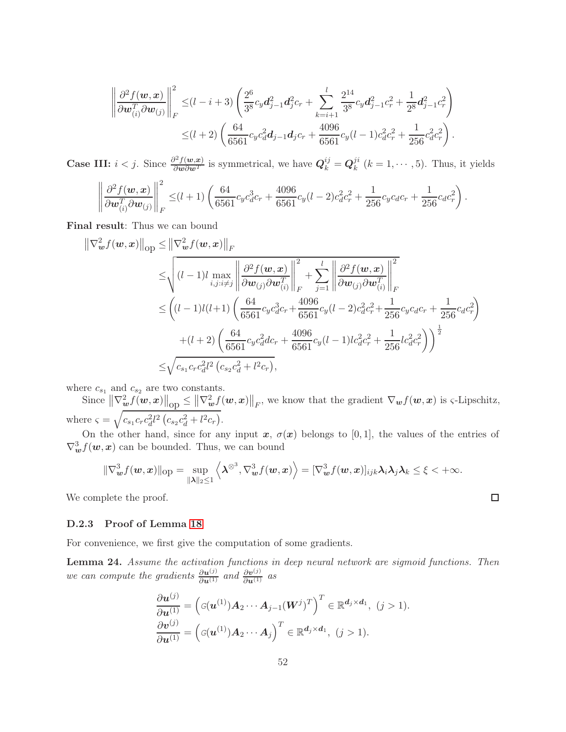$$
\left\| \frac{\partial^2 f(\boldsymbol{w}, \boldsymbol{x})}{\partial \boldsymbol{w}_{(i)}^T \partial \boldsymbol{w}_{(j)}} \right\|_F^2 \leq (l - i + 3) \left( \frac{2^6}{3^8} c_y d_{j-1}^2 d_{j}^2 c_r + \sum_{k=i+1}^l \frac{2^{14}}{3^8} c_y d_{j-1}^2 c_r^2 + \frac{1}{2^8} d_{j-1}^2 c_r^2 \right) \leq (l + 2) \left( \frac{64}{6561} c_y c_d^2 d_{j-1} d_j c_r + \frac{4096}{6561} c_y (l - 1) c_d^2 c_r^2 + \frac{1}{256} c_d^2 c_r^2 \right).
$$

**Case III:**  $i < j$ . Since  $\frac{\partial^2 f(w, x)}{\partial w \partial w^T}$  is symmetrical, we have  $Q_k^{ij} = Q_k^{ji}$  $\binom{n}{k}$   $(k = 1, \cdots, 5)$ . Thus, it yields

$$
\left\|\frac{\partial^2 f(\boldsymbol{w}, \boldsymbol{x})}{\partial \boldsymbol{w}_{(i)}^T \partial \boldsymbol{w}_{(j)}}\right\|_F^2 \leq (l+1) \left(\frac{64}{6561}c_y c_d^3 c_r + \frac{4096}{6561}c_y (l-2)c_d^2 c_r^2 + \frac{1}{256}c_y c_d c_r + \frac{1}{256}c_d c_r^2\right).
$$

Final result: Thus we can bound

$$
\|\nabla_{\boldsymbol{w}}^2 f(\boldsymbol{w}, \boldsymbol{x})\|_{\text{op}} \leq \|\nabla_{\boldsymbol{w}}^2 f(\boldsymbol{w}, \boldsymbol{x})\|_F
$$
  
\n
$$
\leq \sqrt{(l-1)l \max_{i,j:i\neq j} \left\|\frac{\partial^2 f(\boldsymbol{w}, \boldsymbol{x})}{\partial \boldsymbol{w}_{(j)} \partial \boldsymbol{w}_{(i)}^T}\right\|_F^2 + \sum_{j=1}^l \left\|\frac{\partial^2 f(\boldsymbol{w}, \boldsymbol{x})}{\partial \boldsymbol{w}_{(j)} \partial \boldsymbol{w}_{(i)}^T}\right\|_F^2
$$
  
\n
$$
\leq \left((l-1)l(l+1) \left(\frac{64}{6561}c_y c_d^3 c_r + \frac{4096}{6561}c_y (l-2) c_d^2 c_r^2 + \frac{1}{256}c_y c_d c_r + \frac{1}{256}c_d c_r^2\right)\right)
$$
  
\n
$$
+ (l+2) \left(\frac{64}{6561}c_y c_d^2 d c_r + \frac{4096}{6561}c_y (l-1)lc_d^2 c_r^2 + \frac{1}{256}lc_d^2 c_r^2\right)\right)^{\frac{1}{2}}
$$
  
\n
$$
\leq \sqrt{c_{s_1}c_r c_d^2 l^2 (c_{s_2} c_d^2 + l^2 c_r)},
$$

where  $c_{s_1}$  and  $c_{s_2}$  are two constants.

Since  $\left\|\nabla_{\boldsymbol{w}}^2 f(\boldsymbol{w}, \boldsymbol{x})\right\|_{\text{op}} \leq \left\|\nabla_{\boldsymbol{w}}^2 f(\boldsymbol{w}, \boldsymbol{x})\right\|_F$ , we know that the gradient  $\nabla_{\boldsymbol{w}} f(\boldsymbol{w}, \boldsymbol{x})$  is  $\varsigma$ -Lipschitz, where  $\varsigma = \sqrt{c_{s_1} c_r c_d^2 l^2 (c_{s_2} c_d^2 + l^2 c_r)}$ .

On the other hand, since for any input  $x, \sigma(x)$  belongs to [0,1], the values of the entries of  $\nabla^3_{\boldsymbol{w}} f(\boldsymbol{w}, \boldsymbol{x})$  can be bounded. Thus, we can bound

$$
\|\nabla_{\boldsymbol{w}}^3 f(\boldsymbol{w},\boldsymbol{x})\|_{\text{op}} = \sup_{\|\boldsymbol{\lambda}\|_2 \le 1} \left\langle \boldsymbol{\lambda}^{\otimes^3}, \nabla_{\boldsymbol{w}}^3 f(\boldsymbol{w},\boldsymbol{x}) \right\rangle = [\nabla_{\boldsymbol{w}}^3 f(\boldsymbol{w},\boldsymbol{x})]_{ijk} \boldsymbol{\lambda}_i \boldsymbol{\lambda}_j \boldsymbol{\lambda}_k \le \xi < +\infty.
$$

We complete the proof.

### D.2.3 Proof of Lemma [18](#page-43-3)

For convenience, we first give the computation of some gradients.

<span id="page-51-0"></span>Lemma 24. *Assume the activation functions in deep neural network are sigmoid functions. Then we can compute the gradients*  $\frac{\partial u^{(j)}}{\partial u^{(1)}}$  *and*  $\frac{\partial v^{(j)}}{\partial u^{(1)}}$  *as* 

$$
\frac{\partial \boldsymbol{u}^{(j)}}{\partial \boldsymbol{u}^{(1)}} = \left( G(\boldsymbol{u}^{(1)}) \boldsymbol{A}_2 \cdots \boldsymbol{A}_{j-1} (\boldsymbol{W}^j)^T \right)^T \in \mathbb{R}^{d_j \times d_1}, \ (j > 1).
$$

$$
\frac{\partial \boldsymbol{v}^{(j)}}{\partial \boldsymbol{u}^{(1)}} = \left( G(\boldsymbol{u}^{(1)}) \boldsymbol{A}_2 \cdots \boldsymbol{A}_j \right)^T \in \mathbb{R}^{d_j \times d_1}, \ (j > 1).
$$

$$
\qquad \qquad \Box
$$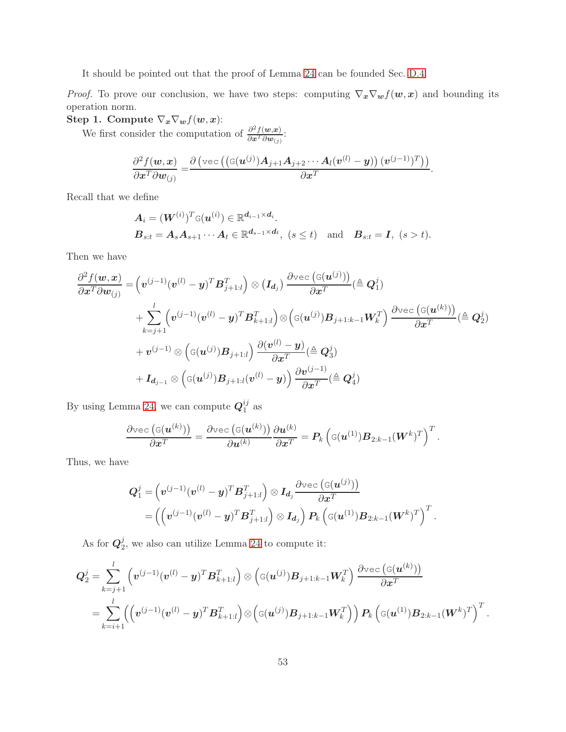It should be pointed out that the proof of Lemma [24](#page-51-0) can be founded Sec. [D.4.](#page-67-0)

*Proof.* To prove our conclusion, we have two steps: computing  $\nabla_x \nabla_w f(w, x)$  and bounding its operation norm.

Step 1. Compute  $\nabla_x \nabla_w f(w, x)$ :

We first consider the computation of  $\frac{\partial^2 f(w, x)}{\partial x^T \partial w}$  $\frac{\partial^{-}J(\boldsymbol{w},\boldsymbol{x})}{\partial \boldsymbol{x}^{T}\partial \boldsymbol{w}_{(j)}}$ :

$$
\frac{\partial^2 f(\boldsymbol{w}, \boldsymbol{x})}{\partial \boldsymbol{x}^T \partial \boldsymbol{w}_{(j)}} = \frac{\partial \left( \text{vec} \left( (\text{G}(\boldsymbol{u}^{(j)}) A_{j+1} A_{j+2} \cdots A_l (\boldsymbol{v}^{(l)} - \boldsymbol{y}) \right) (\boldsymbol{v}^{(j-1)})^T \right) \right)}{\partial \boldsymbol{x}^T}.
$$

Recall that we define

$$
\mathbf{A}_{i} = (\mathbf{W}^{(i)})^{T} \mathbf{G}(\mathbf{u}^{(i)}) \in \mathbb{R}^{\mathbf{d}_{i-1} \times \mathbf{d}_{i}}.
$$
\n
$$
\mathbf{B}_{s:t} = \mathbf{A}_{s} \mathbf{A}_{s+1} \cdots \mathbf{A}_{t} \in \mathbb{R}^{\mathbf{d}_{s-1} \times \mathbf{d}_{t}}, \ (s \leq t) \text{ and } \mathbf{B}_{s:t} = \mathbf{I}, \ (s > t).
$$

Then we have

$$
\begin{split} \frac{\partial^2 f(\boldsymbol{w}, \boldsymbol{x})}{\partial \boldsymbol{x}^T \partial \boldsymbol{w}_{(j)}} = & \Big( \boldsymbol{v}^{(j-1)} (\boldsymbol{v}^{(l)} - \boldsymbol{y})^T \boldsymbol{B}_{j+1:l}^T \Big) \otimes \big( \boldsymbol{I_{d_j}} \big) \, \frac{\partial \text{vec} \, (\mathbf{G}(\boldsymbol{u}^{(j)}))}{\partial \boldsymbol{x}^T} (\hat{\boldsymbol{\Xi}} \, \boldsymbol{Q}_1^j) \\ & + \sum_{k=j+1}^l \Big( \boldsymbol{v}^{(j-1)} (\boldsymbol{v}^{(l)} - \boldsymbol{y})^T \boldsymbol{B}_{k+1:l}^T \Big) \otimes \Big( \mathbf{G}(\boldsymbol{u}^{(j)}) \boldsymbol{B}_{j+1:k-1} \boldsymbol{W}_k^T \Big) \, \frac{\partial \text{vec} \, (\mathbf{G}(\boldsymbol{u}^{(k)}))}{\partial \boldsymbol{x}^T} (\hat{\boldsymbol{\Xi}} \, \boldsymbol{Q}_2^j) \\ & + \boldsymbol{v}^{(j-1)} \otimes \Big( \mathbf{G}(\boldsymbol{u}^{(j)}) \boldsymbol{B}_{j+1:l} \Big) \, \frac{\partial (\boldsymbol{v}^{(l)} - \boldsymbol{y})}{\partial \boldsymbol{x}^T} (\hat{\boldsymbol{\Xi}} \, \boldsymbol{Q}_3^j) \\ & + \boldsymbol{I_{d_{j-1}}} \otimes \Big( \mathbf{G}(\boldsymbol{u}^{(j)}) \boldsymbol{B}_{j+1:l} (\boldsymbol{v}^{(l)} - \boldsymbol{y}) \Big) \, \frac{\partial \boldsymbol{v}^{(j-1)}}{\partial \boldsymbol{x}^T} (\hat{\boldsymbol{\Xi}} \, \boldsymbol{Q}_4^j) \end{split}
$$

By using Lemma [24,](#page-51-0) we can compute  $Q_1^{ij}$  $\frac{ij}{1}$  as

$$
\frac{\partial\mathrm{vec}\left(\mathbf{G}(\boldsymbol{u}^{(k)})\right)}{\partial\boldsymbol{x}^T}=\frac{\partial\mathrm{vec}\left(\mathbf{G}(\boldsymbol{u}^{(k)})\right)}{\partial\boldsymbol{u}^{(k)}}\frac{\partial\boldsymbol{u}^{(k)}}{\partial\boldsymbol{x}^T}=\boldsymbol{P}_k\left(\mathbf{G}(\boldsymbol{u}^{(1)})\boldsymbol{B}_{2:k-1}(\boldsymbol{W}^k)^T\right)^T.
$$

Thus, we have

$$
\begin{aligned} \boldsymbol{Q}_{1}^{j}=&\left(\boldsymbol{v}^{\left(j-1\right)}(\boldsymbol{v}^{\left(l\right)}-\boldsymbol{y})^{T}\boldsymbol{B}_{j+1:l}^{T}\right)\otimes\boldsymbol{I_{d_{j}}}\frac{\partial\text{vec}\left(\mathbf{G}(\boldsymbol{u}^{\left(j\right)})\right)}{\partial\boldsymbol{x}^{T}} \\ =&\left(\left(\boldsymbol{v}^{\left(j-1\right)}(\boldsymbol{v}^{\left(l\right)}-\boldsymbol{y})^{T}\boldsymbol{B}_{j+1:l}^{T}\right)\otimes\boldsymbol{I_{d_{j}}}\right)\boldsymbol{P_{k}}\left(\mathbf{G}(\boldsymbol{u}^{\left(1\right)})\boldsymbol{B}_{2:k-1}(\boldsymbol{W}^{k})^{T}\right)^{T} \end{aligned}
$$

.

As for  $\bm{Q}_2^j$  $2<sub>2</sub>$ , we also can utilize Lemma [24](#page-51-0) to compute it:

$$
\begin{aligned} \bm{Q}_2^j &= \sum_{k=j+1}^l \left( \bm{v}^{(j-1)} (\bm{v}^{(l)} - \bm{y})^T \bm{B}_{k+1:l}^T \right) \otimes \left( \bm{\mathsf{G}}(\bm{u}^{(j)}) \bm{B}_{j+1:k-1} \bm{W}_{k}^T \right) \frac{\partial \text{vec} \left( \bm{\mathsf{G}}(\bm{u}^{(k)}) \right)}{\partial \bm{x}^T} \\ &= \sum_{k=i+1}^l \Bigl( \left( \bm{v}^{(j-1)} (\bm{v}^{(l)} - \bm{y})^T \bm{B}_{k+1:l}^T \right) \otimes \left( \bm{\mathsf{G}}(\bm{u}^{(j)}) \bm{B}_{j+1:k-1} \bm{W}_{k}^T \right) \Bigr) \bm{P}_k \left( \bm{\mathsf{G}}(\bm{u}^{(1)}) \bm{B}_{2:k-1} (\bm{W}^k)^T \right)^T. \end{aligned}
$$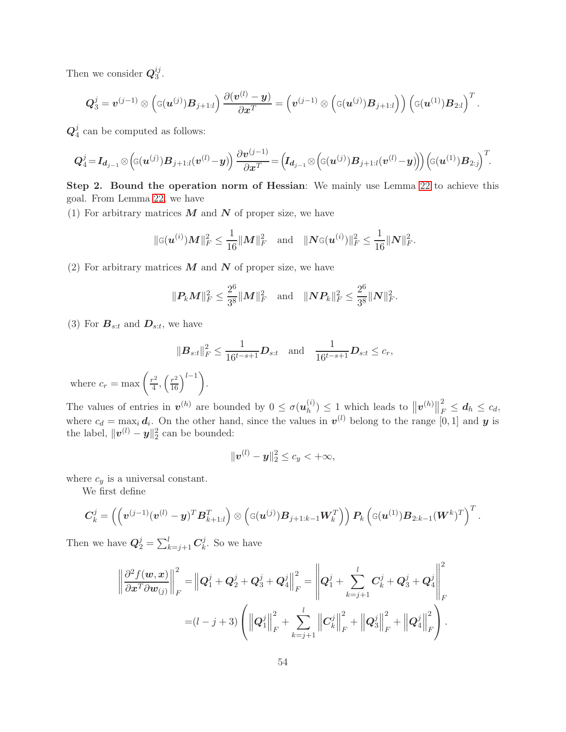Then we consider  $Q_3^{ij}$  $\frac{ij}{3}$ .

$$
\boldsymbol{Q}_{3}^{j}=\boldsymbol{v}^{(j-1)}\otimes\left(\mathbf{G}(\boldsymbol{u}^{(j)})\boldsymbol{B}_{j+1:l}\right)\frac{\partial(\boldsymbol{v}^{(l)}-\boldsymbol{y})}{\partial\boldsymbol{x}^{T}}=\left(\boldsymbol{v}^{(j-1)}\otimes\left(\mathbf{G}(\boldsymbol{u}^{(j)})\boldsymbol{B}_{j+1:l}\right)\right)\left(\mathbf{G}(\boldsymbol{u}^{(1)})\boldsymbol{B}_{2:l}\right)^{T}
$$

.

 $\boldsymbol{Q}^j_{4}$  $\frac{J}{4}$  can be computed as follows:

$$
\boldsymbol{Q}_{4}^{j}\!=\!\boldsymbol{I}_{\boldsymbol{d}_{j-1}}\otimes \left(\!\text{G}(\boldsymbol{u}^{(j)})\boldsymbol{B}_{j+1:l}(\boldsymbol{v}^{(l)}\!-\!\boldsymbol{y})\!\right)\frac{\partial \boldsymbol{v}^{(j-1)}}{\partial \boldsymbol{x}^{T}}\!=\!\left(\!\boldsymbol{I}_{\boldsymbol{d}_{j-1}}\otimes \left(\!\text{G}(\boldsymbol{u}^{(j)})\boldsymbol{B}_{j+1:l}(\boldsymbol{v}^{(l)}\!-\!\boldsymbol{y})\!\right)\!\right)\!\left(\!\text{G}(\boldsymbol{u}^{(1)})\boldsymbol{B}_{2:j}\!\right)^{T}\!.
$$

Step 2. Bound the operation norm of Hessian: We mainly use Lemma [22](#page-44-2) to achieve this goal. From Lemma [22,](#page-44-2) we have

(1) For arbitrary matrices  $M$  and  $N$  of proper size, we have

$$
\|\mathbf{G}(\boldsymbol{u}^{(i)})\boldsymbol{M}\|_{F}^{2} \leq \frac{1}{16} \|\boldsymbol{M}\|_{F}^{2} \quad \text{and} \quad \|\boldsymbol{N}\mathbf{G}(\boldsymbol{u}^{(i)})\|_{F}^{2} \leq \frac{1}{16} \|\boldsymbol{N}\|_{F}^{2}.
$$

(2) For arbitrary matrices  $M$  and  $N$  of proper size, we have

$$
\|\mathbf{P}_k\mathbf{M}\|_F^2 \leq \frac{2^6}{3^8}\|\mathbf{M}\|_F^2 \quad \text{and} \quad \|\mathbf{N}\mathbf{P}_k\|_F^2 \leq \frac{2^6}{3^8}\|\mathbf{N}\|_F^2.
$$

(3) For  $B_{s:t}$  and  $D_{s:t}$ , we have

$$
\|\boldsymbol{B}_{s:t}\|_{F}^{2} \leq \frac{1}{16^{t-s+1}} \boldsymbol{D}_{s:t} \text{ and } \frac{1}{16^{t-s+1}} \boldsymbol{D}_{s:t} \leq c_{r},
$$

where  $c_r = \max\left(\frac{r^2}{4}\right)$  $\frac{r^2}{4}, \left(\frac{r^2}{16}\right)^{l-1}.$ 

The values of entries in  $v^{(h)}$  are bounded by  $0 \leq \sigma(u_h^{(i)})$  $\binom{n}{h} \leq 1$  which leads to  $||\mathbf{v}^{(h)}||$ 2  $\frac{z}{F} \leq d_h \leq c_d,$ where  $c_d = \max_i d_i$ . On the other hand, since the values in  $v^{(l)}$  belong to the range [0, 1] and y is the label,  $\|\boldsymbol{v}^{(l)} - \boldsymbol{y}\|_2^2$  can be bounded:

$$
\|\bm{v}^{(l)}-\bm{y}\|_2^2 \le c_y < +\infty,
$$

where  $c_y$  is a universal constant.

We first define

$$
\boldsymbol{C}^j_k = \left( \left(\boldsymbol{v}^{(j-1)}(\boldsymbol{v}^{(l)} - \boldsymbol{y})^T \boldsymbol{B}^T_{k+1:l}\right) \otimes \left( \varsigma(\boldsymbol{u}^{(j)}) \boldsymbol{B}_{j+1:k-1} \boldsymbol{W}^T_k\right)\right) \boldsymbol{P}_k\left( \varsigma(\boldsymbol{u}^{(1)}) \boldsymbol{B}_{2:k-1} (\boldsymbol{W}^k)^T\right)^T.
$$

Then we have  $\mathbf{Q}_2^j = \sum_{k=j+1}^l \mathbf{C}_k^j$  $\frac{y}{k}$ . So we have

$$
\left\|\frac{\partial^2 f(\mathbf{w}, \mathbf{x})}{\partial \mathbf{x}^T \partial \mathbf{w}_{(j)}}\right\|_F^2 = \left\|\mathbf{Q}_1^j + \mathbf{Q}_2^j + \mathbf{Q}_3^j + \mathbf{Q}_4^j\right\|_F^2 = \left\|\mathbf{Q}_1^j + \sum_{k=j+1}^l C_k^j + \mathbf{Q}_3^j + \mathbf{Q}_4^j\right\|_F^2
$$
  
=  $(l - j + 3) \left( \left\|\mathbf{Q}_1^j\right\|_F^2 + \sum_{k=j+1}^l \left\|\mathbf{C}_k^j\right\|_F^2 + \left\|\mathbf{Q}_3^j\right\|_F^2 + \left\|\mathbf{Q}_4^j\right\|_F^2 \right).$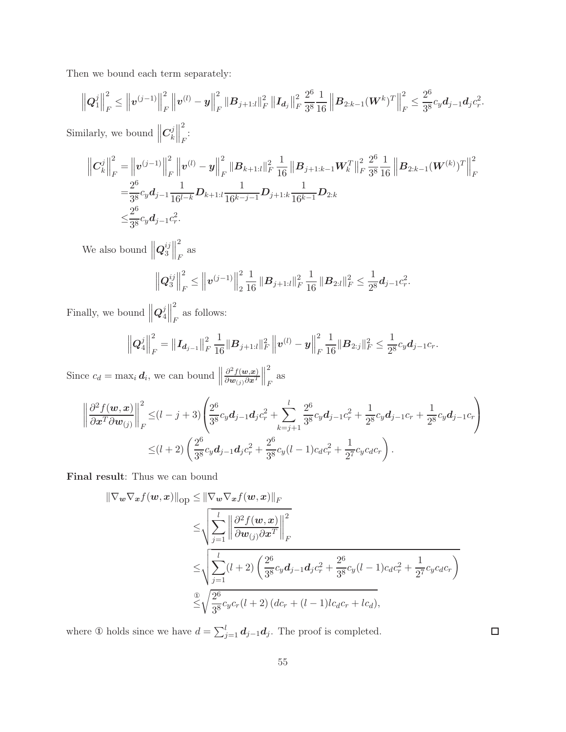Then we bound each term separately:

$$
\left\| \boldsymbol{Q}_{1}^{j} \right\|_{F}^{2} \leq \left\| \boldsymbol{v}^{(j-1)} \right\|_{F}^{2} \left\| \boldsymbol{v}^{(l)} - \boldsymbol{y} \right\|_{F}^{2} \left\| \boldsymbol{B}_{j+1:l} \right\|_{F}^{2} \left\| \boldsymbol{I}_{\boldsymbol{d}_{j}} \right\|_{F}^{2} \frac{2^{6}}{3^{8}} \frac{1}{16} \left\| \boldsymbol{B}_{2:k-1} (\boldsymbol{W}^{k})^{T} \right\|_{F}^{2} \leq \frac{2^{6}}{3^{8}} c_{y} d_{j-1} d_{j} c_{r}^{2}.
$$

Similarly, we bound  $\parallel$  $C_k^j$  $\left| \begin{matrix} j \\ k \end{matrix} \right|$ 2 :<br>F

$$
\begin{split}\n\left\|C_{k}^{j}\right\|_{F}^{2} &= \left\|v^{(j-1)}\right\|_{F}^{2} \left\|v^{(l)} - y\right\|_{F}^{2} \left\|B_{k+1:l}\right\|_{F}^{2} \frac{1}{16} \left\|B_{j+1:k-1}W_{k}^{T}\right\|_{F}^{2} \frac{2^{6}}{3^{8}} \frac{1}{16}\left\|B_{2:k-1}(W^{(k)})^{T}\right\|_{F}^{2} \\
&= \frac{2^{6}}{3^{8}} c_{y} d_{j-1} \frac{1}{16^{l-k}} D_{k+1:l} \frac{1}{16^{k-j-1}} D_{j+1:k} \frac{1}{16^{k-1}} D_{2:k} \\
&\leq & \frac{2^{6}}{3^{8}} c_{y} d_{j-1} c_{r}^{2}.\n\end{split}
$$

We also bound  $\left\| \boldsymbol{Q}_3^{ij} \right\|$  $\left\lVert \frac{ij}{3}\right\rVert$ 2 F as

$$
\left\| \mathbf{Q}_3^{ij} \right\|_F^2 \leq \left\| \mathbf{v}^{(j-1)} \right\|_2^2 \frac{1}{16} \left\| \mathbf{B}_{j+1:l} \right\|_F^2 \frac{1}{16} \left\| \mathbf{B}_{2:l} \right\|_F^2 \leq \frac{1}{2^8} \mathbf{d}_{j-1} c_r^2.
$$

Finally, we bound  $\left\|Q_4^j\right\|$  $\frac{j}{4}$ 2 as follows:

$$
\left\|\boldsymbol{Q}_4^j\right\|_F^2 = \left\|\boldsymbol{I}_{\boldsymbol{d}_{j-1}}\right\|_F^2 \frac{1}{16} \|\boldsymbol{B}_{j+1:l}\|_F^2 \left\|\boldsymbol{v}^{(l)} - \boldsymbol{y}\right\|_F^2 \frac{1}{16} \|\boldsymbol{B}_{2:j}\|_F^2 \leq \frac{1}{2^8} c_y \boldsymbol{d}_{j-1} c_r.
$$

Since  $c_d = \max_i \boldsymbol{d}_i$ , we can bound  $\parallel$  $\partial^2 f(\boldsymbol{w},\!\boldsymbol{x})$  $\partial \boldsymbol{w}_{(j)}\partial \boldsymbol{x}^T$  $\frac{1}{2}$ 2 F as

$$
\left\|\frac{\partial^2 f(\boldsymbol{w}, \boldsymbol{x})}{\partial \boldsymbol{x}^T \partial \boldsymbol{w}_{(j)}}\right\|_F^2 \leq (l-j+3) \left( \frac{2^6}{3^8} c_y d_{j-1} d_j c_r^2 + \sum_{k=j+1}^l \frac{2^6}{3^8} c_y d_{j-1} c_r^2 + \frac{1}{2^8} c_y d_{j-1} c_r + \frac{1}{2^8} c_y d_{j-1} c_r \right) \leq (l+2) \left( \frac{2^6}{3^8} c_y d_{j-1} d_j c_r^2 + \frac{2^6}{3^8} c_y (l-1) c_d c_r^2 + \frac{1}{2^7} c_y c_d c_r \right).
$$

Final result: Thus we can bound

$$
\|\nabla_{\boldsymbol{w}}\nabla_{\boldsymbol{x}}f(\boldsymbol{w},\boldsymbol{x})\|_{\text{op}} \leq \|\nabla_{\boldsymbol{w}}\nabla_{\boldsymbol{x}}f(\boldsymbol{w},\boldsymbol{x})\|_{F}
$$
  
\n
$$
\leq \sqrt{\sum_{j=1}^{l} \left\|\frac{\partial^2 f(\boldsymbol{w},\boldsymbol{x})}{\partial \boldsymbol{w}_{(j)} \partial \boldsymbol{x}^T}\right\|_{F}^2}
$$
  
\n
$$
\leq \sqrt{\sum_{j=1}^{l} (l+2) \left(\frac{2^6}{3^8}c_yd_{j-1}d_jc_r^2 + \frac{2^6}{3^8}c_y(l-1)c_dc_r^2 + \frac{1}{2^7}c_yc_dc_r\right)}
$$
  
\n
$$
\overset{\circ}{\leq} \sqrt{\frac{2^6}{3^8}c_yc_r(l+2)(dc_r + (l-1)lc_dc_r + lc_d)},
$$

where ① holds since we have  $d = \sum_{j=1}^{l} d_{j-1} d_j$ . The proof is completed.

 $\Box$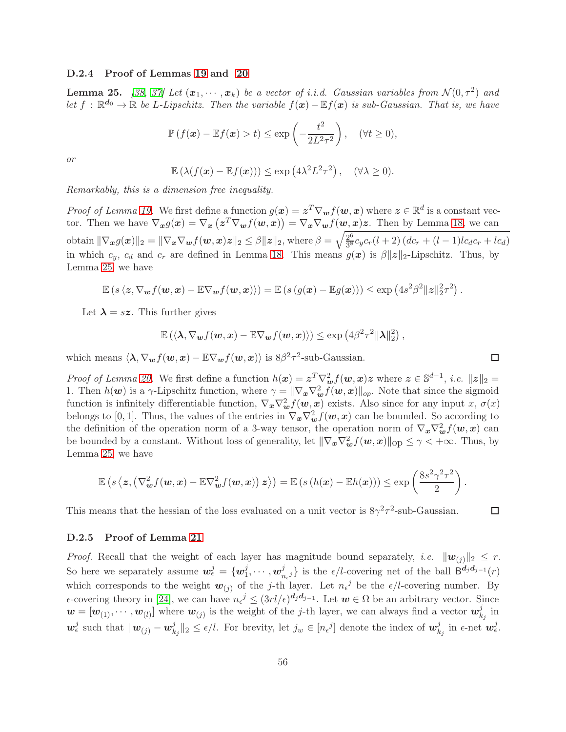#### D.2.4 Proof of Lemmas [19](#page-43-4) and [20](#page-44-1)

<span id="page-55-0"></span>**Lemma 25.** [\[38,](#page-13-3) [37\]](#page-13-2) Let  $(x_1, \dots, x_k)$  be a vector of i.i.d. Gaussian variables from  $\mathcal{N}(0, \tau^2)$  and *let*  $f$  :  $\mathbb{R}^{d_0}$  →  $\mathbb{R}$  *be L*-*Lipschitz. Then the variable*  $f(x) - \mathbb{E}f(x)$  *is sub-Gaussian. That is, we have* 

$$
\mathbb{P}\left(f(\boldsymbol{x}) - \mathbb{E}f(\boldsymbol{x}) > t\right) \le \exp\left(-\frac{t^2}{2L^2\tau^2}\right), \quad (\forall t \ge 0),
$$

*or*

$$
\mathbb{E}\left(\lambda(f(\boldsymbol{x}) - \mathbb{E}f(\boldsymbol{x}))\right) \le \exp\left(4\lambda^2 L^2 \tau^2\right), \quad (\forall \lambda \ge 0).
$$

*Remarkably, this is a dimension free inequality.*

*Proof of Lemma [19.](#page-43-4)* We first define a function  $g(x) = z^T \nabla_{\boldsymbol{w}} f(\boldsymbol{w}, x)$  where  $z \in \mathbb{R}^d$  is a constant vector. Then we have  $\nabla_{x} g(x) = \nabla_{x} (z^{T} \nabla_{w} f(w, x)) = \nabla_{x} \nabla_{w} f(w, x) z$ . Then by Lemma [18,](#page-43-3) we can obtain  $\|\nabla_{\bm{x}}g(\bm{x})\|_2 = \|\nabla_{\bm{x}}\nabla_{\bm{w}}f(\bm{w},\bm{x})\bm{z}\|_2 \leq \beta \|\bm{z}\|_2$ , where  $\beta = \sqrt{\frac{2^6}{3^8}}$  $\frac{2^{\circ}}{3^8}c_yc_r(l+2)\left(dc_r+(l-1)lc_d c_r+lc_d\right)$ in which  $c_y$ ,  $c_d$  and  $c_r$  are defined in Lemma [18.](#page-43-3) This means  $g(x)$  is  $\beta ||z||_2$ -Lipschitz. Thus, by Lemma [25,](#page-55-0) we have

$$
\mathbb{E}\left(s\left\langle\mathbf{z},\nabla_{\boldsymbol{w}}f(\boldsymbol{w},\boldsymbol{x})-\mathbb{E}\nabla_{\boldsymbol{w}}f(\boldsymbol{w},\boldsymbol{x})\right\rangle\right)=\mathbb{E}\left(s\left(g(\boldsymbol{x})-\mathbb{E}g(\boldsymbol{x})\right)\right)\leq \exp\left(4s^2\beta^2\|\boldsymbol{z}\|_2^2\tau^2\right).
$$

Let  $\lambda = sz$ . This further gives

$$
\mathbb{E}\left(\langle \boldsymbol{\lambda}, \nabla_{\boldsymbol{w}}f(\boldsymbol{w},\boldsymbol{x}) - \mathbb{E}\nabla_{\boldsymbol{w}}f(\boldsymbol{w},\boldsymbol{x})\rangle\right) \leq \exp\left(4\beta^2\tau^2\|\boldsymbol{\lambda}\|_2^2\right),
$$

which means  $\langle \lambda, \nabla_{\bm{w}} f(\bm{w}, \bm{x}) - \mathbb{E} \nabla_{\bm{w}} f(\bm{w}, \bm{x}) \rangle$  is  $8\beta^2 \tau^2$ -sub-Gaussian.

*Proof of Lemma [20.](#page-44-1)* We first define a function  $h(x) = z^T \nabla_w^2 f(w, x) z$  where  $z \in \mathbb{S}^{d-1}$ , *i.e.*  $||z||_2 =$ 1. Then  $h(\boldsymbol{w})$  is a  $\gamma$ -Lipschitz function, where  $\gamma = \|\nabla_{\boldsymbol{x}} \nabla_{\boldsymbol{w}}^2 f(\boldsymbol{w}, \boldsymbol{x})\|_{op}$ . Note that since the sigmoid function is infinitely differentiable function,  $\nabla_x \nabla_w^2 f(w, x)$  exists. Also since for any input x,  $\sigma(x)$ belongs to [0, 1]. Thus, the values of the entries in  $\nabla_x \nabla_w^2 f(w, x)$  can be bounded. So according to the definition of the operation norm of a 3-way tensor, the operation norm of  $\nabla_x \nabla_w^2 f(w, x)$  can be bounded by a constant. Without loss of generality, let  $\|\nabla_x \nabla_w^2 f(\boldsymbol{w},x)\|_{\text{op}} \leq \gamma < +\infty$ . Thus, by Lemma [25,](#page-55-0) we have

$$
\mathbb{E}\left(s\left\langle \mathbf{z},\left(\nabla_{\boldsymbol{w}}^2 f(\boldsymbol{w}, \boldsymbol{x}) - \mathbb{E}\nabla_{\boldsymbol{w}}^2 f(\boldsymbol{w}, \boldsymbol{x})\right) \mathbf{z}\right\rangle\right) = \mathbb{E}\left(s\left(h(\boldsymbol{x}) - \mathbb{E}h(\boldsymbol{x})\right)\right) \leq \exp\left(\frac{8s^2\gamma^2\tau^2}{2}\right).
$$

This means that the hessian of the loss evaluated on a unit vector is  $8\gamma^2 \tau^2$ -sub-Gaussian.

#### D.2.5 Proof of Lemma [21](#page-44-3)

*Proof.* Recall that the weight of each layer has magnitude bound separately, *i.e.*  $||\mathbf{w}_{(i)}||_2 \leq r$ . So here we separately assume  $\mathbf{w}_{\epsilon}^{j} = \{ \mathbf{w}_{1}^{j} \}$  $_{1}^{j},\cdots ,w_{n}^{j}$  $\{j}{n_{\epsilon}j}\}$  is the  $\epsilon/l$ -covering net of the ball  $B^{d_jd_{j-1}}(r)$ which corresponds to the weight  $w_{(j)}$  of the j-th layer. Let  $n_{\epsilon}^{j}$  be the  $\epsilon/l$ -covering number. By  $\epsilon$ -covering theory in [\[24\]](#page-12-6), we can have  $n_{\epsilon}^{j} \leq (3rl/\epsilon)^{d_j d_{j-1}}$ . Let  $w \in \Omega$  be an arbitrary vector. Since  $\mathbf{w} = [\mathbf{w}_{(1)}, \cdots, \mathbf{w}_{(l)}]$  where  $\mathbf{w}_{(j)}$  is the weight of the j-th layer, we can always find a vector  $\mathbf{w}_k^j$  $\frac{j}{k_j}$  in  $\boldsymbol{w}_{\epsilon}^j$  such that  $\|\boldsymbol{w}_{(j)} - \boldsymbol{w}_k^j\|$  $\|k_j\|_2 \leq \epsilon/l$ . For brevity, let  $j_w \in [n_{\epsilon}^{\ j}]$  denote the index of  $\boldsymbol{w}_k^j$  $\frac{j}{k_j}$  in  $\epsilon$ -net  $\bm{w}_{\epsilon}^j$ .

 $\Box$ 

 $\Box$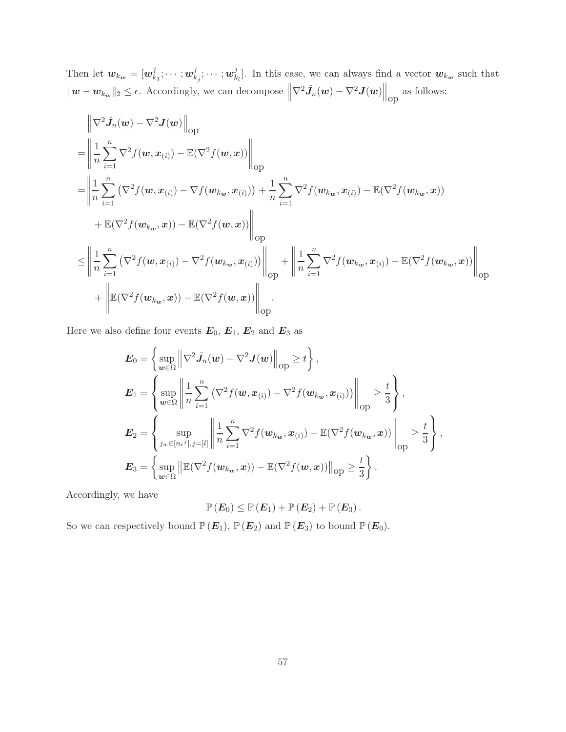Then let  $w_{k_w} = [w_k^j]$  $_{k_{1}}^{j};\cdots ;$   $\boldsymbol{w}_{k}^{j}$  $_{k_{j}}^{j};\cdots ;w_{k}^{j}$  $\mathcal{L}_{k_l}^j$ . In this case, we can always find a vector  $w_{k_w}$  such that  $||w - w_{k_w}||_2 \le \epsilon$ . Accordingly, we can decompose  $\left\|\nabla^2 \hat{J}_n(w) - \nabla^2 J(w)\right\|_{\text{op}}$  as follows:

$$
\begin{split}\n&= \left\| \frac{1}{n} \sum_{i=1}^{n} \nabla^{2} f(w, x_{(i)}) - \mathbb{E}(\nabla^{2} f(w, x)) \right\|_{\text{op}} \\
&= \left\| \frac{1}{n} \sum_{i=1}^{n} (\nabla^{2} f(w, x_{(i)}) - \nabla f(w_{k_{w}}, x_{(i)})) + \frac{1}{n} \sum_{i=1}^{n} \nabla^{2} f(w_{k_{w}}, x_{(i)}) - \mathbb{E}(\nabla^{2} f(w_{k_{w}}, x)) \\
&+ \mathbb{E}(\nabla^{2} f(w_{k_{w}}, x)) - \mathbb{E}(\nabla^{2} f(w, x)) \right\|_{\text{op}} \\
&\leq \left\| \frac{1}{n} \sum_{i=1}^{n} (\nabla^{2} f(w, x_{(i)}) - \nabla^{2} f(w_{k_{w}}, x_{(i)})) \right\|_{\text{op}} + \left\| \frac{1}{n} \sum_{i=1}^{n} \nabla^{2} f(w_{k_{w}}, x_{(i)}) - \mathbb{E}(\nabla^{2} f(w_{k_{w}}, x)) \right\|_{\text{op}} \\
&+ \left\| \mathbb{E}(\nabla^{2} f(w_{k_{w}}, x)) - \mathbb{E}(\nabla^{2} f(w, x)) \right\|_{\text{op}}.\n\end{split}
$$

Here we also define four events  $\textbf{\emph{E}}_{0},$   $\textbf{\emph{E}}_{1},$   $\textbf{\emph{E}}_{2}$  and  $\textbf{\emph{E}}_{3}$  as

$$
\mathbf{E}_0 = \left\{ \sup_{\mathbf{w} \in \Omega} \left\| \nabla^2 \hat{J}_n(\mathbf{w}) - \nabla^2 \mathbf{J}(\mathbf{w}) \right\|_{\text{op}} \ge t \right\},
$$
\n
$$
\mathbf{E}_1 = \left\{ \sup_{\mathbf{w} \in \Omega} \left\| \frac{1}{n} \sum_{i=1}^n \left( \nabla^2 f(\mathbf{w}, \mathbf{x}_{(i)}) - \nabla^2 f(\mathbf{w}_{k_\mathbf{w}}, \mathbf{x}_{(i)}) \right) \right\|_{\text{op}} \ge \frac{t}{3} \right\},
$$
\n
$$
\mathbf{E}_2 = \left\{ \sup_{j_w \in [n_{\epsilon}j], j = [l]} \left\| \frac{1}{n} \sum_{i=1}^n \nabla^2 f(\mathbf{w}_{k_\mathbf{w}}, \mathbf{x}_{(i)}) - \mathbb{E}(\nabla^2 f(\mathbf{w}_{k_\mathbf{w}}, \mathbf{x})) \right\|_{\text{op}} \ge \frac{t}{3} \right\},
$$
\n
$$
\mathbf{E}_3 = \left\{ \sup_{\mathbf{w} \in \Omega} \left\| \mathbb{E}(\nabla^2 f(\mathbf{w}_{k_\mathbf{w}}, \mathbf{x})) - \mathbb{E}(\nabla^2 f(\mathbf{w}, \mathbf{x})) \right\|_{\text{op}} \ge \frac{t}{3} \right\}.
$$

Accordingly, we have

$$
\mathbb{P}\left(\boldsymbol{E}_0\right) \leq \mathbb{P}\left(\boldsymbol{E}_1\right) + \mathbb{P}\left(\boldsymbol{E}_2\right) + \mathbb{P}\left(\boldsymbol{E}_3\right).
$$

So we can respectively bound  $\mathbb{P} (E_1)$ ,  $\mathbb{P} (E_2)$  and  $\mathbb{P} (E_3)$  to bound  $\mathbb{P} (E_0)$ .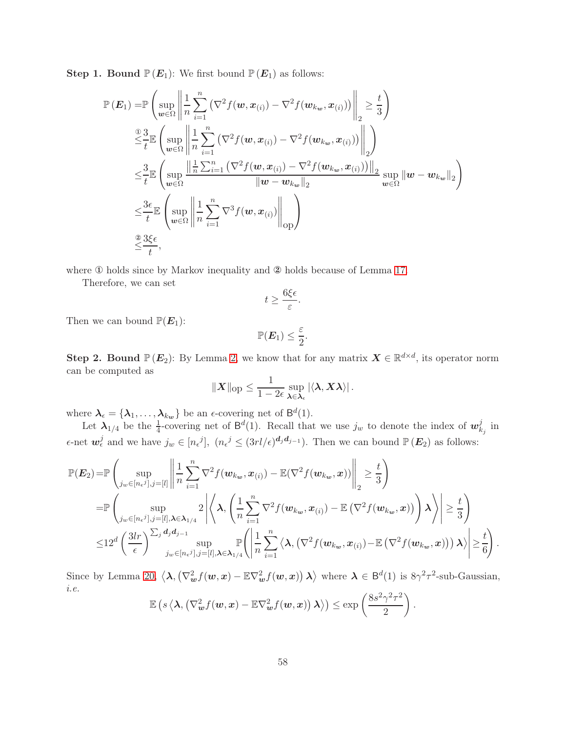**Step 1. Bound**  $\mathbb{P}(E_1)$ : We first bound  $\mathbb{P}(E_1)$  as follows:

$$
\mathbb{P}\left(\mathbf{E}_{1}\right) = \mathbb{P}\left(\sup_{\mathbf{w}\in\Omega}\left\|\frac{1}{n}\sum_{i=1}^{n}\left(\nabla^{2}f(\mathbf{w},\mathbf{x}_{(i)})-\nabla^{2}f(\mathbf{w}_{k_{\mathbf{w}}},\mathbf{x}_{(i)})\right)\right\|_{2} \geq \frac{t}{3}\right)
$$
\n
$$
\stackrel{\text{② 3}}{\leq} \mathbb{E}\left(\sup_{\mathbf{w}\in\Omega}\left\|\frac{1}{n}\sum_{i=1}^{n}\left(\nabla^{2}f(\mathbf{w},\mathbf{x}_{(i)})-\nabla^{2}f(\mathbf{w}_{k_{\mathbf{w}}},\mathbf{x}_{(i)})\right)\right\|_{2}\right)
$$
\n
$$
\leq \frac{3}{t}\mathbb{E}\left(\sup_{\mathbf{w}\in\Omega}\frac{\left\|\frac{1}{n}\sum_{i=1}^{n}\left(\nabla^{2}f(\mathbf{w},\mathbf{x}_{(i)})-\nabla^{2}f(\mathbf{w}_{k_{\mathbf{w}}},\mathbf{x}_{(i)})\right)\right\|_{2}}{\|\mathbf{w}-\mathbf{w}_{k_{\mathbf{w}}}\|_{2}}\sup_{\mathbf{w}\in\Omega}\|\mathbf{w}-\mathbf{w}_{k_{\mathbf{w}}}\|_{2}\right)
$$
\n
$$
\leq \frac{3\epsilon}{t}\mathbb{E}\left(\sup_{\mathbf{w}\in\Omega}\left\|\frac{1}{n}\sum_{i=1}^{n}\nabla^{3}f(\mathbf{w},\mathbf{x}_{(i)})\right\|_{\text{op}}\right)
$$
\n
$$
\stackrel{\text{② 3}\leq\epsilon}{\leq\frac{3\epsilon}{t}},
$$

where ① holds since by Markov inequality and ② holds because of Lemma [17.](#page-43-2)

Therefore, we can set

$$
t \ge \frac{6\xi\epsilon}{\varepsilon}.
$$

Then we can bound  $\mathbb{P}(E_1)$ :

$$
\mathbb{P}(\boldsymbol{E}_1) \leq \frac{\varepsilon}{2}.
$$

**Step 2. Bound**  $\mathbb{P}(E_2)$ : By Lemma [2,](#page-15-1) we know that for any matrix  $X \in \mathbb{R}^{d \times d}$ , its operator norm can be computed as

$$
||X||_{\text{op}} \leq \frac{1}{1-2\epsilon} \sup_{\boldsymbol{\lambda} \in \boldsymbol{\lambda}_{\epsilon}} |\langle \boldsymbol{\lambda}, \boldsymbol{X} \boldsymbol{\lambda} \rangle|.
$$

where  $\lambda_{\epsilon} = {\lambda_1, \ldots, \lambda_{k_w}}$  be an  $\epsilon$ -covering net of  $\mathsf{B}^d(1)$ .

Let  $\lambda_{1/4}$  be the  $\frac{1}{4}$ -covering net of  $\mathsf{B}^d(1)$ . Recall that we use  $j_w$  to denote the index of  $w_k^j$  $\frac{j}{k_j}$  in  $\epsilon$ -net  $\mathbf{w}_{\epsilon}^{j}$  and we have  $j_{w} \in [n_{\epsilon}j], (n_{\epsilon}j \leq (3rl/\epsilon)^{d_j d_{j-1}})$ . Then we can bound  $\mathbb{P}(\mathbf{E}_2)$  as follows:

$$
\mathbb{P}(E_2) = \mathbb{P}\left(\sup_{j_w \in [n_{\epsilon}j], j=[l]} \left\|\frac{1}{n}\sum_{i=1}^n \nabla^2 f(\mathbf{w}_{k_w}, x_{(i)}) - \mathbb{E}(\nabla^2 f(\mathbf{w}_{k_w}, x))\right\|_2 \geq \frac{t}{3}\right)
$$
\n
$$
= \mathbb{P}\left(\sup_{j_w \in [n_{\epsilon}j], j=[l], \lambda \in \lambda_{1/4}} 2\left|\left\langle \lambda, \left(\frac{1}{n}\sum_{i=1}^n \nabla^2 f(\mathbf{w}_{k_w}, x_{(i)}) - \mathbb{E}(\nabla^2 f(\mathbf{w}_{k_w}, x))\right)\lambda\right\rangle\right| \geq \frac{t}{3}\right)
$$
\n
$$
\leq 12^d \left(\frac{3lr}{\epsilon}\right)^{\sum_j d_j d_{j-1}} \sup_{j_w \in [n_{\epsilon}j], j=[l], \lambda \in \lambda_{1/4}} \mathbb{P}\left(\left|\frac{1}{n}\sum_{i=1}^n \left\langle \lambda, \left(\nabla^2 f(\mathbf{w}_{k_w}, x_{(i)}) - \mathbb{E}(\nabla^2 f(\mathbf{w}_{k_w}, x)\right)\right)\lambda\right\rangle\right| \geq \frac{t}{6}\right).
$$

Since by Lemma [20,](#page-44-1)  $\langle \lambda, (\nabla_w^2 f(w, x) - \mathbb{E} \nabla_w^2 f(w, x)) \lambda \rangle$  where  $\lambda \in \mathsf{B}^d(1)$  is  $8\gamma^2 \tau^2$ -sub-Gaussian, *i.e.*

$$
\mathbb{E}\left(s\left\langle \lambda,\left(\nabla_{\boldsymbol{w}}^2 f(\boldsymbol{w}, \boldsymbol{x}) - \mathbb{E}\nabla_{\boldsymbol{w}}^2 f(\boldsymbol{w}, \boldsymbol{x})\right) \lambda\right\rangle\right) \leq \exp\left(\frac{8s^2\gamma^2\tau^2}{2}\right).
$$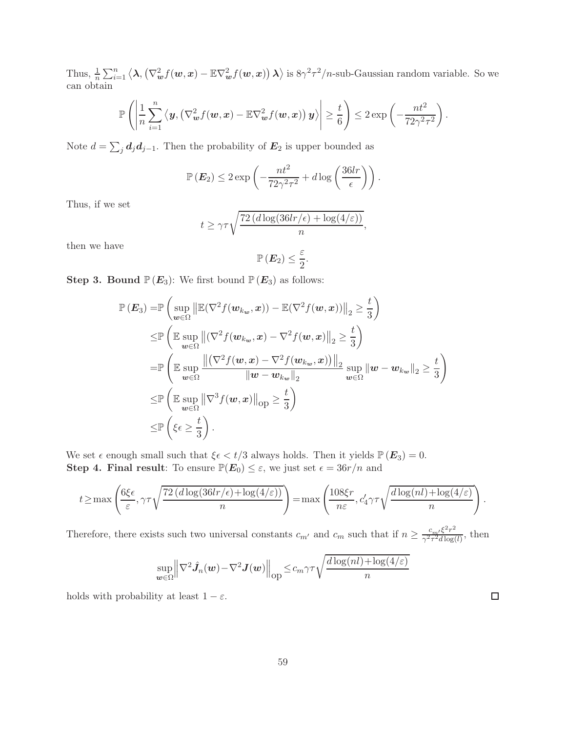Thus,  $\frac{1}{n} \sum_{i=1}^{n} \langle \lambda, (\nabla_{\boldsymbol{w}}^2 f(\boldsymbol{w}, \boldsymbol{x}) - \mathbb{E} \nabla_{\boldsymbol{w}}^2 f(\boldsymbol{w}, \boldsymbol{x}) \rangle \lambda \rangle$  is  $8\gamma^2 \tau^2/n$ -sub-Gaussian random variable. So we can obtain

$$
\mathbb{P}\left(\left|\frac{1}{n}\sum_{i=1}^n\left\langle\mathbf{y},\left(\nabla_{\boldsymbol{w}}^2f(\boldsymbol{w},\boldsymbol{x})-\mathbb{E}\nabla_{\boldsymbol{w}}^2f(\boldsymbol{w},\boldsymbol{x})\right)\mathbf{y}\right\rangle\right|\geq\frac{t}{6}\right)\leq 2\exp\left(-\frac{nt^2}{72\gamma^2\tau^2}\right).
$$

Note  $d = \sum_j \mathbf{d}_j \mathbf{d}_{j-1}$ . Then the probability of  $\mathbf{E}_2$  is upper bounded as

$$
\mathbb{P}\left(\boldsymbol{E}_2\right) \leq 2 \exp\left(-\frac{nt^2}{72\gamma^2\tau^2} + d\log\left(\frac{36lr}{\epsilon}\right)\right).
$$

Thus, if we set

$$
t \ge \gamma \tau \sqrt{\frac{72 (d \log(36lr/\epsilon) + \log(4/\varepsilon))}{n}},
$$

then we have

$$
\mathbb{P}\left(\boldsymbol{E}_2\right) \leq \frac{\varepsilon}{2}
$$

.

**Step 3. Bound**  $\mathbb{P}(E_3)$ : We first bound  $\mathbb{P}(E_3)$  as follows:

$$
\mathbb{P}(E_3) = \mathbb{P}\left(\sup_{\boldsymbol{w}\in\Omega} \left\|\mathbb{E}(\nabla^2 f(\boldsymbol{w}_{k_{\boldsymbol{w}}},\boldsymbol{x})) - \mathbb{E}(\nabla^2 f(\boldsymbol{w},\boldsymbol{x}))\right\|_2 \ge \frac{t}{3}\right)
$$
  
\n
$$
\le \mathbb{P}\left(\mathbb{E}\sup_{\boldsymbol{w}\in\Omega} \left\|(\nabla^2 f(\boldsymbol{w}_{k_{\boldsymbol{w}}},\boldsymbol{x}) - \nabla^2 f(\boldsymbol{w},\boldsymbol{x})\right\|_2 \ge \frac{t}{3}\right)
$$
  
\n
$$
= \mathbb{P}\left(\mathbb{E}\sup_{\boldsymbol{w}\in\Omega} \frac{\left\|(\nabla^2 f(\boldsymbol{w},\boldsymbol{x}) - \nabla^2 f(\boldsymbol{w}_{k_{\boldsymbol{w}}},\boldsymbol{x}))\right\|_2}{\|\boldsymbol{w}-\boldsymbol{w}_{k_{\boldsymbol{w}}}\|_2}\sup_{\boldsymbol{w}\in\Omega} \|\boldsymbol{w}-\boldsymbol{w}_{k_{\boldsymbol{w}}}\|_2 \ge \frac{t}{3}\right)
$$
  
\n
$$
\le \mathbb{P}\left(\mathbb{E}\sup_{\boldsymbol{w}\in\Omega} \|\nabla^3 f(\boldsymbol{w},\boldsymbol{x})\|_{\text{op}} \ge \frac{t}{3}\right)
$$
  
\n
$$
\le \mathbb{P}\left(\xi\epsilon \ge \frac{t}{3}\right).
$$

We set  $\epsilon$  enough small such that  $\xi \epsilon < t/3$  always holds. Then it yields  $\mathbb{P}(E_3) = 0$ . **Step 4. Final result:** To ensure  $\mathbb{P}(E_0) \leq \varepsilon$ , we just set  $\epsilon = 36r/n$  and

$$
t \ge \max\left(\frac{6\xi\epsilon}{\varepsilon}, \gamma\tau\sqrt{\frac{72\left(d\log(36lr/\epsilon) + \log(4/\varepsilon)\right)}{n}}\right) = \max\left(\frac{108\xi r}{n\varepsilon}, c'_4\gamma\tau\sqrt{\frac{d\log(nl) + \log(4/\varepsilon)}{n}}\right).
$$

Therefore, there exists such two universal constants  $c_{m'}$  and  $c_m$  such that if  $n \geq \frac{c_m/\xi^2 r^2}{\gamma^2 \tau^2 d \log r}$  $\frac{c_m}{\gamma^2 \tau^2 d \log(l)}$ , then

$$
\sup_{\boldsymbol{w}\in\Omega}\Big\|\nabla^2\hat{\boldsymbol{J}}_n(\boldsymbol{w})-\nabla^2\boldsymbol{J}(\boldsymbol{w})\Big\|_{\text{op}}\leq c_m\gamma\tau\sqrt{\frac{d\log(nl)+\log(4/\varepsilon)}{n}}
$$

holds with probability at least  $1 - \varepsilon$ .

 $\Box$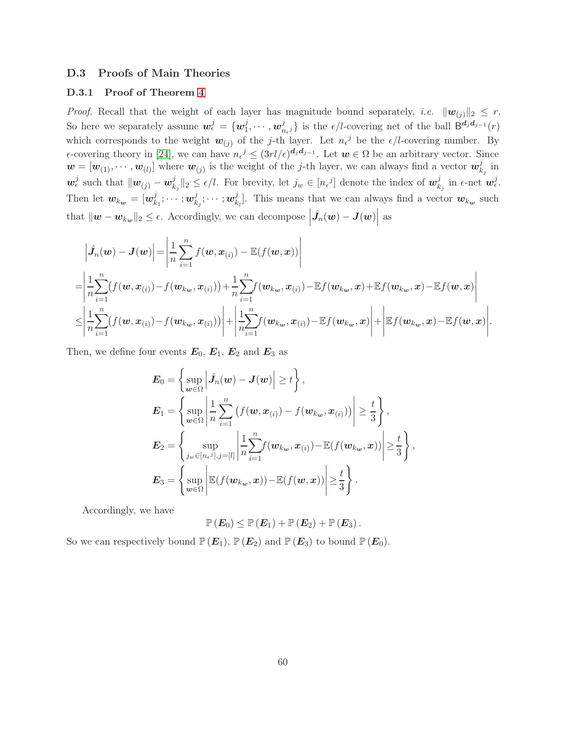## <span id="page-59-0"></span>D.3 Proofs of Main Theories

## D.3.1 Proof of Theorem [4](#page-8-1)

*Proof.* Recall that the weight of each layer has magnitude bound separately, *i.e.*  $||w_{(i)}||_2 \leq r$ . So here we separately assume  $\mathbf{w}_{\epsilon}^{j} = \{ \mathbf{w}_{1}^{j} \}$  $_{1}^{j},\cdots ,w_{n}^{j}$  $\{a_{n_{\epsilon}j}\}\$ is the  $\epsilon/l$ -covering net of the ball  $B^{d_jd_{j-1}}(r)$ which corresponds to the weight  $w_{(j)}$  of the j-th layer. Let  $n_{\epsilon}^{j}$  be the  $\epsilon/l$ -covering number. By  $\epsilon$ -covering theory in [\[24\]](#page-12-6), we can have  $n_{\epsilon}^{j} \leq (3rl/\epsilon)^{d_j d_{j-1}}$ . Let  $w \in \Omega$  be an arbitrary vector. Since  $\mathbf{w} = [\mathbf{w}_{(1)}, \cdots, \mathbf{w}_{(l)}]$  where  $\mathbf{w}_{(j)}$  is the weight of the j-th layer, we can always find a vector  $\mathbf{w}_k^j$  $\frac{j}{k_j}$  in  $\boldsymbol{w}_{\epsilon}^j$  such that  $\|\boldsymbol{w}_{(j)} - \boldsymbol{w}_k^j\|$  $\|k_j\|_2 \leq \epsilon/l$ . For brevity, let  $j_w \in [n_{\epsilon}^{\ j}]$  denote the index of  $\boldsymbol{w}_k^j$  $\frac{j}{k_j}$  in  $\epsilon$ -net  $\boldsymbol{w}_{\epsilon}^j$ . Then let  $w_{k_{w}} = [w_{k}^{j}]$  $_{k_{1}}^{j};\cdots ;w_{k}^{j}$  $_{k_{j}}^{j};\cdots ;w_{k}^{j}$  $\mathcal{L}_{k_l}^j$ . This means that we can always find a vector  $\mathbf{w}_{k_{\mathbf{w}}}$  such that  $\|\boldsymbol{w} - \boldsymbol{w}_{k_{\boldsymbol{w}}}\|_2 \leq \epsilon$ . Accordingly, we can decompose  $\left| \hat{J}_n(w) - J(w) \right|$ as

$$
\begin{split}\n&\left|\hat{J}_n(\boldsymbol{w}) - \boldsymbol{J}(\boldsymbol{w})\right| = \left|\frac{1}{n}\sum_{i=1}^n f(\boldsymbol{w}, \boldsymbol{x}_{(i)}) - \mathbb{E}(f(\boldsymbol{w}, \boldsymbol{x}))\right| \\
&= \left|\frac{1}{n}\sum_{i=1}^n (f(\boldsymbol{w}, \boldsymbol{x}_{(i)}) - f(\boldsymbol{w}_{k_{\boldsymbol{w}}}, \boldsymbol{x}_{(i)})) + \frac{1}{n}\sum_{i=1}^n f(\boldsymbol{w}_{k_{\boldsymbol{w}}}, \boldsymbol{x}_{(i)}) - \mathbb{E}f(\boldsymbol{w}_{k_{\boldsymbol{w}}}, \boldsymbol{x}) + \mathbb{E}f(\boldsymbol{w}_{k_{\boldsymbol{w}}}, \boldsymbol{x}) - \mathbb{E}f(\boldsymbol{w}, \boldsymbol{x})\right| \\
&\leq \left|\frac{1}{n}\sum_{i=1}^n (f(\boldsymbol{w}, \boldsymbol{x}_{(i)}) - f(\boldsymbol{w}_{k_{\boldsymbol{w}}}, \boldsymbol{x}_{(i)}))\right| + \left|\frac{1}{n}\sum_{i=1}^n f(\boldsymbol{w}_{k_{\boldsymbol{w}}}, \boldsymbol{x}_{(i)}) - \mathbb{E}f(\boldsymbol{w}_{k_{\boldsymbol{w}}}, \boldsymbol{x})\right| + \left|\mathbb{E}f(\boldsymbol{w}_{k_{\boldsymbol{w}}}, \boldsymbol{x}) - \mathbb{E}f(\boldsymbol{w}, \boldsymbol{x})\right|.\n\end{split}
$$

Then, we define four events  $E_0, E_1, E_2$  and  $E_3$  as

$$
E_0 = \left\{ \sup_{w \in \Omega} \left| \hat{J}_n(w) - J(w) \right| \ge t \right\},
$$
  
\n
$$
E_1 = \left\{ \sup_{w \in \Omega} \left| \frac{1}{n} \sum_{i=1}^n \left( f(w, x_{(i)}) - f(w_{k_w}, x_{(i)}) \right) \right| \ge \frac{t}{3} \right\},
$$
  
\n
$$
E_2 = \left\{ \sup_{j_w \in [n_{\epsilon}^j], j = [l]} \left| \frac{1}{n} \sum_{i=1}^n f(w_{k_w}, x_{(i)}) - \mathbb{E}(f(w_{k_w}, x)) \right| \ge \frac{t}{3} \right\},
$$
  
\n
$$
E_3 = \left\{ \sup_{w \in \Omega} \left| \mathbb{E}(f(w_{k_w}, x)) - \mathbb{E}(f(w, x)) \right| \ge \frac{t}{3} \right\}.
$$

Accordingly, we have

$$
\mathbb{P}\left(\boldsymbol{E}_0\right) \leq \mathbb{P}\left(\boldsymbol{E}_1\right) + \mathbb{P}\left(\boldsymbol{E}_2\right) + \mathbb{P}\left(\boldsymbol{E}_3\right).
$$

So we can respectively bound  $\mathbb{P}(E_1), \mathbb{P}(E_2)$  and  $\mathbb{P}(E_3)$  to bound  $\mathbb{P}(E_0)$ .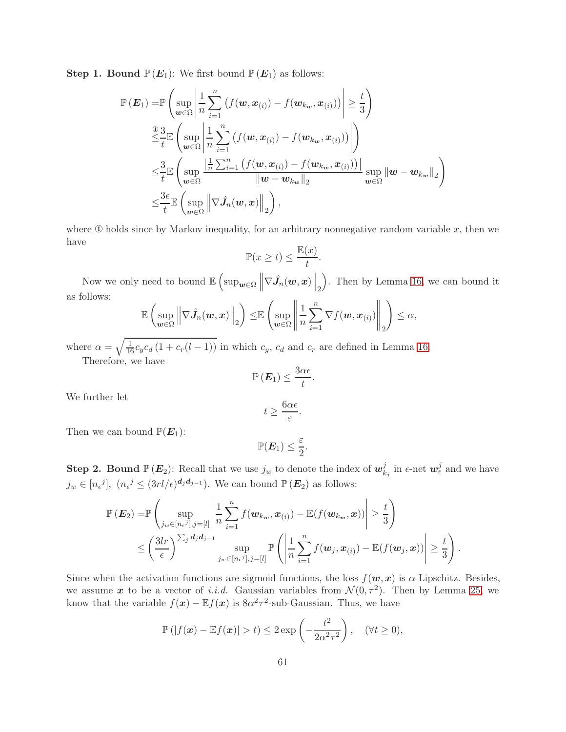**Step 1. Bound**  $\mathbb{P}(E_1)$ : We first bound  $\mathbb{P}(E_1)$  as follows:

$$
\mathbb{P}\left(\mathbf{E}_{1}\right) = \mathbb{P}\left(\sup_{\mathbf{w}\in\Omega}\left|\frac{1}{n}\sum_{i=1}^{n}\left(f(\mathbf{w},\mathbf{x}_{(i)})-f(\mathbf{w}_{k_{\mathbf{w}}},\mathbf{x}_{(i)})\right)\right| \geq \frac{t}{3}\right)
$$
\n
$$
\leq \frac{3}{t}\mathbb{E}\left(\sup_{\mathbf{w}\in\Omega}\left|\frac{1}{n}\sum_{i=1}^{n}\left(f(\mathbf{w},\mathbf{x}_{(i)})-f(\mathbf{w}_{k_{\mathbf{w}}},\mathbf{x}_{(i)})\right)\right|\right)
$$
\n
$$
\leq \frac{3}{t}\mathbb{E}\left(\sup_{\mathbf{w}\in\Omega}\left|\frac{1}{n}\sum_{i=1}^{n}\left(f(\mathbf{w},\mathbf{x}_{(i)})-f(\mathbf{w}_{k_{\mathbf{w}}},\mathbf{x}_{(i)})\right)\right|\right)
$$
\n
$$
\leq \frac{3}{t}\mathbb{E}\left(\sup_{\mathbf{w}\in\Omega}\left\|\nabla\hat{J}_{n}(\mathbf{w},\mathbf{x})\right\|_{2}\right),
$$
\n
$$
\leq \frac{3\epsilon}{t}\mathbb{E}\left(\sup_{\mathbf{w}\in\Omega}\left\|\nabla\hat{J}_{n}(\mathbf{w},\mathbf{x})\right\|_{2}\right),
$$

where  $\Phi$  holds since by Markov inequality, for an arbitrary nonnegative random variable x, then we have

$$
\mathbb{P}(x \ge t) \le \frac{\mathbb{E}(x)}{t}.
$$

Now we only need to bound  $\mathbb{E}\left[\sup_{\bm{w}\in\Omega}\left\|\nabla\hat{J}_n(\bm{w},\bm{x})\right\|_2\right]$  . Then by Lemma [16,](#page-43-0) we can bound it as follows:

$$
\mathbb{E}\left(\sup_{\bm{w}\in\Omega}\left\|\nabla\hat{\bm{J}}_n(\bm{w},\bm{x})\right\|_2\right)\leq\mathbb{E}\left(\sup_{\bm{w}\in\Omega}\left\|\frac{1}{n}\sum_{i=1}^n\nabla f(\bm{w},\bm{x}_{(i)})\right\|_2\right)\leq\alpha,
$$

where  $\alpha = \sqrt{\frac{1}{16}c_yc_d(1 + c_r(l-1))}$  in which  $c_y$ ,  $c_d$  and  $c_r$  are defined in Lemma [16.](#page-43-0) Therefore, we have

$$
\mathbb{P}\left(\boldsymbol{E}_1\right) \leq \frac{3\alpha\epsilon}{t}.
$$

We further let

$$
t \geq \frac{6\alpha\epsilon}{\varepsilon}.
$$

Then we can bound  $\mathbb{P}(E_1)$ :

$$
\mathbb{P}(\boldsymbol{E}_1) \leq \frac{\varepsilon}{2}.
$$

**Step 2. Bound**  $\mathbb{P}(E_2)$ : Recall that we use  $j_w$  to denote the index of  $w_k^j$  $\frac{j}{k_j}$  in  $\epsilon$ -net  $\boldsymbol{w}_{\epsilon}^j$  and we have  $j_w \in [n_{\epsilon}^j]$ ,  $(n_{\epsilon}^j \leq (3rl/\epsilon)^{d_j d_{j-1}})$ . We can bound  $\mathbb{P}(\mathbf{E}_2)$  as follows:

$$
\mathbb{P}\left(\boldsymbol{E}_{2}\right) = \mathbb{P}\left(\sup_{j_{w}\in[n_{\epsilon}j],j=[l]} \left|\frac{1}{n}\sum_{i=1}^{n}f(\boldsymbol{w}_{k_{w}},\boldsymbol{x}_{(i)}) - \mathbb{E}(f(\boldsymbol{w}_{k_{w}},\boldsymbol{x}))\right| \geq \frac{t}{3}\right) \leq \left(\frac{3lr}{\epsilon}\right)^{\sum_{j}d_{j}d_{j-1}} \sup_{j_{w}\in[n_{\epsilon}j],j=[l]} \mathbb{P}\left(\left|\frac{1}{n}\sum_{i=1}^{n}f(\boldsymbol{w}_{j},\boldsymbol{x}_{(i)}) - \mathbb{E}(f(\boldsymbol{w}_{j},\boldsymbol{x}))\right| \geq \frac{t}{3}\right).
$$

Since when the activation functions are sigmoid functions, the loss  $f(\mathbf{w},\mathbf{x})$  is  $\alpha$ -Lipschitz. Besides, we assume x to be a vector of *i.i.d.* Gaussian variables from  $\mathcal{N}(0, \tau^2)$ . Then by Lemma [25,](#page-55-0) we know that the variable  $f(x) - \mathbb{E} f(x)$  is  $8\alpha^2 \tau^2$ -sub-Gaussian. Thus, we have

$$
\mathbb{P}\left(|f(\boldsymbol{x}) - \mathbb{E}f(\boldsymbol{x})| > t\right) \leq 2 \exp\left(-\frac{t^2}{2\alpha^2 \tau^2}\right), \quad (\forall t \geq 0),
$$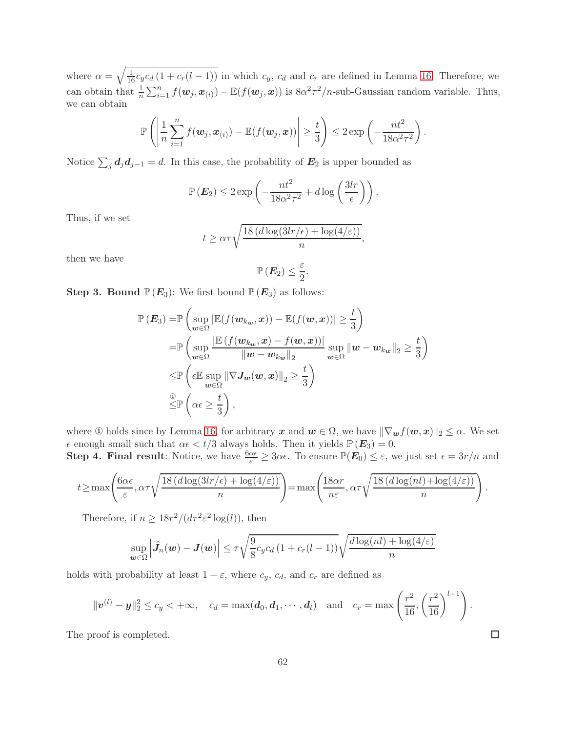where  $\alpha = \sqrt{\frac{1}{16}c_yc_d(1 + c_r(l-1))}$  in which  $c_y$ ,  $c_d$  and  $c_r$  are defined in Lemma [16.](#page-43-0) Therefore, we can obtain that  $\frac{1}{n}\sum_{i=1}^n f(w_j, x_{(i)}) - \mathbb{E}(f(w_j, x))$  is  $8\alpha^2 \tau^2/n$ -sub-Gaussian random variable. Thus, we can obtain

$$
\mathbb{P}\left(\left|\frac{1}{n}\sum_{i=1}^n f(\boldsymbol{w}_j,\boldsymbol{x}_{(i)}) - \mathbb{E}(f(\boldsymbol{w}_j,\boldsymbol{x}))\right| \geq \frac{t}{3}\right) \leq 2\exp\left(-\frac{nt^2}{18\alpha^2\tau^2}\right).
$$

Notice  $\sum_j \mathbf{d}_j \mathbf{d}_{j-1} = d$ . In this case, the probability of  $\mathbf{E}_2$  is upper bounded as

$$
\mathbb{P}\left(\boldsymbol{E}_2\right) \leq 2 \exp\left(-\frac{nt^2}{18\alpha^2 \tau^2} + d\log\left(\frac{3lr}{\epsilon}\right)\right).
$$

Thus, if we set

$$
t \ge \alpha \tau \sqrt{\frac{18 (d \log(3lr/\epsilon) + \log(4/\epsilon))}{n}},
$$

then we have

$$
\mathbb{P}\left(\boldsymbol{E}_2\right) \leq \frac{\varepsilon}{2}
$$

.

**Step 3. Bound**  $\mathbb{P}(E_3)$ : We first bound  $\mathbb{P}(E_3)$  as follows:

$$
\mathbb{P}(E_3) = \mathbb{P}\left(\sup_{\boldsymbol{w}\in\Omega} |\mathbb{E}(f(\boldsymbol{w}_{k_{\boldsymbol{w}}},\boldsymbol{x})) - \mathbb{E}(f(\boldsymbol{w},\boldsymbol{x}))| \geq \frac{t}{3}\right)
$$
  
\n
$$
= \mathbb{P}\left(\sup_{\boldsymbol{w}\in\Omega} \frac{|\mathbb{E}(f(\boldsymbol{w}_{k_{\boldsymbol{w}}},\boldsymbol{x}) - f(\boldsymbol{w},\boldsymbol{x}))|}{\|\boldsymbol{w} - \boldsymbol{w}_{k_{\boldsymbol{w}}}\|_{2}} \sup_{\boldsymbol{w}\in\Omega} \|\boldsymbol{w} - \boldsymbol{w}_{k_{\boldsymbol{w}}}\|_{2} \geq \frac{t}{3}\right)
$$
  
\n
$$
\leq \mathbb{P}\left(\epsilon \mathbb{E}\sup_{\boldsymbol{w}\in\Omega} \|\nabla J_{\boldsymbol{w}}(\boldsymbol{w},\boldsymbol{x})\|_{2} \geq \frac{t}{3}\right)
$$
  
\n
$$
\overset{\circ}{\leq} \mathbb{P}\left(\alpha\epsilon \geq \frac{t}{3}\right),
$$

where ① holds since by Lemma [16,](#page-43-0) for arbitrary x and  $w \in \Omega$ , we have  $\|\nabla_{w} f(w,x)\|_{2} \leq \alpha$ . We set  $\epsilon$  enough small such that  $\alpha \epsilon < t/3$  always holds. Then it yields  $\mathbb{P}(E_3) = 0$ . **Step 4. Final result**: Notice, we have  $\frac{6\alpha\epsilon}{\varepsilon} \geq 3\alpha\epsilon$ . To ensure  $\mathbb{P}(E_0) \leq \varepsilon$ , we just set  $\epsilon = 3r/n$  and

$$
t \ge \max\left(\frac{6\alpha\epsilon}{\varepsilon}, \alpha\tau\sqrt{\frac{18\left(d\log(3lr/\epsilon) + \log(4/\varepsilon)\right)}{n}}\right) = \max\left(\frac{18\alpha r}{n\varepsilon}, \alpha\tau\sqrt{\frac{18\left(d\log(nl) + \log(4/\varepsilon)\right)}{n}}\right).
$$

Therefore, if  $n \geq 18r^2/(d\tau^2 \varepsilon^2 \log(l))$ , then

$$
\sup_{\boldsymbol{w}\in\Omega} \left|\hat{J}_n(\boldsymbol{w}) - \boldsymbol{J}(\boldsymbol{w})\right| \leq \tau \sqrt{\frac{9}{8}c_y c_d \left(1 + c_r(l-1)\right)} \sqrt{\frac{d \log(nl) + \log(4/\varepsilon)}{n}}
$$

holds with probability at least  $1 - \varepsilon$ , where  $c_y$ ,  $c_d$ , and  $c_r$  are defined as

$$
\|\bm{v}^{(l)}-\bm{y}\|_2^2\leq c_y<+\infty, \quad c_d=\max(\bm{d}_0,\bm{d}_1,\cdots,\bm{d}_l) \quad \text{and} \quad c_r=\max\left(\frac{r^2}{16},\left(\frac{r^2}{16}\right)^{l-1}\right).
$$

The proof is completed.

 $\Box$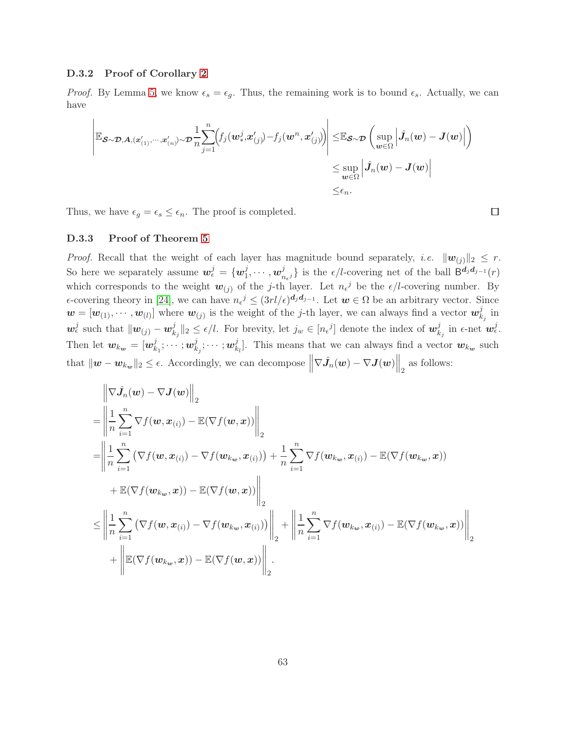#### D.3.2 Proof of Corollary [2](#page-8-3)

*Proof.* By Lemma [5,](#page-15-4) we know  $\epsilon_s = \epsilon_g$ . Thus, the remaining work is to bound  $\epsilon_s$ . Actually, we can have

$$
\left| \mathbb{E}_{\boldsymbol{\mathcal{S}}\sim\boldsymbol{\mathcal{D}},\boldsymbol{A},(\boldsymbol{x}^{\prime}_{(1)},\cdots,\boldsymbol{x}^{\prime}_{(n)})\sim\boldsymbol{\mathcal{D}}}\frac{1}{n}\!\sum_{j=1}^{n}\!\!\left(\!f_j(\boldsymbol{w}^j_*,\boldsymbol{x}^{\prime}_{(j)})\!-\!f_j(\boldsymbol{w}^n,\boldsymbol{x}^{\prime}_{(j)})\!\right)\right|\leq\!\mathbb{E}_{\boldsymbol{\mathcal{S}}\sim\boldsymbol{\mathcal{D}}}\left(\sup_{\boldsymbol{w}\in\Omega}\left|\hat{J}_n(\boldsymbol{w})-\boldsymbol{J}(\boldsymbol{w})\right|\right)\\\leq\sup_{\boldsymbol{w}\in\Omega}\left|\hat{J}_n(\boldsymbol{w})-\boldsymbol{J}(\boldsymbol{w})\right|\leq\epsilon_n.
$$

Thus, we have  $\epsilon_g = \epsilon_s \leq \epsilon_n$ . The proof is completed.

D.3.3 Proof of Theorem [5](#page-9-0)

*Proof.* Recall that the weight of each layer has magnitude bound separately, *i.e.*  $||w_{(j)}||_2 \leq r$ . So here we separately assume  $\mathbf{w}_{\epsilon}^{j} = \{ \mathbf{w}_{1}^{j} \}$  $_{1}^{j},\cdots ,w_{n}^{j}$  $\{a_{n_{\epsilon}j}\}\$ is the  $\epsilon/l$ -covering net of the ball  $\mathsf{B}^{\mathbf{d}_j\mathbf{d}_{j-1}}(r)$ which corresponds to the weight  $w_{(j)}$  of the j-th layer. Let  $n_{\epsilon}^{j}$  be the  $\epsilon/l$ -covering number. By  $\epsilon$ -covering theory in [\[24\]](#page-12-6), we can have  $n_{\epsilon}^{j} \leq (3rl/\epsilon)^{d_j d_{j-1}}$ . Let  $w \in \Omega$  be an arbitrary vector. Since  $\mathbf{w} = [\mathbf{w}_{(1)}, \cdots, \mathbf{w}_{(l)}]$  where  $\mathbf{w}_{(j)}$  is the weight of the j-th layer, we can always find a vector  $\mathbf{w}_k^j$  $\frac{\jmath}{k_j}$  in  $\boldsymbol{w}_{\epsilon}^j$  such that  $\|\boldsymbol{w}_{(j)} - \boldsymbol{w}_k^j\|$  $\|k_j\|_2 \leq \epsilon/l$ . For brevity, let  $j_w \in [n_{\epsilon}^j]$  denote the index of  $w_k^j$  $\frac{j}{k_j}$  in  $\epsilon$ -net  $\bm{w}_{\epsilon}^j$ . Then let  $w_{k_{w}} = [w_{k}^{j}]$  $_{k_{1}}^{j};\cdots ;$   $\boldsymbol{w}_{k}^{j}$  $_{k_{j}}^{j};\cdots ;w_{k}^{j}$  $\mathcal{L}_{k_l}^j$ . This means that we can always find a vector  $w_{k_w}$  such that  $\|\boldsymbol{w} - \boldsymbol{w}_{k_{\boldsymbol{w}}}\|_2 \leq \epsilon$ . Accordingly, we can decompose  $\left\|\nabla \hat{J}_n(\boldsymbol{w}) - \nabla J(\boldsymbol{w})\right\|_2$  as follows:

$$
\begin{split}\n&= \left\| \frac{1}{n} \sum_{i=1}^{n} \nabla f(\boldsymbol{w}, \boldsymbol{x}_{(i)}) - \mathbb{E}(\nabla f(\boldsymbol{w}, \boldsymbol{x})) \right\|_{2} \\
&= \left\| \frac{1}{n} \sum_{i=1}^{n} \nabla f(\boldsymbol{w}, \boldsymbol{x}_{(i)}) - \nabla f(\boldsymbol{w}_{k_{w}}, \boldsymbol{x}_{(i)}) \right\|_{2} \\
&= \left\| \frac{1}{n} \sum_{i=1}^{n} \left( \nabla f(\boldsymbol{w}, \boldsymbol{x}_{(i)}) - \nabla f(\boldsymbol{w}_{k_{w}}, \boldsymbol{x}_{(i)}) \right) + \frac{1}{n} \sum_{i=1}^{n} \nabla f(\boldsymbol{w}_{k_{w}}, \boldsymbol{x}_{(i)}) - \mathbb{E}(\nabla f(\boldsymbol{w}_{k_{w}}, \boldsymbol{x})) \\
&+ \mathbb{E}(\nabla f(\boldsymbol{w}_{k_{w}}, \boldsymbol{x})) - \mathbb{E}(\nabla f(\boldsymbol{w}, \boldsymbol{x})) \right\|_{2} \\
& \leq \left\| \frac{1}{n} \sum_{i=1}^{n} \left( \nabla f(\boldsymbol{w}, \boldsymbol{x}_{(i)}) - \nabla f(\boldsymbol{w}_{k_{w}}, \boldsymbol{x}_{(i)}) \right) \right\|_{2} + \left\| \frac{1}{n} \sum_{i=1}^{n} \nabla f(\boldsymbol{w}_{k_{w}}, \boldsymbol{x}_{(i)}) - \mathbb{E}(\nabla f(\boldsymbol{w}_{k_{w}}, \boldsymbol{x})) \right\|_{2} \\
&+ \left\| \mathbb{E}(\nabla f(\boldsymbol{w}_{k_{w}}, \boldsymbol{x})) - \mathbb{E}(\nabla f(\boldsymbol{w}, \boldsymbol{x})) \right\|_{2}.\n\end{split}
$$

 $\Box$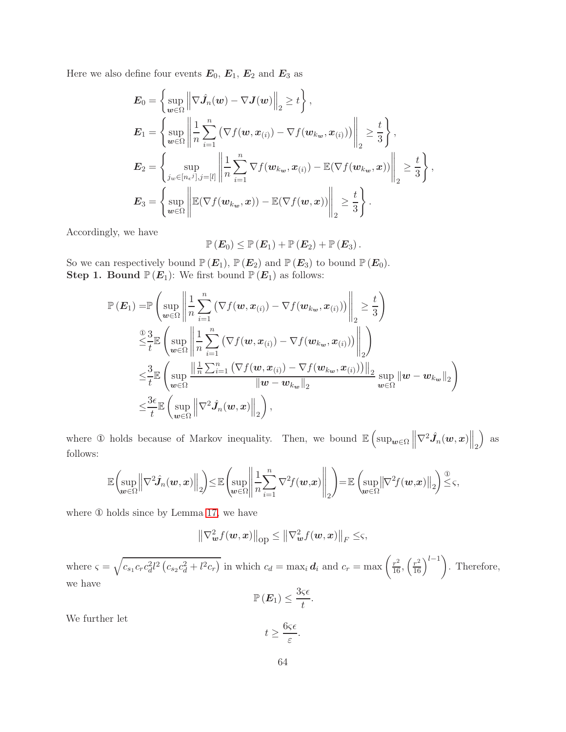Here we also define four events  $E_0$ ,  $E_1$ ,  $E_2$  and  $E_3$  as

$$
\mathbf{E}_0 = \left\{ \sup_{\mathbf{w} \in \Omega} \left\| \nabla \hat{J}_n(\mathbf{w}) - \nabla J(\mathbf{w}) \right\|_2 \ge t \right\},
$$
\n
$$
\mathbf{E}_1 = \left\{ \sup_{\mathbf{w} \in \Omega} \left\| \frac{1}{n} \sum_{i=1}^n \left( \nabla f(\mathbf{w}, \mathbf{x}_{(i)}) - \nabla f(\mathbf{w}_{k_\mathbf{w}}, \mathbf{x}_{(i)}) \right) \right\|_2 \ge \frac{t}{3} \right\},
$$
\n
$$
\mathbf{E}_2 = \left\{ \sup_{j_w \in [n_e j], j = [l]} \left\| \frac{1}{n} \sum_{i=1}^n \nabla f(\mathbf{w}_{k_\mathbf{w}}, \mathbf{x}_{(i)}) - \mathbb{E}(\nabla f(\mathbf{w}_{k_\mathbf{w}}, \mathbf{x})) \right\|_2 \ge \frac{t}{3} \right\},
$$
\n
$$
\mathbf{E}_3 = \left\{ \sup_{\mathbf{w} \in \Omega} \left\| \mathbb{E}(\nabla f(\mathbf{w}_{k_\mathbf{w}}, \mathbf{x})) - \mathbb{E}(\nabla f(\mathbf{w}, \mathbf{x})) \right\|_2 \ge \frac{t}{3} \right\}.
$$

Accordingly, we have

$$
\mathbb{P}\left(\boldsymbol{E}_0\right) \leq \mathbb{P}\left(\boldsymbol{E}_1\right) + \mathbb{P}\left(\boldsymbol{E}_2\right) + \mathbb{P}\left(\boldsymbol{E}_3\right).
$$

So we can respectively bound  $\mathbb{P}(E_1)$ ,  $\mathbb{P}(E_2)$  and  $\mathbb{P}(E_3)$  to bound  $\mathbb{P}(E_0)$ . **Step 1. Bound**  $\mathbb{P}(E_1)$ : We first bound  $\mathbb{P}(E_1)$  as follows:

$$
\mathbb{P}\left(E_{1}\right) = \mathbb{P}\left(\sup_{\boldsymbol{w}\in\Omega}\left\|\frac{1}{n}\sum_{i=1}^{n}\left(\nabla f(\boldsymbol{w},\boldsymbol{x}_{(i)}) - \nabla f(\boldsymbol{w}_{k_{\boldsymbol{w}}},\boldsymbol{x}_{(i)})\right)\right\|_{2} \geq \frac{t}{3}\right)
$$
\n
$$
\stackrel{\text{(i)}\leq\frac{3}{t}}{\leq t} \mathbb{E}\left(\sup_{\boldsymbol{w}\in\Omega}\left\|\frac{1}{n}\sum_{i=1}^{n}\left(\nabla f(\boldsymbol{w},\boldsymbol{x}_{(i)}) - \nabla f(\boldsymbol{w}_{k_{\boldsymbol{w}}},\boldsymbol{x}_{(i)})\right)\right\|_{2}\right)
$$
\n
$$
\leq \frac{3}{t} \mathbb{E}\left(\sup_{\boldsymbol{w}\in\Omega}\frac{\left\|\frac{1}{n}\sum_{i=1}^{n}\left(\nabla f(\boldsymbol{w},\boldsymbol{x}_{(i)}) - \nabla f(\boldsymbol{w}_{k_{\boldsymbol{w}}},\boldsymbol{x}_{(i)})\right)\right\|_{2}}{\left\|\boldsymbol{w}-\boldsymbol{w}_{k_{\boldsymbol{w}}}\right\|_{2}}\sup_{\boldsymbol{w}\in\Omega}\left\|\boldsymbol{w}-\boldsymbol{w}_{k_{\boldsymbol{w}}}\right\|_{2}\right)
$$
\n
$$
\leq \frac{3\epsilon}{t} \mathbb{E}\left(\sup_{\boldsymbol{w}\in\Omega}\left\|\nabla^{2}\hat{J}_{n}(\boldsymbol{w},\boldsymbol{x})\right\|_{2}\right),
$$

where ① holds because of Markov inequality. Then, we bound  $\mathbb{E} \left( \sup_{\mathbf{w} \in \Omega} \left\| \nabla^2 \hat{J}_n(\mathbf{w}, \mathbf{x}) \right\|_2 \right)$  $\big)$  as follows:

$$
\mathbb{E}\left(\sup_{\boldsymbol{w}\in\Omega}\Big\|\nabla^2\hat{J}_n(\boldsymbol{w},\boldsymbol{x})\Big\|_2\right)\leq\mathbb{E}\left(\sup_{\boldsymbol{w}\in\Omega}\Big\|\frac{1}{n}\sum_{i=1}^n\nabla^2f(\boldsymbol{w},\boldsymbol{x})\Big\|_2\right)=\mathbb{E}\left(\sup_{\boldsymbol{w}\in\Omega}\big\|\nabla^2f(\boldsymbol{w},\boldsymbol{x})\big\|_2\right)\stackrel{\textcircled{\tiny 1}}{\leq} \varsigma,
$$

where ① holds since by Lemma [17,](#page-43-2) we have

$$
\left\|\nabla_{\boldsymbol{w}}^2 f(\boldsymbol{w}, \boldsymbol{x})\right\|_{\mathrm{op}} \le \left\|\nabla_{\boldsymbol{w}}^2 f(\boldsymbol{w}, \boldsymbol{x})\right\|_F \le \varsigma,
$$

where  $\zeta = \sqrt{c_{s_1}c_r c_d^2 l^2 (c_{s_2}c_d^2 + l^2 c_r)}$  in which  $c_d = \max_i \mathbf{d}_i$  and  $c_r = \max\left(\frac{r^2}{16}, \left(\frac{r^2}{16}\right)^{l-1}\right)$ . Therefore, we have

$$
\mathbb{P}\left(\boldsymbol{E}_1\right) \leq \frac{3\varsigma\epsilon}{t}.
$$

We further let

$$
t \ge \frac{6\varsigma\epsilon}{\varepsilon}
$$

.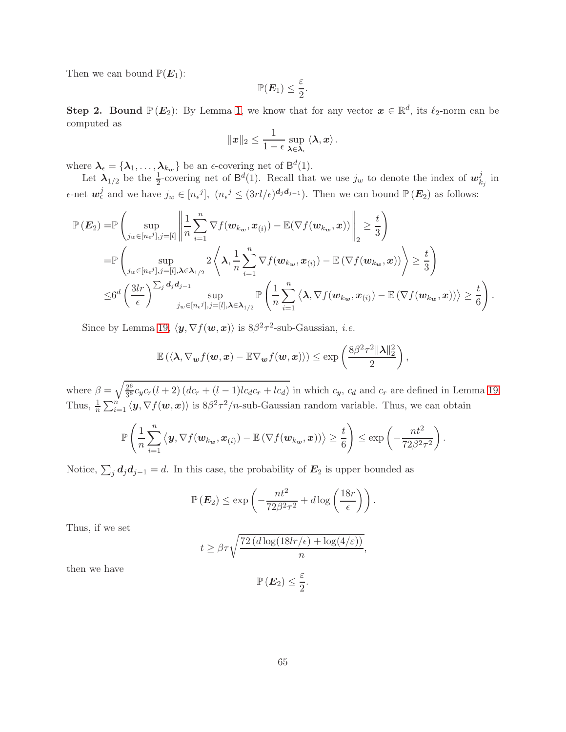Then we can bound  $\mathbb{P}(E_1)$ :

$$
\mathbb{P}(\boldsymbol{E}_1) \leq \frac{\varepsilon}{2}.
$$

**Step 2. Bound**  $\mathbb{P}(E_2)$ : By Lemma [1,](#page-14-1) we know that for any vector  $x \in \mathbb{R}^d$ , its  $\ell_2$ -norm can be computed as

$$
\|\boldsymbol{x}\|_2 \leq \frac{1}{1-\epsilon} \sup_{\boldsymbol{\lambda} \in \boldsymbol{\lambda}_{\epsilon}} \langle \boldsymbol{\lambda}, \boldsymbol{x} \rangle.
$$

where  $\lambda_{\epsilon} = {\lambda_1, \ldots, \lambda_{k_w}}$  be an  $\epsilon$ -covering net of  $\mathsf{B}^d(1)$ .

Let  $\lambda_{1/2}$  be the  $\frac{1}{2}$ -covering net of  $\mathsf{B}^d(1)$ . Recall that we use  $j_w$  to denote the index of  $\mathbf{w}_k^j$  $\frac{\jmath}{k_j}$  in  $\epsilon$ -net  $\mathbf{w}_{\epsilon}^{j}$  and we have  $j_{w} \in [n_{\epsilon}j], (n_{\epsilon}j \leq (3rl/\epsilon)^{d_j d_{j-1}})$ . Then we can bound  $\mathbb{P}(\mathbf{E}_2)$  as follows:

$$
\mathbb{P}\left(\mathbf{E}_2\right) = \mathbb{P}\left(\sup_{j_w \in [n_{\epsilon}j], j=[l]} \left\|\frac{1}{n}\sum_{i=1}^n \nabla f(\mathbf{w}_{k_w}, \mathbf{x}_{(i)}) - \mathbb{E}(\nabla f(\mathbf{w}_{k_w}, \mathbf{x}))\right\|_2 \geq \frac{t}{3}\right)
$$
\n
$$
= \mathbb{P}\left(\sup_{j_w \in [n_{\epsilon}j], j=[l], \lambda \in \lambda_{1/2}} 2\left\langle \lambda, \frac{1}{n}\sum_{i=1}^n \nabla f(\mathbf{w}_{k_w}, \mathbf{x}_{(i)}) - \mathbb{E}\left(\nabla f(\mathbf{w}_{k_w}, \mathbf{x})\right)\right\rangle \geq \frac{t}{3}\right)
$$
\n
$$
\leq 6^d \left(\frac{3lr}{\epsilon}\right)^{\sum_j d_j d_{j-1}} \sup_{j_w \in [n_{\epsilon}j], j=[l], \lambda \in \lambda_{1/2}} \mathbb{P}\left(\frac{1}{n}\sum_{i=1}^n \left\langle \lambda, \nabla f(\mathbf{w}_{k_w}, \mathbf{x}_{(i)}) - \mathbb{E}\left(\nabla f(\mathbf{w}_{k_w}, \mathbf{x})\right)\right\rangle \geq \frac{t}{6}\right).
$$

Since by Lemma [19,](#page-43-4)  $\langle \mathbf{y}, \nabla f(\mathbf{w}, \mathbf{x}) \rangle$  is  $8\beta^2 \tau^2$ -sub-Gaussian, *i.e.* 

$$
\mathbb{E}\left(\langle \boldsymbol{\lambda}, \nabla_{\boldsymbol{w}}f(\boldsymbol{w}, \boldsymbol{x}) - \mathbb{E}\nabla_{\boldsymbol{w}}f(\boldsymbol{w}, \boldsymbol{x})\rangle\right) \le \exp\left(\frac{8\beta^2\tau^2\|\boldsymbol{\lambda}\|_2^2}{2}\right),
$$

where  $\beta = \sqrt{\frac{2^6}{3^8}}$  $\frac{2^6}{3^8}c_yc_r(l+2)(dc_r+(l-1)lc_d c_r+lc_d)$  in which  $c_y$ ,  $c_d$  and  $c_r$  are defined in Lemma [19.](#page-43-4) Thus,  $\frac{1}{n}\sum_{i=1}^n\langle\mathbf{y},\nabla f(\mathbf{w},\mathbf{x})\rangle$  is  $8\beta^2\tau^2/n$ -sub-Gaussian random variable. Thus, we can obtain

$$
\mathbb{P}\left(\frac{1}{n}\sum_{i=1}^n\left\langle\mathbf{y},\nabla f(\mathbf{w}_{k_{\mathbf{w}}},\mathbf{x}_{(i)})-\mathbb{E}\left(\nabla f(\mathbf{w}_{k_{\mathbf{w}}},\mathbf{x})\right)\right\rangle\geq\frac{t}{6}\right)\leq\exp\left(-\frac{nt^2}{72\beta^2\tau^2}\right)
$$

.

Notice,  $\sum_j \mathbf{d}_j \mathbf{d}_{j-1} = d$ . In this case, the probability of  $\mathbf{E}_2$  is upper bounded as

$$
\mathbb{P}\left(\boldsymbol{E}_2\right) \le \exp\left(-\frac{nt^2}{72\beta^2\tau^2} + d\log\left(\frac{18r}{\epsilon}\right)\right).
$$

Thus, if we set

$$
t \ge \beta \tau \sqrt{\frac{72 (d \log(18lr/\epsilon) + \log(4/\varepsilon))}{n}},
$$

$$
\mathbb{P}(\mathbf{E}_2) \le \frac{\varepsilon}{2}.
$$

 $\frac{1}{2}$ .

then we have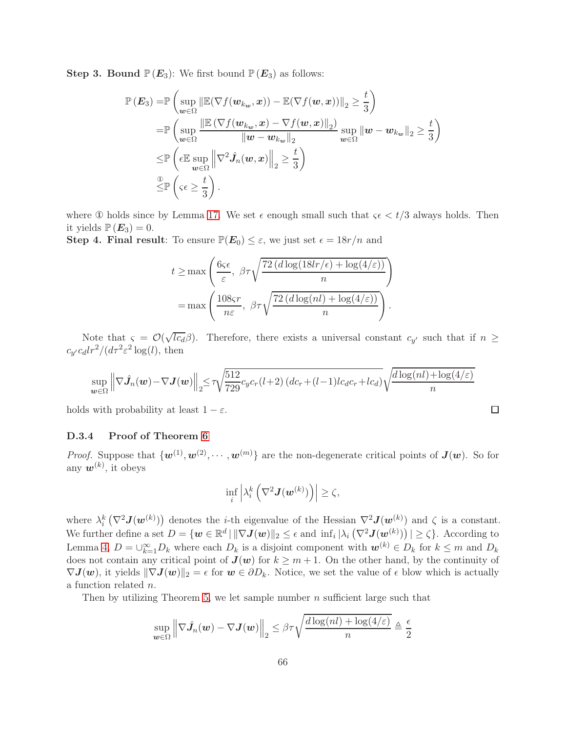**Step 3. Bound**  $\mathbb{P}(E_3)$ : We first bound  $\mathbb{P}(E_3)$  as follows:

$$
\mathbb{P}\left(E_{3}\right) = \mathbb{P}\left(\sup_{\boldsymbol{w}\in\Omega} \left\|\mathbb{E}(\nabla f(\boldsymbol{w}_{k_{\boldsymbol{w}}},\boldsymbol{x})) - \mathbb{E}(\nabla f(\boldsymbol{w},\boldsymbol{x}))\right\|_{2} \geq \frac{t}{3}\right) \n= \mathbb{P}\left(\sup_{\boldsymbol{w}\in\Omega} \frac{\left\|\mathbb{E}\left(\nabla f(\boldsymbol{w}_{k_{\boldsymbol{w}}},\boldsymbol{x}) - \nabla f(\boldsymbol{w},\boldsymbol{x})\right\|_{2}\right)}{\|\boldsymbol{w}-\boldsymbol{w}_{k_{\boldsymbol{w}}}\|_{2}}\sup_{\boldsymbol{w}\in\Omega} \|\boldsymbol{w}-\boldsymbol{w}_{k_{\boldsymbol{w}}}\|_{2} \geq \frac{t}{3}\right) \n\leq \mathbb{P}\left(\epsilon \mathbb{E}\sup_{\boldsymbol{w}\in\Omega} \left\|\nabla^{2}\hat{J}_{n}(\boldsymbol{w},\boldsymbol{x})\right\|_{2} \geq \frac{t}{3}\right) \n\leq \mathbb{P}\left(\varsigma\epsilon \geq \frac{t}{3}\right).
$$

where  $\Phi$  holds since by Lemma [17.](#page-43-2) We set  $\epsilon$  enough small such that  $\zeta \epsilon < t/3$  always holds. Then it yields  $\mathbb{P}(E_3) = 0$ .

**Step 4. Final result:** To ensure  $\mathbb{P}(E_0) \leq \varepsilon$ , we just set  $\epsilon = 18r/n$  and

$$
t \ge \max\left(\frac{6\varsigma\epsilon}{\varepsilon}, \ \beta\tau\sqrt{\frac{72\left(d\log(18lr/\epsilon) + \log(4/\varepsilon)\right)}{n}}\right)
$$

$$
= \max\left(\frac{108\varsigma r}{n\varepsilon}, \ \beta\tau\sqrt{\frac{72\left(d\log(nl) + \log(4/\varepsilon)\right)}{n}}\right).
$$

Note that  $\varsigma = \mathcal{O}(\sqrt{c_d}\beta)$ . Therefore, there exists a universal constant  $c_{y'}$  such that if  $n \geq$  $c_{y'}c_dlr^2/(d\tau^2\varepsilon^2\log(l))$ , then

$$
\sup_{\boldsymbol{w}\in\Omega} \left\| \nabla \hat{J}_n(\boldsymbol{w}) - \nabla J(\boldsymbol{w}) \right\|_2 \le \tau \sqrt{\frac{512}{729}} c_y c_r(l+2) \left( dc_r + (l-1)lc_d c_r + lc_d \right) \sqrt{\frac{d \log(nl) + \log(4/\varepsilon)}{n}}
$$

 $\Box$ 

holds with probability at least  $1 - \varepsilon$ .

#### D.3.4 Proof of Theorem [6](#page-9-1)

*Proof.* Suppose that  $\{w^{(1)}, w^{(2)}, \cdots, w^{(m)}\}$  are the non-degenerate critical points of  $J(w)$ . So for any  $w^{(k)}$ , it obeys

$$
\inf_{i} \left| \lambda_i^k \left( \nabla^2 \bm{J}(\bm{w}^{(k)}) \right) \right| \geq \zeta,
$$

where  $\lambda_i^k(\nabla^2 \mathbf{J}(\mathbf{w}^{(k)}))$  denotes the *i*-th eigenvalue of the Hessian  $\nabla^2 \mathbf{J}(\mathbf{w}^{(k)})$  and  $\zeta$  is a constant. We further define a set  $D = \{w \in \mathbb{R}^d \mid ||\nabla J(w)||_2 \leq \epsilon \text{ and } \inf_i |\lambda_i(\nabla^2 J(w^{(k)}))| \geq \zeta\}.$  According to Lemma [4,](#page-15-3)  $D = \bigcup_{k=1}^{\infty} D_k$  where each  $D_k$  is a disjoint component with  $w^{(k)} \in D_k$  for  $k \leq m$  and  $D_k$ does not contain any critical point of  $J(w)$  for  $k \geq m+1$ . On the other hand, by the continuity of  $\nabla J(w)$ , it yields  $\|\nabla J(w)\|_2 = \epsilon$  for  $w \in \partial D_k$ . Notice, we set the value of  $\epsilon$  blow which is actually a function related n.

Then by utilizing Theorem [5,](#page-9-0) we let sample number  $n$  sufficient large such that

$$
\sup_{\boldsymbol{w}\in\Omega}\left\|\nabla\hat{J}_n(\boldsymbol{w})-\nabla\boldsymbol{J}(\boldsymbol{w})\right\|_2\leq\beta\tau\sqrt{\frac{d\log(nl)+\log(4/\varepsilon)}{n}}\triangleq\frac{\epsilon}{2}
$$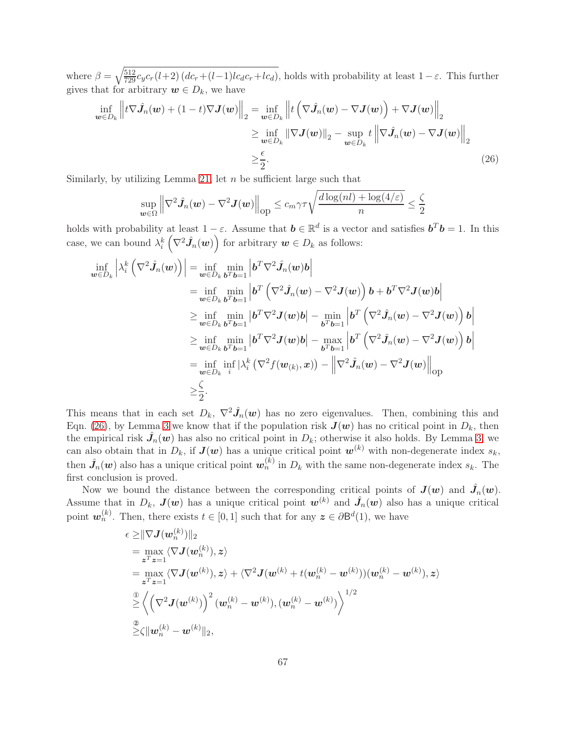where  $\beta = \sqrt{\frac{512}{729}} c_y c_r(l+2) (dc_r+(l-1)lc_d c_r+lc_d)$ , holds with probability at least  $1-\varepsilon$ . This further gives that for arbitrary  $w \in D_k$ , we have

$$
\inf_{\boldsymbol{w}\in D_{k}} \left\| t\nabla \hat{J}_{n}(\boldsymbol{w}) + (1-t)\nabla J(\boldsymbol{w}) \right\|_{2} = \inf_{\boldsymbol{w}\in D_{k}} \left\| t\left(\nabla \hat{J}_{n}(\boldsymbol{w}) - \nabla J(\boldsymbol{w})\right) + \nabla J(\boldsymbol{w}) \right\|_{2}
$$
\n
$$
\geq \inf_{\boldsymbol{w}\in D_{k}} \left\| \nabla J(\boldsymbol{w}) \right\|_{2} - \sup_{\boldsymbol{w}\in D_{k}} t \left\| \nabla \hat{J}_{n}(\boldsymbol{w}) - \nabla J(\boldsymbol{w}) \right\|_{2}
$$
\n
$$
\geq \frac{\epsilon}{2}.
$$
\n(26)

Similarly, by utilizing Lemma [21,](#page-44-3) let  $n$  be sufficient large such that

<span id="page-66-0"></span>
$$
\sup_{\boldsymbol{w}\in\Omega}\left\|\nabla^2\hat{\boldsymbol{J}}_n(\boldsymbol{w})-\nabla^2\boldsymbol{J}(\boldsymbol{w})\right\|_{\text{op}}\leq c_m\gamma\tau\sqrt{\frac{d\log(nl)+\log(4/\varepsilon)}{n}}\leq\frac{\zeta}{2}
$$

holds with probability at least  $1 - \varepsilon$ . Assume that  $\mathbf{b} \in \mathbb{R}^d$  is a vector and satisfies  $\mathbf{b}^T \mathbf{b} = 1$ . In this case, we can bound  $\lambda_i^k\left(\nabla^2 \hat{J}_n(w)\right)$  for arbitrary  $w \in D_k$  as follows:

$$
\inf_{\boldsymbol{w}\in D_{k}}\left|\lambda_{i}^{k}\left(\nabla^{2}\hat{J}_{n}(\boldsymbol{w})\right)\right|=\inf_{\boldsymbol{w}\in D_{k}}\min_{\boldsymbol{b}^{T}\boldsymbol{b}=1}\left|\boldsymbol{b}^{T}\nabla^{2}\hat{J}_{n}(\boldsymbol{w})\boldsymbol{b}\right|
$$
\n
$$
=\inf_{\boldsymbol{w}\in D_{k}}\min_{\boldsymbol{b}^{T}\boldsymbol{b}=1}\left|\boldsymbol{b}^{T}\left(\nabla^{2}\hat{J}_{n}(\boldsymbol{w})-\nabla^{2}\boldsymbol{J}(\boldsymbol{w})\right)\boldsymbol{b}+\boldsymbol{b}^{T}\nabla^{2}\boldsymbol{J}(\boldsymbol{w})\boldsymbol{b}\right|
$$
\n
$$
\geq\inf_{\boldsymbol{w}\in D_{k}}\min_{\boldsymbol{b}^{T}\boldsymbol{b}=1}\left|\boldsymbol{b}^{T}\nabla^{2}\boldsymbol{J}(\boldsymbol{w})\boldsymbol{b}\right|-\min_{\boldsymbol{b}^{T}\boldsymbol{b}=1}\left|\boldsymbol{b}^{T}\left(\nabla^{2}\hat{J}_{n}(\boldsymbol{w})-\nabla^{2}\boldsymbol{J}(\boldsymbol{w})\right)\boldsymbol{b}\right|
$$
\n
$$
\geq\inf_{\boldsymbol{w}\in D_{k}}\min_{\boldsymbol{b}^{T}\boldsymbol{b}=1}\left|\boldsymbol{b}^{T}\nabla^{2}\boldsymbol{J}(\boldsymbol{w})\boldsymbol{b}\right|-\max_{\boldsymbol{b}^{T}\boldsymbol{b}=1}\left|\boldsymbol{b}^{T}\left(\nabla^{2}\hat{J}_{n}(\boldsymbol{w})-\nabla^{2}\boldsymbol{J}(\boldsymbol{w})\right)\boldsymbol{b}\right|
$$
\n
$$
=\inf_{\boldsymbol{w}\in D_{k}}\inf_{i}\left|\lambda_{i}^{k}\left(\nabla^{2}f(\boldsymbol{w}_{(k)},\boldsymbol{x})\right)-\left|\nabla^{2}\hat{J}_{n}(\boldsymbol{w})-\nabla^{2}\boldsymbol{J}(\boldsymbol{w})\right|\right|_{\text{op}}
$$
\n
$$
\geq\frac{\zeta}{2}.
$$

This means that in each set  $D_k$ ,  $\nabla^2 \hat{J}_n(w)$  has no zero eigenvalues. Then, combining this and Eqn. [\(26\)](#page-66-0), by Lemma [3](#page-15-2) we know that if the population risk  $J(w)$  has no critical point in  $D_k$ , then the empirical risk  $\hat{J}_n(w)$  has also no critical point in  $D_k$ ; otherwise it also holds. By Lemma [3,](#page-15-2) we can also obtain that in  $D_k$ , if  $J(w)$  has a unique critical point  $w^{(k)}$  with non-degenerate index  $s_k$ , then  $\hat{J}_n(w)$  also has a unique critical point  $w_n^{(k)}$  in  $D_k$  with the same non-degenerate index  $s_k$ . The first conclusion is proved.

Now we bound the distance between the corresponding critical points of  $J(w)$  and  $\hat{J}_n(w)$ . Assume that in  $D_k$ ,  $J(w)$  has a unique critical point  $w^{(k)}$  and  $\hat{J}_n(w)$  also has a unique critical point  $\mathbf{w}_n^{(k)}$ . Then, there exists  $t \in [0,1]$  such that for any  $\mathbf{z} \in \partial \mathsf{B}^d(1)$ , we have

$$
\epsilon \geq ||\nabla \mathbf{J}(\mathbf{w}_n^{(k)})||_2
$$
\n
$$
= \max_{\mathbf{z}^T \mathbf{z} = 1} \langle \nabla \mathbf{J}(\mathbf{w}_n^{(k)}), \mathbf{z} \rangle
$$
\n
$$
= \max_{\mathbf{z}^T \mathbf{z} = 1} \langle \nabla \mathbf{J}(\mathbf{w}^{(k)}), \mathbf{z} \rangle + \langle \nabla^2 \mathbf{J}(\mathbf{w}^{(k)} + t(\mathbf{w}_n^{(k)} - \mathbf{w}^{(k)})) (\mathbf{w}_n^{(k)} - \mathbf{w}^{(k)}), \mathbf{z} \rangle
$$
\n
$$
\geq \left\langle \left( \nabla^2 \mathbf{J}(\mathbf{w}^{(k)}) \right)^2 (\mathbf{w}_n^{(k)} - \mathbf{w}^{(k)}), (\mathbf{w}_n^{(k)} - \mathbf{w}^{(k)}) \right\rangle^{1/2}
$$
\n
$$
\geq \zeta ||\mathbf{w}_n^{(k)} - \mathbf{w}^{(k)}||_2,
$$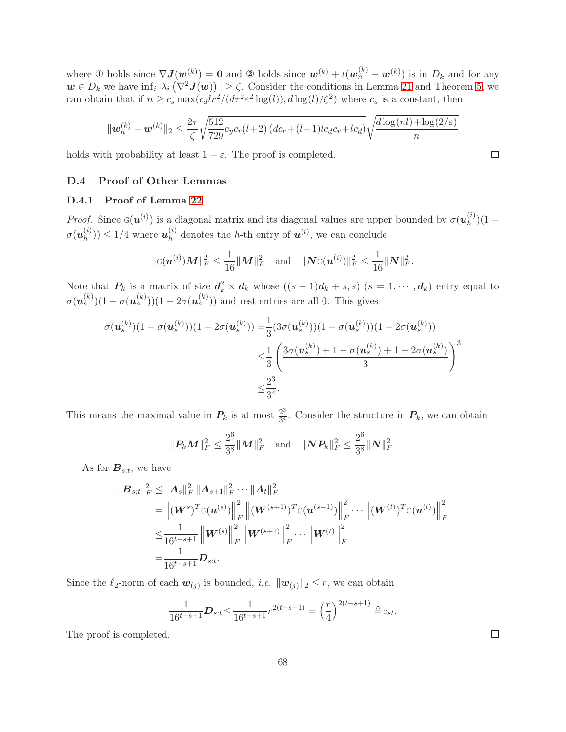where ① holds since  $\nabla J(\boldsymbol{w}^{(k)}) = 0$  and ② holds since  $\boldsymbol{w}^{(k)} + t(\boldsymbol{w}^{(k)}_n - \boldsymbol{w}^{(k)})$  is in  $D_k$  and for any  $w \in D_k$  we have  $\inf_i |\lambda_i(\nabla^2 \mathbf{J}(w))| \geq \zeta$ . Consider the conditions in Lemma [21](#page-44-3) and Theorem [5,](#page-9-0) we can obtain that if  $n \ge c_s \max(c_d l r^2/(d\tau^2 \varepsilon^2 \log(l)), d \log(l)/\zeta^2)$  where  $c_s$  is a constant, then

$$
\|\mathbf{w}_n^{(k)} - \mathbf{w}^{(k)}\|_2 \le \frac{2\tau}{\zeta} \sqrt{\frac{512}{729}} c_y c_r (l+2) (dc_r + (l-1)lc_d c_r + lc_d) \sqrt{\frac{d \log(nl) + \log(2/\varepsilon)}{n}}
$$

<span id="page-67-0"></span>holds with probability at least  $1 - \varepsilon$ . The proof is completed.

# D.4 Proof of Other Lemmas

# D.4.1 Proof of Lemma [22](#page-44-2)

*Proof.* Since  $G(u^{(i)})$  is a diagonal matrix and its diagonal values are upper bounded by  $\sigma(u_h^{(i)})$  $\binom{n}{h}(1 \sigma(\boldsymbol u_h^{(i)}$  $\binom{i}{h}$ )  $\leq 1/4$  where  $u_h^{(i)}$  $\mathbf{h}_h^{(i)}$  denotes the *h*-th entry of  $\mathbf{u}^{(i)}$ , we can conclude

$$
\|\mathbf{G}(\boldsymbol{u}^{(i)})\boldsymbol{M}\|_{F}^{2} \leq \frac{1}{16} \|\boldsymbol{M}\|_{F}^{2} \quad \text{and} \quad \|\boldsymbol{N}\mathbf{G}(\boldsymbol{u}^{(i)})\|_{F}^{2} \leq \frac{1}{16} \|\boldsymbol{N}\|_{F}^{2}.
$$

Note that  $P_k$  is a matrix of size  $d_k^2 \times d_k$  whose  $((s-1)d_k + s, s)$   $(s = 1, \dots, d_k)$  entry equal to  $\sigma(\bm{u}_s^{(k)})(1-\sigma(\bm{u}_s^{(k)}))(1-2\sigma(\bm{u}_s^{(k)}))$  and rest entries are all 0. This gives

$$
\sigma(\mathbf{u}_s^{(k)})(1-\sigma(\mathbf{u}_s^{(k)}))(1-2\sigma(\mathbf{u}_s^{(k)})) = \frac{1}{3}(3\sigma(\mathbf{u}_s^{(k)}))(1-\sigma(\mathbf{u}_s^{(k)}))(1-2\sigma(\mathbf{u}_s^{(k)}))
$$
  

$$
\leq \frac{1}{3}\left(\frac{3\sigma(\mathbf{u}_s^{(k)})+1-\sigma(\mathbf{u}_s^{(k)})+1-2\sigma(\mathbf{u}_s^{(k)})}{3}\right)^3
$$
  

$$
\leq \frac{2^3}{3^4}.
$$

This means the maximal value in  $P_k$  is at most  $\frac{2^3}{3^4}$  $\frac{2^3}{3^4}$ . Consider the structure in  $P_k$ , we can obtain

$$
\|\mathbf{P}_k\mathbf{M}\|_F^2 \leq \frac{2^6}{3^8} \|\mathbf{M}\|_F^2 \quad \text{and} \quad \|\mathbf{N}\mathbf{P}_k\|_F^2 \leq \frac{2^6}{3^8} \|\mathbf{N}\|_F^2.
$$

As for  $B_{s:t}$ , we have

$$
\begin{split} \| \boldsymbol{B}_{s:t} \|_{F}^{2} &\leq \| \boldsymbol{A}_{s} \|_{F}^{2} \| \boldsymbol{A}_{s+1} \|_{F}^{2} \cdots \| \boldsymbol{A}_{t} \|_{F}^{2} \\ &= \left\| (\boldsymbol{W}^{s})^{T} \mathbf{G}(\boldsymbol{u}^{(s)}) \right\|_{F}^{2} \left\| (\boldsymbol{W}^{(s+1)})^{T} \mathbf{G}(\boldsymbol{u}^{(s+1)}) \right\|_{F}^{2} \cdots \left\| (\boldsymbol{W}^{(t)})^{T} \mathbf{G}(\boldsymbol{u}^{(t)}) \right\|_{F}^{2} \\ &\leq \frac{1}{16^{t-s+1}} \left\| \boldsymbol{W}^{(s)} \right\|_{F}^{2} \left\| \boldsymbol{W}^{(s+1)} \right\|_{F}^{2} \cdots \left\| \boldsymbol{W}^{(t)} \right\|_{F}^{2} \\ &= \frac{1}{16^{t-s+1}} \boldsymbol{D}_{s:t}. \end{split}
$$

Since the  $\ell_2$ -norm of each  $\mathbf{w}_{(j)}$  is bounded, *i.e.*  $\|\mathbf{w}_{(j)}\|_2 \le r$ , we can obtain

$$
\frac{1}{16^{t-s+1}}\mathbf{D}_{s:t} \le \frac{1}{16^{t-s+1}} r^{2(t-s+1)} = \left(\frac{r}{4}\right)^{2(t-s+1)} \triangleq c_{st}.
$$

The proof is completed.

 $\Box$ 

 $\Box$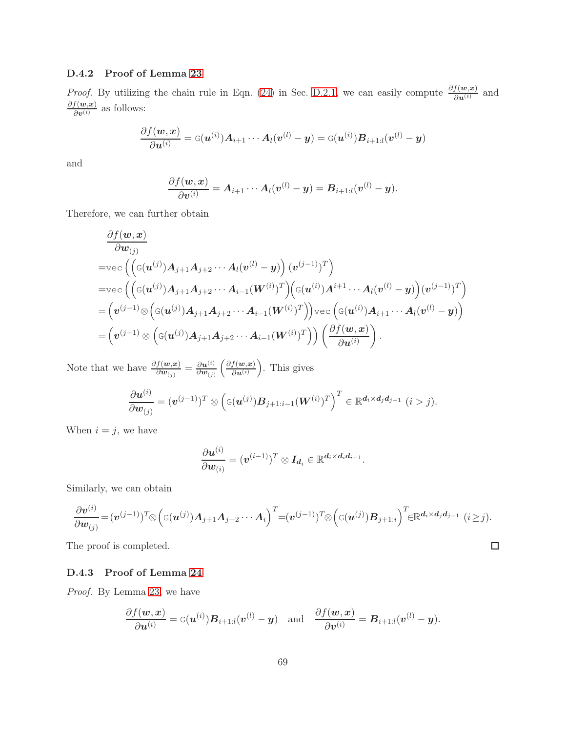## D.4.2 Proof of Lemma [23](#page-46-0)

*Proof.* By utilizing the chain rule in Eqn. [\(24\)](#page-45-0) in Sec. [D.2.1,](#page-45-1) we can easily compute  $\frac{\partial f(w,x)}{\partial u^{(i)}}$  and  $\frac{\partial f(w,x)}{\partial v^{(i)}}$  as follows:

$$
\frac{\partial f(\boldsymbol{w}, \boldsymbol{x})}{\partial \boldsymbol{u}^{(i)}} = \texttt{G}(\boldsymbol{u}^{(i)}) \boldsymbol{A}_{i+1} \cdots \boldsymbol{A}_l (\boldsymbol{v}^{(l)} - \boldsymbol{y}) = \texttt{G}(\boldsymbol{u}^{(i)}) \boldsymbol{B}_{i+1:l} (\boldsymbol{v}^{(l)} - \boldsymbol{y})
$$

and

$$
\frac{\partial f(\boldsymbol{w}, \boldsymbol{x})}{\partial \boldsymbol{v}^{(i)}} = \boldsymbol{A}_{i+1} \cdots \boldsymbol{A}_l (\boldsymbol{v}^{(l)} - \boldsymbol{y}) = \boldsymbol{B}_{i+1:l} (\boldsymbol{v}^{(l)} - \boldsymbol{y}).
$$

Therefore, we can further obtain

$$
\frac{\partial f(\mathbf{w}, \mathbf{x})}{\partial \mathbf{w}_{(j)}}\n= \text{vec}\left( \left( \mathbf{G}(\mathbf{u}^{(j)}) \mathbf{A}_{j+1} \mathbf{A}_{j+2} \cdots \mathbf{A}_{l} (\mathbf{v}^{(l)} - \mathbf{y}) \right) (\mathbf{v}^{(j-1)})^{T} \right)\n= \text{vec}\left( \left( \mathbf{G}(\mathbf{u}^{(j)}) \mathbf{A}_{j+1} \mathbf{A}_{j+2} \cdots \mathbf{A}_{i-1} (\mathbf{W}^{(i)})^{T} \right) \left( \mathbf{G}(\mathbf{u}^{(i)}) \mathbf{A}^{i+1} \cdots \mathbf{A}_{l} (\mathbf{v}^{(l)} - \mathbf{y}) \right) (\mathbf{v}^{(j-1)})^{T} \right)\n= \left( \mathbf{v}^{(j-1)} \otimes \left( \mathbf{G}(\mathbf{u}^{(j)}) \mathbf{A}_{j+1} \mathbf{A}_{j+2} \cdots \mathbf{A}_{i-1} (\mathbf{W}^{(i)})^{T} \right) \right) \text{vec}\left( \mathbf{G}(\mathbf{u}^{(i)}) \mathbf{A}_{i+1} \cdots \mathbf{A}_{l} (\mathbf{v}^{(l)} - \mathbf{y}) \right)\n= \left( \mathbf{v}^{(j-1)} \otimes \left( \mathbf{G}(\mathbf{u}^{(j)}) \mathbf{A}_{j+1} \mathbf{A}_{j+2} \cdots \mathbf{A}_{i-1} (\mathbf{W}^{(i)})^{T} \right) \right) \left( \frac{\partial f(\mathbf{w}, \mathbf{x})}{\partial \mathbf{u}^{(i)}} \right).
$$

Note that we have  $\frac{\partial f(w,x)}{\partial w_{(j)}} = \frac{\partial u^{(i)}}{\partial w_{(j)}}$  $\partial \bm{w}_{(j)}$  $\int$  ∂f(w,x)  $\partial \boldsymbol{u}^{(i)}$ . This gives

$$
\frac{\partial \boldsymbol{u}^{(i)}}{\partial \boldsymbol{w}_{(j)}} = (\boldsymbol{v}^{(j-1)})^T \otimes \left( \mathbf{G}(\boldsymbol{u}^{(j)}) \boldsymbol{B}_{j+1:i-1}(\boldsymbol{W}^{(i)})^T \right)^T \in \mathbb{R}^{d_i \times d_j d_{j-1}} \ (i > j).
$$

When  $i = j$ , we have

$$
\frac{\partial \boldsymbol{u}^{(i)}}{\partial \boldsymbol{w}_{(i)}} = (\boldsymbol{v}^{(i-1)})^T \otimes \boldsymbol{I_{d_i}} \in \mathbb{R}^{d_i \times d_i d_{i-1}}.
$$

Similarly, we can obtain

$$
\frac{\partial \boldsymbol{v}^{(i)}}{\partial \boldsymbol{w}_{(j)}} = (\boldsymbol{v}^{(j-1)})^T \otimes \left( \mathbf{G}(\boldsymbol{u}^{(j)}) \mathbf{A}_{j+1} \mathbf{A}_{j+2} \cdots \mathbf{A}_i \right)^T = (\boldsymbol{v}^{(j-1)})^T \otimes \left( \mathbf{G}(\boldsymbol{u}^{(j)}) \mathbf{B}_{j+1:i} \right)^T \in \mathbb{R}^{d_i \times d_j d_{j-1}} \ (i \geq j).
$$

 $\Box$ 

The proof is completed.

# D.4.3 Proof of Lemma [24](#page-51-0)

*Proof.* By Lemma [23,](#page-46-0) we have

$$
\frac{\partial f(\boldsymbol{w}, \boldsymbol{x})}{\partial \boldsymbol{u}^{(i)}} = \texttt{G}(\boldsymbol{u}^{(i)}) \boldsymbol{B}_{i+1:l}(\boldsymbol{v}^{(l)} - \boldsymbol{y}) \quad \text{and} \quad \frac{\partial f(\boldsymbol{w}, \boldsymbol{x})}{\partial \boldsymbol{v}^{(i)}} = \boldsymbol{B}_{i+1:l}(\boldsymbol{v}^{(l)} - \boldsymbol{y}).
$$